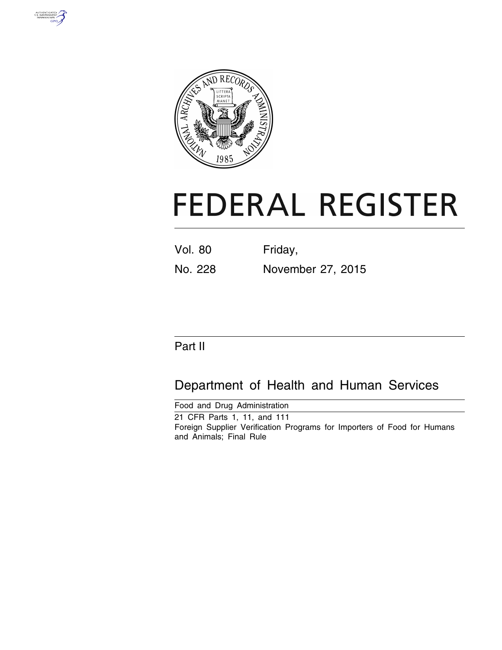



# **FEDERAL REGISTER**

| <b>Vol. 80</b> | Friday,           |
|----------------|-------------------|
| No. 228        | November 27, 2015 |

# Part II

# Department of Health and Human Services

Food and Drug Administration 21 CFR Parts 1, 11, and 111 Foreign Supplier Verification Programs for Importers of Food for Humans and Animals; Final Rule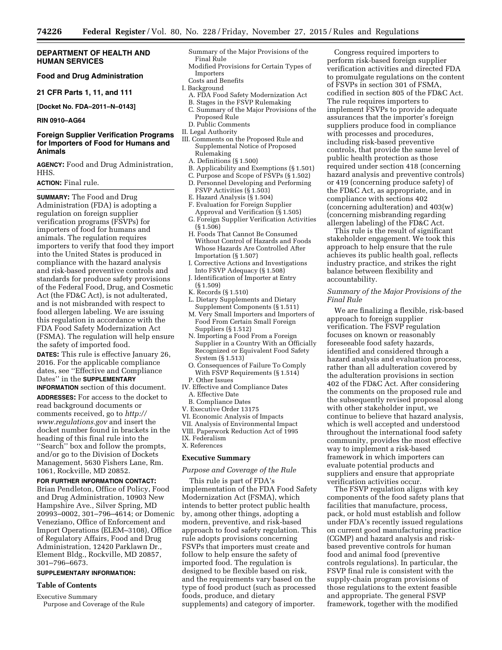#### **DEPARTMENT OF HEALTH AND HUMAN SERVICES**

#### **Food and Drug Administration**

**21 CFR Parts 1, 11, and 111** 

**[Docket No. FDA–2011–N–0143]** 

**RIN 0910–AG64** 

#### **Foreign Supplier Verification Programs for Importers of Food for Humans and Animals**

**AGENCY:** Food and Drug Administration, HHS.

#### **ACTION:** Final rule.

**SUMMARY:** The Food and Drug Administration (FDA) is adopting a regulation on foreign supplier verification programs (FSVPs) for importers of food for humans and animals. The regulation requires importers to verify that food they import into the United States is produced in compliance with the hazard analysis and risk-based preventive controls and standards for produce safety provisions of the Federal Food, Drug, and Cosmetic Act (the FD&C Act), is not adulterated, and is not misbranded with respect to food allergen labeling. We are issuing this regulation in accordance with the FDA Food Safety Modernization Act (FSMA). The regulation will help ensure the safety of imported food.

**DATES:** This rule is effective January 26, 2016. For the applicable compliance dates, see ''Effective and Compliance Dates'' in the **SUPPLEMENTARY**

**INFORMATION** section of this document. **ADDRESSES:** For access to the docket to

read background documents or comments received, go to *[http://](http://www.regulations.gov) [www.regulations.gov](http://www.regulations.gov)* and insert the docket number found in brackets in the heading of this final rule into the ''Search'' box and follow the prompts, and/or go to the Division of Dockets Management, 5630 Fishers Lane, Rm. 1061, Rockville, MD 20852.

#### **FOR FURTHER INFORMATION CONTACT:**

Brian Pendleton, Office of Policy, Food and Drug Administration, 10903 New Hampshire Ave., Silver Spring, MD 20993–0002, 301–796–4614; or Domenic Veneziano, Office of Enforcement and Import Operations (ELEM–3108), Office of Regulatory Affairs, Food and Drug Administration, 12420 Parklawn Dr., Element Bldg., Rockville, MD 20857, 301–796–6673.

#### **SUPPLEMENTARY INFORMATION:**

#### **Table of Contents**

Executive Summary

Purpose and Coverage of the Rule

- Summary of the Major Provisions of the Final Rule
- Modified Provisions for Certain Types of Importers
- Costs and Benefits
- I. Background
- A. FDA Food Safety Modernization Act B. Stages in the FSVP Rulemaking
- C. Summary of the Major Provisions of the Proposed Rule
- D. Public Comments
- II. Legal Authority
- III. Comments on the Proposed Rule and Supplemental Notice of Proposed Rulemaking
	- A. Definitions (§ 1.500)
- B. Applicability and Exemptions (§ 1.501)
- C. Purpose and Scope of FSVPs (§ 1.502)
- D. Personnel Developing and Performing
- FSVP Activities (§ 1.503)
- E. Hazard Analysis (§ 1.504)
- F. Evaluation for Foreign Supplier Approval and Verification (§ 1.505)
- G. Foreign Supplier Verification Activities (§ 1.506)
- H. Foods That Cannot Be Consumed Without Control of Hazards and Foods Whose Hazards Are Controlled After Importation (§ 1.507)
- I. Corrective Actions and Investigations Into FSVP Adequacy (§ 1.508)
- J. Identification of Importer at Entry (§ 1.509)
- K. Records (§ 1.510)
- L. Dietary Supplements and Dietary Supplement Components (§ 1.511)
- M. Very Small Importers and Importers of Food From Certain Small Foreign Suppliers (§ 1.512)
- N. Importing a Food From a Foreign Supplier in a Country With an Officially Recognized or Equivalent Food Safety System (§ 1.513)
- O. Consequences of Failure To Comply With FSVP Requirements (§ 1.514) P. Other Issues
- IV. Effective and Compliance Dates A. Effective Date
- B. Compliance Dates
- V. Executive Order 13175
- VI. Economic Analysis of Impacts
- VII. Analysis of Environmental Impact
- VIII. Paperwork Reduction Act of 1995
- IX. Federalism X. References

### **Executive Summary**

#### *Purpose and Coverage of the Rule*

This rule is part of FDA's implementation of the FDA Food Safety Modernization Act (FSMA), which intends to better protect public health by, among other things, adopting a modern, preventive, and risk-based approach to food safety regulation. This rule adopts provisions concerning FSVPs that importers must create and follow to help ensure the safety of imported food. The regulation is designed to be flexible based on risk, and the requirements vary based on the type of food product (such as processed foods, produce, and dietary supplements) and category of importer.

Congress required importers to perform risk-based foreign supplier verification activities and directed FDA to promulgate regulations on the content of FSVPs in section 301 of FSMA, codified in section 805 of the FD&C Act. The rule requires importers to implement FSVPs to provide adequate assurances that the importer's foreign suppliers produce food in compliance with processes and procedures, including risk-based preventive controls, that provide the same level of public health protection as those required under section 418 (concerning hazard analysis and preventive controls) or 419 (concerning produce safety) of the FD&C Act, as appropriate, and in compliance with sections 402 (concerning adulteration) and 403(w) (concerning misbranding regarding allergen labeling) of the FD&C Act.

This rule is the result of significant stakeholder engagement. We took this approach to help ensure that the rule achieves its public health goal, reflects industry practice, and strikes the right balance between flexibility and accountability.

#### *Summary of the Major Provisions of the Final Rule*

We are finalizing a flexible, risk-based approach to foreign supplier verification. The FSVP regulation focuses on known or reasonably foreseeable food safety hazards, identified and considered through a hazard analysis and evaluation process, rather than all adulteration covered by the adulteration provisions in section 402 of the FD&C Act. After considering the comments on the proposed rule and the subsequently revised proposal along with other stakeholder input, we continue to believe that hazard analysis, which is well accepted and understood throughout the international food safety community, provides the most effective way to implement a risk-based framework in which importers can evaluate potential products and suppliers and ensure that appropriate verification activities occur.

The FSVP regulation aligns with key components of the food safety plans that facilities that manufacture, process, pack, or hold must establish and follow under FDA's recently issued regulations on current good manufacturing practice (CGMP) and hazard analysis and riskbased preventive controls for human food and animal food (preventive controls regulations). In particular, the FSVP final rule is consistent with the supply-chain program provisions of those regulations to the extent feasible and appropriate. The general FSVP framework, together with the modified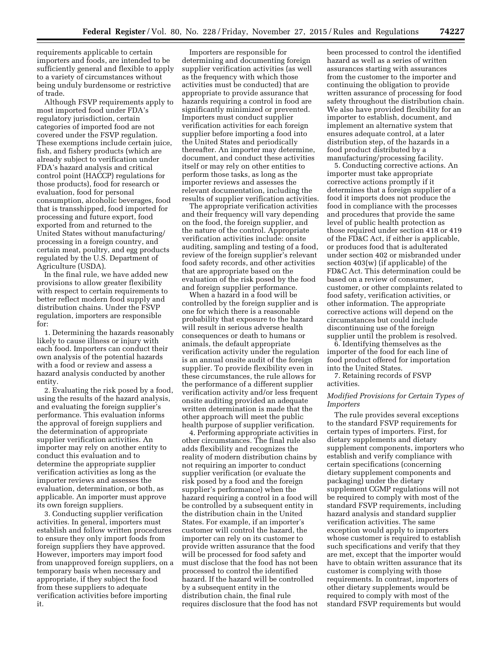requirements applicable to certain importers and foods, are intended to be sufficiently general and flexible to apply to a variety of circumstances without being unduly burdensome or restrictive of trade.

Although FSVP requirements apply to most imported food under FDA's regulatory jurisdiction, certain categories of imported food are not covered under the FSVP regulation. These exemptions include certain juice, fish, and fishery products (which are already subject to verification under FDA's hazard analysis and critical control point (HACCP) regulations for those products), food for research or evaluation, food for personal consumption, alcoholic beverages, food that is transshipped, food imported for processing and future export, food exported from and returned to the United States without manufacturing/ processing in a foreign country, and certain meat, poultry, and egg products regulated by the U.S. Department of Agriculture (USDA).

In the final rule, we have added new provisions to allow greater flexibility with respect to certain requirements to better reflect modern food supply and distribution chains. Under the FSVP regulation, importers are responsible for:

1. Determining the hazards reasonably likely to cause illness or injury with each food. Importers can conduct their own analysis of the potential hazards with a food or review and assess a hazard analysis conducted by another entity.

2. Evaluating the risk posed by a food, using the results of the hazard analysis, and evaluating the foreign supplier's performance. This evaluation informs the approval of foreign suppliers and the determination of appropriate supplier verification activities. An importer may rely on another entity to conduct this evaluation and to determine the appropriate supplier verification activities as long as the importer reviews and assesses the evaluation, determination, or both, as applicable. An importer must approve its own foreign suppliers.

3. Conducting supplier verification activities. In general, importers must establish and follow written procedures to ensure they only import foods from foreign suppliers they have approved. However, importers may import food from unapproved foreign suppliers, on a temporary basis when necessary and appropriate, if they subject the food from these suppliers to adequate verification activities before importing it.

Importers are responsible for determining and documenting foreign supplier verification activities (as well as the frequency with which those activities must be conducted) that are appropriate to provide assurance that hazards requiring a control in food are significantly minimized or prevented. Importers must conduct supplier verification activities for each foreign supplier before importing a food into the United States and periodically thereafter. An importer may determine, document, and conduct these activities itself or may rely on other entities to perform those tasks, as long as the importer reviews and assesses the relevant documentation, including the results of supplier verification activities.

The appropriate verification activities and their frequency will vary depending on the food, the foreign supplier, and the nature of the control. Appropriate verification activities include: onsite auditing, sampling and testing of a food, review of the foreign supplier's relevant food safety records, and other activities that are appropriate based on the evaluation of the risk posed by the food and foreign supplier performance.

When a hazard in a food will be controlled by the foreign supplier and is one for which there is a reasonable probability that exposure to the hazard will result in serious adverse health consequences or death to humans or animals, the default appropriate verification activity under the regulation is an annual onsite audit of the foreign supplier. To provide flexibility even in these circumstances, the rule allows for the performance of a different supplier verification activity and/or less frequent onsite auditing provided an adequate written determination is made that the other approach will meet the public health purpose of supplier verification.

4. Performing appropriate activities in other circumstances. The final rule also adds flexibility and recognizes the reality of modern distribution chains by not requiring an importer to conduct supplier verification (or evaluate the risk posed by a food and the foreign supplier's performance) when the hazard requiring a control in a food will be controlled by a subsequent entity in the distribution chain in the United States. For example, if an importer's customer will control the hazard, the importer can rely on its customer to provide written assurance that the food will be processed for food safety and must disclose that the food has not been processed to control the identified hazard. If the hazard will be controlled by a subsequent entity in the distribution chain, the final rule requires disclosure that the food has not

been processed to control the identified hazard as well as a series of written assurances starting with assurances from the customer to the importer and continuing the obligation to provide written assurance of processing for food safety throughout the distribution chain. We also have provided flexibility for an importer to establish, document, and implement an alternative system that ensures adequate control, at a later distribution step, of the hazards in a food product distributed by a manufacturing/processing facility.

5. Conducting corrective actions. An importer must take appropriate corrective actions promptly if it determines that a foreign supplier of a food it imports does not produce the food in compliance with the processes and procedures that provide the same level of public health protection as those required under section 418 or 419 of the FD&C Act, if either is applicable, or produces food that is adulterated under section 402 or misbranded under section 403(w) (if applicable) of the FD&C Act. This determination could be based on a review of consumer, customer, or other complaints related to food safety, verification activities, or other information. The appropriate corrective actions will depend on the circumstances but could include discontinuing use of the foreign supplier until the problem is resolved.

6. Identifying themselves as the importer of the food for each line of food product offered for importation into the United States.

7. Retaining records of FSVP activities.

#### *Modified Provisions for Certain Types of Importers*

The rule provides several exceptions to the standard FSVP requirements for certain types of importers. First, for dietary supplements and dietary supplement components, importers who establish and verify compliance with certain specifications (concerning dietary supplement components and packaging) under the dietary supplement CGMP regulations will not be required to comply with most of the standard FSVP requirements, including hazard analysis and standard supplier verification activities. The same exception would apply to importers whose customer is required to establish such specifications and verify that they are met, except that the importer would have to obtain written assurance that its customer is complying with those requirements. In contrast, importers of other dietary supplements would be required to comply with most of the standard FSVP requirements but would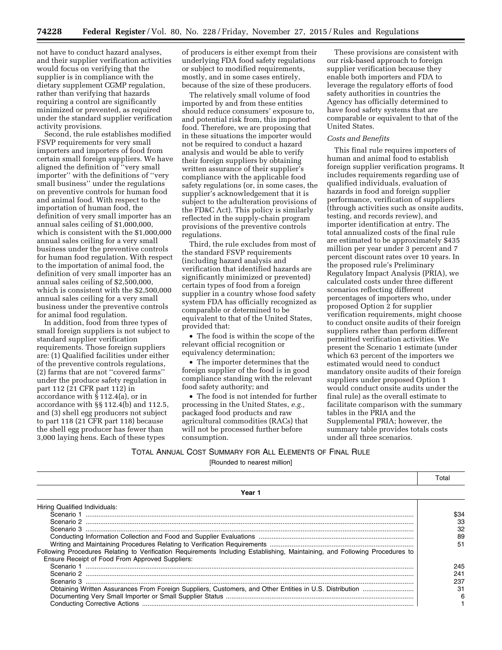not have to conduct hazard analyses, and their supplier verification activities would focus on verifying that the supplier is in compliance with the dietary supplement CGMP regulation, rather than verifying that hazards requiring a control are significantly minimized or prevented, as required under the standard supplier verification activity provisions.

Second, the rule establishes modified FSVP requirements for very small importers and importers of food from certain small foreign suppliers. We have aligned the definition of "very small importer'' with the definitions of ''very small business'' under the regulations on preventive controls for human food and animal food. With respect to the importation of human food, the definition of very small importer has an annual sales ceiling of \$1,000,000, which is consistent with the \$1,000,000 annual sales ceiling for a very small business under the preventive controls for human food regulation. With respect to the importation of animal food, the definition of very small importer has an annual sales ceiling of \$2,500,000, which is consistent with the \$2,500,000 annual sales ceiling for a very small business under the preventive controls for animal food regulation.

In addition, food from three types of small foreign suppliers is not subject to standard supplier verification requirements. Those foreign suppliers are: (1) Qualified facilities under either of the preventive controls regulations, (2) farms that are not ''covered farms'' under the produce safety regulation in part 112 (21 CFR part 112) in accordance with § 112.4(a), or in accordance with §§ 112.4(b) and 112.5, and (3) shell egg producers not subject to part 118 (21 CFR part 118) because the shell egg producer has fewer than 3,000 laying hens. Each of these types

of producers is either exempt from their underlying FDA food safety regulations or subject to modified requirements, mostly, and in some cases entirely, because of the size of these producers.

The relatively small volume of food imported by and from these entities should reduce consumers' exposure to, and potential risk from, this imported food. Therefore, we are proposing that in these situations the importer would not be required to conduct a hazard analysis and would be able to verify their foreign suppliers by obtaining written assurance of their supplier's compliance with the applicable food safety regulations (or, in some cases, the supplier's acknowledgement that it is subject to the adulteration provisions of the FD&C Act). This policy is similarly reflected in the supply-chain program provisions of the preventive controls regulations.

Third, the rule excludes from most of the standard FSVP requirements (including hazard analysis and verification that identified hazards are significantly minimized or prevented) certain types of food from a foreign supplier in a country whose food safety system FDA has officially recognized as comparable or determined to be equivalent to that of the United States, provided that:

• The food is within the scope of the relevant official recognition or equivalency determination;

• The importer determines that the foreign supplier of the food is in good compliance standing with the relevant food safety authority; and

• The food is not intended for further processing in the United States, *e.g.,*  packaged food products and raw agricultural commodities (RACs) that will not be processed further before consumption.

These provisions are consistent with our risk-based approach to foreign supplier verification because they enable both importers and FDA to leverage the regulatory efforts of food safety authorities in countries the Agency has officially determined to have food safety systems that are comparable or equivalent to that of the United States.

#### *Costs and Benefits*

This final rule requires importers of human and animal food to establish foreign supplier verification programs. It includes requirements regarding use of qualified individuals, evaluation of hazards in food and foreign supplier performance, verification of suppliers (through activities such as onsite audits, testing, and records review), and importer identification at entry. The total annualized costs of the final rule are estimated to be approximately \$435 million per year under 3 percent and 7 percent discount rates over 10 years. In the proposed rule's Preliminary Regulatory Impact Analysis (PRIA), we calculated costs under three different scenarios reflecting different percentages of importers who, under proposed Option 2 for supplier verification requirements, might choose to conduct onsite audits of their foreign suppliers rather than perform different permitted verification activities. We present the Scenario 1 estimate (under which 63 percent of the importers we estimated would need to conduct mandatory onsite audits of their foreign suppliers under proposed Option 1 would conduct onsite audits under the final rule) as the overall estimate to facilitate comparison with the summary tables in the PRIA and the Supplemental PRIA; however, the summary table provides totals costs under all three scenarios.

TOTAL ANNUAL COST SUMMARY FOR ALL ELEMENTS OF FINAL RULE [Rounded to nearest million]

|                                                                                                                             | Total |
|-----------------------------------------------------------------------------------------------------------------------------|-------|
| Year 1                                                                                                                      |       |
| Hiring Qualified Individuals:                                                                                               |       |
|                                                                                                                             | \$34  |
|                                                                                                                             | 33    |
|                                                                                                                             | 32    |
|                                                                                                                             | 89    |
|                                                                                                                             | 51    |
| Following Procedures Relating to Verification Requirements Including Establishing, Maintaining, and Following Procedures to |       |
| Ensure Receipt of Food From Approved Suppliers:                                                                             |       |
| Scenario 1                                                                                                                  | 245   |
|                                                                                                                             | 241   |
|                                                                                                                             | 237   |
|                                                                                                                             | 31    |
|                                                                                                                             |       |
|                                                                                                                             |       |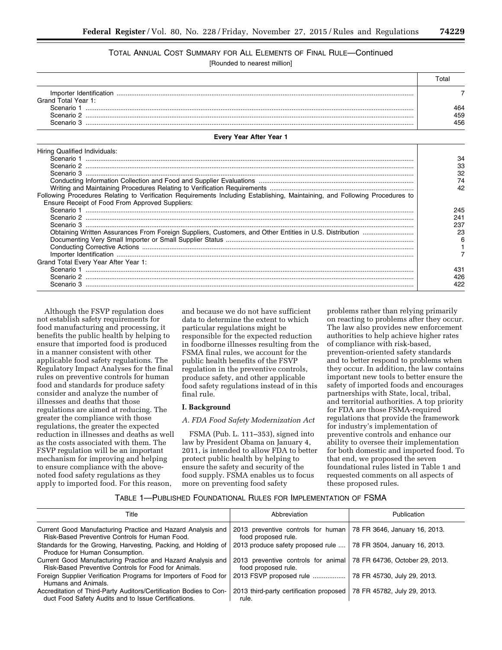## TOTAL ANNUAL COST SUMMARY FOR ALL ELEMENTS OF FINAL RULE—Continued

[Rounded to nearest million]

|                         | ั∩tal |
|-------------------------|-------|
| Importer Identification |       |
| Grand Total Year 1:     |       |
| Scenario                | 464   |
| Scenario 2              | 459   |
| Scenario 3              | 456   |

| Every Year After Year 1 |  |  |  |  |
|-------------------------|--|--|--|--|
|-------------------------|--|--|--|--|

| Hiring Qualified Individuals:                                                                                               |     |
|-----------------------------------------------------------------------------------------------------------------------------|-----|
|                                                                                                                             |     |
|                                                                                                                             | 33  |
|                                                                                                                             | 32  |
|                                                                                                                             |     |
|                                                                                                                             | 42  |
| Following Procedures Relating to Verification Requirements Including Establishing, Maintaining, and Following Procedures to |     |
| Ensure Receipt of Food From Approved Suppliers:                                                                             |     |
|                                                                                                                             | 245 |
|                                                                                                                             | 241 |
|                                                                                                                             | 237 |
|                                                                                                                             | 23  |
|                                                                                                                             | ิค  |
|                                                                                                                             |     |
|                                                                                                                             |     |
| Grand Total Every Year After Year 1:                                                                                        |     |
|                                                                                                                             | 431 |
|                                                                                                                             | 426 |
| Scenario 3                                                                                                                  | 422 |
|                                                                                                                             |     |

Although the FSVP regulation does not establish safety requirements for food manufacturing and processing, it benefits the public health by helping to ensure that imported food is produced in a manner consistent with other applicable food safety regulations. The Regulatory Impact Analyses for the final rules on preventive controls for human food and standards for produce safety consider and analyze the number of illnesses and deaths that those regulations are aimed at reducing. The greater the compliance with those regulations, the greater the expected reduction in illnesses and deaths as well as the costs associated with them. The FSVP regulation will be an important mechanism for improving and helping to ensure compliance with the abovenoted food safety regulations as they apply to imported food. For this reason,

and because we do not have sufficient data to determine the extent to which particular regulations might be responsible for the expected reduction in foodborne illnesses resulting from the FSMA final rules, we account for the public health benefits of the FSVP regulation in the preventive controls, produce safety, and other applicable food safety regulations instead of in this final rule.

#### **I. Background**

#### *A. FDA Food Safety Modernization Act*

FSMA (Pub. L. 111–353), signed into law by President Obama on January 4, 2011, is intended to allow FDA to better protect public health by helping to ensure the safety and security of the food supply. FSMA enables us to focus more on preventing food safety

problems rather than relying primarily on reacting to problems after they occur. The law also provides new enforcement authorities to help achieve higher rates of compliance with risk-based, prevention-oriented safety standards and to better respond to problems when they occur. In addition, the law contains important new tools to better ensure the safety of imported foods and encourages partnerships with State, local, tribal, and territorial authorities. A top priority for FDA are those FSMA-required regulations that provide the framework for industry's implementation of preventive controls and enhance our ability to oversee their implementation for both domestic and imported food. To that end, we proposed the seven foundational rules listed in Table 1 and requested comments on all aspects of these proposed rules.

#### TABLE 1—PUBLISHED FOUNDATIONAL RULES FOR IMPLEMENTATION OF FSMA

| Title                                                                                                                      | Abbreviation                                                                              | <b>Publication</b>            |
|----------------------------------------------------------------------------------------------------------------------------|-------------------------------------------------------------------------------------------|-------------------------------|
| Current Good Manufacturing Practice and Hazard Analysis and<br>Risk-Based Preventive Controls for Human Food.              | 2013 preventive controls for human   78 FR 3646, January 16, 2013.<br>food proposed rule. |                               |
| Standards for the Growing, Harvesting, Packing, and Holding of<br>Produce for Human Consumption.                           | 2013 produce safety proposed rule                                                         | 78 FR 3504, January 16, 2013. |
| Current Good Manufacturing Practice and Hazard Analysis and<br>Risk-Based Preventive Controls for Food for Animals.        | 2013 preventive controls for animal 78 FR 64736, October 29, 2013.<br>food proposed rule. |                               |
| Foreign Supplier Verification Programs for Importers of Food for<br>Humans and Animals.                                    | 2013 FSVP proposed rule                                                                   | 78 FR 45730, July 29, 2013.   |
| Accreditation of Third-Party Auditors/Certification Bodies to Con-<br>duct Food Safety Audits and to Issue Certifications. | 2013 third-party certification proposed   78 FR 45782, July 29, 2013.<br>rule.            |                               |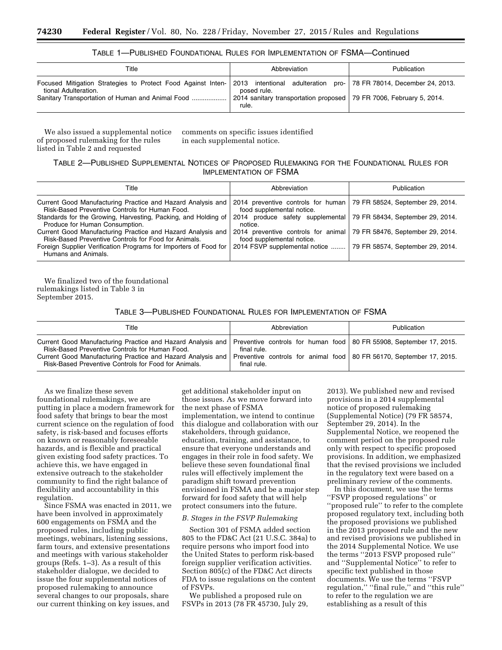| TABLE 1—PUBLISHED FOUNDATIONAL RULES FOR IMPLEMENTATION OF FSMA—Continued |  |
|---------------------------------------------------------------------------|--|
|---------------------------------------------------------------------------|--|

| Title                                                                                | Abbreviation                                                                                                                   | Publication                            |
|--------------------------------------------------------------------------------------|--------------------------------------------------------------------------------------------------------------------------------|----------------------------------------|
| Focused Mitigation Strategies to Protect Food Against Inten-<br>tional Adulteration. | 2013 intentional adulteration<br>posed rule.<br>2014 sanitary transportation proposed   79 FR 7006, February 5, 2014.<br>rule. | pro-   78 FR 78014, December 24, 2013. |

We also issued a supplemental notice of proposed rulemaking for the rules listed in Table 2 and requested

comments on specific issues identified in each supplemental notice.

#### TABLE 2—PUBLISHED SUPPLEMENTAL NOTICES OF PROPOSED RULEMAKING FOR THE FOUNDATIONAL RULES FOR IMPLEMENTATION OF FSMA

| Title                                                                                                               | Abbreviation                                                                                        | Publication                      |
|---------------------------------------------------------------------------------------------------------------------|-----------------------------------------------------------------------------------------------------|----------------------------------|
| Current Good Manufacturing Practice and Hazard Analysis and<br>Risk-Based Preventive Controls for Human Food.       | 2014 preventive controls for human   79 FR 58524, September 29, 2014.<br>food supplemental notice.  |                                  |
| Standards for the Growing, Harvesting, Packing, and Holding of<br>Produce for Human Consumption.                    | 2014 produce safety supplemental 79 FR 58434, September 29, 2014.<br>notice.                        |                                  |
| Current Good Manufacturing Practice and Hazard Analysis and<br>Risk-Based Preventive Controls for Food for Animals. | 2014 preventive controls for animal   79 FR 58476, September 29, 2014.<br>food supplemental notice. |                                  |
| Foreign Supplier Verification Programs for Importers of Food for<br>Humans and Animals.                             | 2014 FSVP supplemental notice                                                                       | 79 FR 58574, September 29, 2014. |

We finalized two of the foundational rulemakings listed in Table 3 in September 2015.

TABLE 3—PUBLISHED FOUNDATIONAL RULES FOR IMPLEMENTATION OF FSMA

| Title                                                                                                                                                                                                                                | Abbreviation                                                                                                                                                                  | Publication |
|--------------------------------------------------------------------------------------------------------------------------------------------------------------------------------------------------------------------------------------|-------------------------------------------------------------------------------------------------------------------------------------------------------------------------------|-------------|
| Current Good Manufacturing Practice and Hazard Analysis and<br>Risk-Based Preventive Controls for Human Food.<br>Current Good Manufacturing Practice and Hazard Analysis and<br>Risk-Based Preventive Controls for Food for Animals. | Preventive controls for human food   80 FR 55908, September 17, 2015.<br>final rule.<br>Preventive controls for animal food   80 FR 56170, September 17, 2015.<br>final rule. |             |

As we finalize these seven foundational rulemakings, we are putting in place a modern framework for food safety that brings to bear the most current science on the regulation of food safety, is risk-based and focuses efforts on known or reasonably foreseeable hazards, and is flexible and practical given existing food safety practices. To achieve this, we have engaged in extensive outreach to the stakeholder community to find the right balance of flexibility and accountability in this regulation.

Since FSMA was enacted in 2011, we have been involved in approximately 600 engagements on FSMA and the proposed rules, including public meetings, webinars, listening sessions, farm tours, and extensive presentations and meetings with various stakeholder groups (Refs. 1–3). As a result of this stakeholder dialogue, we decided to issue the four supplemental notices of proposed rulemaking to announce several changes to our proposals, share our current thinking on key issues, and

get additional stakeholder input on those issues. As we move forward into the next phase of FSMA implementation, we intend to continue this dialogue and collaboration with our stakeholders, through guidance, education, training, and assistance, to ensure that everyone understands and engages in their role in food safety. We believe these seven foundational final rules will effectively implement the paradigm shift toward prevention envisioned in FSMA and be a major step forward for food safety that will help protect consumers into the future.

#### *B. Stages in the FSVP Rulemaking*

Section 301 of FSMA added section 805 to the FD&C Act (21 U.S.C. 384a) to require persons who import food into the United States to perform risk-based foreign supplier verification activities. Section 805(c) of the FD&C Act directs FDA to issue regulations on the content of FSVPs.

We published a proposed rule on FSVPs in 2013 (78 FR 45730, July 29,

2013). We published new and revised provisions in a 2014 supplemental notice of proposed rulemaking (Supplemental Notice) (79 FR 58574, September 29, 2014). In the Supplemental Notice, we reopened the comment period on the proposed rule only with respect to specific proposed provisions. In addition, we emphasized that the revised provisions we included in the regulatory text were based on a preliminary review of the comments.

In this document, we use the terms ''FSVP proposed regulations'' or ''proposed rule'' to refer to the complete proposed regulatory text, including both the proposed provisions we published in the 2013 proposed rule and the new and revised provisions we published in the 2014 Supplemental Notice. We use the terms ''2013 FSVP proposed rule'' and ''Supplemental Notice'' to refer to specific text published in those documents. We use the terms ''FSVP regulation,'' ''final rule,'' and ''this rule'' to refer to the regulation we are establishing as a result of this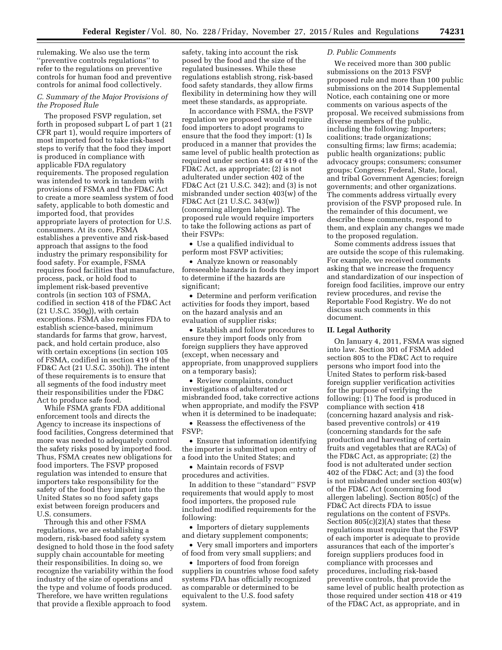rulemaking. We also use the term ''preventive controls regulations'' to refer to the regulations on preventive controls for human food and preventive controls for animal food collectively.

#### *C. Summary of the Major Provisions of the Proposed Rule*

The proposed FSVP regulation, set forth in proposed subpart L of part 1 (21 CFR part 1), would require importers of most imported food to take risk-based steps to verify that the food they import is produced in compliance with applicable FDA regulatory requirements. The proposed regulation was intended to work in tandem with provisions of FSMA and the FD&C Act to create a more seamless system of food safety, applicable to both domestic and imported food, that provides appropriate layers of protection for U.S. consumers. At its core, FSMA establishes a preventive and risk-based approach that assigns to the food industry the primary responsibility for food safety. For example, FSMA requires food facilities that manufacture, process, pack, or hold food to implement risk-based preventive controls (in section 103 of FSMA, codified in section 418 of the FD&C Act (21 U.S.C. 350g)), with certain exceptions. FSMA also requires FDA to establish science-based, minimum standards for farms that grow, harvest, pack, and hold certain produce, also with certain exceptions (in section 105 of FSMA, codified in section 419 of the FD&C Act (21 U.S.C. 350h)). The intent of these requirements is to ensure that all segments of the food industry meet their responsibilities under the FD&C Act to produce safe food.

While FSMA grants FDA additional enforcement tools and directs the Agency to increase its inspections of food facilities, Congress determined that more was needed to adequately control the safety risks posed by imported food. Thus, FSMA creates new obligations for food importers. The FSVP proposed regulation was intended to ensure that importers take responsibility for the safety of the food they import into the United States so no food safety gaps exist between foreign producers and U.S. consumers.

Through this and other FSMA regulations, we are establishing a modern, risk-based food safety system designed to hold those in the food safety supply chain accountable for meeting their responsibilities. In doing so, we recognize the variability within the food industry of the size of operations and the type and volume of foods produced. Therefore, we have written regulations that provide a flexible approach to food

safety, taking into account the risk posed by the food and the size of the regulated businesses. While these regulations establish strong, risk-based food safety standards, they allow firms flexibility in determining how they will meet these standards, as appropriate.

In accordance with FSMA, the FSVP regulation we proposed would require food importers to adopt programs to ensure that the food they import: (1) Is produced in a manner that provides the same level of public health protection as required under section 418 or 419 of the FD&C Act, as appropriate; (2) is not adulterated under section 402 of the FD&C Act (21 U.S.C. 342); and (3) is not misbranded under section 403(w) of the FD&C Act (21 U.S.C. 343(w)) (concerning allergen labeling). The proposed rule would require importers to take the following actions as part of their FSVPs:

• Use a qualified individual to perform most FSVP activities;

• Analyze known or reasonably foreseeable hazards in foods they import to determine if the hazards are significant;

• Determine and perform verification activities for foods they import, based on the hazard analysis and an evaluation of supplier risks;

• Establish and follow procedures to ensure they import foods only from foreign suppliers they have approved (except, when necessary and appropriate, from unapproved suppliers on a temporary basis);

• Review complaints, conduct investigations of adulterated or misbranded food, take corrective actions when appropriate, and modify the FSVP when it is determined to be inadequate;

• Reassess the effectiveness of the FSVP;

• Ensure that information identifying the importer is submitted upon entry of a food into the United States; and

• Maintain records of FSVP procedures and activities.

In addition to these ''standard'' FSVP requirements that would apply to most food importers, the proposed rule included modified requirements for the following:

• Importers of dietary supplements and dietary supplement components;

• Very small importers and importers of food from very small suppliers; and

• Importers of food from foreign suppliers in countries whose food safety systems FDA has officially recognized as comparable or determined to be equivalent to the U.S. food safety system.

#### *D. Public Comments*

We received more than 300 public submissions on the 2013 FSVP proposed rule and more than 100 public submissions on the 2014 Supplemental Notice, each containing one or more comments on various aspects of the proposal. We received submissions from diverse members of the public, including the following: Importers; coalitions; trade organizations; consulting firms; law firms; academia; public health organizations; public advocacy groups; consumers; consumer groups; Congress; Federal, State, local, and tribal Government Agencies; foreign governments; and other organizations. The comments address virtually every provision of the FSVP proposed rule. In the remainder of this document, we describe these comments, respond to them, and explain any changes we made to the proposed regulation.

Some comments address issues that are outside the scope of this rulemaking. For example, we received comments asking that we increase the frequency and standardization of our inspection of foreign food facilities, improve our entry review procedures, and revise the Reportable Food Registry. We do not discuss such comments in this document.

#### **II. Legal Authority**

On January 4, 2011, FSMA was signed into law. Section 301 of FSMA added section 805 to the FD&C Act to require persons who import food into the United States to perform risk-based foreign supplier verification activities for the purpose of verifying the following: (1) The food is produced in compliance with section 418 (concerning hazard analysis and riskbased preventive controls) or 419 (concerning standards for the safe production and harvesting of certain fruits and vegetables that are RACs) of the FD&C Act, as appropriate; (2) the food is not adulterated under section 402 of the FD&C Act; and (3) the food is not misbranded under section 403(w) of the FD&C Act (concerning food allergen labeling). Section 805(c) of the FD&C Act directs FDA to issue regulations on the content of FSVPs. Section  $805(c)(2)(A)$  states that these regulations must require that the FSVP of each importer is adequate to provide assurances that each of the importer's foreign suppliers produces food in compliance with processes and procedures, including risk-based preventive controls, that provide the same level of public health protection as those required under section 418 or 419 of the FD&C Act, as appropriate, and in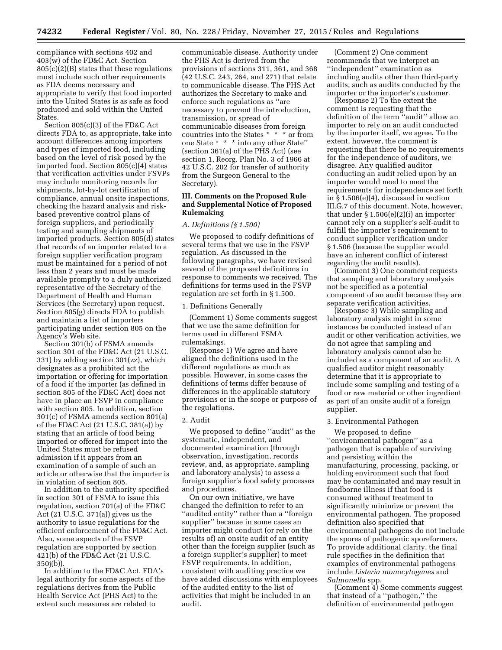compliance with sections 402 and 403(w) of the FD&C Act. Section 805(c)(2)(B) states that these regulations must include such other requirements as FDA deems necessary and appropriate to verify that food imported into the United States is as safe as food produced and sold within the United States.

Section 805(c)(3) of the FD&C Act directs FDA to, as appropriate, take into account differences among importers and types of imported food, including based on the level of risk posed by the imported food. Section 805(c)(4) states that verification activities under FSVPs may include monitoring records for shipments, lot-by-lot certification of compliance, annual onsite inspections, checking the hazard analysis and riskbased preventive control plans of foreign suppliers, and periodically testing and sampling shipments of imported products. Section 805(d) states that records of an importer related to a foreign supplier verification program must be maintained for a period of not less than 2 years and must be made available promptly to a duly authorized representative of the Secretary of the Department of Health and Human Services (the Secretary) upon request. Section 805(g) directs FDA to publish and maintain a list of importers participating under section 805 on the Agency's Web site.

Section 301(b) of FSMA amends section 301 of the FD&C Act (21 U.S.C. 331) by adding section 301(zz), which designates as a prohibited act the importation or offering for importation of a food if the importer (as defined in section 805 of the FD&C Act) does not have in place an FSVP in compliance with section 805. In addition, section 301(c) of FSMA amends section 801(a) of the FD&C Act (21 U.S.C. 381(a)) by stating that an article of food being imported or offered for import into the United States must be refused admission if it appears from an examination of a sample of such an article or otherwise that the importer is in violation of section 805.

In addition to the authority specified in section 301 of FSMA to issue this regulation, section 701(a) of the FD&C Act (21 U.S.C. 371(a)) gives us the authority to issue regulations for the efficient enforcement of the FD&C Act. Also, some aspects of the FSVP regulation are supported by section 421(b) of the FD&C Act (21 U.S.C. 350j(b)).

In addition to the FD&C Act, FDA's legal authority for some aspects of the regulations derives from the Public Health Service Act (PHS Act) to the extent such measures are related to

communicable disease. Authority under the PHS Act is derived from the provisions of sections 311, 361, and 368 (42 U.S.C. 243, 264, and 271) that relate to communicable disease. The PHS Act authorizes the Secretary to make and enforce such regulations as ''are necessary to prevent the introduction, transmission, or spread of communicable diseases from foreign countries into the States \* \* \* or from one State \* \* \* into any other State'' (section 361(a) of the PHS Act) (see section 1, Reorg. Plan No. 3 of 1966 at 42 U.S.C. 202 for transfer of authority from the Surgeon General to the Secretary).

#### **III. Comments on the Proposed Rule and Supplemental Notice of Proposed Rulemaking**

#### *A. Definitions (§ 1.500)*

We proposed to codify definitions of several terms that we use in the FSVP regulation. As discussed in the following paragraphs, we have revised several of the proposed definitions in response to comments we received. The definitions for terms used in the FSVP regulation are set forth in § 1.500.

#### 1. Definitions Generally

(Comment 1) Some comments suggest that we use the same definition for terms used in different FSMA rulemakings.

(Response 1) We agree and have aligned the definitions used in the different regulations as much as possible. However, in some cases the definitions of terms differ because of differences in the applicable statutory provisions or in the scope or purpose of the regulations.

#### 2. Audit

We proposed to define ''audit'' as the systematic, independent, and documented examination (through observation, investigation, records review, and, as appropriate, sampling and laboratory analysis) to assess a foreign supplier's food safety processes and procedures.

On our own initiative, we have changed the definition to refer to an ''audited entity'' rather than a ''foreign supplier'' because in some cases an importer might conduct (or rely on the results of) an onsite audit of an entity other than the foreign supplier (such as a foreign supplier's supplier) to meet FSVP requirements. In addition, consistent with auditing practice we have added discussions with employees of the audited entity to the list of activities that might be included in an audit.

(Comment 2) One comment recommends that we interpret an ''independent'' examination as including audits other than third-party audits, such as audits conducted by the importer or the importer's customer.

(Response 2) To the extent the comment is requesting that the definition of the term ''audit'' allow an importer to rely on an audit conducted by the importer itself, we agree. To the extent, however, the comment is requesting that there be no requirements for the independence of auditors, we disagree. Any qualified auditor conducting an audit relied upon by an importer would need to meet the requirements for independence set forth in § 1.506(e)(4), discussed in section III.G.7 of this document. Note, however, that under  $\S 1.506(e)(2)(i)$  an importer cannot rely on a supplier's self-audit to fulfill the importer's requirement to conduct supplier verification under § 1.506 (because the supplier would have an inherent conflict of interest regarding the audit results).

(Comment 3) One comment requests that sampling and laboratory analysis not be specified as a potential component of an audit because they are separate verification activities.

(Response 3) While sampling and laboratory analysis might in some instances be conducted instead of an audit or other verification activities, we do not agree that sampling and laboratory analysis cannot also be included as a component of an audit. A qualified auditor might reasonably determine that it is appropriate to include some sampling and testing of a food or raw material or other ingredient as part of an onsite audit of a foreign supplier.

#### 3. Environmental Pathogen

We proposed to define ''environmental pathogen'' as a pathogen that is capable of surviving and persisting within the manufacturing, processing, packing, or holding environment such that food may be contaminated and may result in foodborne illness if that food is consumed without treatment to significantly minimize or prevent the environmental pathogen. The proposed definition also specified that environmental pathogens do not include the spores of pathogenic sporeformers. To provide additional clarity, the final rule specifies in the definition that examples of environmental pathogens include *Listeria monocytogenes* and *Salmonella* spp.

(Comment 4) Some comments suggest that instead of a ''pathogen,'' the definition of environmental pathogen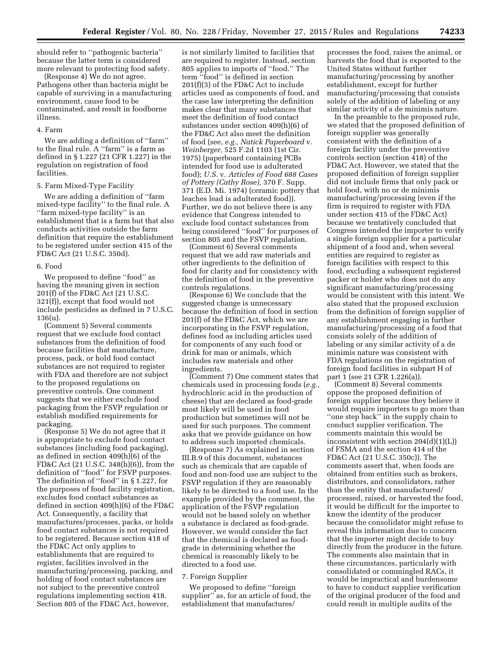should refer to ''pathogenic bacteria'' because the latter term is considered more relevant to protecting food safety.

(Response 4) We do not agree. Pathogens other than bacteria might be capable of surviving in a manufacturing environment, cause food to be contaminated, and result in foodborne illness.

#### 4. Farm

We are adding a definition of ''farm'' to the final rule. A ''farm'' is a farm as defined in § 1.227 (21 CFR 1.227) in the regulation on registration of food facilities.

#### 5. Farm Mixed-Type Facility

We are adding a definition of ''farm mixed-type facility'' to the final rule. A ''farm mixed-type facility'' is an establishment that is a farm but that also conducts activities outside the farm definition that require the establishment to be registered under section 415 of the FD&C Act (21 U.S.C. 350d).

#### 6. Food

We proposed to define "food" as having the meaning given in section 201(f) of the FD&C Act (21 U.S.C. 321(f)), except that food would not include pesticides as defined in 7 U.S.C. 136(u).

(Comment 5) Several comments request that we exclude food contact substances from the definition of food because facilities that manufacture, process, pack, or hold food contact substances are not required to register with FDA and therefore are not subject to the proposed regulations on preventive controls. One comment suggests that we either exclude food packaging from the FSVP regulation or establish modified requirements for packaging.

(Response 5) We do not agree that it is appropriate to exclude food contact substances (including food packaging), as defined in section 409(h)(6) of the FD&C Act (21 U.S.C. 348(h)(6)), from the definition of ''food'' for FSVP purposes. The definition of ''food'' in § 1.227, for the purposes of food facility registration, excludes food contact substances as defined in section 409(h)(6) of the FD&C Act. Consequently, a facility that manufactures/processes, packs, or holds food contact substances is not required to be registered. Because section 418 of the FD&C Act only applies to establishments that are required to register, facilities involved in the manufacturing/processing, packing, and holding of food contact substances are not subject to the preventive control regulations implementing section 418. Section 805 of the FD&C Act, however,

is not similarly limited to facilities that are required to register. Instead, section 805 applies to imports of ''food.'' The term ''food'' is defined in section 201(f)(3) of the FD&C Act to include articles used as components of food, and the case law interpreting the definition makes clear that many substances that meet the definition of food contact substances under section 409(h)(6) of the FD&C Act also meet the definition of food (see, *e.g., Natick Paperboard* v. *Weinberger,* 525 F.2d 1103 (1st Cir. 1975) (paperboard containing PCBs intended for food use is adulterated food); *U.S.* v. *Articles of Food 688 Cases of Pottery (Cathy Rose),* 370 F. Supp. 371 (E.D. Mi. 1974) (ceramic pottery that leaches lead is adulterated food)). Further, we do not believe there is any evidence that Congress intended to exclude food contact substances from being considered ''food'' for purposes of section 805 and the FSVP regulation.

(Comment 6) Several comments request that we add raw materials and other ingredients to the definition of food for clarity and for consistency with the definition of food in the preventive controls regulations.

(Response 6) We conclude that the suggested change is unnecessary because the definition of food in section 201(f) of the FD&C Act, which we are incorporating in the FSVP regulation, defines food as including articles used for components of any such food or drink for man or animals, which includes raw materials and other ingredients.

(Comment 7) One comment states that chemicals used in processing foods (*e.g.,*  hydrochloric acid in the production of cheese) that are declared as food-grade most likely will be used in food production but sometimes will not be used for such purposes. The comment asks that we provide guidance on how to address such imported chemicals.

(Response 7) As explained in section III.B.9 of this document, substances such as chemicals that are capable of food and non-food use are subject to the FSVP regulation if they are reasonably likely to be directed to a food use. In the example provided by the comment, the application of the FSVP regulation would not be based solely on whether a substance is declared as food-grade. However, we would consider the fact that the chemical is declared as foodgrade in determining whether the chemical is reasonably likely to be directed to a food use.

#### 7. Foreign Supplier

We proposed to define ''foreign supplier'' as, for an article of food, the establishment that manufactures/

processes the food, raises the animal, or harvests the food that is exported to the United States without further manufacturing/processing by another establishment, except for further manufacturing/processing that consists solely of the addition of labeling or any similar activity of a de minimis nature.

In the preamble to the proposed rule, we stated that the proposed definition of foreign supplier was generally consistent with the definition of a foreign facility under the preventive controls section (section 418) of the FD&C Act. However, we stated that the proposed definition of foreign supplier did not include firms that only pack or hold food, with no or de minimis manufacturing/processing (even if the firm is required to register with FDA under section 415 of the FD&C Act) because we tentatively concluded that Congress intended the importer to verify a single foreign supplier for a particular shipment of a food and, when several entities are required to register as foreign facilities with respect to this food, excluding a subsequent registered packer or holder who does not do any significant manufacturing/processing would be consistent with this intent. We also stated that the proposed exclusion from the definition of foreign supplier of any establishment engaging in further manufacturing/processing of a food that consists solely of the addition of labeling or any similar activity of a de minimis nature was consistent with FDA regulations on the registration of foreign food facilities in subpart H of part 1 (see 21 CFR 1.226(a)).

(Comment 8) Several comments oppose the proposed definition of foreign supplier because they believe it would require importers to go more than ''one step back'' in the supply chain to conduct supplier verification. The comments maintain this would be inconsistent with section  $204(d)(1)(L)$ of FSMA and the section 414 of the FD&C Act (21 U.S.C. 350c)). The comments assert that, when foods are obtained from entities such as brokers, distributors, and consolidators, rather than the entity that manufactured/ processed, raised, or harvested the food, it would be difficult for the importer to know the identity of the producer because the consolidator might refuse to reveal this information due to concern that the importer might decide to buy directly from the producer in the future. The comments also maintain that in these circumstances, particularly with consolidated or commingled RACs, it would be impractical and burdensome to have to conduct supplier verification of the original producer of the food and could result in multiple audits of the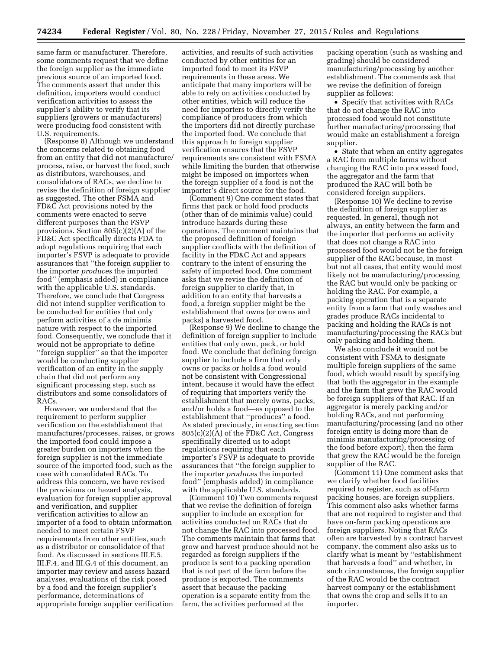same farm or manufacturer. Therefore, some comments request that we define the foreign supplier as the immediate previous source of an imported food. The comments assert that under this definition, importers would conduct verification activities to assess the supplier's ability to verify that its suppliers (growers or manufacturers) were producing food consistent with U.S. requirements.

(Response 8) Although we understand the concerns related to obtaining food from an entity that did not manufacture/ process, raise, or harvest the food, such as distributors, warehouses, and consolidators of RACs, we decline to revise the definition of foreign supplier as suggested. The other FSMA and FD&C Act provisions noted by the comments were enacted to serve different purposes than the FSVP provisions. Section 805(c)(2)(A) of the FD&C Act specifically directs FDA to adopt regulations requiring that each importer's FSVP is adequate to provide assurances that ''the foreign supplier to the importer *produces* the imported food'' (emphasis added) in compliance with the applicable U.S. standards. Therefore, we conclude that Congress did not intend supplier verification to be conducted for entities that only perform activities of a de minimis nature with respect to the imported food. Consequently, we conclude that it would not be appropriate to define ''foreign supplier'' so that the importer would be conducting supplier verification of an entity in the supply chain that did not perform any significant processing step, such as distributors and some consolidators of RACs.

However, we understand that the requirement to perform supplier verification on the establishment that manufactures/processes, raises, or grows the imported food could impose a greater burden on importers when the foreign supplier is not the immediate source of the imported food, such as the case with consolidated RACs. To address this concern, we have revised the provisions on hazard analysis, evaluation for foreign supplier approval and verification, and supplier verification activities to allow an importer of a food to obtain information needed to meet certain FSVP requirements from other entities, such as a distributor or consolidator of that food. As discussed in sections III.E.5, III.F.4, and III.G.4 of this document, an importer may review and assess hazard analyses, evaluations of the risk posed by a food and the foreign supplier's performance, determinations of appropriate foreign supplier verification

activities, and results of such activities conducted by other entities for an imported food to meet its FSVP requirements in these areas. We anticipate that many importers will be able to rely on activities conducted by other entities, which will reduce the need for importers to directly verify the compliance of producers from which the importers did not directly purchase the imported food. We conclude that this approach to foreign supplier verification ensures that the FSVP requirements are consistent with FSMA while limiting the burden that otherwise might be imposed on importers when the foreign supplier of a food is not the importer's direct source for the food.

(Comment 9) One comment states that firms that pack or hold food products (other than of de minimis value) could introduce hazards during these operations. The comment maintains that the proposed definition of foreign supplier conflicts with the definition of facility in the FD&C Act and appears contrary to the intent of ensuring the safety of imported food. One comment asks that we revise the definition of foreign supplier to clarify that, in addition to an entity that harvests a food, a foreign supplier might be the establishment that owns (or owns and packs) a harvested food.

(Response 9) We decline to change the definition of foreign supplier to include entities that only own, pack, or hold food. We conclude that defining foreign supplier to include a firm that only owns or packs or holds a food would not be consistent with Congressional intent, because it would have the effect of requiring that importers verify the establishment that merely owns, packs, and/or holds a food—as opposed to the establishment that ''produces'' a food. As stated previously, in enacting section 805(c)(2)(A) of the FD&C Act, Congress specifically directed us to adopt regulations requiring that each importer's FSVP is adequate to provide assurances that ''the foreign supplier to the importer *produces* the imported food'' (emphasis added) in compliance with the applicable U.S. standards.

(Comment 10) Two comments request that we revise the definition of foreign supplier to include an exception for activities conducted on RACs that do not change the RAC into processed food. The comments maintain that farms that grow and harvest produce should not be regarded as foreign suppliers if the produce is sent to a packing operation that is not part of the farm before the produce is exported. The comments assert that because the packing operation is a separate entity from the farm, the activities performed at the

packing operation (such as washing and grading) should be considered manufacturing/processing by another establishment. The comments ask that we revise the definition of foreign supplier as follows:

• Specify that activities with RACs that do not change the RAC into processed food would not constitute further manufacturing/processing that would make an establishment a foreign supplier.

• State that when an entity aggregates a RAC from multiple farms without changing the RAC into processed food, the aggregator and the farm that produced the RAC will both be considered foreign suppliers.

(Response 10) We decline to revise the definition of foreign supplier as requested. In general, though not always, an entity between the farm and the importer that performs an activity that does not change a RAC into processed food would not be the foreign supplier of the RAC because, in most but not all cases, that entity would most likely not be manufacturing/processing the RAC but would only be packing or holding the RAC. For example, a packing operation that is a separate entity from a farm that only washes and grades produce RACs incidental to packing and holding the RACs is not manufacturing/processing the RACs but only packing and holding them.

We also conclude it would not be consistent with FSMA to designate multiple foreign suppliers of the same food, which would result by specifying that both the aggregator in the example and the farm that grew the RAC would be foreign suppliers of that RAC. If an aggregator is merely packing and/or holding RACs, and not performing manufacturing/processing (and no other foreign entity is doing more than de minimis manufacturing/processing of the food before export), then the farm that grew the RAC would be the foreign supplier of the RAC.

(Comment 11) One comment asks that we clarify whether food facilities required to register, such as off-farm packing houses, are foreign suppliers. This comment also asks whether farms that are not required to register and that have on-farm packing operations are foreign suppliers. Noting that RACs often are harvested by a contract harvest company, the comment also asks us to clarify what is meant by ''establishment that harvests a food'' and whether, in such circumstances, the foreign supplier of the RAC would be the contract harvest company or the establishment that owns the crop and sells it to an importer.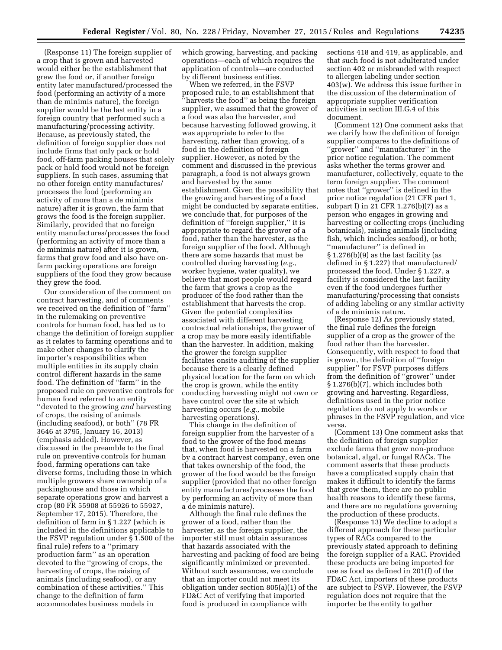(Response 11) The foreign supplier of a crop that is grown and harvested would either be the establishment that grew the food or, if another foreign entity later manufactured/processed the food (performing an activity of a more than de minimis nature), the foreign supplier would be the last entity in a foreign country that performed such a manufacturing/processing activity. Because, as previously stated, the definition of foreign supplier does not include firms that only pack or hold food, off-farm packing houses that solely pack or hold food would not be foreign suppliers. In such cases, assuming that no other foreign entity manufactures/ processes the food (performing an activity of more than a de minimis nature) after it is grown, the farm that grows the food is the foreign supplier. Similarly, provided that no foreign entity manufactures/processes the food (performing an activity of more than a de minimis nature) after it is grown, farms that grow food and also have onfarm packing operations are foreign suppliers of the food they grow because they grew the food.

Our consideration of the comment on contract harvesting, and of comments we received on the definition of ''farm'' in the rulemaking on preventive controls for human food, has led us to change the definition of foreign supplier as it relates to farming operations and to make other changes to clarify the importer's responsibilities when multiple entities in its supply chain control different hazards in the same food. The definition of ''farm'' in the proposed rule on preventive controls for human food referred to an entity ''devoted to the growing *and* harvesting of crops, the raising of animals (including seafood), or both'' (78 FR 3646 at 3795, January 16, 2013) (emphasis added). However, as discussed in the preamble to the final rule on preventive controls for human food, farming operations can take diverse forms, including those in which multiple growers share ownership of a packinghouse and those in which separate operations grow and harvest a crop (80 FR 55908 at 55926 to 55927, September 17, 2015). Therefore, the definition of farm in § 1.227 (which is included in the definitions applicable to the FSVP regulation under § 1.500 of the final rule) refers to a ''primary production farm'' as an operation devoted to the ''growing of crops, the harvesting of crops, the raising of animals (including seafood), or any combination of these activities.'' This change to the definition of farm accommodates business models in

which growing, harvesting, and packing operations—each of which requires the application of controls—are conducted by different business entities.

When we referred, in the FSVP proposed rule, to an establishment that ''harvests the food'' as being the foreign supplier, we assumed that the grower of a food was also the harvester, and because harvesting followed growing, it was appropriate to refer to the harvesting, rather than growing, of a food in the definition of foreign supplier. However, as noted by the comment and discussed in the previous paragraph, a food is not always grown and harvested by the same establishment. Given the possibility that the growing and harvesting of a food might be conducted by separate entities, we conclude that, for purposes of the definition of ''foreign supplier,'' it is appropriate to regard the grower of a food, rather than the harvester, as the foreign supplier of the food. Although there are some hazards that must be controlled during harvesting (*e.g.,*  worker hygiene, water quality), we believe that most people would regard the farm that grows a crop as the producer of the food rather than the establishment that harvests the crop. Given the potential complexities associated with different harvesting contractual relationships, the grower of a crop may be more easily identifiable than the harvester. In addition, making the grower the foreign supplier facilitates onsite auditing of the supplier because there is a clearly defined physical location for the farm on which the crop is grown, while the entity conducting harvesting might not own or have control over the site at which harvesting occurs (*e.g.,* mobile harvesting operations).

This change in the definition of foreign supplier from the harvester of a food to the grower of the food means that, when food is harvested on a farm by a contract harvest company, even one that takes ownership of the food, the grower of the food would be the foreign supplier (provided that no other foreign entity manufactures/processes the food by performing an activity of more than a de minimis nature).

Although the final rule defines the grower of a food, rather than the harvester, as the foreign supplier, the importer still must obtain assurances that hazards associated with the harvesting and packing of food are being significantly minimized or prevented. Without such assurances, we conclude that an importer could not meet its obligation under section 805(a)(1) of the FD&C Act of verifying that imported food is produced in compliance with

sections 418 and 419, as applicable, and that such food is not adulterated under section 402 or misbranded with respect to allergen labeling under section 403(w). We address this issue further in the discussion of the determination of appropriate supplier verification activities in section III.G.4 of this document.

(Comment 12) One comment asks that we clarify how the definition of foreign supplier compares to the definitions of ''grower'' and ''manufacturer'' in the prior notice regulation. The comment asks whether the terms grower and manufacturer, collectively, equate to the term foreign supplier. The comment notes that ''grower'' is defined in the prior notice regulation (21 CFR part 1, subpart I) in 21 CFR 1.276(b)(7) as a person who engages in growing and harvesting or collecting crops (including botanicals), raising animals (including fish, which includes seafood), or both; ''manufacturer'' is defined in § 1.276(b)(9) as the last facility (as defined in § 1.227) that manufactured/ processed the food. Under § 1.227, a facility is considered the last facility even if the food undergoes further manufacturing/processing that consists of adding labeling or any similar activity of a de minimis nature.

(Response 12) As previously stated, the final rule defines the foreign supplier of a crop as the grower of the food rather than the harvester. Consequently, with respect to food that is grown, the definition of ''foreign supplier'' for FSVP purposes differs from the definition of ''grower'' under § 1.276(b)(7), which includes both growing and harvesting. Regardless, definitions used in the prior notice regulation do not apply to words or phrases in the FSVP regulation, and vice versa.

(Comment 13) One comment asks that the definition of foreign supplier exclude farms that grow non-produce botanical, algal, or fungal RACs. The comment asserts that these products have a complicated supply chain that makes it difficult to identify the farms that grow them, there are no public health reasons to identify these farms, and there are no regulations governing the production of these products.

(Response 13) We decline to adopt a different approach for these particular types of RACs compared to the previously stated approach to defining the foreign supplier of a RAC. Provided these products are being imported for use as food as defined in 201(f) of the FD&C Act, importers of these products are subject to FSVP. However, the FSVP regulation does not require that the importer be the entity to gather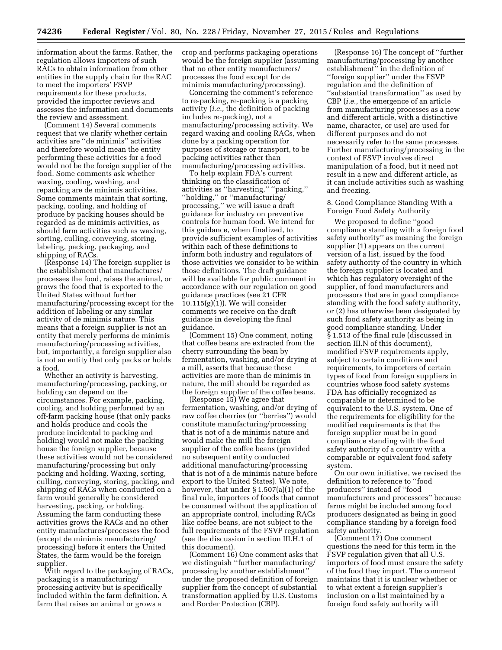information about the farms. Rather, the regulation allows importers of such RACs to obtain information from other entities in the supply chain for the RAC to meet the importers' FSVP requirements for these products, provided the importer reviews and assesses the information and documents the review and assessment.

(Comment 14) Several comments request that we clarify whether certain activities are ''de minimis'' activities and therefore would mean the entity performing these activities for a food would not be the foreign supplier of the food. Some comments ask whether waxing, cooling, washing, and repacking are de minimis activities. Some comments maintain that sorting, packing, cooling, and holding of produce by packing houses should be regarded as de minimis activities, as should farm activities such as waxing, sorting, culling, conveying, storing, labeling, packing, packaging, and shipping of RACs.

(Response 14) The foreign supplier is the establishment that manufactures/ processes the food, raises the animal, or grows the food that is exported to the United States without further manufacturing/processing except for the addition of labeling or any similar activity of de minimis nature. This means that a foreign supplier is not an entity that merely performs de minimis manufacturing/processing activities, but, importantly, a foreign supplier also is not an entity that only packs or holds a food.

Whether an activity is harvesting, manufacturing/processing, packing, or holding can depend on the circumstances. For example, packing, cooling, and holding performed by an off-farm packing house (that only packs and holds produce and cools the produce incidental to packing and holding) would not make the packing house the foreign supplier, because these activities would not be considered manufacturing/processing but only packing and holding. Waxing, sorting, culling, conveying, storing, packing, and shipping of RACs when conducted on a farm would generally be considered harvesting, packing, or holding. Assuming the farm conducting these activities grows the RACs and no other entity manufactures/processes the food (except de minimis manufacturing/ processing) before it enters the United States, the farm would be the foreign supplier.

With regard to the packaging of RACs, packaging is a manufacturing/ processing activity but is specifically included within the farm definition. A farm that raises an animal or grows a

crop and performs packaging operations would be the foreign supplier (assuming that no other entity manufacturers/ processes the food except for de minimis manufacturing/processing).

Concerning the comment's reference to re-packing, re-packing is a packing activity (*i.e.,* the definition of packing includes re-packing), not a manufacturing/processing activity. We regard waxing and cooling RACs, when done by a packing operation for purposes of storage or transport, to be packing activities rather than manufacturing/processing activities.

To help explain FDA's current thinking on the classification of activities as ''harvesting,'' ''packing,'' ''holding,'' or ''manufacturing/ processing,'' we will issue a draft guidance for industry on preventive controls for human food. We intend for this guidance, when finalized, to provide sufficient examples of activities within each of these definitions to inform both industry and regulators of those activities we consider to be within those definitions. The draft guidance will be available for public comment in accordance with our regulation on good guidance practices (see 21 CFR 10.115(g)(1)). We will consider comments we receive on the draft guidance in developing the final guidance.

(Comment 15) One comment, noting that coffee beans are extracted from the cherry surrounding the bean by fermentation, washing, and/or drying at a mill, asserts that because these activities are more than de minimis in nature, the mill should be regarded as the foreign supplier of the coffee beans.

(Response 15) We agree that fermentation, washing, and/or drying of raw coffee cherries (or ''berries'') would constitute manufacturing/processing that is not of a de minimis nature and would make the mill the foreign supplier of the coffee beans (provided no subsequent entity conducted additional manufacturing/processing that is not of a de minimis nature before export to the United States). We note, however, that under § 1.507(a)(1) of the final rule, importers of foods that cannot be consumed without the application of an appropriate control, including RACs like coffee beans, are not subject to the full requirements of the FSVP regulation (see the discussion in section III.H.1 of this document).

(Comment 16) One comment asks that we distinguish ''further manufacturing/ processing by another establishment'' under the proposed definition of foreign supplier from the concept of substantial transformation applied by U.S. Customs and Border Protection (CBP).

(Response 16) The concept of ''further manufacturing/processing by another establishment'' in the definition of ''foreign supplier'' under the FSVP regulation and the definition of ''substantial transformation'' as used by CBP (*i.e.,* the emergence of an article from manufacturing processes as a new and different article, with a distinctive name, character, or use) are used for different purposes and do not necessarily refer to the same processes. Further manufacturing/processing in the context of FSVP involves direct manipulation of a food, but it need not result in a new and different article, as it can include activities such as washing and freezing.

8. Good Compliance Standing With a Foreign Food Safety Authority

We proposed to define ''good compliance standing with a foreign food safety authority'' as meaning the foreign supplier (1) appears on the current version of a list, issued by the food safety authority of the country in which the foreign supplier is located and which has regulatory oversight of the supplier, of food manufacturers and processors that are in good compliance standing with the food safety authority, or (2) has otherwise been designated by such food safety authority as being in good compliance standing. Under § 1.513 of the final rule (discussed in section III.N of this document), modified FSVP requirements apply, subject to certain conditions and requirements, to importers of certain types of food from foreign suppliers in countries whose food safety systems FDA has officially recognized as comparable or determined to be equivalent to the U.S. system. One of the requirements for eligibility for the modified requirements is that the foreign supplier must be in good compliance standing with the food safety authority of a country with a comparable or equivalent food safety system.

On our own initiative, we revised the definition to reference to ''food producers'' instead of ''food manufacturers and processors'' because farms might be included among food producers designated as being in good compliance standing by a foreign food safety authority.

(Comment 17) One comment questions the need for this term in the FSVP regulation given that all U.S. importers of food must ensure the safety of the food they import. The comment maintains that it is unclear whether or to what extent a foreign supplier's inclusion on a list maintained by a foreign food safety authority will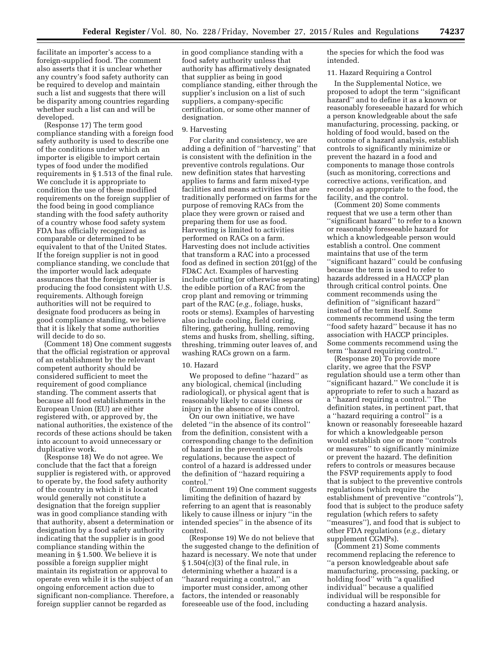facilitate an importer's access to a foreign-supplied food. The comment also asserts that it is unclear whether any country's food safety authority can be required to develop and maintain such a list and suggests that there will be disparity among countries regarding whether such a list can and will be developed.

(Response 17) The term good compliance standing with a foreign food safety authority is used to describe one of the conditions under which an importer is eligible to import certain types of food under the modified requirements in § 1.513 of the final rule. We conclude it is appropriate to condition the use of these modified requirements on the foreign supplier of the food being in good compliance standing with the food safety authority of a country whose food safety system FDA has officially recognized as comparable or determined to be equivalent to that of the United States. If the foreign supplier is not in good compliance standing, we conclude that the importer would lack adequate assurances that the foreign supplier is producing the food consistent with U.S. requirements. Although foreign authorities will not be required to designate food producers as being in good compliance standing, we believe that it is likely that some authorities will decide to do so.

(Comment 18) One comment suggests that the official registration or approval of an establishment by the relevant competent authority should be considered sufficient to meet the requirement of good compliance standing. The comment asserts that because all food establishments in the European Union (EU) are either registered with, or approved by, the national authorities, the existence of the records of these actions should be taken into account to avoid unnecessary or duplicative work.

(Response 18) We do not agree. We conclude that the fact that a foreign supplier is registered with, or approved to operate by, the food safety authority of the country in which it is located would generally not constitute a designation that the foreign supplier was in good compliance standing with that authority, absent a determination or designation by a food safety authority indicating that the supplier is in good compliance standing within the meaning in § 1.500. We believe it is possible a foreign supplier might maintain its registration or approval to operate even while it is the subject of an ongoing enforcement action due to significant non-compliance. Therefore, a foreign supplier cannot be regarded as

in good compliance standing with a food safety authority unless that authority has affirmatively designated that supplier as being in good compliance standing, either through the supplier's inclusion on a list of such suppliers, a company-specific certification, or some other manner of designation.

#### 9. Harvesting

For clarity and consistency, we are adding a definition of ''harvesting'' that is consistent with the definition in the preventive controls regulations. Our new definition states that harvesting applies to farms and farm mixed-type facilities and means activities that are traditionally performed on farms for the purpose of removing RACs from the place they were grown or raised and preparing them for use as food. Harvesting is limited to activities performed on RACs on a farm. Harvesting does not include activities that transform a RAC into a processed food as defined in section 201(gg) of the FD&C Act. Examples of harvesting include cutting (or otherwise separating) the edible portion of a RAC from the crop plant and removing or trimming part of the RAC (*e.g.,* foliage, husks, roots or stems). Examples of harvesting also include cooling, field coring, filtering, gathering, hulling, removing stems and husks from, shelling, sifting, threshing, trimming outer leaves of, and washing RACs grown on a farm.

#### 10. Hazard

We proposed to define ''hazard'' as any biological, chemical (including radiological), or physical agent that is reasonably likely to cause illness or injury in the absence of its control.

On our own initiative, we have deleted ''in the absence of its control'' from the definition, consistent with a corresponding change to the definition of hazard in the preventive controls regulations, because the aspect of control of a hazard is addressed under the definition of ''hazard requiring a control.''

(Comment 19) One comment suggests limiting the definition of hazard by referring to an agent that is reasonably likely to cause illness or injury ''in the intended species'' in the absence of its control.

(Response 19) We do not believe that the suggested change to the definition of hazard is necessary. We note that under  $§ 1.504(c)(3)$  of the final rule, in determining whether a hazard is a ''hazard requiring a control,'' an importer must consider, among other factors, the intended or reasonably foreseeable use of the food, including

the species for which the food was intended.

#### 11. Hazard Requiring a Control

In the Supplemental Notice, we proposed to adopt the term ''significant hazard'' and to define it as a known or reasonably foreseeable hazard for which a person knowledgeable about the safe manufacturing, processing, packing, or holding of food would, based on the outcome of a hazard analysis, establish controls to significantly minimize or prevent the hazard in a food and components to manage those controls (such as monitoring, corrections and corrective actions, verification, and records) as appropriate to the food, the facility, and the control.

(Comment 20) Some comments request that we use a term other than ''significant hazard'' to refer to a known or reasonably foreseeable hazard for which a knowledgeable person would establish a control. One comment maintains that use of the term ''significant hazard'' could be confusing because the term is used to refer to hazards addressed in a HACCP plan through critical control points. One comment recommends using the definition of ''significant hazard'' instead of the term itself. Some comments recommend using the term ''food safety hazard'' because it has no association with HACCP principles. Some comments recommend using the term ''hazard requiring control.''

(Response 20) To provide more clarity, we agree that the FSVP regulation should use a term other than ''significant hazard.'' We conclude it is appropriate to refer to such a hazard as a ''hazard requiring a control.'' The definition states, in pertinent part, that a ''hazard requiring a control'' is a known or reasonably foreseeable hazard for which a knowledgeable person would establish one or more ''controls or measures'' to significantly minimize or prevent the hazard. The definition refers to controls or measures because the FSVP requirements apply to food that is subject to the preventive controls regulations (which require the establishment of preventive "controls"), food that is subject to the produce safety regulation (which refers to safety ''measures''), and food that is subject to other FDA regulations (*e.g.,* dietary supplement CGMPs).

(Comment 21) Some comments recommend replacing the reference to ''a person knowledgeable about safe manufacturing, processing, packing, or holding food'' with ''a qualified individual'' because a qualified individual will be responsible for conducting a hazard analysis.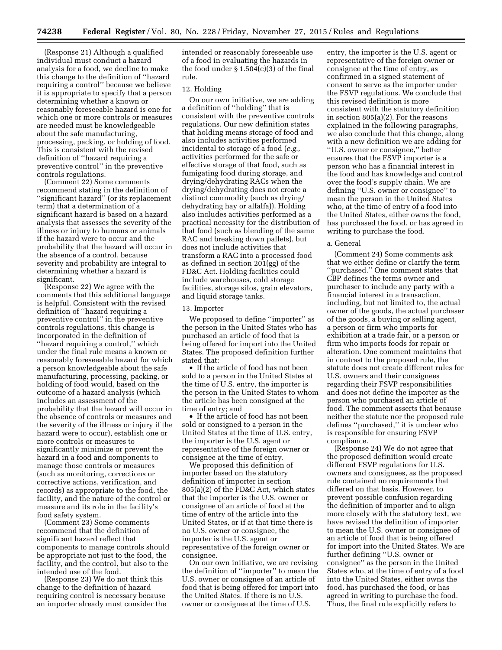(Response 21) Although a qualified individual must conduct a hazard analysis for a food, we decline to make this change to the definition of ''hazard requiring a control'' because we believe it is appropriate to specify that a person determining whether a known or reasonably foreseeable hazard is one for which one or more controls or measures are needed must be knowledgeable about the safe manufacturing, processing, packing, or holding of food. This is consistent with the revised definition of ''hazard requiring a preventive control'' in the preventive controls regulations.

(Comment 22) Some comments recommend stating in the definition of ''significant hazard'' (or its replacement term) that a determination of a significant hazard is based on a hazard analysis that assesses the severity of the illness or injury to humans or animals if the hazard were to occur and the probability that the hazard will occur in the absence of a control, because severity and probability are integral to determining whether a hazard is significant.

(Response 22) We agree with the comments that this additional language is helpful. Consistent with the revised definition of ''hazard requiring a preventive control'' in the preventive controls regulations, this change is incorporated in the definition of ''hazard requiring a control,'' which under the final rule means a known or reasonably foreseeable hazard for which a person knowledgeable about the safe manufacturing, processing, packing, or holding of food would, based on the outcome of a hazard analysis (which includes an assessment of the probability that the hazard will occur in the absence of controls or measures and the severity of the illness or injury if the hazard were to occur), establish one or more controls or measures to significantly minimize or prevent the hazard in a food and components to manage those controls or measures (such as monitoring, corrections or corrective actions, verification, and records) as appropriate to the food, the facility, and the nature of the control or measure and its role in the facility's food safety system.

(Comment 23) Some comments recommend that the definition of significant hazard reflect that components to manage controls should be appropriate not just to the food, the facility, and the control, but also to the intended use of the food.

(Response 23) We do not think this change to the definition of hazard requiring control is necessary because an importer already must consider the

intended or reasonably foreseeable use of a food in evaluating the hazards in the food under  $\S 1.504(c)(3)$  of the final rule.

#### 12. Holding

On our own initiative, we are adding a definition of ''holding'' that is consistent with the preventive controls regulations. Our new definition states that holding means storage of food and also includes activities performed incidental to storage of a food (*e.g.,*  activities performed for the safe or effective storage of that food, such as fumigating food during storage, and drying/dehydrating RACs when the drying/dehydrating does not create a distinct commodity (such as drying/ dehydrating hay or alfalfa)). Holding also includes activities performed as a practical necessity for the distribution of that food (such as blending of the same RAC and breaking down pallets), but does not include activities that transform a RAC into a processed food as defined in section 201(gg) of the FD&C Act. Holding facilities could include warehouses, cold storage facilities, storage silos, grain elevators, and liquid storage tanks.

#### 13. Importer

We proposed to define ''importer'' as the person in the United States who has purchased an article of food that is being offered for import into the United States. The proposed definition further stated that:

• If the article of food has not been sold to a person in the United States at the time of U.S. entry, the importer is the person in the United States to whom the article has been consigned at the time of entry; and

• If the article of food has not been sold or consigned to a person in the United States at the time of U.S. entry, the importer is the U.S. agent or representative of the foreign owner or consignee at the time of entry.

We proposed this definition of importer based on the statutory definition of importer in section 805(a)(2) of the FD&C Act, which states that the importer is the U.S. owner or consignee of an article of food at the time of entry of the article into the United States, or if at that time there is no U.S. owner or consignee, the importer is the U.S. agent or representative of the foreign owner or consignee.

On our own initiative, we are revising the definition of ''importer'' to mean the U.S. owner or consignee of an article of food that is being offered for import into the United States. If there is no U.S. owner or consignee at the time of U.S.

entry, the importer is the U.S. agent or representative of the foreign owner or consignee at the time of entry, as confirmed in a signed statement of consent to serve as the importer under the FSVP regulations. We conclude that this revised definition is more consistent with the statutory definition in section 805(a)(2). For the reasons explained in the following paragraphs, we also conclude that this change, along with a new definition we are adding for ''U.S. owner or consignee,'' better ensures that the FSVP importer is a person who has a financial interest in the food and has knowledge and control over the food's supply chain. We are defining ''U.S. owner or consignee'' to mean the person in the United States who, at the time of entry of a food into the United States, either owns the food, has purchased the food, or has agreed in writing to purchase the food.

#### a. General

(Comment 24) Some comments ask that we either define or clarify the term ''purchased.'' One comment states that CBP defines the terms owner and purchaser to include any party with a financial interest in a transaction, including, but not limited to, the actual owner of the goods, the actual purchaser of the goods, a buying or selling agent, a person or firm who imports for exhibition at a trade fair, or a person or firm who imports foods for repair or alteration. One comment maintains that in contrast to the proposed rule, the statute does not create different rules for U.S. owners and their consignees regarding their FSVP responsibilities and does not define the importer as the person who purchased an article of food. The comment asserts that because neither the statute nor the proposed rule defines ''purchased,'' it is unclear who is responsible for ensuring FSVP compliance.

(Response 24) We do not agree that the proposed definition would create different FSVP regulations for U.S. owners and consignees, as the proposed rule contained no requirements that differed on that basis. However, to prevent possible confusion regarding the definition of importer and to align more closely with the statutory text, we have revised the definition of importer to mean the U.S. owner or consignee of an article of food that is being offered for import into the United States. We are further defining ''U.S. owner or consignee'' as the person in the United States who, at the time of entry of a food into the United States, either owns the food, has purchased the food, or has agreed in writing to purchase the food. Thus, the final rule explicitly refers to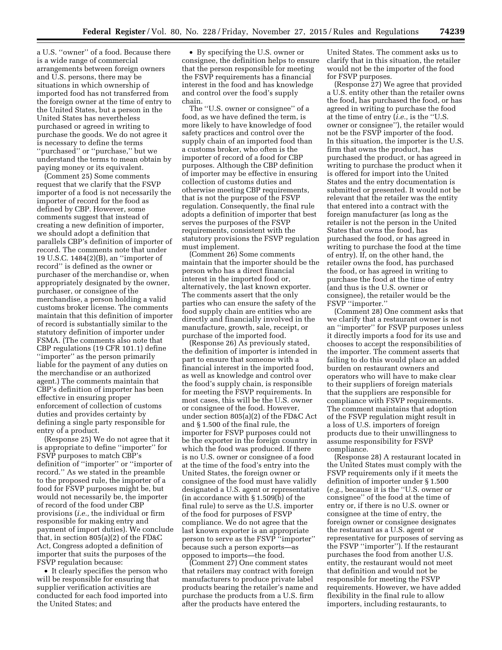a U.S. ''owner'' of a food. Because there is a wide range of commercial arrangements between foreign owners and U.S. persons, there may be situations in which ownership of imported food has not transferred from the foreign owner at the time of entry to the United States, but a person in the United States has nevertheless purchased or agreed in writing to purchase the goods. We do not agree it is necessary to define the terms ''purchased'' or ''purchase,'' but we understand the terms to mean obtain by paying money or its equivalent.

(Comment 25) Some comments request that we clarify that the FSVP importer of a food is not necessarily the importer of record for the food as defined by CBP. However, some comments suggest that instead of creating a new definition of importer, we should adopt a definition that parallels CBP's definition of importer of record. The comments note that under 19 U.S.C. 1484(2)(B), an ''importer of record'' is defined as the owner or purchaser of the merchandise or, when appropriately designated by the owner, purchaser, or consignee of the merchandise, a person holding a valid customs broker license. The comments maintain that this definition of importer of record is substantially similar to the statutory definition of importer under FSMA. (The comments also note that CBP regulations (19 CFR 101.1) define ''importer'' as the person primarily liable for the payment of any duties on the merchandise or an authorized agent.) The comments maintain that CBP's definition of importer has been effective in ensuring proper enforcement of collection of customs duties and provides certainty by defining a single party responsible for entry of a product.

(Response 25) We do not agree that it is appropriate to define ''importer'' for FSVP purposes to match CBP's definition of ''importer'' or ''importer of record.'' As we stated in the preamble to the proposed rule, the importer of a food for FSVP purposes might be, but would not necessarily be, the importer of record of the food under CBP provisions (*i.e.,* the individual or firm responsible for making entry and payment of import duties). We conclude that, in section 805(a)(2) of the FD&C Act, Congress adopted a definition of importer that suits the purposes of the FSVP regulation because:

• It clearly specifies the person who will be responsible for ensuring that supplier verification activities are conducted for each food imported into the United States; and

• By specifying the U.S. owner or consignee, the definition helps to ensure that the person responsible for meeting the FSVP requirements has a financial interest in the food and has knowledge and control over the food's supply chain.

The ''U.S. owner or consignee'' of a food, as we have defined the term, is more likely to have knowledge of food safety practices and control over the supply chain of an imported food than a customs broker, who often is the importer of record of a food for CBP purposes. Although the CBP definition of importer may be effective in ensuring collection of customs duties and otherwise meeting CBP requirements, that is not the purpose of the FSVP regulation. Consequently, the final rule adopts a definition of importer that best serves the purposes of the FSVP requirements, consistent with the statutory provisions the FSVP regulation must implement.

(Comment 26) Some comments maintain that the importer should be the person who has a direct financial interest in the imported food or, alternatively, the last known exporter. The comments assert that the only parties who can ensure the safety of the food supply chain are entities who are directly and financially involved in the manufacture, growth, sale, receipt, or purchase of the imported food.

(Response 26) As previously stated, the definition of importer is intended in part to ensure that someone with a financial interest in the imported food, as well as knowledge and control over the food's supply chain, is responsible for meeting the FSVP requirements. In most cases, this will be the U.S. owner or consignee of the food. However, under section 805(a)(2) of the FD&C Act and § 1.500 of the final rule, the importer for FSVP purposes could not be the exporter in the foreign country in which the food was produced. If there is no U.S. owner or consignee of a food at the time of the food's entry into the United States, the foreign owner or consignee of the food must have validly designated a U.S. agent or representative (in accordance with § 1.509(b) of the final rule) to serve as the U.S. importer of the food for purposes of FSVP compliance. We do not agree that the last known exporter is an appropriate person to serve as the FSVP ''importer'' because such a person exports—as opposed to imports—the food.

(Comment 27) One comment states that retailers may contract with foreign manufacturers to produce private label products bearing the retailer's name and purchase the products from a U.S. firm after the products have entered the

United States. The comment asks us to clarify that in this situation, the retailer would not be the importer of the food for FSVP purposes.

(Response 27) We agree that provided a U.S. entity other than the retailer owns the food, has purchased the food, or has agreed in writing to purchase the food at the time of entry (*i.e.,* is the ''U.S. owner or consignee''), the retailer would not be the FSVP importer of the food. In this situation, the importer is the U.S. firm that owns the product, has purchased the product, or has agreed in writing to purchase the product when it is offered for import into the United States and the entry documentation is submitted or presented. It would not be relevant that the retailer was the entity that entered into a contract with the foreign manufacturer (as long as the retailer is not the person in the United States that owns the food, has purchased the food, or has agreed in writing to purchase the food at the time of entry). If, on the other hand, the retailer owns the food, has purchased the food, or has agreed in writing to purchase the food at the time of entry (and thus is the U.S. owner or consignee), the retailer would be the FSVP ''importer.''

(Comment 28) One comment asks that we clarify that a restaurant owner is not an ''importer'' for FSVP purposes unless it directly imports a food for its use and chooses to accept the responsibilities of the importer. The comment asserts that failing to do this would place an added burden on restaurant owners and operators who will have to make clear to their suppliers of foreign materials that the suppliers are responsible for compliance with FSVP requirements. The comment maintains that adoption of the FSVP regulation might result in a loss of U.S. importers of foreign products due to their unwillingness to assume responsibility for FSVP compliance.

(Response 28) A restaurant located in the United States must comply with the FSVP requirements only if it meets the definition of importer under § 1.500 (*e.g.,* because it is the ''U.S. owner or consignee'' of the food at the time of entry or, if there is no U.S. owner or consignee at the time of entry, the foreign owner or consignee designates the restaurant as a U.S. agent or representative for purposes of serving as the FSVP ''importer''). If the restaurant purchases the food from another U.S. entity, the restaurant would not meet that definition and would not be responsible for meeting the FSVP requirements. However, we have added flexibility in the final rule to allow importers, including restaurants, to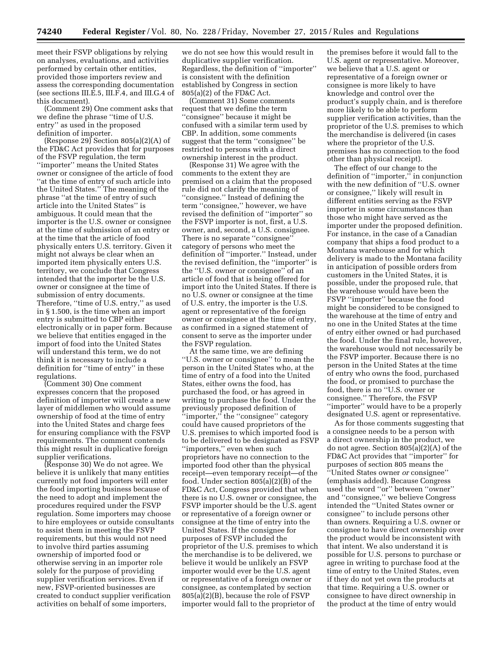meet their FSVP obligations by relying on analyses, evaluations, and activities performed by certain other entities, provided those importers review and assess the corresponding documentation (see sections III.E.5, III.F.4, and III.G.4 of this document).

(Comment 29) One comment asks that we define the phrase ''time of U.S. entry'' as used in the proposed definition of importer.

(Response 29) Section  $805(a)(2)(A)$  of the FD&C Act provides that for purposes of the FSVP regulation, the term ''importer'' means the United States owner or consignee of the article of food ''at the time of entry of such article into the United States.'' The meaning of the phrase ''at the time of entry of such article into the United States'' is ambiguous. It could mean that the importer is the U.S. owner or consignee at the time of submission of an entry or at the time that the article of food physically enters U.S. territory. Given it might not always be clear when an imported item physically enters U.S. territory, we conclude that Congress intended that the importer be the U.S. owner or consignee at the time of submission of entry documents. Therefore, ''time of U.S. entry,'' as used in § 1.500, is the time when an import entry is submitted to CBP either electronically or in paper form. Because we believe that entities engaged in the import of food into the United States will understand this term, we do not think it is necessary to include a definition for ''time of entry'' in these regulations.

(Comment 30) One comment expresses concern that the proposed definition of importer will create a new layer of middlemen who would assume ownership of food at the time of entry into the United States and charge fees for ensuring compliance with the FSVP requirements. The comment contends this might result in duplicative foreign supplier verifications.

(Response 30) We do not agree. We believe it is unlikely that many entities currently not food importers will enter the food importing business because of the need to adopt and implement the procedures required under the FSVP regulation. Some importers may choose to hire employees or outside consultants to assist them in meeting the FSVP requirements, but this would not need to involve third parties assuming ownership of imported food or otherwise serving in an importer role solely for the purpose of providing supplier verification services. Even if new, FSVP-oriented businesses are created to conduct supplier verification activities on behalf of some importers,

we do not see how this would result in duplicative supplier verification. Regardless, the definition of ''importer'' is consistent with the definition established by Congress in section 805(a)(2) of the FD&C Act.

(Comment 31) Some comments request that we define the term ''consignee'' because it might be confused with a similar term used by CBP. In addition, some comments suggest that the term ''consignee'' be restricted to persons with a direct ownership interest in the product.

(Response 31) We agree with the comments to the extent they are premised on a claim that the proposed rule did not clarify the meaning of ''consignee.'' Instead of defining the term ''consignee,'' however, we have revised the definition of ''importer'' so the FSVP importer is not, first, a U.S. owner, and, second, a U.S. consignee. There is no separate ''consignee'' category of persons who meet the definition of ''importer.'' Instead, under the revised definition, the ''importer'' is the ''U.S. owner or consignee'' of an article of food that is being offered for import into the United States. If there is no U.S. owner or consignee at the time of U.S. entry, the importer is the U.S. agent or representative of the foreign owner or consignee at the time of entry, as confirmed in a signed statement of consent to serve as the importer under the FSVP regulation.

At the same time, we are defining ''U.S. owner or consignee'' to mean the person in the United States who, at the time of entry of a food into the United States, either owns the food, has purchased the food, or has agreed in writing to purchase the food. Under the previously proposed definition of ''importer,'' the ''consignee'' category could have caused proprietors of the U.S. premises to which imported food is to be delivered to be designated as FSVP ''importers,'' even when such proprietors have no connection to the imported food other than the physical receipt—even temporary receipt—of the food. Under section 805(a)(2)(B) of the FD&C Act, Congress provided that when there is no U.S. owner or consignee, the FSVP importer should be the U.S. agent or representative of a foreign owner or consignee at the time of entry into the United States. If the consignee for purposes of FSVP included the proprietor of the U.S. premises to which the merchandise is to be delivered, we believe it would be unlikely an FSVP importer would ever be the U.S. agent or representative of a foreign owner or consignee, as contemplated by section 805(a)(2)(B), because the role of FSVP importer would fall to the proprietor of

the premises before it would fall to the U.S. agent or representative. Moreover, we believe that a U.S. agent or representative of a foreign owner or consignee is more likely to have knowledge and control over the product's supply chain, and is therefore more likely to be able to perform supplier verification activities, than the proprietor of the U.S. premises to which the merchandise is delivered (in cases where the proprietor of the U.S. premises has no connection to the food other than physical receipt).

The effect of our change to the definition of ''importer,'' in conjunction with the new definition of ''U.S. owner or consignee,'' likely will result in different entities serving as the FSVP importer in some circumstances than those who might have served as the importer under the proposed definition. For instance, in the case of a Canadian company that ships a food product to a Montana warehouse and for which delivery is made to the Montana facility in anticipation of possible orders from customers in the United States, it is possible, under the proposed rule, that the warehouse would have been the FSVP ''importer'' because the food might be considered to be consigned to the warehouse at the time of entry and no one in the United States at the time of entry either owned or had purchased the food. Under the final rule, however, the warehouse would not necessarily be the FSVP importer. Because there is no person in the United States at the time of entry who owns the food, purchased the food, or promised to purchase the food, there is no ''U.S. owner or consignee.'' Therefore, the FSVP ''importer'' would have to be a properly designated U.S. agent or representative.

As for those comments suggesting that a consignee needs to be a person with a direct ownership in the product, we do not agree. Section 805(a)(2)(A) of the FD&C Act provides that ''importer'' for purposes of section 805 means the ''United States owner *or* consignee'' (emphasis added). Because Congress used the word ''or'' between ''owner'' and ''consignee,'' we believe Congress intended the ''United States owner or consignee'' to include persons other than owners. Requiring a U.S. owner or consignee to have direct ownership over the product would be inconsistent with that intent. We also understand it is possible for U.S. persons to purchase or agree in writing to purchase food at the time of entry to the United States, even if they do not yet own the products at that time. Requiring a U.S. owner or consignee to have direct ownership in the product at the time of entry would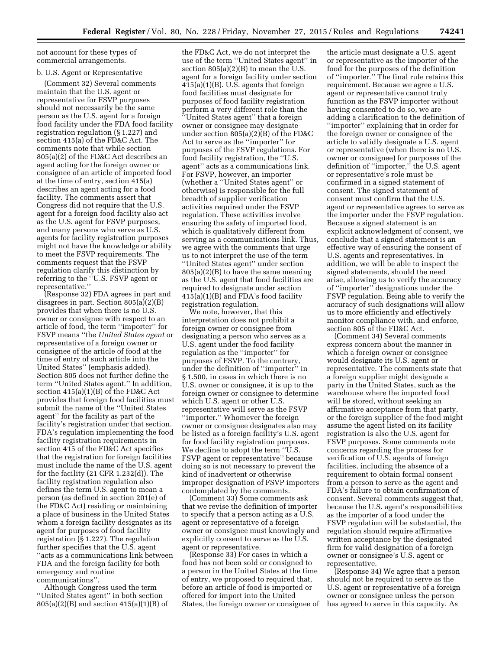not account for these types of commercial arrangements.

## b. U.S. Agent or Representative

(Comment 32) Several comments maintain that the U.S. agent or representative for FSVP purposes should not necessarily be the same person as the U.S. agent for a foreign food facility under the FDA food facility registration regulation (§ 1.227) and section 415(a) of the FD&C Act. The comments note that while section 805(a)(2) of the FD&C Act describes an agent acting for the foreign owner or consignee of an article of imported food at the time of entry, section 415(a) describes an agent acting for a food facility. The comments assert that Congress did not require that the U.S. agent for a foreign food facility also act as the U.S. agent for FSVP purposes, and many persons who serve as U.S. agents for facility registration purposes might not have the knowledge or ability to meet the FSVP requirements. The comments request that the FSVP regulation clarify this distinction by referring to the ''U.S. FSVP agent or representative.''

(Response 32) FDA agrees in part and disagrees in part. Section 805(a)(2)(B) provides that when there is no U.S. owner or consignee with respect to an article of food, the term ''importer'' for FSVP means ''the *United States agent* or representative of a foreign owner or consignee of the article of food at the time of entry of such article into the United States'' (emphasis added). Section 805 does not further define the term ''United States agent.'' In addition, section  $415(a)(1)(B)$  of the FD&C Act provides that foreign food facilities must submit the name of the ''United States agent'' for the facility as part of the facility's registration under that section. FDA's regulation implementing the food facility registration requirements in section 415 of the FD&C Act specifies that the registration for foreign facilities must include the name of the U.S. agent for the facility (21 CFR 1.232(d)). The facility registration regulation also defines the term U.S. agent to mean a person (as defined in section 201(e) of the FD&C Act) residing or maintaining a place of business in the United States whom a foreign facility designates as its agent for purposes of food facility registration (§ 1.227). The regulation further specifies that the U.S. agent ''acts as a communications link between FDA and the foreign facility for both emergency and routine communications''.

Although Congress used the term ''United States agent'' in both section 805(a)(2)(B) and section 415(a)(1)(B) of

the FD&C Act, we do not interpret the use of the term ''United States agent'' in section 805(a)(2)(B) to mean the U.S. agent for a foreign facility under section 415(a)(1)(B). U.S. agents that foreign food facilities must designate for purposes of food facility registration perform a very different role than the ''United States agent'' that a foreign owner or consignee may designate under section 805(a)(2)(B) of the FD&C Act to serve as the ''importer'' for purposes of the FSVP regulations. For food facility registration, the ''U.S. agent'' acts as a communications link. For FSVP, however, an importer (whether a ''United States agent'' or otherwise) is responsible for the full breadth of supplier verification activities required under the FSVP regulation. These activities involve ensuring the safety of imported food, which is qualitatively different from serving as a communications link. Thus, we agree with the comments that urge us to not interpret the use of the term ''United States agent'' under section 805(a)(2)(B) to have the same meaning as the U.S. agent that food facilities are required to designate under section 415(a)(1)(B) and FDA's food facility registration regulation.

We note, however, that this interpretation does not prohibit a foreign owner or consignee from designating a person who serves as a U.S. agent under the food facility regulation as the ''importer'' for purposes of FSVP. To the contrary, under the definition of ''importer'' in § 1.500, in cases in which there is no U.S. owner or consignee, it is up to the foreign owner or consignee to determine which U.S. agent or other U.S. representative will serve as the FSVP ''importer.'' Whomever the foreign owner or consignee designates also may be listed as a foreign facility's U.S. agent for food facility registration purposes. We decline to adopt the term ''U.S. FSVP agent or representative'' because doing so is not necessary to prevent the kind of inadvertent or otherwise improper designation of FSVP importers contemplated by the comments.

(Comment 33) Some comments ask that we revise the definition of importer to specify that a person acting as a U.S. agent or representative of a foreign owner or consignee must knowingly and explicitly consent to serve as the U.S. agent or representative.

(Response 33) For cases in which a food has not been sold or consigned to a person in the United States at the time of entry, we proposed to required that, before an article of food is imported or offered for import into the United States, the foreign owner or consignee of

the article must designate a U.S. agent or representative as the importer of the food for the purposes of the definition of ''importer.'' The final rule retains this requirement. Because we agree a U.S. agent or representative cannot truly function as the FSVP importer without having consented to do so, we are adding a clarification to the definition of ''importer'' explaining that in order for the foreign owner or consignee of the article to validly designate a U.S. agent or representative (when there is no U.S. owner or consignee) for purposes of the definition of ''importer,'' the U.S. agent or representative's role must be confirmed in a signed statement of consent. The signed statement of consent must confirm that the U.S. agent or representative agrees to serve as the importer under the FSVP regulation. Because a signed statement is an explicit acknowledgment of consent, we conclude that a signed statement is an effective way of ensuring the consent of U.S. agents and representatives. In addition, we will be able to inspect the signed statements, should the need arise, allowing us to verify the accuracy of ''importer'' designations under the FSVP regulation. Being able to verify the accuracy of such designations will allow us to more efficiently and effectively monitor compliance with, and enforce, section 805 of the FD&C Act.

(Comment 34) Several comments express concern about the manner in which a foreign owner or consignee would designate its U.S. agent or representative. The comments state that a foreign supplier might designate a party in the United States, such as the warehouse where the imported food will be stored, without seeking an affirmative acceptance from that party, or the foreign supplier of the food might assume the agent listed on its facility registration is also the U.S. agent for FSVP purposes. Some comments note concerns regarding the process for verification of U.S. agents of foreign facilities, including the absence of a requirement to obtain formal consent from a person to serve as the agent and FDA's failure to obtain confirmation of consent. Several comments suggest that, because the U.S. agent's responsibilities as the importer of a food under the FSVP regulation will be substantial, the regulation should require affirmative written acceptance by the designated firm for valid designation of a foreign owner or consignee's U.S. agent or representative.

(Response 34) We agree that a person should not be required to serve as the U.S. agent or representative of a foreign owner or consignee unless the person has agreed to serve in this capacity. As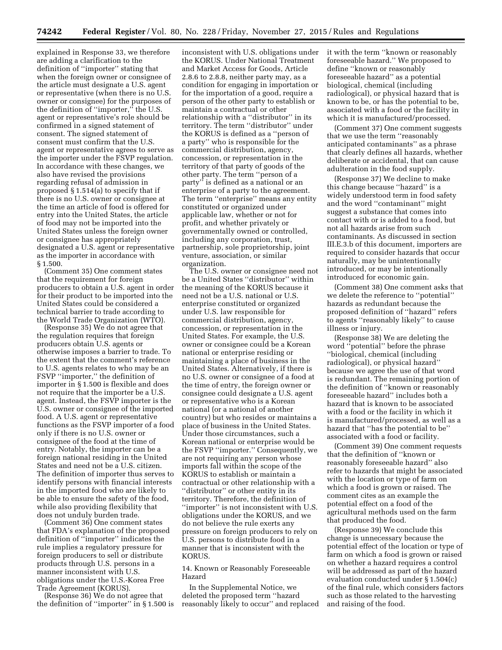explained in Response 33, we therefore are adding a clarification to the definition of ''importer'' stating that when the foreign owner or consignee of the article must designate a U.S. agent or representative (when there is no U.S. owner or consignee) for the purposes of the definition of ''importer,'' the U.S. agent or representative's role should be confirmed in a signed statement of consent. The signed statement of consent must confirm that the U.S. agent or representative agrees to serve as the importer under the FSVP regulation. In accordance with these changes, we also have revised the provisions regarding refusal of admission in proposed § 1.514(a) to specify that if there is no U.S. owner or consignee at the time an article of food is offered for entry into the United States, the article of food may not be imported into the United States unless the foreign owner or consignee has appropriately designated a U.S. agent or representative as the importer in accordance with § 1.500.

(Comment 35) One comment states that the requirement for foreign producers to obtain a U.S. agent in order for their product to be imported into the United States could be considered a technical barrier to trade according to the World Trade Organization (WTO).

(Response 35) We do not agree that the regulation requires that foreign producers obtain U.S. agents or otherwise imposes a barrier to trade. To the extent that the comment's reference to U.S. agents relates to who may be an FSVP ''importer,'' the definition of importer in § 1.500 is flexible and does not require that the importer be a U.S. agent. Instead, the FSVP importer is the U.S. owner or consignee of the imported food. A U.S. agent or representative functions as the FSVP importer of a food only if there is no U.S. owner or consignee of the food at the time of entry. Notably, the importer can be a foreign national residing in the United States and need not be a U.S. citizen. The definition of importer thus serves to identify persons with financial interests in the imported food who are likely to be able to ensure the safety of the food, while also providing flexibility that does not unduly burden trade.

(Comment 36) One comment states that FDA's explanation of the proposed definition of ''importer'' indicates the rule implies a regulatory pressure for foreign producers to sell or distribute products through U.S. persons in a manner inconsistent with U.S. obligations under the U.S.-Korea Free Trade Agreement (KORUS).

(Response 36) We do not agree that the definition of ''importer'' in § 1.500 is

inconsistent with U.S. obligations under the KORUS. Under National Treatment and Market Access for Goods, Article 2.8.6 to 2.8.8, neither party may, as a condition for engaging in importation or for the importation of a good, require a person of the other party to establish or maintain a contractual or other relationship with a ''distributor'' in its territory. The term ''distributor'' under the KORUS is defined as a ''person of a party'' who is responsible for the commercial distribution, agency, concession, or representation in the territory of that party of goods of the other party. The term ''person of a party'' is defined as a national or an enterprise of a party to the agreement. The term ''enterprise'' means any entity constituted or organized under applicable law, whether or not for profit, and whether privately or governmentally owned or controlled, including any corporation, trust, partnership, sole proprietorship, joint venture, association, or similar organization.

The U.S. owner or consignee need not be a United States ''distributor'' within the meaning of the KORUS because it need not be a U.S. national or U.S. enterprise constituted or organized under U.S. law responsible for commercial distribution, agency, concession, or representation in the United States. For example, the U.S. owner or consignee could be a Korean national or enterprise residing or maintaining a place of business in the United States. Alternatively, if there is no U.S. owner or consignee of a food at the time of entry, the foreign owner or consignee could designate a U.S. agent or representative who is a Korean national (or a national of another country) but who resides or maintains a place of business in the United States. Under those circumstances, such a Korean national or enterprise would be the FSVP ''importer.'' Consequently, we are not requiring any person whose imports fall within the scope of the KORUS to establish or maintain a contractual or other relationship with a ''distributor'' or other entity in its territory. Therefore, the definition of ''importer'' is not inconsistent with U.S. obligations under the KORUS, and we do not believe the rule exerts any pressure on foreign producers to rely on U.S. persons to distribute food in a manner that is inconsistent with the KORUS.

14. Known or Reasonably Foreseeable Hazard

In the Supplemental Notice, we deleted the proposed term ''hazard reasonably likely to occur'' and replaced it with the term ''known or reasonably foreseeable hazard.'' We proposed to define ''known or reasonably foreseeable hazard'' as a potential biological, chemical (including radiological), or physical hazard that is known to be, or has the potential to be, associated with a food or the facility in which it is manufactured/processed.

(Comment 37) One comment suggests that we use the term ''reasonably anticipated contaminants'' as a phrase that clearly defines all hazards, whether deliberate or accidental, that can cause adulteration in the food supply.

(Response 37) We decline to make this change because ''hazard'' is a widely understood term in food safety and the word ''contaminant'' might suggest a substance that comes into contact with or is added to a food, but not all hazards arise from such contaminants. As discussed in section III.E.3.b of this document, importers are required to consider hazards that occur naturally, may be unintentionally introduced, or may be intentionally introduced for economic gain.

(Comment 38) One comment asks that we delete the reference to ''potential'' hazards as redundant because the proposed definition of ''hazard'' refers to agents ''reasonably likely'' to cause illness or injury.

(Response 38) We are deleting the word ''potential'' before the phrase ''biological, chemical (including radiological), or physical hazard'' because we agree the use of that word is redundant. The remaining portion of the definition of ''known or reasonably foreseeable hazard'' includes both a hazard that is known to be associated with a food or the facility in which it is manufactured/processed, as well as a hazard that ''has the potential to be'' associated with a food or facility.

(Comment 39) One comment requests that the definition of ''known or reasonably foreseeable hazard'' also refer to hazards that might be associated with the location or type of farm on which a food is grown or raised. The comment cites as an example the potential effect on a food of the agricultural methods used on the farm that produced the food.

(Response 39) We conclude this change is unnecessary because the potential effect of the location or type of farm on which a food is grown or raised on whether a hazard requires a control will be addressed as part of the hazard evaluation conducted under § 1.504(c) of the final rule, which considers factors such as those related to the harvesting and raising of the food.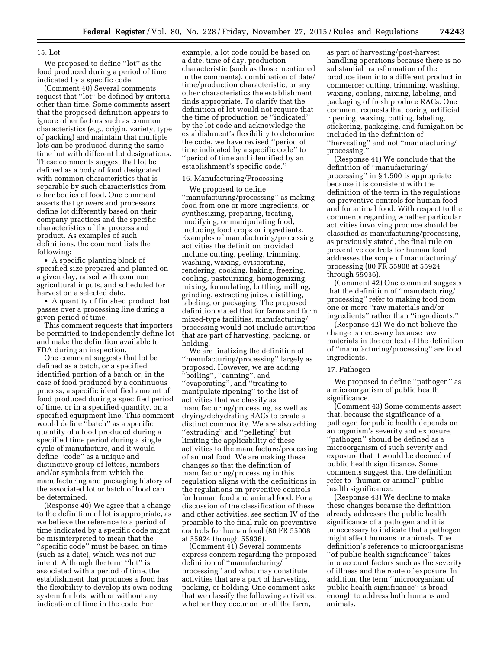#### 15. Lot

We proposed to define ''lot'' as the food produced during a period of time indicated by a specific code.

(Comment 40) Several comments request that ''lot'' be defined by criteria other than time. Some comments assert that the proposed definition appears to ignore other factors such as common characteristics (*e.g.,* origin, variety, type of packing) and maintain that multiple lots can be produced during the same time but with different lot designations. These comments suggest that lot be defined as a body of food designated with common characteristics that is separable by such characteristics from other bodies of food. One comment asserts that growers and processors define lot differently based on their company practices and the specific characteristics of the process and product. As examples of such definitions, the comment lists the following:

• A specific planting block of specified size prepared and planted on a given day, raised with common agricultural inputs, and scheduled for harvest on a selected date.

• A quantity of finished product that passes over a processing line during a given period of time.

This comment requests that importers be permitted to independently define lot and make the definition available to FDA during an inspection.

One comment suggests that lot be defined as a batch, or a specified identified portion of a batch or, in the case of food produced by a continuous process, a specific identified amount of food produced during a specified period of time, or in a specified quantity, on a specified equipment line. This comment would define ''batch'' as a specific quantity of a food produced during a specified time period during a single cycle of manufacture, and it would define ''code'' as a unique and distinctive group of letters, numbers and/or symbols from which the manufacturing and packaging history of the associated lot or batch of food can be determined.

(Response 40) We agree that a change to the definition of lot is appropriate, as we believe the reference to a period of time indicated by a specific code might be misinterpreted to mean that the ''specific code'' must be based on time (such as a date), which was not our intent. Although the term ''lot'' is associated with a period of time, the establishment that produces a food has the flexibility to develop its own coding system for lots, with or without any indication of time in the code. For

example, a lot code could be based on a date, time of day, production characteristic (such as those mentioned in the comments), combination of date/ time/production characteristic, or any other characteristics the establishment finds appropriate. To clarify that the definition of lot would not require that the time of production be ''indicated'' by the lot code and acknowledge the establishment's flexibility to determine the code, we have revised ''period of time indicated by a specific code'' to ''period of time and identified by an establishment's specific code.''

#### 16. Manufacturing/Processing

We proposed to define ''manufacturing/processing'' as making food from one or more ingredients, or synthesizing, preparing, treating, modifying, or manipulating food, including food crops or ingredients. Examples of manufacturing/processing activities the definition provided include cutting, peeling, trimming, washing, waxing, eviscerating, rendering, cooking, baking, freezing, cooling, pasteurizing, homogenizing, mixing, formulating, bottling, milling, grinding, extracting juice, distilling, labeling, or packaging. The proposed definition stated that for farms and farm mixed-type facilities, manufacturing/ processing would not include activities that are part of harvesting, packing, or holding.

We are finalizing the definition of ''manufacturing/processing'' largely as proposed. However, we are adding ''boiling'', ''canning'', and ''evaporating'', and ''treating to manipulate ripening'' to the list of activities that we classify as manufacturing/processing, as well as drying/dehydrating RACs to create a distinct commodity. We are also adding ''extruding'' and ''pelleting'' but limiting the applicability of these activities to the manufacture/processing of animal food. We are making these changes so that the definition of manufacturing/processing in this regulation aligns with the definitions in the regulations on preventive controls for human food and animal food. For a discussion of the classification of these and other activities, see section IV of the preamble to the final rule on preventive controls for human food (80 FR 55908 at 55924 through 55936).

(Comment 41) Several comments express concern regarding the proposed definition of ''manufacturing/ processing'' and what may constitute activities that are a part of harvesting, packing, or holding. One comment asks that we classify the following activities, whether they occur on or off the farm,

as part of harvesting/post-harvest handling operations because there is no substantial transformation of the produce item into a different product in commerce: cutting, trimming, washing, waxing, cooling, mixing, labeling, and packaging of fresh produce RACs. One comment requests that coring, artificial ripening, waxing, cutting, labeling, stickering, packaging, and fumigation be included in the definition of ''harvesting'' and not ''manufacturing/ processing.

(Response 41) We conclude that the definition of ''manufacturing/ processing'' in § 1.500 is appropriate because it is consistent with the definition of the term in the regulations on preventive controls for human food and for animal food. With respect to the comments regarding whether particular activities involving produce should be classified as manufacturing/processing, as previously stated, the final rule on preventive controls for human food addresses the scope of manufacturing/ processing (80 FR 55908 at 55924 through 55936).

(Comment 42) One comment suggests that the definition of ''manufacturing/ processing'' refer to making food from one or more ''raw materials and/or ingredients'' rather than ''ingredients.''

(Response 42) We do not believe the change is necessary because raw materials in the context of the definition of ''manufacturing/processing'' are food ingredients.

#### 17. Pathogen

We proposed to define ''pathogen'' as a microorganism of public health significance.

(Comment 43) Some comments assert that, because the significance of a pathogen for public health depends on an organism's severity and exposure, ''pathogen'' should be defined as a microorganism of such severity and exposure that it would be deemed of public health significance. Some comments suggest that the definition refer to ''human or animal'' public health significance.

(Response 43) We decline to make these changes because the definition already addresses the public health significance of a pathogen and it is unnecessary to indicate that a pathogen might affect humans or animals. The definition's reference to microorganisms ''of public health significance'' takes into account factors such as the severity of illness and the route of exposure. In addition, the term ''microorganism of public health significance'' is broad enough to address both humans and animals.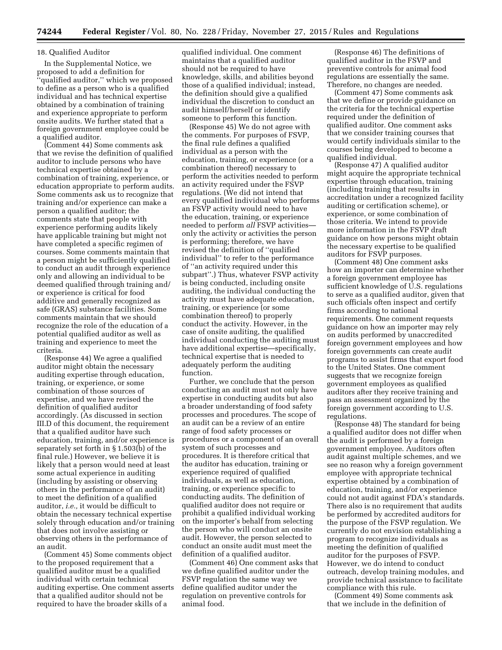#### 18. Qualified Auditor

In the Supplemental Notice, we proposed to add a definition for ''qualified auditor,'' which we proposed to define as a person who is a qualified individual and has technical expertise obtained by a combination of training and experience appropriate to perform onsite audits. We further stated that a foreign government employee could be a qualified auditor.

(Comment 44) Some comments ask that we revise the definition of qualified auditor to include persons who have technical expertise obtained by a combination of training, experience, or education appropriate to perform audits. Some comments ask us to recognize that training and/or experience can make a person a qualified auditor; the comments state that people with experience performing audits likely have applicable training but might not have completed a specific regimen of courses. Some comments maintain that a person might be sufficiently qualified to conduct an audit through experience only and allowing an individual to be deemed qualified through training and/ or experience is critical for food additive and generally recognized as safe (GRAS) substance facilities. Some comments maintain that we should recognize the role of the education of a potential qualified auditor as well as training and experience to meet the criteria.

(Response 44) We agree a qualified auditor might obtain the necessary auditing expertise through education, training, or experience, or some combination of those sources of expertise, and we have revised the definition of qualified auditor accordingly. (As discussed in section III.D of this document, the requirement that a qualified auditor have such education, training, and/or experience is separately set forth in § 1.503(b) of the final rule.) However, we believe it is likely that a person would need at least some actual experience in auditing (including by assisting or observing others in the performance of an audit) to meet the definition of a qualified auditor, *i.e.,* it would be difficult to obtain the necessary technical expertise solely through education and/or training that does not involve assisting or observing others in the performance of an audit.

(Comment 45) Some comments object to the proposed requirement that a qualified auditor must be a qualified individual with certain technical auditing expertise. One comment asserts that a qualified auditor should not be required to have the broader skills of a

qualified individual. One comment maintains that a qualified auditor should not be required to have knowledge, skills, and abilities beyond those of a qualified individual; instead, the definition should give a qualified individual the discretion to conduct an audit himself/herself or identify someone to perform this function.

(Response 45) We do not agree with the comments. For purposes of FSVP, the final rule defines a qualified individual as a person with the education, training, or experience (or a combination thereof) necessary to perform the activities needed to perform an activity required under the FSVP regulations. (We did not intend that every qualified individual who performs an FSVP activity would need to have the education, training, or experience needed to perform *all* FSVP activities only the activity or activities the person is performing; therefore, we have revised the definition of ''qualified individual'' to refer to the performance of ''an activity required under this subpart''.) Thus, whatever FSVP activity is being conducted, including onsite auditing, the individual conducting the activity must have adequate education, training, or experience (or some combination thereof) to properly conduct the activity. However, in the case of onsite auditing, the qualified individual conducting the auditing must have additional expertise—specifically, technical expertise that is needed to adequately perform the auditing function.

Further, we conclude that the person conducting an audit must not only have expertise in conducting audits but also a broader understanding of food safety processes and procedures. The scope of an audit can be a review of an entire range of food safety processes or procedures or a component of an overall system of such processes and procedures. It is therefore critical that the auditor has education, training or experience required of qualified individuals, as well as education, training, or experience specific to conducting audits. The definition of qualified auditor does not require or prohibit a qualified individual working on the importer's behalf from selecting the person who will conduct an onsite audit. However, the person selected to conduct an onsite audit must meet the definition of a qualified auditor.

(Comment 46) One comment asks that we define qualified auditor under the FSVP regulation the same way we define qualified auditor under the regulation on preventive controls for animal food.

(Response 46) The definitions of qualified auditor in the FSVP and preventive controls for animal food regulations are essentially the same. Therefore, no changes are needed.

(Comment 47) Some comments ask that we define or provide guidance on the criteria for the technical expertise required under the definition of qualified auditor. One comment asks that we consider training courses that would certify individuals similar to the courses being developed to become a qualified individual.

(Response 47) A qualified auditor might acquire the appropriate technical expertise through education, training (including training that results in accreditation under a recognized facility auditing or certification scheme), or experience, or some combination of those criteria. We intend to provide more information in the FSVP draft guidance on how persons might obtain the necessary expertise to be qualified auditors for FSVP purposes.

(Comment 48) One comment asks how an importer can determine whether a foreign government employee has sufficient knowledge of U.S. regulations to serve as a qualified auditor, given that such officials often inspect and certify firms according to national requirements. One comment requests guidance on how an importer may rely on audits performed by unaccredited foreign government employees and how foreign governments can create audit programs to assist firms that export food to the United States. One comment suggests that we recognize foreign government employees as qualified auditors after they receive training and pass an assessment organized by the foreign government according to U.S. regulations.

(Response 48) The standard for being a qualified auditor does not differ when the audit is performed by a foreign government employee. Auditors often audit against multiple schemes, and we see no reason why a foreign government employee with appropriate technical expertise obtained by a combination of education, training, and/or experience could not audit against FDA's standards. There also is no requirement that audits be performed by accredited auditors for the purpose of the FSVP regulation. We currently do not envision establishing a program to recognize individuals as meeting the definition of qualified auditor for the purposes of FSVP. However, we do intend to conduct outreach, develop training modules, and provide technical assistance to facilitate compliance with this rule.

(Comment 49) Some comments ask that we include in the definition of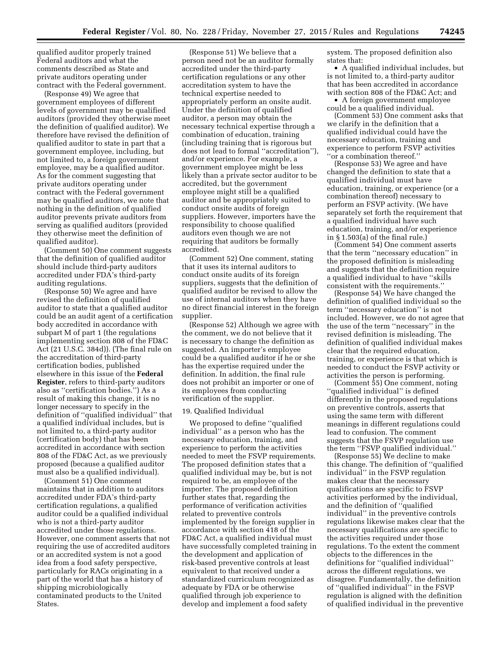qualified auditor properly trained Federal auditors and what the comments described as State and private auditors operating under contract with the Federal government.

(Response 49) We agree that government employees of different levels of government may be qualified auditors (provided they otherwise meet the definition of qualified auditor). We therefore have revised the definition of qualified auditor to state in part that a government employee, including, but not limited to, a foreign government employee, may be a qualified auditor. As for the comment suggesting that private auditors operating under contract with the Federal government may be qualified auditors, we note that nothing in the definition of qualified auditor prevents private auditors from serving as qualified auditors (provided they otherwise meet the definition of qualified auditor).

(Comment 50) One comment suggests that the definition of qualified auditor should include third-party auditors accredited under FDA's third-party auditing regulations.

(Response 50) We agree and have revised the definition of qualified auditor to state that a qualified auditor could be an audit agent of a certification body accredited in accordance with subpart M of part 1 (the regulations implementing section 808 of the FD&C Act (21 U.S.C. 384d)). (The final rule on the accreditation of third-party certification bodies, published elsewhere in this issue of the **Federal Register**, refers to third-party auditors also as ''certification bodies.'') As a result of making this change, it is no longer necessary to specify in the definition of ''qualified individual'' that a qualified individual includes, but is not limited to, a third-party auditor (certification body) that has been accredited in accordance with section 808 of the FD&C Act, as we previously proposed (because a qualified auditor must also be a qualified individual).

(Comment 51) One comment maintains that in addition to auditors accredited under FDA's third-party certification regulations, a qualified auditor could be a qualified individual who is not a third-party auditor accredited under those regulations. However, one comment asserts that not requiring the use of accredited auditors or an accredited system is not a good idea from a food safety perspective, particularly for RACs originating in a part of the world that has a history of shipping microbiologically contaminated products to the United States.

(Response 51) We believe that a person need not be an auditor formally accredited under the third-party certification regulations or any other accreditation system to have the technical expertise needed to appropriately perform an onsite audit. Under the definition of qualified auditor, a person may obtain the necessary technical expertise through a combination of education, training (including training that is rigorous but does not lead to formal ''accreditation''), and/or experience. For example, a government employee might be less likely than a private sector auditor to be accredited, but the government employee might still be a qualified auditor and be appropriately suited to conduct onsite audits of foreign suppliers. However, importers have the responsibility to choose qualified auditors even though we are not requiring that auditors be formally accredited.

(Comment 52) One comment, stating that it uses its internal auditors to conduct onsite audits of its foreign suppliers, suggests that the definition of qualified auditor be revised to allow the use of internal auditors when they have no direct financial interest in the foreign supplier.

(Response 52) Although we agree with the comment, we do not believe that it is necessary to change the definition as suggested. An importer's employee could be a qualified auditor if he or she has the expertise required under the definition. In addition, the final rule does not prohibit an importer or one of its employees from conducting verification of the supplier.

#### 19. Qualified Individual

We proposed to define ''qualified individual'' as a person who has the necessary education, training, and experience to perform the activities needed to meet the FSVP requirements. The proposed definition states that a qualified individual may be, but is not required to be, an employee of the importer. The proposed definition further states that, regarding the performance of verification activities related to preventive controls implemented by the foreign supplier in accordance with section 418 of the FD&C Act, a qualified individual must have successfully completed training in the development and application of risk-based preventive controls at least equivalent to that received under a standardized curriculum recognized as adequate by FDA or be otherwise qualified through job experience to develop and implement a food safety

system. The proposed definition also states that:

• A qualified individual includes, but is not limited to, a third-party auditor that has been accredited in accordance with section 808 of the FD&C Act; and

• A foreign government employee could be a qualified individual.

(Comment 53) One comment asks that we clarify in the definition that a qualified individual could have the necessary education, training and experience to perform FSVP activities ''or a combination thereof.''

(Response 53) We agree and have changed the definition to state that a qualified individual must have education, training, or experience (or a combination thereof) necessary to perform an FSVP activity. (We have separately set forth the requirement that a qualified individual have such education, training, and/or experience in § 1.503(a) of the final rule.)

(Comment 54) One comment asserts that the term ''necessary education'' in the proposed definition is misleading and suggests that the definition require a qualified individual to have ''skills consistent with the requirements.''

(Response 54) We have changed the definition of qualified individual so the term ''necessary education'' is not included. However, we do not agree that the use of the term ''necessary'' in the revised definition is misleading. The definition of qualified individual makes clear that the required education, training, or experience is that which is needed to conduct the FSVP activity or activities the person is performing.

(Comment 55) One comment, noting ''qualified individual'' is defined differently in the proposed regulations on preventive controls, asserts that using the same term with different meanings in different regulations could lead to confusion. The comment suggests that the FSVP regulation use the term ''FSVP qualified individual.''

(Response 55) We decline to make this change. The definition of ''qualified individual'' in the FSVP regulation makes clear that the necessary qualifications are specific to FSVP activities performed by the individual, and the definition of ''qualified individual'' in the preventive controls regulations likewise makes clear that the necessary qualifications are specific to the activities required under those regulations. To the extent the comment objects to the differences in the definitions for ''qualified individual'' across the different regulations, we disagree. Fundamentally, the definition of ''qualified individual'' in the FSVP regulation is aligned with the definition of qualified individual in the preventive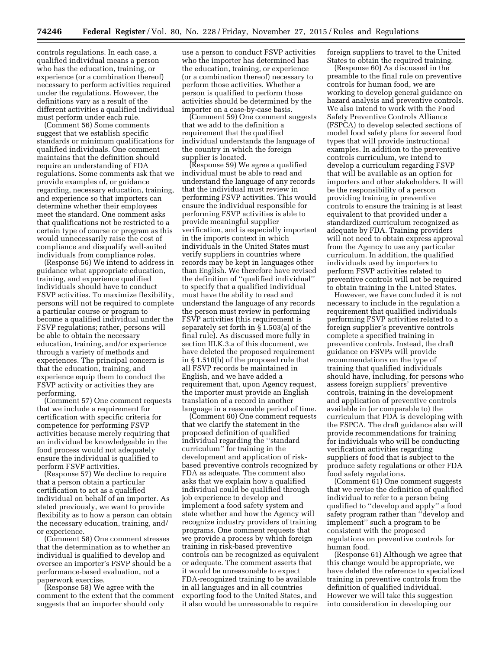controls regulations. In each case, a qualified individual means a person who has the education, training, or experience (or a combination thereof) necessary to perform activities required under the regulations. However, the definitions vary as a result of the different activities a qualified individual must perform under each rule.

(Comment 56) Some comments suggest that we establish specific standards or minimum qualifications for qualified individuals. One comment maintains that the definition should require an understanding of FDA regulations. Some comments ask that we provide examples of, or guidance regarding, necessary education, training, and experience so that importers can determine whether their employees meet the standard. One comment asks that qualifications not be restricted to a certain type of course or program as this would unnecessarily raise the cost of compliance and disqualify well-suited individuals from compliance roles.

(Response 56) We intend to address in guidance what appropriate education, training, and experience qualified individuals should have to conduct FSVP activities. To maximize flexibility, persons will not be required to complete a particular course or program to become a qualified individual under the FSVP regulations; rather, persons will be able to obtain the necessary education, training, and/or experience through a variety of methods and experiences. The principal concern is that the education, training, and experience equip them to conduct the FSVP activity or activities they are performing.

(Comment 57) One comment requests that we include a requirement for certification with specific criteria for competence for performing FSVP activities because merely requiring that an individual be knowledgeable in the food process would not adequately ensure the individual is qualified to perform FSVP activities.

(Response 57) We decline to require that a person obtain a particular certification to act as a qualified individual on behalf of an importer. As stated previously, we want to provide flexibility as to how a person can obtain the necessary education, training, and/ or experience.

(Comment 58) One comment stresses that the determination as to whether an individual is qualified to develop and oversee an importer's FSVP should be a performance-based evaluation, not a paperwork exercise.

(Response 58) We agree with the comment to the extent that the comment suggests that an importer should only

use a person to conduct FSVP activities who the importer has determined has the education, training, or experience (or a combination thereof) necessary to perform those activities. Whether a person is qualified to perform those activities should be determined by the importer on a case-by-case basis.

(Comment 59) One comment suggests that we add to the definition a requirement that the qualified individual understands the language of the country in which the foreign supplier is located.

(Response 59) We agree a qualified individual must be able to read and understand the language of any records that the individual must review in performing FSVP activities. This would ensure the individual responsible for performing FSVP activities is able to provide meaningful supplier verification, and is especially important in the imports context in which individuals in the United States must verify suppliers in countries where records may be kept in languages other than English. We therefore have revised the definition of ''qualified individual'' to specify that a qualified individual must have the ability to read and understand the language of any records the person must review in performing FSVP activities (this requirement is separately set forth in § 1.503(a) of the final rule). As discussed more fully in section III.K.3.a of this document, we have deleted the proposed requirement in § 1.510(b) of the proposed rule that all FSVP records be maintained in English, and we have added a requirement that, upon Agency request, the importer must provide an English translation of a record in another language in a reasonable period of time.

(Comment 60) One comment requests that we clarify the statement in the proposed definition of qualified individual regarding the ''standard curriculum'' for training in the development and application of riskbased preventive controls recognized by FDA as adequate. The comment also asks that we explain how a qualified individual could be qualified through job experience to develop and implement a food safety system and state whether and how the Agency will recognize industry providers of training programs. One comment requests that we provide a process by which foreign training in risk-based preventive controls can be recognized as equivalent or adequate. The comment asserts that it would be unreasonable to expect FDA-recognized training to be available in all languages and in all countries exporting food to the United States, and it also would be unreasonable to require

foreign suppliers to travel to the United States to obtain the required training.

(Response 60) As discussed in the preamble to the final rule on preventive controls for human food, we are working to develop general guidance on hazard analysis and preventive controls. We also intend to work with the Food Safety Preventive Controls Alliance (FSPCA) to develop selected sections of model food safety plans for several food types that will provide instructional examples. In addition to the preventive controls curriculum, we intend to develop a curriculum regarding FSVP that will be available as an option for importers and other stakeholders. It will be the responsibility of a person providing training in preventive controls to ensure the training is at least equivalent to that provided under a standardized curriculum recognized as adequate by FDA. Training providers will not need to obtain express approval from the Agency to use any particular curriculum. In addition, the qualified individuals used by importers to perform FSVP activities related to preventive controls will not be required to obtain training in the United States.

However, we have concluded it is not necessary to include in the regulation a requirement that qualified individuals performing FSVP activities related to a foreign supplier's preventive controls complete a specified training in preventive controls. Instead, the draft guidance on FSVPs will provide recommendations on the type of training that qualified individuals should have, including, for persons who assess foreign suppliers' preventive controls, training in the development and application of preventive controls available in (or comparable to) the curriculum that FDA is developing with the FSPCA. The draft guidance also will provide recommendations for training for individuals who will be conducting verification activities regarding suppliers of food that is subject to the produce safety regulations or other FDA food safety regulations.

(Comment 61) One comment suggests that we revise the definition of qualified individual to refer to a person being qualified to ''develop and apply'' a food safety program rather than ''develop and implement'' such a program to be consistent with the proposed regulations on preventive controls for human food.

(Response 61) Although we agree that this change would be appropriate, we have deleted the reference to specialized training in preventive controls from the definition of qualified individual. However we will take this suggestion into consideration in developing our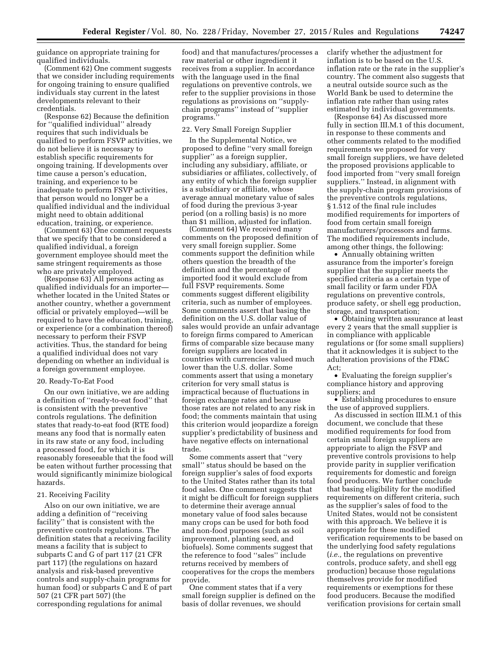guidance on appropriate training for qualified individuals.

(Comment 62) One comment suggests that we consider including requirements for ongoing training to ensure qualified individuals stay current in the latest developments relevant to their credentials.

(Response 62) Because the definition for ''qualified individual'' already requires that such individuals be qualified to perform FSVP activities, we do not believe it is necessary to establish specific requirements for ongoing training. If developments over time cause a person's education, training, and experience to be inadequate to perform FSVP activities, that person would no longer be a qualified individual and the individual might need to obtain additional education, training, or experience.

(Comment 63) One comment requests that we specify that to be considered a qualified individual, a foreign government employee should meet the same stringent requirements as those who are privately employed.

(Response 63) All persons acting as qualified individuals for an importer whether located in the United States or another country, whether a government official or privately employed—will be required to have the education, training, or experience (or a combination thereof) necessary to perform their FSVP activities. Thus, the standard for being a qualified individual does not vary depending on whether an individual is a foreign government employee.

#### 20. Ready-To-Eat Food

On our own initiative, we are adding a definition of ''ready-to-eat food'' that is consistent with the preventive controls regulations. The definition states that ready-to-eat food (RTE food) means any food that is normally eaten in its raw state or any food, including a processed food, for which it is reasonably foreseeable that the food will be eaten without further processing that would significantly minimize biological hazards.

#### 21. Receiving Facility

Also on our own initiative, we are adding a definition of ''receiving facility'' that is consistent with the preventive controls regulations. The definition states that a receiving facility means a facility that is subject to subparts C and G of part 117 (21 CFR part 117) (the regulations on hazard analysis and risk-based preventive controls and supply-chain programs for human food) or subparts C and E of part 507 (21 CFR part 507) (the corresponding regulations for animal

food) and that manufactures/processes a raw material or other ingredient it receives from a supplier. In accordance with the language used in the final regulations on preventive controls, we refer to the supplier provisions in those regulations as provisions on ''supplychain programs'' instead of ''supplier programs.''

#### 22. Very Small Foreign Supplier

In the Supplemental Notice, we proposed to define ''very small foreign supplier'' as a foreign supplier, including any subsidiary, affiliate, or subsidiaries or affiliates, collectively, of any entity of which the foreign supplier is a subsidiary or affiliate, whose average annual monetary value of sales of food during the previous 3-year period (on a rolling basis) is no more than \$1 million, adjusted for inflation.

(Comment 64) We received many comments on the proposed definition of very small foreign supplier. Some comments support the definition while others question the breadth of the definition and the percentage of imported food it would exclude from full FSVP requirements. Some comments suggest different eligibility criteria, such as number of employees. Some comments assert that basing the definition on the U.S. dollar value of sales would provide an unfair advantage to foreign firms compared to American firms of comparable size because many foreign suppliers are located in countries with currencies valued much lower than the U.S. dollar. Some comments assert that using a monetary criterion for very small status is impractical because of fluctuations in foreign exchange rates and because those rates are not related to any risk in food; the comments maintain that using this criterion would jeopardize a foreign supplier's predictability of business and have negative effects on international trade.

Some comments assert that ''very small'' status should be based on the foreign supplier's sales of food exports to the United States rather than its total food sales. One comment suggests that it might be difficult for foreign suppliers to determine their average annual monetary value of food sales because many crops can be used for both food and non-food purposes (such as soil improvement, planting seed, and biofuels). Some comments suggest that the reference to food ''sales'' include returns received by members of cooperatives for the crops the members provide.

One comment states that if a very small foreign supplier is defined on the basis of dollar revenues, we should

clarify whether the adjustment for inflation is to be based on the U.S. inflation rate or the rate in the supplier's country. The comment also suggests that a neutral outside source such as the World Bank be used to determine the inflation rate rather than using rates estimated by individual governments.

(Response 64) As discussed more fully in section III.M.1 of this document, in response to these comments and other comments related to the modified requirements we proposed for very small foreign suppliers, we have deleted the proposed provisions applicable to food imported from ''very small foreign suppliers.'' Instead, in alignment with the supply-chain program provisions of the preventive controls regulations, § 1.512 of the final rule includes modified requirements for importers of food from certain small foreign manufacturers/processors and farms. The modified requirements include, among other things, the following:

• Annually obtaining written assurance from the importer's foreign supplier that the supplier meets the specified criteria as a certain type of small facility or farm under FDA regulations on preventive controls, produce safety, or shell egg production, storage, and transportation;

• Obtaining written assurance at least every 2 years that the small supplier is in compliance with applicable regulations or (for some small suppliers) that it acknowledges it is subject to the adulteration provisions of the FD&C Act;

• Evaluating the foreign supplier's compliance history and approving suppliers; and

• Establishing procedures to ensure the use of approved suppliers.

As discussed in section III.M.1 of this document, we conclude that these modified requirements for food from certain small foreign suppliers are appropriate to align the FSVP and preventive controls provisions to help provide parity in supplier verification requirements for domestic and foreign food producers. We further conclude that basing eligibility for the modified requirements on different criteria, such as the supplier's sales of food to the United States, would not be consistent with this approach. We believe it is appropriate for these modified verification requirements to be based on the underlying food safety regulations (*i.e.,* the regulations on preventive controls, produce safety, and shell egg production) because those regulations themselves provide for modified requirements or exemptions for these food producers. Because the modified verification provisions for certain small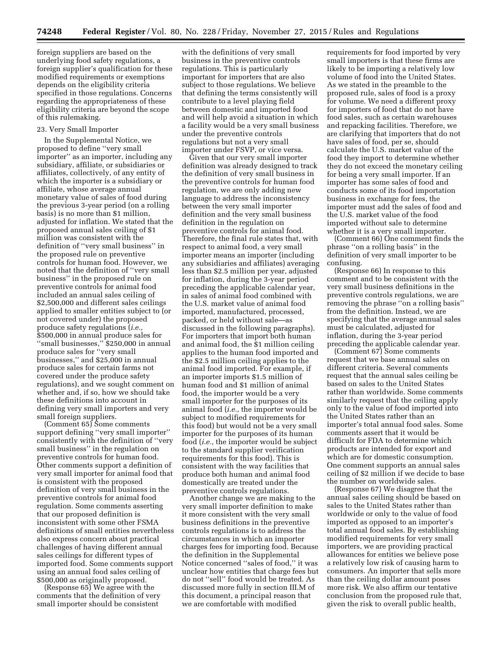foreign suppliers are based on the underlying food safety regulations, a foreign supplier's qualification for these modified requirements or exemptions depends on the eligibility criteria specified in those regulations. Concerns regarding the appropriateness of these eligibility criteria are beyond the scope of this rulemaking.

#### 23. Very Small Importer

In the Supplemental Notice, we proposed to define ''very small importer'' as an importer, including any subsidiary, affiliate, or subsidiaries or affiliates, collectively, of any entity of which the importer is a subsidiary or affiliate, whose average annual monetary value of sales of food during the previous 3-year period (on a rolling basis) is no more than \$1 million, adjusted for inflation. We stated that the proposed annual sales ceiling of \$1 million was consistent with the definition of ''very small business'' in the proposed rule on preventive controls for human food. However, we noted that the definition of ''very small business'' in the proposed rule on preventive controls for animal food included an annual sales ceiling of \$2,500,000 and different sales ceilings applied to smaller entities subject to (or not covered under) the proposed produce safety regulations (*i.e.,*  \$500,000 in annual produce sales for ''small businesses,'' \$250,000 in annual produce sales for ''very small businesses,'' and \$25,000 in annual produce sales for certain farms not covered under the produce safety regulations), and we sought comment on whether and, if so, how we should take these definitions into account in defining very small importers and very small foreign suppliers.

(Comment 65) Some comments support defining ''very small importer'' consistently with the definition of ''very small business'' in the regulation on preventive controls for human food. Other comments support a definition of very small importer for animal food that is consistent with the proposed definition of very small business in the preventive controls for animal food regulation. Some comments asserting that our proposed definition is inconsistent with some other FSMA definitions of small entities nevertheless also express concern about practical challenges of having different annual sales ceilings for different types of imported food. Some comments support using an annual food sales ceiling of \$500,000 as originally proposed.

(Response 65) We agree with the comments that the definition of very small importer should be consistent

with the definitions of very small business in the preventive controls regulations. This is particularly important for importers that are also subject to those regulations. We believe that defining the terms consistently will contribute to a level playing field between domestic and imported food and will help avoid a situation in which a facility would be a very small business under the preventive controls regulations but not a very small importer under FSVP, or vice versa.

Given that our very small importer definition was already designed to track the definition of very small business in the preventive controls for human food regulation, we are only adding new language to address the inconsistency between the very small importer definition and the very small business definition in the regulation on preventive controls for animal food. Therefore, the final rule states that, with respect to animal food, a very small importer means an importer (including any subsidiaries and affiliates) averaging less than \$2.5 million per year, adjusted for inflation, during the 3-year period preceding the applicable calendar year, in sales of animal food combined with the U.S. market value of animal food imported, manufactured, processed, packed, or held without sale—as discussed in the following paragraphs). For importers that import both human and animal food, the \$1 million ceiling applies to the human food imported and the \$2.5 million ceiling applies to the animal food imported. For example, if an importer imports \$1.5 million of human food and \$1 million of animal food, the importer would be a very small importer for the purposes of its animal food (*i.e.,* the importer would be subject to modified requirements for this food) but would not be a very small importer for the purposes of its human food (*i.e.,* the importer would be subject to the standard supplier verification requirements for this food). This is consistent with the way facilities that produce both human and animal food domestically are treated under the preventive controls regulations.

Another change we are making to the very small importer definition to make it more consistent with the very small business definitions in the preventive controls regulations is to address the circumstances in which an importer charges fees for importing food. Because the definition in the Supplemental Notice concerned ''sales of food,'' it was unclear how entities that charge fees but do not ''sell'' food would be treated. As discussed more fully in section III.M of this document, a principal reason that we are comfortable with modified

requirements for food imported by very small importers is that these firms are likely to be importing a relatively low volume of food into the United States. As we stated in the preamble to the proposed rule, sales of food is a proxy for volume. We need a different proxy for importers of food that do not have food sales, such as certain warehouses and repacking facilities. Therefore, we are clarifying that importers that do not have sales of food, per se, should calculate the U.S. market value of the food they import to determine whether they do not exceed the monetary ceiling for being a very small importer. If an importer has some sales of food and conducts some of its food importation business in exchange for fees, the importer must add the sales of food and the U.S. market value of the food imported without sale to determine whether it is a very small importer.

(Comment 66) One comment finds the phrase ''on a rolling basis'' in the definition of very small importer to be confusing.

(Response 66) In response to this comment and to be consistent with the very small business definitions in the preventive controls regulations, we are removing the phrase "on a rolling basis" from the definition. Instead, we are specifying that the average annual sales must be calculated, adjusted for inflation, during the 3-year period preceding the applicable calendar year.

(Comment 67) Some comments request that we base annual sales on different criteria. Several comments request that the annual sales ceiling be based on sales to the United States rather than worldwide. Some comments similarly request that the ceiling apply only to the value of food imported into the United States rather than an importer's total annual food sales. Some comments assert that it would be difficult for FDA to determine which products are intended for export and which are for domestic consumption. One comment supports an annual sales ceiling of \$2 million if we decide to base the number on worldwide sales.

(Response 67) We disagree that the annual sales ceiling should be based on sales to the United States rather than worldwide or only to the value of food imported as opposed to an importer's total annual food sales. By establishing modified requirements for very small importers, we are providing practical allowances for entities we believe pose a relatively low risk of causing harm to consumers. An importer that sells more than the ceiling dollar amount poses more risk. We also affirm our tentative conclusion from the proposed rule that, given the risk to overall public health,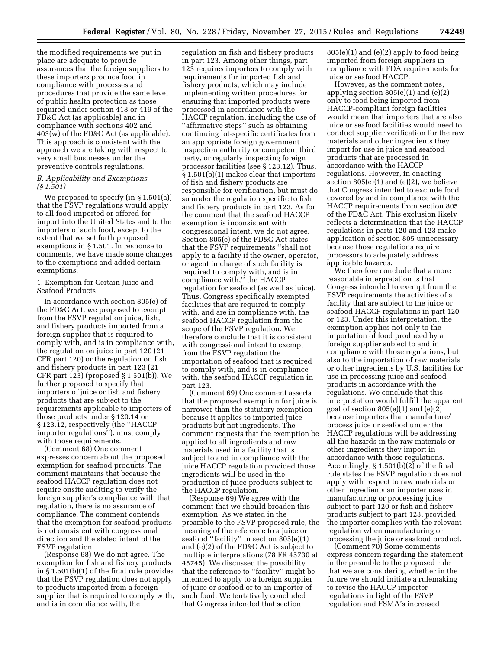the modified requirements we put in place are adequate to provide assurances that the foreign suppliers to these importers produce food in compliance with processes and procedures that provide the same level of public health protection as those required under section 418 or 419 of the FD&C Act (as applicable) and in compliance with sections 402 and 403(w) of the FD&C Act (as applicable). This approach is consistent with the approach we are taking with respect to very small businesses under the preventive controls regulations.

#### *B. Applicability and Exemptions (§ 1.501)*

We proposed to specify (in § 1.501(a)) that the FSVP regulations would apply to all food imported or offered for import into the United States and to the importers of such food, except to the extent that we set forth proposed exemptions in § 1.501. In response to comments, we have made some changes to the exemptions and added certain exemptions.

#### 1. Exemption for Certain Juice and Seafood Products

In accordance with section 805(e) of the FD&C Act, we proposed to exempt from the FSVP regulation juice, fish, and fishery products imported from a foreign supplier that is required to comply with, and is in compliance with, the regulation on juice in part 120 (21 CFR part 120) or the regulation on fish and fishery products in part 123 (21 CFR part 123) (proposed § 1.501(b)). We further proposed to specify that importers of juice or fish and fishery products that are subject to the requirements applicable to importers of those products under § 120.14 or § 123.12, respectively (the ''HACCP importer regulations''), must comply with those requirements.

(Comment 68) One comment expresses concern about the proposed exemption for seafood products. The comment maintains that because the seafood HACCP regulation does not require onsite auditing to verify the foreign supplier's compliance with that regulation, there is no assurance of compliance. The comment contends that the exemption for seafood products is not consistent with congressional direction and the stated intent of the FSVP regulation.

(Response 68) We do not agree. The exemption for fish and fishery products in § 1.501(b)(1) of the final rule provides that the FSVP regulation does not apply to products imported from a foreign supplier that is required to comply with, and is in compliance with, the

regulation on fish and fishery products in part 123. Among other things, part 123 requires importers to comply with requirements for imported fish and fishery products, which may include implementing written procedures for ensuring that imported products were processed in accordance with the HACCP regulation, including the use of ''affirmative steps'' such as obtaining continuing lot-specific certificates from an appropriate foreign government inspection authority or competent third party, or regularly inspecting foreign processor facilities (see § 123.12). Thus, § 1.501(b)(1) makes clear that importers of fish and fishery products are responsible for verification, but must do so under the regulation specific to fish and fishery products in part 123. As for the comment that the seafood HACCP exemption is inconsistent with congressional intent, we do not agree. Section 805(e) of the FD&C Act states that the FSVP requirements ''shall not apply to a facility if the owner, operator, or agent in charge of such facility is required to comply with, and is in compliance with," the HACCP regulation for seafood (as well as juice). Thus, Congress specifically exempted facilities that are required to comply with, and are in compliance with, the seafood HACCP regulation from the scope of the FSVP regulation. We therefore conclude that it is consistent with congressional intent to exempt from the FSVP regulation the importation of seafood that is required to comply with, and is in compliance with, the seafood HACCP regulation in part 123.

(Comment 69) One comment asserts that the proposed exemption for juice is narrower than the statutory exemption because it applies to imported juice products but not ingredients. The comment requests that the exemption be applied to all ingredients and raw materials used in a facility that is subject to and in compliance with the juice HACCP regulation provided those ingredients will be used in the production of juice products subject to the HACCP regulation.

(Response 69) We agree with the comment that we should broaden this exemption. As we stated in the preamble to the FSVP proposed rule, the meaning of the reference to a juice or seafood ''facility'' in section 805(e)(1) and (e)(2) of the FD&C Act is subject to multiple interpretations (78 FR 45730 at 45745). We discussed the possibility that the reference to ''facility'' might be intended to apply to a foreign supplier of juice or seafood or to an importer of such food. We tentatively concluded that Congress intended that section

805(e)(1) and (e)(2) apply to food being imported from foreign suppliers in compliance with FDA requirements for juice or seafood HACCP.

However, as the comment notes, applying section  $805(e)(1)$  and  $(e)(2)$ only to food being imported from HACCP-compliant foreign facilities would mean that importers that are also juice or seafood facilities would need to conduct supplier verification for the raw materials and other ingredients they import for use in juice and seafood products that are processed in accordance with the HACCP regulations. However, in enacting section 805(e)(1) and (e)(2), we believe that Congress intended to exclude food covered by and in compliance with the HACCP requirements from section 805 of the FD&C Act. This exclusion likely reflects a determination that the HACCP regulations in parts 120 and 123 make application of section 805 unnecessary because those regulations require processors to adequately address applicable hazards.

We therefore conclude that a more reasonable interpretation is that Congress intended to exempt from the FSVP requirements the activities of a facility that are subject to the juice or seafood HACCP regulations in part 120 or 123. Under this interpretation, the exemption applies not only to the importation of food produced by a foreign supplier subject to and in compliance with those regulations, but also to the importation of raw materials or other ingredients by U.S. facilities for use in processing juice and seafood products in accordance with the regulations. We conclude that this interpretation would fulfill the apparent goal of section 805(e)(1) and (e)(2) because importers that manufacture/ process juice or seafood under the HACCP regulations will be addressing all the hazards in the raw materials or other ingredients they import in accordance with those regulations. Accordingly, § 1.501(b)(2) of the final rule states the FSVP regulation does not apply with respect to raw materials or other ingredients an importer uses in manufacturing or processing juice subject to part 120 or fish and fishery products subject to part 123, provided the importer complies with the relevant regulation when manufacturing or processing the juice or seafood product.

(Comment 70) Some comments express concern regarding the statement in the preamble to the proposed rule that we are considering whether in the future we should initiate a rulemaking to revise the HACCP importer regulations in light of the FSVP regulation and FSMA's increased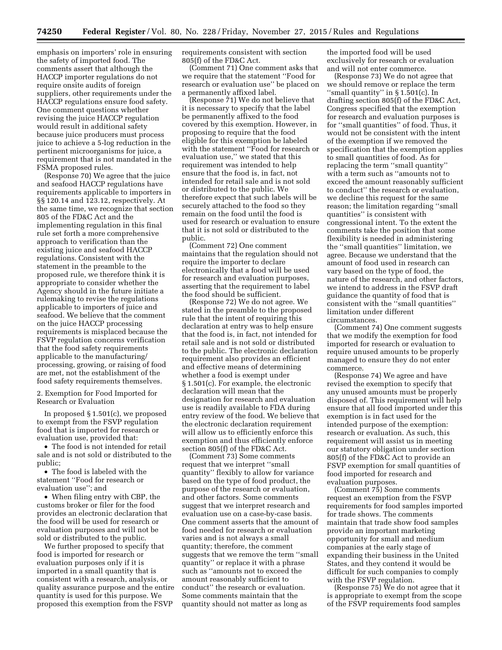emphasis on importers' role in ensuring the safety of imported food. The comments assert that although the HACCP importer regulations do not require onsite audits of foreign suppliers, other requirements under the HACCP regulations ensure food safety. One comment questions whether revising the juice HACCP regulation would result in additional safety because juice producers must process juice to achieve a 5-log reduction in the pertinent microorganisms for juice, a requirement that is not mandated in the FSMA proposed rules.

(Response 70) We agree that the juice and seafood HACCP regulations have requirements applicable to importers in §§ 120.14 and 123.12, respectively. At the same time, we recognize that section 805 of the FD&C Act and the implementing regulation in this final rule set forth a more comprehensive approach to verification than the existing juice and seafood HACCP regulations. Consistent with the statement in the preamble to the proposed rule, we therefore think it is appropriate to consider whether the Agency should in the future initiate a rulemaking to revise the regulations applicable to importers of juice and seafood. We believe that the comment on the juice HACCP processing requirements is misplaced because the FSVP regulation concerns verification that the food safety requirements applicable to the manufacturing/ processing, growing, or raising of food are met, not the establishment of the food safety requirements themselves.

2. Exemption for Food Imported for Research or Evaluation

In proposed § 1.501(c), we proposed to exempt from the FSVP regulation food that is imported for research or evaluation use, provided that:

• The food is not intended for retail sale and is not sold or distributed to the public;

• The food is labeled with the statement ''Food for research or evaluation use''; and

• When filing entry with CBP, the customs broker or filer for the food provides an electronic declaration that the food will be used for research or evaluation purposes and will not be sold or distributed to the public.

We further proposed to specify that food is imported for research or evaluation purposes only if it is imported in a small quantity that is consistent with a research, analysis, or quality assurance purpose and the entire quantity is used for this purpose. We proposed this exemption from the FSVP

requirements consistent with section 805(f) of the FD&C Act.

(Comment 71) One comment asks that we require that the statement ''Food for research or evaluation use'' be placed on a permanently affixed label.

(Response 71) We do not believe that it is necessary to specify that the label be permanently affixed to the food covered by this exemption. However, in proposing to require that the food eligible for this exemption be labeled with the statement ''Food for research or evaluation use,'' we stated that this requirement was intended to help ensure that the food is, in fact, not intended for retail sale and is not sold or distributed to the public. We therefore expect that such labels will be securely attached to the food so they remain on the food until the food is used for research or evaluation to ensure that it is not sold or distributed to the public.

(Comment 72) One comment maintains that the regulation should not require the importer to declare electronically that a food will be used for research and evaluation purposes, asserting that the requirement to label the food should be sufficient.

(Response 72) We do not agree. We stated in the preamble to the proposed rule that the intent of requiring this declaration at entry was to help ensure that the food is, in fact, not intended for retail sale and is not sold or distributed to the public. The electronic declaration requirement also provides an efficient and effective means of determining whether a food is exempt under § 1.501(c). For example, the electronic declaration will mean that the designation for research and evaluation use is readily available to FDA during entry review of the food. We believe that the electronic declaration requirement will allow us to efficiently enforce this exemption and thus efficiently enforce section 805(f) of the FD&C Act.

(Comment 73) Some comments request that we interpret ''small quantity'' flexibly to allow for variance based on the type of food product, the purpose of the research or evaluation, and other factors. Some comments suggest that we interpret research and evaluation use on a case-by-case basis. One comment asserts that the amount of food needed for research or evaluation varies and is not always a small quantity; therefore, the comment suggests that we remove the term ''small quantity'' or replace it with a phrase such as ''amounts not to exceed the amount reasonably sufficient to conduct'' the research or evaluation. Some comments maintain that the quantity should not matter as long as

the imported food will be used exclusively for research or evaluation and will not enter commerce.

(Response 73) We do not agree that we should remove or replace the term ''small quantity'' in § 1.501(c). In drafting section 805(f) of the FD&C Act, Congress specified that the exemption for research and evaluation purposes is for ''small quantities'' of food. Thus, it would not be consistent with the intent of the exemption if we removed the specification that the exemption applies to small quantities of food. As for replacing the term ''small quantity'' with a term such as ''amounts not to exceed the amount reasonably sufficient to conduct'' the research or evaluation, we decline this request for the same reason; the limitation regarding ''small quantities'' is consistent with congressional intent. To the extent the comments take the position that some flexibility is needed in administering the ''small quantities'' limitation, we agree. Because we understand that the amount of food used in research can vary based on the type of food, the nature of the research, and other factors, we intend to address in the FSVP draft guidance the quantity of food that is consistent with the ''small quantities'' limitation under different circumstances.

(Comment 74) One comment suggests that we modify the exemption for food imported for research or evaluation to require unused amounts to be properly managed to ensure they do not enter commerce.

(Response 74) We agree and have revised the exemption to specify that any unused amounts must be properly disposed of. This requirement will help ensure that all food imported under this exemption is in fact used for the intended purpose of the exemption: research or evaluation. As such, this requirement will assist us in meeting our statutory obligation under section 805(f) of the FD&C Act to provide an FSVP exemption for small quantities of food imported for research and evaluation purposes.

(Comment 75) Some comments request an exemption from the FSVP requirements for food samples imported for trade shows. The comments maintain that trade show food samples provide an important marketing opportunity for small and medium companies at the early stage of expanding their business in the United States, and they contend it would be difficult for such companies to comply with the FSVP regulation.

(Response 75) We do not agree that it is appropriate to exempt from the scope of the FSVP requirements food samples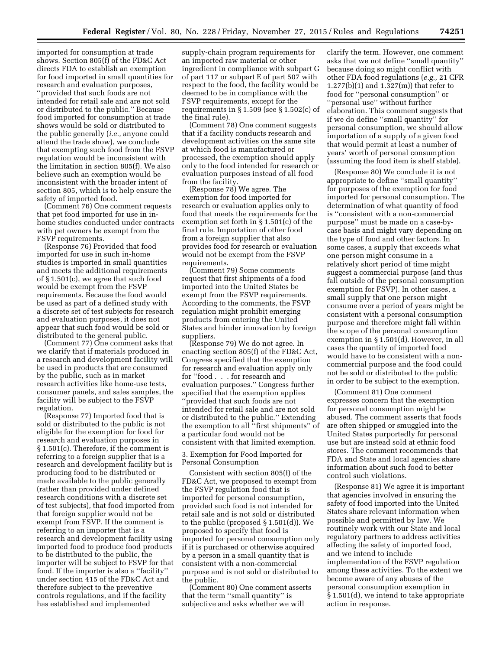imported for consumption at trade shows. Section 805(f) of the FD&C Act directs FDA to establish an exemption for food imported in small quantities for research and evaluation purposes, ''provided that such foods are not intended for retail sale and are not sold or distributed to the public.'' Because food imported for consumption at trade shows would be sold or distributed to the public generally (*i.e.,* anyone could attend the trade show), we conclude that exempting such food from the FSVP regulation would be inconsistent with the limitation in section 805(f). We also believe such an exemption would be inconsistent with the broader intent of section 805, which is to help ensure the safety of imported food.

(Comment 76) One comment requests that pet food imported for use in inhome studies conducted under contracts with pet owners be exempt from the FSVP requirements.

(Response 76) Provided that food imported for use in such in-home studies is imported in small quantities and meets the additional requirements of § 1.501(c), we agree that such food would be exempt from the FSVP requirements. Because the food would be used as part of a defined study with a discrete set of test subjects for research and evaluation purposes, it does not appear that such food would be sold or distributed to the general public.

(Comment 77) One comment asks that we clarify that if materials produced in a research and development facility will be used in products that are consumed by the public, such as in market research activities like home-use tests, consumer panels, and sales samples, the facility will be subject to the FSVP regulation.

(Response 77) Imported food that is sold or distributed to the public is not eligible for the exemption for food for research and evaluation purposes in § 1.501(c). Therefore, if the comment is referring to a foreign supplier that is a research and development facility but is producing food to be distributed or made available to the public generally (rather than provided under defined research conditions with a discrete set of test subjects), that food imported from that foreign supplier would not be exempt from FSVP. If the comment is referring to an importer that is a research and development facility using imported food to produce food products to be distributed to the public, the importer will be subject to FSVP for that food. If the importer is also a ''facility'' under section 415 of the FD&C Act and therefore subject to the preventive controls regulations, and if the facility has established and implemented

supply-chain program requirements for an imported raw material or other ingredient in compliance with subpart G of part 117 or subpart E of part 507 with respect to the food, the facility would be deemed to be in compliance with the FSVP requirements, except for the requirements in § 1.509 (see § 1.502(c) of the final rule).

(Comment 78) One comment suggests that if a facility conducts research and development activities on the same site at which food is manufactured or processed, the exemption should apply only to the food intended for research or evaluation purposes instead of all food from the facility.

(Response 78) We agree. The exemption for food imported for research or evaluation applies only to food that meets the requirements for the exemption set forth in § 1.501(c) of the final rule. Importation of other food from a foreign supplier that also provides food for research or evaluation would not be exempt from the FSVP requirements.

(Comment 79) Some comments request that first shipments of a food imported into the United States be exempt from the FSVP requirements. According to the comments, the FSVP regulation might prohibit emerging products from entering the United States and hinder innovation by foreign suppliers.

(Response 79) We do not agree. In enacting section 805(f) of the FD&C Act, Congress specified that the exemption for research and evaluation apply only for ''food . . . for research and evaluation purposes.'' Congress further specified that the exemption applies ''provided that such foods are not intended for retail sale and are not sold or distributed to the public.'' Extending the exemption to all ''first shipments'' of a particular food would not be consistent with that limited exemption.

3. Exemption for Food Imported for Personal Consumption

Consistent with section 805(f) of the FD&C Act, we proposed to exempt from the FSVP regulation food that is imported for personal consumption, provided such food is not intended for retail sale and is not sold or distributed to the public (proposed § 1.501(d)). We proposed to specify that food is imported for personal consumption only if it is purchased or otherwise acquired by a person in a small quantity that is consistent with a non-commercial purpose and is not sold or distributed to the public.

(Comment 80) One comment asserts that the term ''small quantity'' is subjective and asks whether we will

clarify the term. However, one comment asks that we not define ''small quantity'' because doing so might conflict with other FDA food regulations (*e.g.,* 21 CFR 1.277(b)(1) and 1.327(m)) that refer to food for ''personal consumption'' or ''personal use'' without further elaboration. This comment suggests that if we do define ''small quantity'' for personal consumption, we should allow importation of a supply of a given food that would permit at least a number of years' worth of personal consumption (assuming the food item is shelf stable).

(Response 80) We conclude it is not appropriate to define ''small quantity'' for purposes of the exemption for food imported for personal consumption. The determination of what quantity of food is ''consistent with a non-commercial purpose'' must be made on a case-bycase basis and might vary depending on the type of food and other factors. In some cases, a supply that exceeds what one person might consume in a relatively short period of time might suggest a commercial purpose (and thus fall outside of the personal consumption exemption for FSVP). In other cases, a small supply that one person might consume over a period of years might be consistent with a personal consumption purpose and therefore might fall within the scope of the personal consumption exemption in § 1.501(d). However, in all cases the quantity of imported food would have to be consistent with a noncommercial purpose and the food could not be sold or distributed to the public in order to be subject to the exemption.

(Comment 81) One comment expresses concern that the exemption for personal consumption might be abused. The comment asserts that foods are often shipped or smuggled into the United States purportedly for personal use but are instead sold at ethnic food stores. The comment recommends that FDA and State and local agencies share information about such food to better control such violations.

(Response 81) We agree it is important that agencies involved in ensuring the safety of food imported into the United States share relevant information when possible and permitted by law. We routinely work with our State and local regulatory partners to address activities affecting the safety of imported food, and we intend to include implementation of the FSVP regulation among these activities. To the extent we become aware of any abuses of the personal consumption exemption in § 1.501(d), we intend to take appropriate action in response.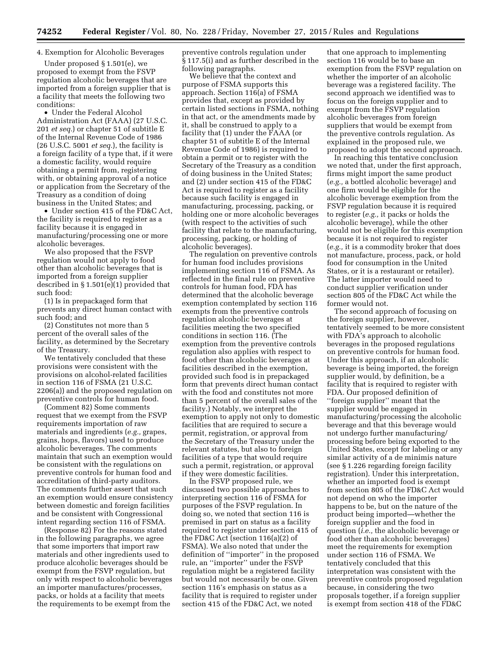#### 4. Exemption for Alcoholic Beverages

Under proposed § 1.501(e), we proposed to exempt from the FSVP regulation alcoholic beverages that are imported from a foreign supplier that is a facility that meets the following two conditions:

• Under the Federal Alcohol Administration Act (FAAA) (27 U.S.C. 201 *et seq.*) or chapter 51 of subtitle E of the Internal Revenue Code of 1986 (26 U.S.C. 5001 *et seq.*), the facility is a foreign facility of a type that, if it were a domestic facility, would require obtaining a permit from, registering with, or obtaining approval of a notice or application from the Secretary of the Treasury as a condition of doing business in the United States; and

• Under section 415 of the FD&C Act, the facility is required to register as a facility because it is engaged in manufacturing/processing one or more alcoholic beverages.

We also proposed that the FSVP regulation would not apply to food other than alcoholic beverages that is imported from a foreign supplier described in § 1.501(e)(1) provided that such food:

(1) Is in prepackaged form that prevents any direct human contact with such food; and

(2) Constitutes not more than 5 percent of the overall sales of the facility, as determined by the Secretary of the Treasury.

We tentatively concluded that these provisions were consistent with the provisions on alcohol-related facilities in section 116 of FSMA (21 U.S.C. 2206(a)) and the proposed regulation on preventive controls for human food.

(Comment 82) Some comments request that we exempt from the FSVP requirements importation of raw materials and ingredients (*e.g.,* grapes, grains, hops, flavors) used to produce alcoholic beverages. The comments maintain that such an exemption would be consistent with the regulations on preventive controls for human food and accreditation of third-party auditors. The comments further assert that such an exemption would ensure consistency between domestic and foreign facilities and be consistent with Congressional intent regarding section 116 of FSMA.

(Response 82) For the reasons stated in the following paragraphs, we agree that some importers that import raw materials and other ingredients used to produce alcoholic beverages should be exempt from the FSVP regulation, but only with respect to alcoholic beverages an importer manufactures/processes, packs, or holds at a facility that meets the requirements to be exempt from the

preventive controls regulation under § 117.5(i) and as further described in the following paragraphs.

We believe that the context and purpose of FSMA supports this approach. Section 116(a) of FSMA provides that, except as provided by certain listed sections in FSMA, nothing in that act, or the amendments made by it, shall be construed to apply to a facility that (1) under the FAAA (or chapter 51 of subtitle E of the Internal Revenue Code of 1986) is required to obtain a permit or to register with the Secretary of the Treasury as a condition of doing business in the United States; and (2) under section 415 of the FD&C Act is required to register as a facility because such facility is engaged in manufacturing, processing, packing, or holding one or more alcoholic beverages (with respect to the activities of such facility that relate to the manufacturing, processing, packing, or holding of alcoholic beverages).

The regulation on preventive controls for human food includes provisions implementing section 116 of FSMA. As reflected in the final rule on preventive controls for human food, FDA has determined that the alcoholic beverage exemption contemplated by section 116 exempts from the preventive controls regulation alcoholic beverages at facilities meeting the two specified conditions in section 116. (The exemption from the preventive controls regulation also applies with respect to food other than alcoholic beverages at facilities described in the exemption, provided such food is in prepackaged form that prevents direct human contact with the food and constitutes not more than 5 percent of the overall sales of the facility.) Notably, we interpret the exemption to apply not only to domestic facilities that are required to secure a permit, registration, or approval from the Secretary of the Treasury under the relevant statutes, but also to foreign facilities of a type that would require such a permit, registration, or approval if they were domestic facilities.

In the FSVP proposed rule, we discussed two possible approaches to interpreting section 116 of FSMA for purposes of the FSVP regulation. In doing so, we noted that section 116 is premised in part on status as a facility required to register under section 415 of the FD&C Act (section 116(a)(2) of FSMA). We also noted that under the definition of ''importer'' in the proposed rule, an ''importer'' under the FSVP regulation might be a registered facility but would not necessarily be one. Given section 116's emphasis on status as a facility that is required to register under section 415 of the FD&C Act, we noted

that one approach to implementing section 116 would be to base an exemption from the FSVP regulation on whether the importer of an alcoholic beverage was a registered facility. The second approach we identified was to focus on the foreign supplier and to exempt from the FSVP regulation alcoholic beverages from foreign suppliers that would be exempt from the preventive controls regulation. As explained in the proposed rule, we proposed to adopt the second approach.

In reaching this tentative conclusion we noted that, under the first approach, firms might import the same product (*e.g.,* a bottled alcoholic beverage) and one firm would be eligible for the alcoholic beverage exemption from the FSVP regulation because it is required to register (*e.g.,* it packs or holds the alcoholic beverage), while the other would not be eligible for this exemption because it is not required to register (*e.g.,* it is a commodity broker that does not manufacture, process, pack, or hold food for consumption in the United States, or it is a restaurant or retailer). The latter importer would need to conduct supplier verification under section 805 of the FD&C Act while the former would not.

The second approach of focusing on the foreign supplier, however, tentatively seemed to be more consistent with FDA's approach to alcoholic beverages in the proposed regulations on preventive controls for human food. Under this approach, if an alcoholic beverage is being imported, the foreign supplier would, by definition, be a facility that is required to register with FDA. Our proposed definition of ''foreign supplier'' meant that the supplier would be engaged in manufacturing/processing the alcoholic beverage and that this beverage would not undergo further manufacturing/ processing before being exported to the United States, except for labeling or any similar activity of a de minimis nature (see § 1.226 regarding foreign facility registration). Under this interpretation, whether an imported food is exempt from section 805 of the FD&C Act would not depend on who the importer happens to be, but on the nature of the product being imported—whether the foreign supplier and the food in question (*i.e.,* the alcoholic beverage or food other than alcoholic beverages) meet the requirements for exemption under section 116 of FSMA. We tentatively concluded that this interpretation was consistent with the preventive controls proposed regulation because, in considering the two proposals together, if a foreign supplier is exempt from section 418 of the FD&C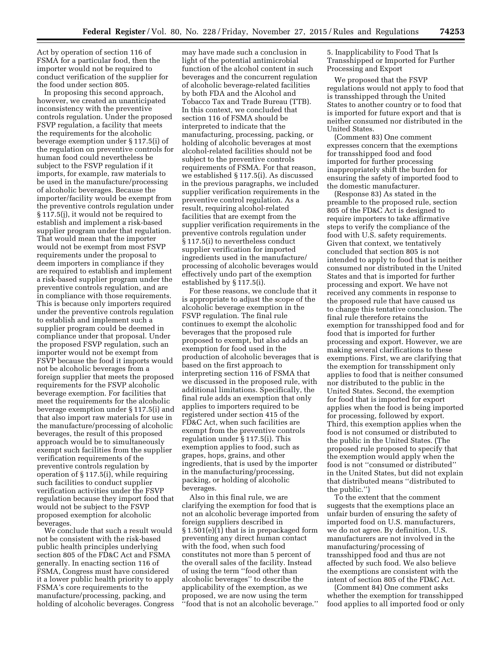Act by operation of section 116 of FSMA for a particular food, then the importer would not be required to conduct verification of the supplier for the food under section 805.

In proposing this second approach, however, we created an unanticipated inconsistency with the preventive controls regulation. Under the proposed FSVP regulation, a facility that meets the requirements for the alcoholic beverage exemption under § 117.5(i) of the regulation on preventive controls for human food could nevertheless be subject to the FSVP regulation if it imports, for example, raw materials to be used in the manufacture/processing of alcoholic beverages. Because the importer/facility would be exempt from the preventive controls regulation under § 117.5(j), it would not be required to establish and implement a risk-based supplier program under that regulation. That would mean that the importer would not be exempt from most FSVP requirements under the proposal to deem importers in compliance if they are required to establish and implement a risk-based supplier program under the preventive controls regulation, and are in compliance with those requirements. This is because only importers required under the preventive controls regulation to establish and implement such a supplier program could be deemed in compliance under that proposal. Under the proposed FSVP regulation, such an importer would not be exempt from FSVP because the food it imports would not be alcoholic beverages from a foreign supplier that meets the proposed requirements for the FSVP alcoholic beverage exemption. For facilities that meet the requirements for the alcoholic beverage exemption under § 117.5(i) and that also import raw materials for use in the manufacture/processing of alcoholic beverages, the result of this proposed approach would be to simultaneously exempt such facilities from the supplier verification requirements of the preventive controls regulation by operation of § 117.5(i), while requiring such facilities to conduct supplier verification activities under the FSVP regulation because they import food that would not be subject to the FSVP proposed exemption for alcoholic beverages.

We conclude that such a result would not be consistent with the risk-based public health principles underlying section 805 of the FD&C Act and FSMA generally. In enacting section 116 of FSMA, Congress must have considered it a lower public health priority to apply FSMA's core requirements to the manufacture/processing, packing, and holding of alcoholic beverages. Congress

may have made such a conclusion in light of the potential antimicrobial function of the alcohol content in such beverages and the concurrent regulation of alcoholic beverage-related facilities by both FDA and the Alcohol and Tobacco Tax and Trade Bureau (TTB). In this context, we concluded that section 116 of FSMA should be interpreted to indicate that the manufacturing, processing, packing, or holding of alcoholic beverages at most alcohol-related facilities should not be subject to the preventive controls requirements of FSMA. For that reason, we established § 117.5(i). As discussed in the previous paragraphs, we included supplier verification requirements in the preventive control regulation. As a result, requiring alcohol-related facilities that are exempt from the supplier verification requirements in the preventive controls regulation under § 117.5(i) to nevertheless conduct supplier verification for imported ingredients used in the manufacture/ processing of alcoholic beverages would effectively undo part of the exemption established by § 117.5(i).

For these reasons, we conclude that it is appropriate to adjust the scope of the alcoholic beverage exemption in the FSVP regulation. The final rule continues to exempt the alcoholic beverages that the proposed rule proposed to exempt, but also adds an exemption for food used in the production of alcoholic beverages that is based on the first approach to interpreting section 116 of FSMA that we discussed in the proposed rule, with additional limitations. Specifically, the final rule adds an exemption that only applies to importers required to be registered under section 415 of the FD&C Act, when such facilities are exempt from the preventive controls regulation under § 117.5(i). This exemption applies to food, such as grapes, hops, grains, and other ingredients, that is used by the importer in the manufacturing/processing, packing, or holding of alcoholic beverages.

Also in this final rule, we are clarifying the exemption for food that is not an alcoholic beverage imported from foreign suppliers described in § 1.501(e)(1) that is in prepackaged form preventing any direct human contact with the food, when such food constitutes not more than 5 percent of the overall sales of the facility. Instead of using the term ''food other than alcoholic beverages'' to describe the applicability of the exemption, as we proposed, we are now using the term ''food that is not an alcoholic beverage.''

5. Inapplicability to Food That Is Transshipped or Imported for Further Processing and Export

We proposed that the FSVP regulations would not apply to food that is transshipped through the United States to another country or to food that is imported for future export and that is neither consumed nor distributed in the United States.

(Comment 83) One comment expresses concern that the exemptions for transshipped food and food imported for further processing inappropriately shift the burden for ensuring the safety of imported food to the domestic manufacturer.

(Response 83) As stated in the preamble to the proposed rule, section 805 of the FD&C Act is designed to require importers to take affirmative steps to verify the compliance of the food with U.S. safety requirements. Given that context, we tentatively concluded that section 805 is not intended to apply to food that is neither consumed nor distributed in the United States and that is imported for further processing and export. We have not received any comments in response to the proposed rule that have caused us to change this tentative conclusion. The final rule therefore retains the exemption for transshipped food and for food that is imported for further processing and export. However, we are making several clarifications to these exemptions. First, we are clarifying that the exemption for transshipment only applies to food that is neither consumed nor distributed to the public in the United States. Second, the exemption for food that is imported for export applies when the food is being imported for processing, followed by export. Third, this exemption applies when the food is not consumed or distributed to the public in the United States. (The proposed rule proposed to specify that the exemption would apply when the food is not ''consumed or distributed'' in the United States, but did not explain that distributed means ''distributed to the public.'')

To the extent that the comment suggests that the exemptions place an unfair burden of ensuring the safety of imported food on U.S. manufacturers, we do not agree. By definition, U.S. manufacturers are not involved in the manufacturing/processing of transshipped food and thus are not affected by such food. We also believe the exemptions are consistent with the intent of section 805 of the FD&C Act.

(Comment 84) One comment asks whether the exemption for transshipped food applies to all imported food or only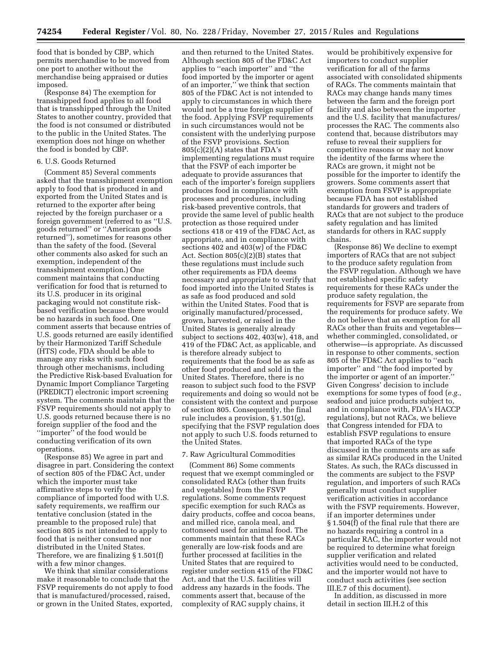food that is bonded by CBP, which permits merchandise to be moved from one port to another without the merchandise being appraised or duties imposed.

(Response 84) The exemption for transshipped food applies to all food that is transshipped through the United States to another country, provided that the food is not consumed or distributed to the public in the United States. The exemption does not hinge on whether the food is bonded by CBP.

#### 6. U.S. Goods Returned

(Comment 85) Several comments asked that the transshipment exemption apply to food that is produced in and exported from the United States and is returned to the exporter after being rejected by the foreign purchaser or a foreign government (referred to as ''U.S. goods returned'' or ''American goods returned''), sometimes for reasons other than the safety of the food. (Several other comments also asked for such an exemption, independent of the transshipment exemption.) One comment maintains that conducting verification for food that is returned to its U.S. producer in its original packaging would not constitute riskbased verification because there would be no hazards in such food. One comment asserts that because entries of U.S. goods returned are easily identified by their Harmonized Tariff Schedule (HTS) code, FDA should be able to manage any risks with such food through other mechanisms, including the Predictive Risk-based Evaluation for Dynamic Import Compliance Targeting (PREDICT) electronic import screening system. The comments maintain that the FSVP requirements should not apply to U.S. goods returned because there is no foreign supplier of the food and the "importer" of the food would be conducting verification of its own operations.

(Response 85) We agree in part and disagree in part. Considering the context of section 805 of the FD&C Act, under which the importer must take affirmative steps to verify the compliance of imported food with U.S. safety requirements, we reaffirm our tentative conclusion (stated in the preamble to the proposed rule) that section 805 is not intended to apply to food that is neither consumed nor distributed in the United States. Therefore, we are finalizing § 1.501(f) with a few minor changes.

We think that similar considerations make it reasonable to conclude that the FSVP requirements do not apply to food that is manufactured/processed, raised, or grown in the United States, exported,

and then returned to the United States. Although section 805 of the FD&C Act applies to ''each importer'' and ''the food imported by the importer or agent of an importer,'' we think that section 805 of the FD&C Act is not intended to apply to circumstances in which there would not be a true foreign supplier of the food. Applying FSVP requirements in such circumstances would not be consistent with the underlying purpose of the FSVP provisions. Section 805(c)(2)(A) states that FDA's implementing regulations must require that the FSVP of each importer be adequate to provide assurances that each of the importer's foreign suppliers produces food in compliance with processes and procedures, including risk-based preventive controls, that provide the same level of public health protection as those required under sections 418 or 419 of the FD&C Act, as appropriate, and in compliance with sections 402 and  $403(w)$  of the FD&C Act. Section 805(c)(2)(B) states that these regulations must include such other requirements as FDA deems necessary and appropriate to verify that food imported into the United States is as safe as food produced and sold within the United States. Food that is originally manufactured/processed, grown, harvested, or raised in the United States is generally already subject to sections 402, 403(w), 418, and 419 of the FD&C Act, as applicable, and is therefore already subject to requirements that the food be as safe as other food produced and sold in the United States. Therefore, there is no reason to subject such food to the FSVP requirements and doing so would not be consistent with the context and purpose of section 805. Consequently, the final rule includes a provision, § 1.501(g), specifying that the FSVP regulation does not apply to such U.S. foods returned to the United States.

#### 7. Raw Agricultural Commodities

(Comment 86) Some comments request that we exempt commingled or consolidated RACs (other than fruits and vegetables) from the FSVP regulations. Some comments request specific exemption for such RACs as dairy products, coffee and cocoa beans, and milled rice, canola meal, and cottonseed used for animal food. The comments maintain that these RACs generally are low-risk foods and are further processed at facilities in the United States that are required to register under section 415 of the FD&C Act, and that the U.S. facilities will address any hazards in the foods. The comments assert that, because of the complexity of RAC supply chains, it

would be prohibitively expensive for importers to conduct supplier verification for all of the farms associated with consolidated shipments of RACs. The comments maintain that RACs may change hands many times between the farm and the foreign port facility and also between the importer and the U.S. facility that manufactures/ processes the RAC. The comments also contend that, because distributors may refuse to reveal their suppliers for competitive reasons or may not know the identity of the farms where the RACs are grown, it might not be possible for the importer to identify the growers. Some comments assert that exemption from FSVP is appropriate because FDA has not established standards for growers and traders of RACs that are not subject to the produce safety regulation and has limited standards for others in RAC supply chains.

(Response 86) We decline to exempt importers of RACs that are not subject to the produce safety regulation from the FSVP regulation. Although we have not established specific safety requirements for these RACs under the produce safety regulation, the requirements for FSVP are separate from the requirements for produce safety. We do not believe that an exemption for all RACs other than fruits and vegetables whether commingled, consolidated, or otherwise—is appropriate. As discussed in response to other comments, section 805 of the FD&C Act applies to ''each importer'' and ''the food imported by the importer or agent of an importer.'' Given Congress' decision to include exemptions for some types of food (*e.g.*, seafood and juice products subject to, and in compliance with, FDA's HACCP regulations), but not RACs, we believe that Congress intended for FDA to establish FSVP regulations to ensure that imported RACs of the type discussed in the comments are as safe as similar RACs produced in the United States. As such, the RACs discussed in the comments are subject to the FSVP regulation, and importers of such RACs generally must conduct supplier verification activities in accordance with the FSVP requirements. However, if an importer determines under § 1.504(f) of the final rule that there are no hazards requiring a control in a particular RAC, the importer would not be required to determine what foreign supplier verification and related activities would need to be conducted, and the importer would not have to conduct such activities (see section III.E.7 of this document).

In addition, as discussed in more detail in section III.H.2 of this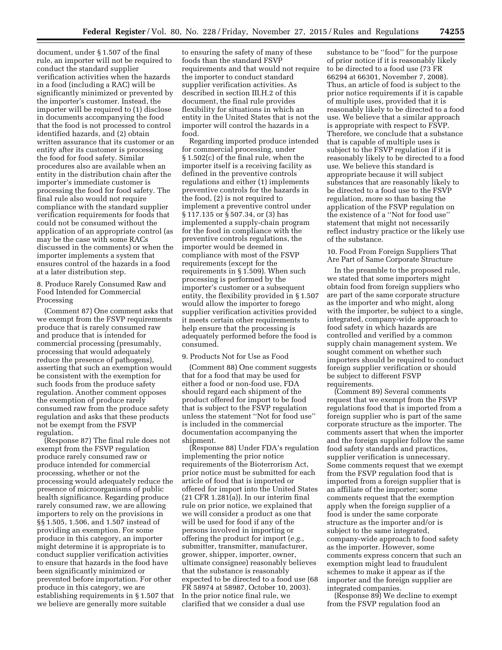document, under § 1.507 of the final rule, an importer will not be required to conduct the standard supplier verification activities when the hazards in a food (including a RAC) will be significantly minimized or prevented by the importer's customer. Instead, the importer will be required to (1) disclose in documents accompanying the food that the food is not processed to control identified hazards, and (2) obtain written assurance that its customer or an entity after its customer is processing the food for food safety. Similar procedures also are available when an entity in the distribution chain after the importer's immediate customer is processing the food for food safety. The final rule also would not require compliance with the standard supplier verification requirements for foods that could not be consumed without the application of an appropriate control (as may be the case with some RACs discussed in the comments) or when the importer implements a system that ensures control of the hazards in a food at a later distribution step.

8. Produce Rarely Consumed Raw and Food Intended for Commercial Processing

(Comment 87) One comment asks that we exempt from the FSVP requirements produce that is rarely consumed raw and produce that is intended for commercial processing (presumably, processing that would adequately reduce the presence of pathogens), asserting that such an exemption would be consistent with the exemption for such foods from the produce safety regulation. Another comment opposes the exemption of produce rarely consumed raw from the produce safety regulation and asks that these products not be exempt from the FSVP regulation.

(Response 87) The final rule does not exempt from the FSVP regulation produce rarely consumed raw or produce intended for commercial processing, whether or not the processing would adequately reduce the presence of microorganisms of public health significance. Regarding produce rarely consumed raw, we are allowing importers to rely on the provisions in §§ 1.505, 1.506, and 1.507 instead of providing an exemption. For some produce in this category, an importer might determine it is appropriate is to conduct supplier verification activities to ensure that hazards in the food have been significantly minimized or prevented before importation. For other produce in this category, we are establishing requirements in § 1.507 that we believe are generally more suitable

to ensuring the safety of many of these foods than the standard FSVP requirements and that would not require the importer to conduct standard supplier verification activities. As described in section III.H.2 of this document, the final rule provides flexibility for situations in which an entity in the United States that is not the importer will control the hazards in a food.

Regarding imported produce intended for commercial processing, under § 1.502(c) of the final rule, when the importer itself is a receiving facility as defined in the preventive controls regulations and either (1) implements preventive controls for the hazards in the food, (2) is not required to implement a preventive control under § 117.135 or § 507.34, or (3) has implemented a supply-chain program for the food in compliance with the preventive controls regulations, the importer would be deemed in compliance with most of the FSVP requirements (except for the requirements in § 1.509). When such processing is performed by the importer's customer or a subsequent entity, the flexibility provided in § 1.507 would allow the importer to forego supplier verification activities provided it meets certain other requirements to help ensure that the processing is adequately performed before the food is consumed.

#### 9. Products Not for Use as Food

(Comment 88) One comment suggests that for a food that may be used for either a food or non-food use, FDA should regard each shipment of the product offered for import to be food that is subject to the FSVP regulation unless the statement ''Not for food use'' is included in the commercial documentation accompanying the shipment.

(Response 88) Under FDA's regulation implementing the prior notice requirements of the Bioterrorism Act, prior notice must be submitted for each article of food that is imported or offered for import into the United States (21 CFR 1.281(a)). In our interim final rule on prior notice, we explained that we will consider a product as one that will be used for food if any of the persons involved in importing or offering the product for import (*e.g.*, submitter, transmitter, manufacturer, grower, shipper, importer, owner, ultimate consignee) reasonably believes that the substance is reasonably expected to be directed to a food use (68 FR 58974 at 58987, October 10, 2003). In the prior notice final rule, we clarified that we consider a dual use

substance to be ''food'' for the purpose of prior notice if it is reasonably likely to be directed to a food use (73 FR 66294 at 66301, November 7, 2008). Thus, an article of food is subject to the prior notice requirements if it is capable of multiple uses, provided that it is reasonably likely to be directed to a food use. We believe that a similar approach is appropriate with respect to FSVP. Therefore, we conclude that a substance that is capable of multiple uses is subject to the FSVP regulation if it is reasonably likely to be directed to a food use. We believe this standard is appropriate because it will subject substances that are reasonably likely to be directed to a food use to the FSVP regulation, more so than basing the application of the FSVP regulation on the existence of a ''Not for food use'' statement that might not necessarily reflect industry practice or the likely use of the substance.

10. Food From Foreign Suppliers That Are Part of Same Corporate Structure

In the preamble to the proposed rule, we stated that some importers might obtain food from foreign suppliers who are part of the same corporate structure as the importer and who might, along with the importer, be subject to a single, integrated, company-wide approach to food safety in which hazards are controlled and verified by a common supply chain management system. We sought comment on whether such importers should be required to conduct foreign supplier verification or should be subject to different FSVP requirements.

(Comment 89) Several comments request that we exempt from the FSVP regulations food that is imported from a foreign supplier who is part of the same corporate structure as the importer. The comments assert that when the importer and the foreign supplier follow the same food safety standards and practices, supplier verification is unnecessary. Some comments request that we exempt from the FSVP regulation food that is imported from a foreign supplier that is an affiliate of the importer; some comments request that the exemption apply when the foreign supplier of a food is under the same corporate structure as the importer and/or is subject to the same integrated, company-wide approach to food safety as the importer. However, some comments express concern that such an exemption might lead to fraudulent schemes to make it appear as if the importer and the foreign supplier are integrated companies.

(Response 89) We decline to exempt from the FSVP regulation food an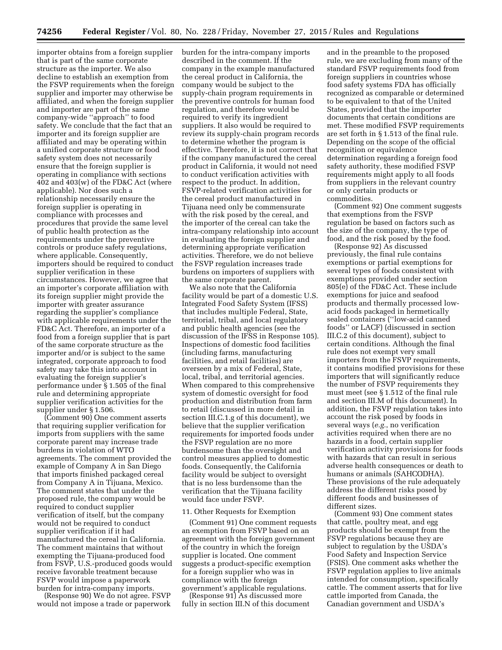importer obtains from a foreign supplier that is part of the same corporate structure as the importer. We also decline to establish an exemption from the FSVP requirements when the foreign supplier and importer may otherwise be affiliated, and when the foreign supplier and importer are part of the same company-wide ''approach'' to food safety. We conclude that the fact that an importer and its foreign supplier are affiliated and may be operating within a unified corporate structure or food safety system does not necessarily ensure that the foreign supplier is operating in compliance with sections 402 and 403(w) of the FD&C Act (where applicable). Nor does such a relationship necessarily ensure the foreign supplier is operating in compliance with processes and procedures that provide the same level of public health protection as the requirements under the preventive controls or produce safety regulations, where applicable. Consequently, importers should be required to conduct supplier verification in these circumstances. However, we agree that an importer's corporate affiliation with its foreign supplier might provide the importer with greater assurance regarding the supplier's compliance with applicable requirements under the FD&C Act. Therefore, an importer of a food from a foreign supplier that is part of the same corporate structure as the importer and/or is subject to the same integrated, corporate approach to food safety may take this into account in evaluating the foreign supplier's performance under § 1.505 of the final rule and determining appropriate supplier verification activities for the supplier under § 1.506.

(Comment 90) One comment asserts that requiring supplier verification for imports from suppliers with the same corporate parent may increase trade burdens in violation of WTO agreements. The comment provided the example of Company A in San Diego that imports finished packaged cereal from Company A in Tijuana, Mexico. The comment states that under the proposed rule, the company would be required to conduct supplier verification of itself, but the company would not be required to conduct supplier verification if it had manufactured the cereal in California. The comment maintains that without exempting the Tijuana-produced food from FSVP, U.S.-produced goods would receive favorable treatment because FSVP would impose a paperwork burden for intra-company imports.

(Response 90) We do not agree. FSVP would not impose a trade or paperwork burden for the intra-company imports described in the comment. If the company in the example manufactured the cereal product in California, the company would be subject to the supply-chain program requirements in the preventive controls for human food regulation, and therefore would be required to verify its ingredient suppliers. It also would be required to review its supply-chain program records to determine whether the program is effective. Therefore, it is not correct that if the company manufactured the cereal product in California, it would not need to conduct verification activities with respect to the product. In addition, FSVP-related verification activities for the cereal product manufactured in Tijuana need only be commensurate with the risk posed by the cereal, and the importer of the cereal can take the intra-company relationship into account in evaluating the foreign supplier and determining appropriate verification activities. Therefore, we do not believe the FSVP regulation increases trade burdens on importers of suppliers with the same corporate parent.

We also note that the California facility would be part of a domestic U.S. Integrated Food Safety System (IFSS) that includes multiple Federal, State, territorial, tribal, and local regulatory and public health agencies (see the discussion of the IFSS in Response 105). Inspections of domestic food facilities (including farms, manufacturing facilities, and retail facilities) are overseen by a mix of Federal, State, local, tribal, and territorial agencies. When compared to this comprehensive system of domestic oversight for food production and distribution from farm to retail (discussed in more detail in section III.C.1.g of this document), we believe that the supplier verification requirements for imported foods under the FSVP regulation are no more burdensome than the oversight and control measures applied to domestic foods. Consequently, the California facility would be subject to oversight that is no less burdensome than the verification that the Tijuana facility would face under FSVP.

#### 11. Other Requests for Exemption

(Comment 91) One comment requests an exemption from FSVP based on an agreement with the foreign government of the country in which the foreign supplier is located. One comment suggests a product-specific exemption for a foreign supplier who was in compliance with the foreign government's applicable regulations.

(Response 91) As discussed more fully in section III.N of this document

and in the preamble to the proposed rule, we are excluding from many of the standard FSVP requirements food from foreign suppliers in countries whose food safety systems FDA has officially recognized as comparable or determined to be equivalent to that of the United States, provided that the importer documents that certain conditions are met. These modified FSVP requirements are set forth in § 1.513 of the final rule. Depending on the scope of the official recognition or equivalence determination regarding a foreign food safety authority, these modified FSVP requirements might apply to all foods from suppliers in the relevant country or only certain products or commodities.

(Comment 92) One comment suggests that exemptions from the FSVP regulation be based on factors such as the size of the company, the type of food, and the risk posed by the food.

(Response 92) As discussed previously, the final rule contains exemptions or partial exemptions for several types of foods consistent with exemptions provided under section 805(e) of the FD&C Act. These include exemptions for juice and seafood products and thermally processed lowacid foods packaged in hermetically sealed containers (''low-acid canned foods'' or LACF) (discussed in section III.C.2 of this document), subject to certain conditions. Although the final rule does not exempt very small importers from the FSVP requirements, it contains modified provisions for these importers that will significantly reduce the number of FSVP requirements they must meet (see § 1.512 of the final rule and section III.M of this document). In addition, the FSVP regulation takes into account the risk posed by foods in several ways (*e.g.*, no verification activities required when there are no hazards in a food, certain supplier verification activity provisions for foods with hazards that can result in serious adverse health consequences or death to humans or animals (SAHCODHA). These provisions of the rule adequately address the different risks posed by different foods and businesses of different sizes.

(Comment 93) One comment states that cattle, poultry meat, and egg products should be exempt from the FSVP regulations because they are subject to regulation by the USDA's Food Safety and Inspection Service (FSIS). One comment asks whether the FSVP regulation applies to live animals intended for consumption, specifically cattle. The comment asserts that for live cattle imported from Canada, the Canadian government and USDA's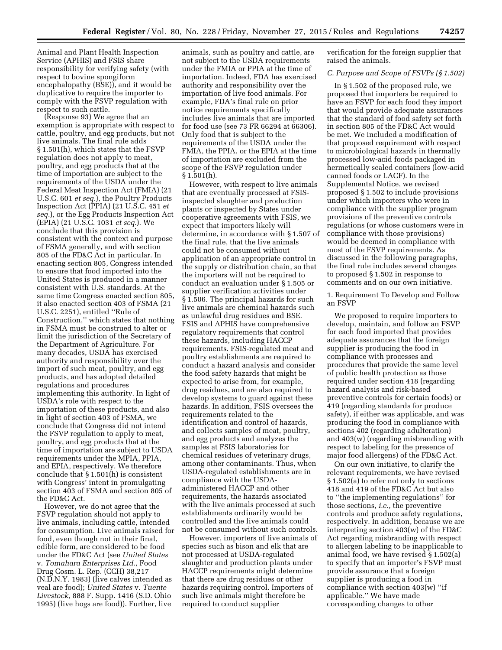Animal and Plant Health Inspection Service (APHIS) and FSIS share responsibility for verifying safety (with respect to bovine spongiform encephalopathy (BSE)), and it would be duplicative to require the importer to comply with the FSVP regulation with respect to such cattle.

(Response 93) We agree that an exemption is appropriate with respect to cattle, poultry, and egg products, but not live animals. The final rule adds § 1.501(h), which states that the FSVP regulation does not apply to meat, poultry, and egg products that at the time of importation are subject to the requirements of the USDA under the Federal Meat Inspection Act (FMIA) (21 U.S.C. 601 *et seq.*), the Poultry Products Inspection Act (PPIA) (21 U.S.C. 451 *et seq.*), or the Egg Products Inspection Act (EPIA) (21 U.S.C. 1031 *et seq.*). We conclude that this provision is consistent with the context and purpose of FSMA generally, and with section 805 of the FD&C Act in particular. In enacting section 805, Congress intended to ensure that food imported into the United States is produced in a manner consistent with U.S. standards. At the same time Congress enacted section 805, it also enacted section 403 of FSMA (21 U.S.C. 2251), entitled ''Rule of Construction,'' which states that nothing in FSMA must be construed to alter or limit the jurisdiction of the Secretary of the Department of Agriculture. For many decades, USDA has exercised authority and responsibility over the import of such meat, poultry, and egg products, and has adopted detailed regulations and procedures implementing this authority. In light of USDA's role with respect to the importation of these products, and also in light of section 403 of FSMA, we conclude that Congress did not intend the FSVP regulation to apply to meat, poultry, and egg products that at the time of importation are subject to USDA requirements under the MPIA, PPIA, and EPIA, respectively. We therefore conclude that § 1.501(h) is consistent with Congress' intent in promulgating section 403 of FSMA and section 805 of the FD&C Act.

However, we do not agree that the FSVP regulation should not apply to live animals, including cattle, intended for consumption. Live animals raised for food, even though not in their final, edible form, are considered to be food under the FD&C Act (see *United States*  v. *Tomahara Enterprises Ltd.*, Food Drug Cosm. L. Rep. (CCH) 38,217 (N.D.N.Y. 1983) (live calves intended as veal are food); *United States* v. *Tuente Livestock,* 888 F. Supp. 1416 (S.D. Ohio 1995) (live hogs are food)). Further, live

animals, such as poultry and cattle, are not subject to the USDA requirements under the FMIA or PPIA at the time of importation. Indeed, FDA has exercised authority and responsibility over the importation of live food animals. For example, FDA's final rule on prior notice requirements specifically includes live animals that are imported for food use (see 73 FR 66294 at 66306). Only food that is subject to the requirements of the USDA under the FMIA, the PPIA, or the EPIA at the time of importation are excluded from the scope of the FSVP regulation under § 1.501(h).

However, with respect to live animals that are eventually processed at FSISinspected slaughter and production plants or inspected by States under cooperative agreements with FSIS, we expect that importers likely will determine, in accordance with § 1.507 of the final rule, that the live animals could not be consumed without application of an appropriate control in the supply or distribution chain, so that the importers will not be required to conduct an evaluation under § 1.505 or supplier verification activities under § 1.506. The principal hazards for such live animals are chemical hazards such as unlawful drug residues and BSE. FSIS and APHIS have comprehensive regulatory requirements that control these hazards, including HACCP requirements. FSIS-regulated meat and poultry establishments are required to conduct a hazard analysis and consider the food safety hazards that might be expected to arise from, for example, drug residues, and are also required to develop systems to guard against these hazards. In addition, FSIS oversees the requirements related to the identification and control of hazards, and collects samples of meat, poultry, and egg products and analyzes the samples at FSIS laboratories for chemical residues of veterinary drugs, among other contaminants. Thus, when USDA-regulated establishments are in compliance with the USDAadministered HACCP and other requirements, the hazards associated with the live animals processed at such establishments ordinarily would be controlled and the live animals could not be consumed without such controls.

However, importers of live animals of species such as bison and elk that are not processed at USDA-regulated slaughter and production plants under HACCP requirements might determine that there are drug residues or other hazards requiring control. Importers of such live animals might therefore be required to conduct supplier

verification for the foreign supplier that raised the animals.

#### *C. Purpose and Scope of FSVPs (§ 1.502)*

In § 1.502 of the proposed rule, we proposed that importers be required to have an FSVP for each food they import that would provide adequate assurances that the standard of food safety set forth in section 805 of the FD&C Act would be met. We included a modification of that proposed requirement with respect to microbiological hazards in thermally processed low-acid foods packaged in hermetically sealed containers (low-acid canned foods or LACF). In the Supplemental Notice, we revised proposed § 1.502 to include provisions under which importers who were in compliance with the supplier program provisions of the preventive controls regulations (or whose customers were in compliance with those provisions) would be deemed in compliance with most of the FSVP requirements. As discussed in the following paragraphs, the final rule includes several changes to proposed § 1.502 in response to comments and on our own initiative.

1. Requirement To Develop and Follow an FSVP

We proposed to require importers to develop, maintain, and follow an FSVP for each food imported that provides adequate assurances that the foreign supplier is producing the food in compliance with processes and procedures that provide the same level of public health protection as those required under section 418 (regarding hazard analysis and risk-based preventive controls for certain foods) or 419 (regarding standards for produce safety), if either was applicable, and was producing the food in compliance with sections 402 (regarding adulteration) and 403(w) (regarding misbranding with respect to labeling for the presence of major food allergens) of the FD&C Act.

On our own initiative, to clarify the relevant requirements, we have revised § 1.502(a) to refer not only to sections 418 and 419 of the FD&C Act but also to ''the implementing regulations'' for those sections, *i.e.*, the preventive controls and produce safety regulations, respectively. In addition, because we are interpreting section 403(w) of the FD&C Act regarding misbranding with respect to allergen labeling to be inapplicable to animal food, we have revised § 1.502(a) to specify that an importer's FSVP must provide assurance that a foreign supplier is producing a food in compliance with section 403(w) ''if applicable.'' We have made corresponding changes to other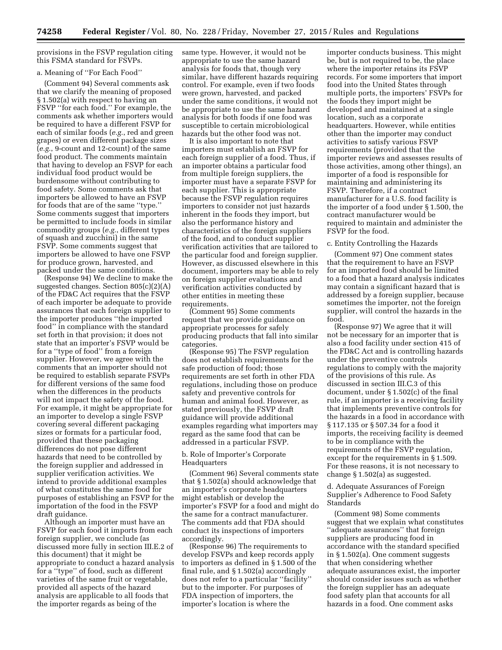provisions in the FSVP regulation citing this FSMA standard for FSVPs.

#### a. Meaning of ''For Each Food''

(Comment 94) Several comments ask that we clarify the meaning of proposed § 1.502(a) with respect to having an FSVP ''for each food.'' For example, the comments ask whether importers would be required to have a different FSVP for each of similar foods (*e.g.*, red and green grapes) or even different package sizes (*e.g.*, 9-count and 12-count) of the same food product. The comments maintain that having to develop an FSVP for each individual food product would be burdensome without contributing to food safety. Some comments ask that importers be allowed to have an FSVP for foods that are of the same ''type.'' Some comments suggest that importers be permitted to include foods in similar commodity groups (*e.g.*, different types of squash and zucchini) in the same FSVP. Some comments suggest that importers be allowed to have one FSVP for produce grown, harvested, and packed under the same conditions.

(Response 94) We decline to make the suggested changes. Section 805(c)(2)(A) of the FD&C Act requires that the FSVP of each importer be adequate to provide assurances that each foreign supplier to the importer produces ''the imported food'' in compliance with the standard set forth in that provision; it does not state that an importer's FSVP would be for a ''type of food'' from a foreign supplier. However, we agree with the comments that an importer should not be required to establish separate FSVPs for different versions of the same food when the differences in the products will not impact the safety of the food. For example, it might be appropriate for an importer to develop a single FSVP covering several different packaging sizes or formats for a particular food, provided that these packaging differences do not pose different hazards that need to be controlled by the foreign supplier and addressed in supplier verification activities. We intend to provide additional examples of what constitutes the same food for purposes of establishing an FSVP for the importation of the food in the FSVP draft guidance.

Although an importer must have an FSVP for each food it imports from each foreign supplier, we conclude (as discussed more fully in section III.E.2 of this document) that it might be appropriate to conduct a hazard analysis for a ''type'' of food, such as different varieties of the same fruit or vegetable, provided all aspects of the hazard analysis are applicable to all foods that the importer regards as being of the

same type. However, it would not be appropriate to use the same hazard analysis for foods that, though very similar, have different hazards requiring control. For example, even if two foods were grown, harvested, and packed under the same conditions, it would not be appropriate to use the same hazard analysis for both foods if one food was susceptible to certain microbiological hazards but the other food was not.

It is also important to note that importers must establish an FSVP for each foreign supplier of a food. Thus, if an importer obtains a particular food from multiple foreign suppliers, the importer must have a separate FSVP for each supplier. This is appropriate because the FSVP regulation requires importers to consider not just hazards inherent in the foods they import, but also the performance history and characteristics of the foreign suppliers of the food, and to conduct supplier verification activities that are tailored to the particular food and foreign supplier. However, as discussed elsewhere in this document, importers may be able to rely on foreign supplier evaluations and verification activities conducted by other entities in meeting these requirements.

(Comment 95) Some comments request that we provide guidance on appropriate processes for safely producing products that fall into similar categories.

(Response 95) The FSVP regulation does not establish requirements for the safe production of food; those requirements are set forth in other FDA regulations, including those on produce safety and preventive controls for human and animal food. However, as stated previously, the FSVP draft guidance will provide additional examples regarding what importers may regard as the same food that can be addressed in a particular FSVP.

#### b. Role of Importer's Corporate Headquarters

(Comment 96) Several comments state that § 1.502(a) should acknowledge that an importer's corporate headquarters might establish or develop the importer's FSVP for a food and might do the same for a contract manufacturer. The comments add that FDA should conduct its inspections of importers accordingly.

(Response 96) The requirements to develop FSVPs and keep records apply to importers as defined in § 1.500 of the final rule, and § 1.502(a) accordingly does not refer to a particular ''facility'' but to the importer. For purposes of FDA inspection of importers, the importer's location is where the

importer conducts business. This might be, but is not required to be, the place where the importer retains its FSVP records. For some importers that import food into the United States through multiple ports, the importers' FSVPs for the foods they import might be developed and maintained at a single location, such as a corporate headquarters. However, while entities other than the importer may conduct activities to satisfy various FSVP requirements (provided that the importer reviews and assesses results of those activities, among other things), an importer of a food is responsible for maintaining and administering its FSVP. Therefore, if a contract manufacturer for a U.S. food facility is the importer of a food under § 1.500, the contract manufacturer would be required to maintain and administer the FSVP for the food.

#### c. Entity Controlling the Hazards

(Comment 97) One comment states that the requirement to have an FSVP for an imported food should be limited to a food that a hazard analysis indicates may contain a significant hazard that is addressed by a foreign supplier, because sometimes the importer, not the foreign supplier, will control the hazards in the food.

(Response 97) We agree that it will not be necessary for an importer that is also a food facility under section 415 of the FD&C Act and is controlling hazards under the preventive controls regulations to comply with the majority of the provisions of this rule. As discussed in section III.C.3 of this document, under § 1.502(c) of the final rule, if an importer is a receiving facility that implements preventive controls for the hazards in a food in accordance with § 117.135 or § 507.34 for a food it imports, the receiving facility is deemed to be in compliance with the requirements of the FSVP regulation, except for the requirements in § 1.509. For these reasons, it is not necessary to change § 1.502(a) as suggested.

#### d. Adequate Assurances of Foreign Supplier's Adherence to Food Safety Standards

(Comment 98) Some comments suggest that we explain what constitutes ''adequate assurances'' that foreign suppliers are producing food in accordance with the standard specified in § 1.502(a). One comment suggests that when considering whether adequate assurances exist, the importer should consider issues such as whether the foreign supplier has an adequate food safety plan that accounts for all hazards in a food. One comment asks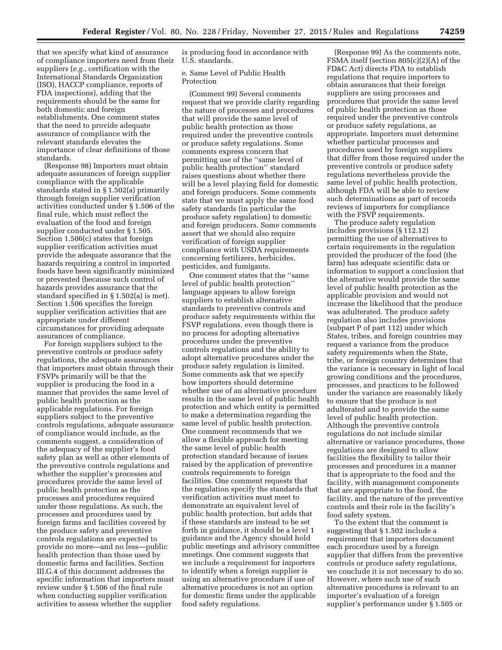that we specify what kind of assurance of compliance importers need from their suppliers (*e.g.*, certification with the International Standards Organization (ISO), HACCP compliance, reports of FDA inspections), adding that the requirements should be the same for both domestic and foreign establishments. One comment states that the need to provide adequate assurance of compliance with the relevant standards elevates the importance of clear definitions of those standards.

(Response 98) Importers must obtain adequate assurances of foreign supplier compliance with the applicable standards stated in § 1.502(a) primarily through foreign supplier verification activities conducted under § 1.506 of the final rule, which must reflect the evaluation of the food and foreign supplier conducted under § 1.505. Section 1.506(c) states that foreign supplier verification activities must provide the adequate assurance that the hazards requiring a control in imported foods have been significantly minimized or prevented (because such control of hazards provides assurance that the standard specified in § 1.502(a) is met). Section 1.506 specifies the foreign supplier verification activities that are appropriate under different circumstances for providing adequate assurances of compliance.

For foreign suppliers subject to the preventive controls or produce safety regulations, the adequate assurances that importers must obtain through their FSVPs primarily will be that the supplier is producing the food in a manner that provides the same level of public health protection as the applicable regulations. For foreign suppliers subject to the preventive controls regulations, adequate assurance of compliance would include, as the comments suggest, a consideration of the adequacy of the supplier's food safety plan as well as other elements of the preventive controls regulations and whether the supplier's processes and procedures provide the same level of public health protection as the processes and procedures required under those regulations. As such, the processes and procedures used by foreign farms and facilities covered by the produce safety and preventive controls regulations are expected to provide no more—and no less—public health protection than those used by domestic farms and facilities. Section III.G.4 of this document addresses the specific information that importers must review under § 1.506 of the final rule when conducting supplier verification activities to assess whether the supplier

is producing food in accordance with U.S. standards.

e. Same Level of Public Health Protection

(Comment 99) Several comments request that we provide clarity regarding the nature of processes and procedures that will provide the same level of public health protection as those required under the preventive controls or produce safety regulations. Some comments express concern that permitting use of the ''same level of public health protection'' standard raises questions about whether there will be a level playing field for domestic and foreign producers. Some comments state that we must apply the same food safety standards (in particular the produce safety regulation) to domestic and foreign producers. Some comments assert that we should also require verification of foreign supplier compliance with USDA requirements concerning fertilizers, herbicides, pesticides, and fumigants.

One comment states that the ''same level of public health protection'' language appears to allow foreign suppliers to establish alternative standards to preventive controls and produce safety requirements within the FSVP regulations, even though there is no process for adopting alternative procedures under the preventive controls regulations and the ability to adopt alternative procedures under the produce safety regulation is limited. Some comments ask that we specify how importers should determine whether use of an alternative procedure results in the same level of public health protection and which entity is permitted to make a determination regarding the same level of public health protection. One comment recommends that we allow a flexible approach for meeting the same level of public health protection standard because of issues raised by the application of preventive controls requirements to foreign facilities. One comment requests that the regulation specify the standards that verification activities must meet to demonstrate an equivalent level of public health protection, but adds that if these standards are instead to be set forth in guidance, it should be a level 1 guidance and the Agency should hold public meetings and advisory committee meetings. One comment suggests that we include a requirement for importers to identify when a foreign supplier is using an alternative procedure if use of alternative procedures is not an option for domestic firms under the applicable food safety regulations.

(Response 99) As the comments note, FSMA itself (section 805(c)(2)(A) of the FD&C Act) directs FDA to establish regulations that require importers to obtain assurances that their foreign suppliers are using processes and procedures that provide the same level of public health protection as those required under the preventive controls or produce safety regulations, as appropriate. Importers must determine whether particular processes and procedures used by foreign suppliers that differ from those required under the preventive controls or produce safety regulations nevertheless provide the same level of public health protection, although FDA will be able to review such determinations as part of records reviews of importers for compliance with the FSVP requirements.

The produce safety regulation includes provisions (§ 112.12) permitting the use of alternatives to certain requirements in the regulation provided the producer of the food (the farm) has adequate scientific data or information to support a conclusion that the alternative would provide the same level of public health protection as the applicable provision and would not increase the likelihood that the produce was adulterated. The produce safety regulation also includes provisions (subpart P of part 112) under which States, tribes, and foreign countries may request a variance from the produce safety requirements when the State, tribe, or foreign country determines that the variance is necessary in light of local growing conditions and the procedures, processes, and practices to be followed under the variance are reasonably likely to ensure that the produce is not adulterated and to provide the same level of public health protection. Although the preventive controls regulations do not include similar alternative or variance procedures, those regulations are designed to allow facilities the flexibility to tailor their processes and procedures in a manner that is appropriate to the food and the facility, with management components that are appropriate to the food, the facility, and the nature of the preventive controls and their role in the facility's food safety system.

To the extent that the comment is suggesting that § 1.502 include a requirement that importers document each procedure used by a foreign supplier that differs from the preventive controls or produce safety regulations, we conclude it is not necessary to do so. However, where such use of such alternative procedures is relevant to an importer's evaluation of a foreign supplier's performance under § 1.505 or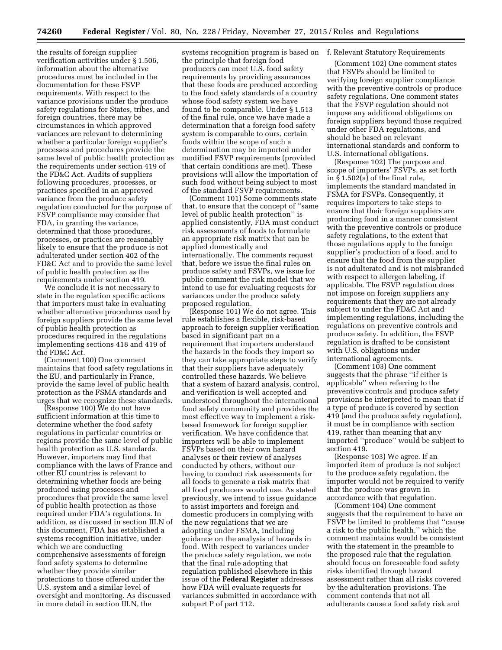the results of foreign supplier verification activities under § 1.506, information about the alternative procedures must be included in the documentation for these FSVP requirements. With respect to the variance provisions under the produce safety regulations for States, tribes, and foreign countries, there may be circumstances in which approved variances are relevant to determining whether a particular foreign supplier's processes and procedures provide the same level of public health protection as the requirements under section 419 of the FD&C Act. Audits of suppliers following procedures, processes, or practices specified in an approved variance from the produce safety regulation conducted for the purpose of FSVP compliance may consider that FDA, in granting the variance, determined that those procedures, processes, or practices are reasonably likely to ensure that the produce is not adulterated under section 402 of the FD&C Act and to provide the same level of public health protection as the requirements under section 419.

We conclude it is not necessary to state in the regulation specific actions that importers must take in evaluating whether alternative procedures used by foreign suppliers provide the same level of public health protection as procedures required in the regulations implementing sections 418 and 419 of the FD&C Act.

(Comment 100) One comment maintains that food safety regulations in the EU, and particularly in France, provide the same level of public health protection as the FSMA standards and urges that we recognize these standards.

(Response 100) We do not have sufficient information at this time to determine whether the food safety regulations in particular countries or regions provide the same level of public health protection as U.S. standards. However, importers may find that compliance with the laws of France and other EU countries is relevant to determining whether foods are being produced using processes and procedures that provide the same level of public health protection as those required under FDA's regulations. In addition, as discussed in section III.N of this document, FDA has established a systems recognition initiative, under which we are conducting comprehensive assessments of foreign food safety systems to determine whether they provide similar protections to those offered under the U.S. system and a similar level of oversight and monitoring. As discussed in more detail in section III.N, the

systems recognition program is based on f. Relevant Statutory Requirements the principle that foreign food producers can meet U.S. food safety requirements by providing assurances that these foods are produced according to the food safety standards of a country whose food safety system we have found to be comparable. Under § 1.513 of the final rule, once we have made a determination that a foreign food safety system is comparable to ours, certain foods within the scope of such a determination may be imported under modified FSVP requirements (provided that certain conditions are met). These provisions will allow the importation of such food without being subject to most of the standard FSVP requirements.

(Comment 101) Some comments state that, to ensure that the concept of ''same level of public health protection'' is applied consistently, FDA must conduct risk assessments of foods to formulate an appropriate risk matrix that can be applied domestically and internationally. The comments request that, before we issue the final rules on produce safety and FSVPs, we issue for public comment the risk model that we intend to use for evaluating requests for variances under the produce safety proposed regulation.

(Response 101) We do not agree. This rule establishes a flexible, risk-based approach to foreign supplier verification based in significant part on a requirement that importers understand the hazards in the foods they import so they can take appropriate steps to verify that their suppliers have adequately controlled these hazards. We believe that a system of hazard analysis, control, and verification is well accepted and understood throughout the international food safety community and provides the most effective way to implement a riskbased framework for foreign supplier verification. We have confidence that importers will be able to implement FSVPs based on their own hazard analyses or their review of analyses conducted by others, without our having to conduct risk assessments for all foods to generate a risk matrix that all food producers would use. As stated previously, we intend to issue guidance to assist importers and foreign and domestic producers in complying with the new regulations that we are adopting under FSMA, including guidance on the analysis of hazards in food. With respect to variances under the produce safety regulation, we note that the final rule adopting that regulation published elsewhere in this issue of the **Federal Register** addresses how FDA will evaluate requests for variances submitted in accordance with subpart P of part 112.

(Comment 102) One comment states that FSVPs should be limited to verifying foreign supplier compliance with the preventive controls or produce safety regulations. One comment states that the FSVP regulation should not impose any additional obligations on foreign suppliers beyond those required under other FDA regulations, and should be based on relevant international standards and conform to U.S. international obligations.

(Response 102) The purpose and scope of importers' FSVPs, as set forth in § 1.502(a) of the final rule, implements the standard mandated in FSMA for FSVPs. Consequently, it requires importers to take steps to ensure that their foreign suppliers are producing food in a manner consistent with the preventive controls or produce safety regulations, to the extent that those regulations apply to the foreign supplier's production of a food, and to ensure that the food from the supplier is not adulterated and is not misbranded with respect to allergen labeling, if applicable. The FSVP regulation does not impose on foreign suppliers any requirements that they are not already subject to under the FD&C Act and implementing regulations, including the regulations on preventive controls and produce safety. In addition, the FSVP regulation is drafted to be consistent with U.S. obligations under international agreements.

(Comment 103) One comment suggests that the phrase ''if either is applicable'' when referring to the preventive controls and produce safety provisions be interpreted to mean that if a type of produce is covered by section 419 (and the produce safety regulation), it must be in compliance with section 419, rather than meaning that any imported ''produce'' would be subject to section 419.

(Response 103) We agree. If an imported item of produce is not subject to the produce safety regulation, the importer would not be required to verify that the produce was grown in accordance with that regulation.

(Comment 104) One comment suggests that the requirement to have an FSVP be limited to problems that ''cause a risk to the public health,'' which the comment maintains would be consistent with the statement in the preamble to the proposed rule that the regulation should focus on foreseeable food safety risks identified through hazard assessment rather than all risks covered by the adulteration provisions. The comment contends that not all adulterants cause a food safety risk and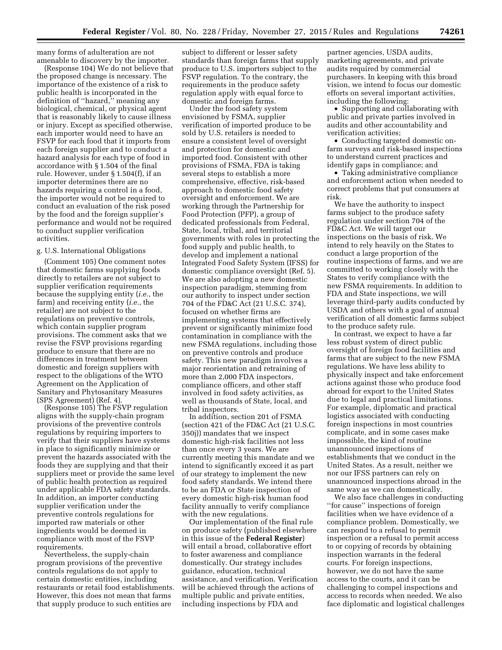many forms of adulteration are not amenable to discovery by the importer.

(Response 104) We do not believe that the proposed change is necessary. The importance of the existence of a risk to public health is incorporated in the definition of ''hazard,'' meaning any biological, chemical, or physical agent that is reasonably likely to cause illness or injury. Except as specified otherwise, each importer would need to have an FSVP for each food that it imports from each foreign supplier and to conduct a hazard analysis for each type of food in accordance with § 1.504 of the final rule. However, under § 1.504(f), if an importer determines there are no hazards requiring a control in a food, the importer would not be required to conduct an evaluation of the risk posed by the food and the foreign supplier's performance and would not be required to conduct supplier verification activities.

### g. U.S. International Obligations

(Comment 105) One comment notes that domestic farms supplying foods directly to retailers are not subject to supplier verification requirements because the supplying entity (*i.e.*, the farm) and receiving entity (*i.e.*, the retailer) are not subject to the regulations on preventive controls, which contain supplier program provisions. The comment asks that we revise the FSVP provisions regarding produce to ensure that there are no differences in treatment between domestic and foreign suppliers with respect to the obligations of the WTO Agreement on the Application of Sanitary and Phytosanitary Measures (SPS Agreement) (Ref. 4).

(Response 105) The FSVP regulation aligns with the supply-chain program provisions of the preventive controls regulations by requiring importers to verify that their suppliers have systems in place to significantly minimize or prevent the hazards associated with the foods they are supplying and that their suppliers meet or provide the same level of public health protection as required under applicable FDA safety standards. In addition, an importer conducting supplier verification under the preventive controls regulations for imported raw materials or other ingredients would be deemed in compliance with most of the FSVP requirements.

Nevertheless, the supply-chain program provisions of the preventive controls regulations do not apply to certain domestic entities, including restaurants or retail food establishments. However, this does not mean that farms that supply produce to such entities are

subject to different or lesser safety standards than foreign farms that supply produce to U.S. importers subject to the FSVP regulation. To the contrary, the requirements in the produce safety regulation apply with equal force to domestic and foreign farms.

Under the food safety system envisioned by FSMA, supplier verification of imported produce to be sold by U.S. retailers is needed to ensure a consistent level of oversight and protection for domestic and imported food. Consistent with other provisions of FSMA, FDA is taking several steps to establish a more comprehensive, effective, risk-based approach to domestic food safety oversight and enforcement. We are working through the Partnership for Food Protection (PFP), a group of dedicated professionals from Federal, State, local, tribal, and territorial governments with roles in protecting the food supply and public health, to develop and implement a national Integrated Food Safety System (IFSS) for domestic compliance oversight (Ref. 5). We are also adopting a new domestic inspection paradigm, stemming from our authority to inspect under section 704 of the FD&C Act (21 U.S.C. 374), focused on whether firms are implementing systems that effectively prevent or significantly minimize food contamination in compliance with the new FSMA regulations, including those on preventive controls and produce safety. This new paradigm involves a major reorientation and retraining of more than 2,000 FDA inspectors, compliance officers, and other staff involved in food safety activities, as well as thousands of State, local, and tribal inspectors.

In addition, section 201 of FSMA (section 421 of the FD&C Act (21 U.S.C. 350j)) mandates that we inspect domestic high-risk facilities not less than once every 3 years. We are currently meeting this mandate and we intend to significantly exceed it as part of our strategy to implement the new food safety standards. We intend there to be an FDA or State inspection of every domestic high-risk human food facility annually to verify compliance with the new regulations.

Our implementation of the final rule on produce safety (published elsewhere in this issue of the **Federal Register**) will entail a broad, collaborative effort to foster awareness and compliance domestically. Our strategy includes guidance, education, technical assistance, and verification. Verification will be achieved through the actions of multiple public and private entities, including inspections by FDA and

partner agencies, USDA audits, marketing agreements, and private audits required by commercial purchasers. In keeping with this broad vision, we intend to focus our domestic efforts on several important activities, including the following:

• Supporting and collaborating with public and private parties involved in audits and other accountability and verification activities;

• Conducting targeted domestic onfarm surveys and risk-based inspections to understand current practices and identify gaps in compliance; and

• Taking administrative compliance and enforcement action when needed to correct problems that put consumers at risk.

We have the authority to inspect farms subject to the produce safety regulation under section 704 of the FD&C Act. We will target our inspections on the basis of risk. We intend to rely heavily on the States to conduct a large proportion of the routine inspections of farms, and we are committed to working closely with the States to verify compliance with the new FSMA requirements. In addition to FDA and State inspections, we will leverage third-party audits conducted by USDA and others with a goal of annual verification of all domestic farms subject to the produce safety rule.

In contrast, we expect to have a far less robust system of direct public oversight of foreign food facilities and farms that are subject to the new FSMA regulations. We have less ability to physically inspect and take enforcement actions against those who produce food abroad for export to the United States due to legal and practical limitations. For example, diplomatic and practical logistics associated with conducting foreign inspections in most countries complicate, and in some cases make impossible, the kind of routine unannounced inspections of establishments that we conduct in the United States. As a result, neither we nor our IFSS partners can rely on unannounced inspections abroad in the same way as we can domestically.

We also face challenges in conducting ''for cause'' inspections of foreign facilities when we have evidence of a compliance problem. Domestically, we can respond to a refusal to permit inspection or a refusal to permit access to or copying of records by obtaining inspection warrants in the federal courts. For foreign inspections, however, we do not have the same access to the courts, and it can be challenging to compel inspections and access to records when needed. We also face diplomatic and logistical challenges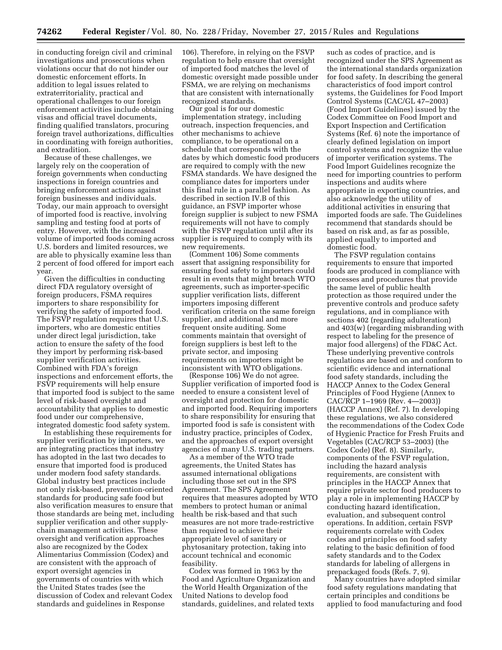in conducting foreign civil and criminal investigations and prosecutions when violations occur that do not hinder our domestic enforcement efforts. In addition to legal issues related to extraterritoriality, practical and operational challenges to our foreign enforcement activities include obtaining visas and official travel documents, finding qualified translators, procuring foreign travel authorizations, difficulties in coordinating with foreign authorities, and extradition.

Because of these challenges, we largely rely on the cooperation of foreign governments when conducting inspections in foreign countries and bringing enforcement actions against foreign businesses and individuals. Today, our main approach to oversight of imported food is reactive, involving sampling and testing food at ports of entry. However, with the increased volume of imported foods coming across U.S. borders and limited resources, we are able to physically examine less than 2 percent of food offered for import each year.

Given the difficulties in conducting direct FDA regulatory oversight of foreign producers, FSMA requires importers to share responsibility for verifying the safety of imported food. The FSVP regulation requires that U.S. importers, who are domestic entities under direct legal jurisdiction, take action to ensure the safety of the food they import by performing risk-based supplier verification activities. Combined with FDA's foreign inspections and enforcement efforts, the FSVP requirements will help ensure that imported food is subject to the same level of risk-based oversight and accountability that applies to domestic food under our comprehensive, integrated domestic food safety system.

In establishing these requirements for supplier verification by importers, we are integrating practices that industry has adopted in the last two decades to ensure that imported food is produced under modern food safety standards. Global industry best practices include not only risk-based, prevention-oriented standards for producing safe food but also verification measures to ensure that those standards are being met, including supplier verification and other supplychain management activities. These oversight and verification approaches also are recognized by the Codex Alimentarius Commission (Codex) and are consistent with the approach of export oversight agencies in governments of countries with which the United States trades (see the discussion of Codex and relevant Codex standards and guidelines in Response

106). Therefore, in relying on the FSVP regulation to help ensure that oversight of imported food matches the level of domestic oversight made possible under FSMA, we are relying on mechanisms that are consistent with internationally recognized standards.

Our goal is for our domestic implementation strategy, including outreach, inspection frequencies, and other mechanisms to achieve compliance, to be operational on a schedule that corresponds with the dates by which domestic food producers are required to comply with the new FSMA standards. We have designed the compliance dates for importers under this final rule in a parallel fashion. As described in section IV.B of this guidance, an FSVP importer whose foreign supplier is subject to new FSMA requirements will not have to comply with the FSVP regulation until after its supplier is required to comply with its new requirements.

(Comment 106) Some comments assert that assigning responsibility for ensuring food safety to importers could result in events that might breach WTO agreements, such as importer-specific supplier verification lists, different importers imposing different verification criteria on the same foreign supplier, and additional and more frequent onsite auditing. Some comments maintain that oversight of foreign suppliers is best left to the private sector, and imposing requirements on importers might be inconsistent with WTO obligations.

(Response 106) We do not agree. Supplier verification of imported food is needed to ensure a consistent level of oversight and protection for domestic and imported food. Requiring importers to share responsibility for ensuring that imported food is safe is consistent with industry practice, principles of Codex, and the approaches of export oversight agencies of many U.S. trading partners.

As a member of the WTO trade agreements, the United States has assumed international obligations including those set out in the SPS Agreement. The SPS Agreement requires that measures adopted by WTO members to protect human or animal health be risk-based and that such measures are not more trade-restrictive than required to achieve their appropriate level of sanitary or phytosanitary protection, taking into account technical and economic feasibility.

Codex was formed in 1963 by the Food and Agriculture Organization and the World Health Organization of the United Nations to develop food standards, guidelines, and related texts

such as codes of practice, and is recognized under the SPS Agreement as the international standards organization for food safety. In describing the general characteristics of food import control systems, the Guidelines for Food Import Control Systems (CAC/GL 47–2003) (Food Import Guidelines) issued by the Codex Committee on Food Import and Export Inspection and Certification Systems (Ref. 6) note the importance of clearly defined legislation on import control systems and recognize the value of importer verification systems. The Food Import Guidelines recognize the need for importing countries to perform inspections and audits where appropriate in exporting countries, and also acknowledge the utility of additional activities in ensuring that imported foods are safe. The Guidelines recommend that standards should be based on risk and, as far as possible, applied equally to imported and domestic food.

The FSVP regulation contains requirements to ensure that imported foods are produced in compliance with processes and procedures that provide the same level of public health protection as those required under the preventive controls and produce safety regulations, and in compliance with sections 402 (regarding adulteration) and 403(w) (regarding misbranding with respect to labeling for the presence of major food allergens) of the FD&C Act. These underlying preventive controls regulations are based on and conform to scientific evidence and international food safety standards, including the HACCP Annex to the Codex General Principles of Food Hygiene (Annex to CAC/RCP 1–1969 (Rev. 4—2003)) (HACCP Annex) (Ref. 7). In developing these regulations, we also considered the recommendations of the Codex Code of Hygienic Practice for Fresh Fruits and Vegetables (CAC/RCP 53–2003) (the Codex Code) (Ref. 8). Similarly, components of the FSVP regulation, including the hazard analysis requirements, are consistent with principles in the HACCP Annex that require private sector food producers to play a role in implementing HACCP by conducting hazard identification, evaluation, and subsequent control operations. In addition, certain FSVP requirements correlate with Codex codes and principles on food safety relating to the basic definition of food safety standards and to the Codex standards for labeling of allergens in prepackaged foods (Refs. 7, 9).

Many countries have adopted similar food safety regulations mandating that certain principles and conditions be applied to food manufacturing and food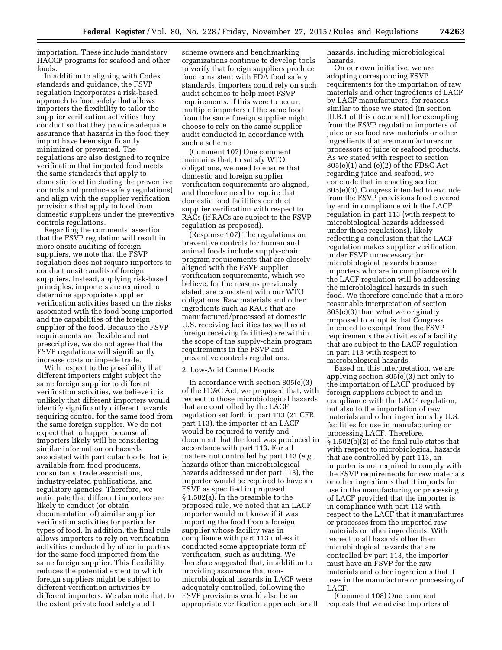importation. These include mandatory HACCP programs for seafood and other foods.

In addition to aligning with Codex standards and guidance, the FSVP regulation incorporates a risk-based approach to food safety that allows importers the flexibility to tailor the supplier verification activities they conduct so that they provide adequate assurance that hazards in the food they import have been significantly minimized or prevented. The regulations are also designed to require verification that imported food meets the same standards that apply to domestic food (including the preventive controls and produce safety regulations) and align with the supplier verification provisions that apply to food from domestic suppliers under the preventive controls regulations.

Regarding the comments' assertion that the FSVP regulation will result in more onsite auditing of foreign suppliers, we note that the FSVP regulation does not require importers to conduct onsite audits of foreign suppliers. Instead, applying risk-based principles, importers are required to determine appropriate supplier verification activities based on the risks associated with the food being imported and the capabilities of the foreign supplier of the food. Because the FSVP requirements are flexible and not prescriptive, we do not agree that the FSVP regulations will significantly increase costs or impede trade.

With respect to the possibility that different importers might subject the same foreign supplier to different verification activities, we believe it is unlikely that different importers would identify significantly different hazards requiring control for the same food from the same foreign supplier. We do not expect that to happen because all importers likely will be considering similar information on hazards associated with particular foods that is available from food producers, consultants, trade associations, industry-related publications, and regulatory agencies. Therefore, we anticipate that different importers are likely to conduct (or obtain documentation of) similar supplier verification activities for particular types of food. In addition, the final rule allows importers to rely on verification activities conducted by other importers for the same food imported from the same foreign supplier. This flexibility reduces the potential extent to which foreign suppliers might be subject to different verification activities by different importers. We also note that, to the extent private food safety audit

scheme owners and benchmarking organizations continue to develop tools to verify that foreign suppliers produce food consistent with FDA food safety standards, importers could rely on such audit schemes to help meet FSVP requirements. If this were to occur, multiple importers of the same food from the same foreign supplier might choose to rely on the same supplier audit conducted in accordance with such a scheme.

(Comment 107) One comment maintains that, to satisfy WTO obligations, we need to ensure that domestic and foreign supplier verification requirements are aligned, and therefore need to require that domestic food facilities conduct supplier verification with respect to RACs (if RACs are subject to the FSVP regulation as proposed).

(Response 107) The regulations on preventive controls for human and animal foods include supply-chain program requirements that are closely aligned with the FSVP supplier verification requirements, which we believe, for the reasons previously stated, are consistent with our WTO obligations. Raw materials and other ingredients such as RACs that are manufactured/processed at domestic U.S. receiving facilities (as well as at foreign receiving facilities) are within the scope of the supply-chain program requirements in the FSVP and preventive controls regulations.

#### 2. Low-Acid Canned Foods

In accordance with section 805(e)(3) of the FD&C Act, we proposed that, with respect to those microbiological hazards that are controlled by the LACF regulation set forth in part 113 (21 CFR part 113), the importer of an LACF would be required to verify and document that the food was produced in accordance with part 113. For all matters not controlled by part 113 (*e.g.,*  hazards other than microbiological hazards addressed under part 113), the importer would be required to have an FSVP as specified in proposed § 1.502(a). In the preamble to the proposed rule, we noted that an LACF importer would not know if it was importing the food from a foreign supplier whose facility was in compliance with part 113 unless it conducted some appropriate form of verification, such as auditing. We therefore suggested that, in addition to providing assurance that nonmicrobiological hazards in LACF were adequately controlled, following the FSVP provisions would also be an appropriate verification approach for all

hazards, including microbiological hazards.

On our own initiative, we are adopting corresponding FSVP requirements for the importation of raw materials and other ingredients of LACF by LACF manufacturers, for reasons similar to those we stated (in section III.B.1 of this document) for exempting from the FSVP regulation importers of juice or seafood raw materials or other ingredients that are manufacturers or processors of juice or seafood products. As we stated with respect to section 805(e)(1) and (e)(2) of the FD&C Act regarding juice and seafood, we conclude that in enacting section 805(e)(3), Congress intended to exclude from the FSVP provisions food covered by and in compliance with the LACF regulation in part 113 (with respect to microbiological hazards addressed under those regulations), likely reflecting a conclusion that the LACF regulation makes supplier verification under FSVP unnecessary for microbiological hazards because importers who are in compliance with the LACF regulation will be addressing the microbiological hazards in such food. We therefore conclude that a more reasonable interpretation of section 805(e)(3) than what we originally proposed to adopt is that Congress intended to exempt from the FSVP requirements the activities of a facility that are subject to the LACF regulation in part 113 with respect to microbiological hazards.

Based on this interpretation, we are applying section 805(e)(3) not only to the importation of LACF produced by foreign suppliers subject to and in compliance with the LACF regulation, but also to the importation of raw materials and other ingredients by U.S. facilities for use in manufacturing or processing LACF. Therefore, § 1.502(b)(2) of the final rule states that with respect to microbiological hazards that are controlled by part 113, an importer is not required to comply with the FSVP requirements for raw materials or other ingredients that it imports for use in the manufacturing or processing of LACF provided that the importer is in compliance with part 113 with respect to the LACF that it manufactures or processes from the imported raw materials or other ingredients. With respect to all hazards other than microbiological hazards that are controlled by part 113, the importer must have an FSVP for the raw materials and other ingredients that it uses in the manufacture or processing of LACF.

(Comment 108) One comment requests that we advise importers of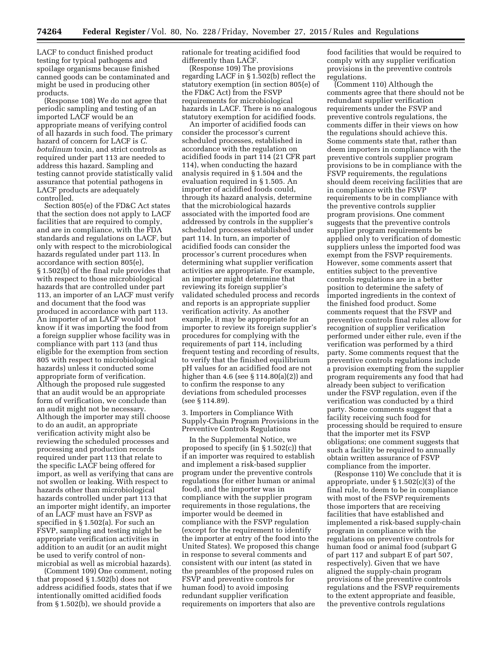LACF to conduct finished product testing for typical pathogens and spoilage organisms because finished canned goods can be contaminated and might be used in producing other products.

(Response 108) We do not agree that periodic sampling and testing of an imported LACF would be an appropriate means of verifying control of all hazards in such food. The primary hazard of concern for LACF is *C. botulinum* toxin, and strict controls as required under part 113 are needed to address this hazard. Sampling and testing cannot provide statistically valid assurance that potential pathogens in LACF products are adequately controlled.

Section 805(e) of the FD&C Act states that the section does not apply to LACF facilities that are required to comply, and are in compliance, with the FDA standards and regulations on LACF, but only with respect to the microbiological hazards regulated under part 113. In accordance with section 805(e), § 1.502(b) of the final rule provides that with respect to those microbiological hazards that are controlled under part 113, an importer of an LACF must verify and document that the food was produced in accordance with part 113. An importer of an LACF would not know if it was importing the food from a foreign supplier whose facility was in compliance with part 113 (and thus eligible for the exemption from section 805 with respect to microbiological hazards) unless it conducted some appropriate form of verification. Although the proposed rule suggested that an audit would be an appropriate form of verification, we conclude than an audit might not be necessary. Although the importer may still choose to do an audit, an appropriate verification activity might also be reviewing the scheduled processes and processing and production records required under part 113 that relate to the specific LACF being offered for import, as well as verifying that cans are not swollen or leaking. With respect to hazards other than microbiological hazards controlled under part 113 that an importer might identify, an importer of an LACF must have an FSVP as specified in § 1.502(a). For such an FSVP, sampling and testing might be appropriate verification activities in addition to an audit (or an audit might be used to verify control of nonmicrobial as well as microbial hazards).

(Comment 109) One comment, noting that proposed § 1.502(b) does not address acidified foods, states that if we intentionally omitted acidified foods from § 1.502(b), we should provide a

rationale for treating acidified food differently than LACF.

(Response 109) The provisions regarding LACF in § 1.502(b) reflect the statutory exemption (in section 805(e) of the FD&C Act) from the FSVP requirements for microbiological hazards in LACF. There is no analogous statutory exemption for acidified foods.

An importer of acidified foods can consider the processor's current scheduled processes, established in accordance with the regulation on acidified foods in part 114 (21 CFR part 114), when conducting the hazard analysis required in § 1.504 and the evaluation required in § 1.505. An importer of acidified foods could, through its hazard analysis, determine that the microbiological hazards associated with the imported food are addressed by controls in the supplier's scheduled processes established under part 114. In turn, an importer of acidified foods can consider the processor's current procedures when determining what supplier verification activities are appropriate. For example, an importer might determine that reviewing its foreign supplier's validated scheduled process and records and reports is an appropriate supplier verification activity. As another example, it may be appropriate for an importer to review its foreign supplier's procedures for complying with the requirements of part 114, including frequent testing and recording of results, to verify that the finished equilibrium pH values for an acidified food are not higher than 4.6 (see § 114.80(a)(2)) and to confirm the response to any deviations from scheduled processes (see § 114.89).

3. Importers in Compliance With Supply-Chain Program Provisions in the Preventive Controls Regulations

In the Supplemental Notice, we proposed to specify (in § 1.502(c)) that if an importer was required to establish and implement a risk-based supplier program under the preventive controls regulations (for either human or animal food), and the importer was in compliance with the supplier program requirements in those regulations, the importer would be deemed in compliance with the FSVP regulation (except for the requirement to identify the importer at entry of the food into the United States). We proposed this change in response to several comments and consistent with our intent (as stated in the preambles of the proposed rules on FSVP and preventive controls for human food) to avoid imposing redundant supplier verification requirements on importers that also are

food facilities that would be required to comply with any supplier verification provisions in the preventive controls regulations.

(Comment 110) Although the comments agree that there should not be redundant supplier verification requirements under the FSVP and preventive controls regulations, the comments differ in their views on how the regulations should achieve this. Some comments state that, rather than deem importers in compliance with the preventive controls supplier program provisions to be in compliance with the FSVP requirements, the regulations should deem receiving facilities that are in compliance with the FSVP requirements to be in compliance with the preventive controls supplier program provisions. One comment suggests that the preventive controls supplier program requirements be applied only to verification of domestic suppliers unless the imported food was exempt from the FSVP requirements. However, some comments assert that entities subject to the preventive controls regulations are in a better position to determine the safety of imported ingredients in the context of the finished food product. Some comments request that the FSVP and preventive controls final rules allow for recognition of supplier verification performed under either rule, even if the verification was performed by a third party. Some comments request that the preventive controls regulations include a provision exempting from the supplier program requirements any food that had already been subject to verification under the FSVP regulation, even if the verification was conducted by a third party. Some comments suggest that a facility receiving such food for processing should be required to ensure that the importer met its FSVP obligations; one comment suggests that such a facility be required to annually obtain written assurance of FSVP compliance from the importer.

(Response 110) We conclude that it is appropriate, under § 1.502(c)(3) of the final rule, to deem to be in compliance with most of the FSVP requirements those importers that are receiving facilities that have established and implemented a risk-based supply-chain program in compliance with the regulations on preventive controls for human food or animal food (subpart G of part 117 and subpart E of part 507, respectively). Given that we have aligned the supply-chain program provisions of the preventive controls regulations and the FSVP requirements to the extent appropriate and feasible, the preventive controls regulations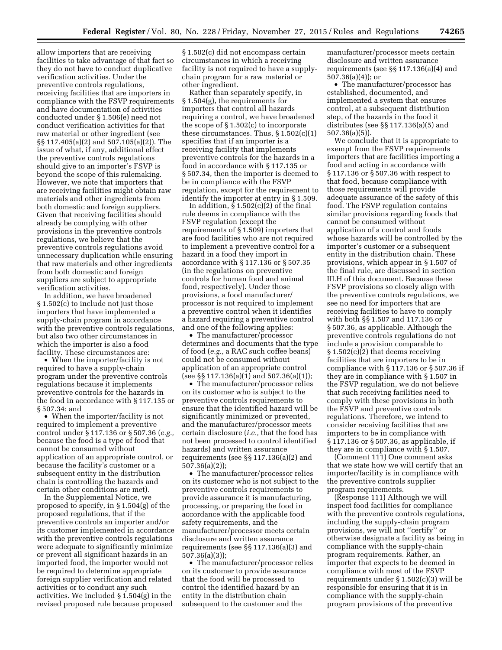allow importers that are receiving facilities to take advantage of that fact so they do not have to conduct duplicative verification activities. Under the preventive controls regulations, receiving facilities that are importers in compliance with the FSVP requirements and have documentation of activities conducted under § 1.506(e) need not conduct verification activities for that raw material or other ingredient (see §§ 117.405(a)(2) and 507.105(a)(2)). The issue of what, if any, additional effect the preventive controls regulations should give to an importer's FSVP is beyond the scope of this rulemaking. However, we note that importers that are receiving facilities might obtain raw materials and other ingredients from both domestic and foreign suppliers. Given that receiving facilities should already be complying with other provisions in the preventive controls regulations, we believe that the preventive controls regulations avoid unnecessary duplication while ensuring that raw materials and other ingredients from both domestic and foreign suppliers are subject to appropriate verification activities.

In addition, we have broadened § 1.502(c) to include not just those importers that have implemented a supply-chain program in accordance with the preventive controls regulations, but also two other circumstances in which the importer is also a food facility. These circumstances are:

• When the importer/facility is not required to have a supply-chain program under the preventive controls regulations because it implements preventive controls for the hazards in the food in accordance with § 117.135 or § 507.34; and

• When the importer/facility is not required to implement a preventive control under § 117.136 or § 507.36 (*e.g.,*  because the food is a type of food that cannot be consumed without application of an appropriate control, or because the facility's customer or a subsequent entity in the distribution chain is controlling the hazards and certain other conditions are met).

In the Supplemental Notice, we proposed to specify, in § 1.504(g) of the proposed regulations, that if the preventive controls an importer and/or its customer implemented in accordance with the preventive controls regulations were adequate to significantly minimize or prevent all significant hazards in an imported food, the importer would not be required to determine appropriate foreign supplier verification and related activities or to conduct any such activities. We included § 1.504(g) in the revised proposed rule because proposed

§ 1.502(c) did not encompass certain circumstances in which a receiving facility is not required to have a supplychain program for a raw material or other ingredient.

Rather than separately specify, in § 1.504(g), the requirements for importers that control all hazards requiring a control, we have broadened the scope of § 1.502(c) to incorporate these circumstances. Thus,  $\S 1.502(c)(1)$ specifies that if an importer is a receiving facility that implements preventive controls for the hazards in a food in accordance with § 117.135 or § 507.34, then the importer is deemed to be in compliance with the FSVP regulation, except for the requirement to identify the importer at entry in § 1.509.

In addition,  $\hat{\S}$  1.502(c)(2) of the final rule deems in compliance with the FSVP regulation (except the requirements of § 1.509) importers that are food facilities who are not required to implement a preventive control for a hazard in a food they import in accordance with § 117.136 or § 507.35 (in the regulations on preventive controls for human food and animal food, respectively). Under those provisions, a food manufacturer/ processor is not required to implement a preventive control when it identifies a hazard requiring a preventive control and one of the following applies:

• The manufacturer/processor determines and documents that the type of food (*e.g.,* a RAC such coffee beans) could not be consumed without application of an appropriate control (see §§ 117.136(a)(1) and 507.36(a)(1));

• The manufacturer/processor relies on its customer who is subject to the preventive controls requirements to ensure that the identified hazard will be significantly minimized or prevented, and the manufacturer/processor meets certain disclosure (*i.e.,* that the food has not been processed to control identified hazards) and written assurance requirements (see §§ 117.136(a)(2) and 507.36(a)(2));

• The manufacturer/processor relies on its customer who is not subject to the preventive controls requirements to provide assurance it is manufacturing, processing, or preparing the food in accordance with the applicable food safety requirements, and the manufacturer/processor meets certain disclosure and written assurance requirements (see §§ 117.136(a)(3) and 507.36(a)(3));

• The manufacturer/processor relies on its customer to provide assurance that the food will be processed to control the identified hazard by an entity in the distribution chain subsequent to the customer and the

manufacturer/processor meets certain disclosure and written assurance requirements (see §§ 117.136(a)(4) and 507.36(a)(4)); or

• The manufacturer/processor has established, documented, and implemented a system that ensures control, at a subsequent distribution step, of the hazards in the food it distributes (see §§ 117.136(a)(5) and 507.36(a)(5)).

We conclude that it is appropriate to exempt from the FSVP requirements importers that are facilities importing a food and acting in accordance with § 117.136 or § 507.36 with respect to that food, because compliance with those requirements will provide adequate assurance of the safety of this food. The FSVP regulation contains similar provisions regarding foods that cannot be consumed without application of a control and foods whose hazards will be controlled by the importer's customer or a subsequent entity in the distribution chain. These provisions, which appear in § 1.507 of the final rule, are discussed in section III.H of this document. Because these FSVP provisions so closely align with the preventive controls regulations, we see no need for importers that are receiving facilities to have to comply with both §§ 1.507 and 117.136 or § 507.36, as applicable. Although the preventive controls regulations do not include a provision comparable to § 1.502(c)(2) that deems receiving facilities that are importers to be in compliance with § 117.136 or § 507.36 if they are in compliance with § 1.507 in the FSVP regulation, we do not believe that such receiving facilities need to comply with these provisions in both the FSVP and preventive controls regulations. Therefore, we intend to consider receiving facilities that are importers to be in compliance with § 117.136 or § 507.36, as applicable, if they are in compliance with § 1.507.

(Comment 111) One comment asks that we state how we will certify that an importer/facility is in compliance with the preventive controls supplier program requirements.

(Response 111) Although we will inspect food facilities for compliance with the preventive controls regulations, including the supply-chain program provisions, we will not ''certify'' or otherwise designate a facility as being in compliance with the supply-chain program requirements. Rather, an importer that expects to be deemed in compliance with most of the FSVP requirements under § 1.502(c)(3) will be responsible for ensuring that it is in compliance with the supply-chain program provisions of the preventive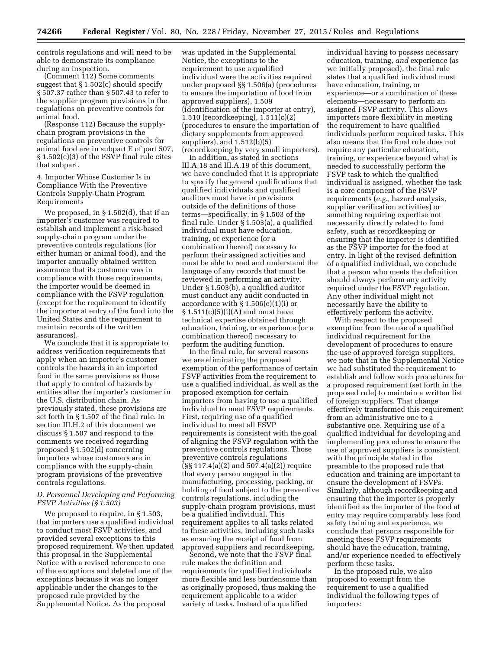controls regulations and will need to be able to demonstrate its compliance during an inspection.

(Comment 112) Some comments suggest that § 1.502(c) should specify § 507.37 rather than § 507.43 to refer to the supplier program provisions in the regulations on preventive controls for animal food.

(Response 112) Because the supplychain program provisions in the regulations on preventive controls for animal food are in subpart E of part 507, § 1.502(c)(3) of the FSVP final rule cites that subpart.

4. Importer Whose Customer Is in Compliance With the Preventive Controls Supply-Chain Program Requirements

We proposed, in § 1.502(d), that if an importer's customer was required to establish and implement a risk-based supply-chain program under the preventive controls regulations (for either human or animal food), and the importer annually obtained written assurance that its customer was in compliance with those requirements, the importer would be deemed in compliance with the FSVP regulation (except for the requirement to identify the importer at entry of the food into the United States and the requirement to maintain records of the written assurances).

We conclude that it is appropriate to address verification requirements that apply when an importer's customer controls the hazards in an imported food in the same provisions as those that apply to control of hazards by entities after the importer's customer in the U.S. distribution chain. As previously stated, these provisions are set forth in § 1.507 of the final rule. In section III.H.2 of this document we discuss § 1.507 and respond to the comments we received regarding proposed § 1.502(d) concerning importers whose customers are in compliance with the supply-chain program provisions of the preventive controls regulations.

### *D. Personnel Developing and Performing FSVP Activities (§ 1.503)*

We proposed to require, in § 1.503, that importers use a qualified individual to conduct most FSVP activities, and provided several exceptions to this proposed requirement. We then updated this proposal in the Supplemental Notice with a revised reference to one of the exceptions and deleted one of the exceptions because it was no longer applicable under the changes to the proposed rule provided by the Supplemental Notice. As the proposal

was updated in the Supplemental Notice, the exceptions to the requirement to use a qualified individual were the activities required under proposed §§ 1.506(a) (procedures to ensure the importation of food from approved suppliers), 1.509 (identification of the importer at entry), 1.510 (recordkeeping), 1.511(c)(2) (procedures to ensure the importation of dietary supplements from approved suppliers), and 1.512(b)(5) (recordkeeping by very small importers).

In addition, as stated in sections III.A.18 and III.A.19 of this document, we have concluded that it is appropriate to specify the general qualifications that qualified individuals and qualified auditors must have in provisions outside of the definitions of those terms—specifically, in § 1.503 of the final rule. Under § 1.503(a), a qualified individual must have education, training, or experience (or a combination thereof) necessary to perform their assigned activities and must be able to read and understand the language of any records that must be reviewed in performing an activity. Under § 1.503(b), a qualified auditor must conduct any audit conducted in accordance with § 1.506(e)(1)(i) or  $§ 1.511(c)(5)(i)(A)$  and must have technical expertise obtained through education, training, or experience (or a combination thereof) necessary to perform the auditing function.

In the final rule, for several reasons we are eliminating the proposed exemption of the performance of certain FSVP activities from the requirement to use a qualified individual, as well as the proposed exemption for certain importers from having to use a qualified individual to meet FSVP requirements. First, requiring use of a qualified individual to meet all FSVP requirements is consistent with the goal of aligning the FSVP regulation with the preventive controls regulations. Those preventive controls regulations (§§ 117.4(a)(2) and 507.4(a)(2)) require that every person engaged in the manufacturing, processing, packing, or holding of food subject to the preventive controls regulations, including the supply-chain program provisions, must be a qualified individual. This requirement applies to all tasks related to these activities, including such tasks as ensuring the receipt of food from approved suppliers and recordkeeping.

Second, we note that the FSVP final rule makes the definition and requirements for qualified individuals more flexible and less burdensome than as originally proposed, thus making the requirement applicable to a wider variety of tasks. Instead of a qualified

individual having to possess necessary education, training, *and* experience (as we initially proposed), the final rule states that a qualified individual must have education, training, or experience—or a combination of these elements—necessary to perform an assigned FSVP activity. This allows importers more flexibility in meeting the requirement to have qualified individuals perform required tasks. This also means that the final rule does not require any particular education, training, or experience beyond what is needed to successfully perform the FSVP task to which the qualified individual is assigned, whether the task is a core component of the FSVP requirements (*e.g.,* hazard analysis, supplier verification activities) or something requiring expertise not necessarily directly related to food safety, such as recordkeeping or ensuring that the importer is identified as the FSVP importer for the food at entry. In light of the revised definition of a qualified individual, we conclude that a person who meets the definition should always perform any activity required under the FSVP regulation. Any other individual might not necessarily have the ability to effectively perform the activity.

With respect to the proposed exemption from the use of a qualified individual requirement for the development of procedures to ensure the use of approved foreign suppliers, we note that in the Supplemental Notice we had substituted the requirement to establish and follow such procedures for a proposed requirement (set forth in the proposed rule) to maintain a written list of foreign suppliers. That change effectively transformed this requirement from an administrative one to a substantive one. Requiring use of a qualified individual for developing and implementing procedures to ensure the use of approved suppliers is consistent with the principle stated in the preamble to the proposed rule that education and training are important to ensure the development of FSVPs. Similarly, although recordkeeping and ensuring that the importer is properly identified as the importer of the food at entry may require comparably less food safety training and experience, we conclude that persons responsible for meeting these FSVP requirements should have the education, training, and/or experience needed to effectively perform these tasks.

In the proposed rule, we also proposed to exempt from the requirement to use a qualified individual the following types of importers: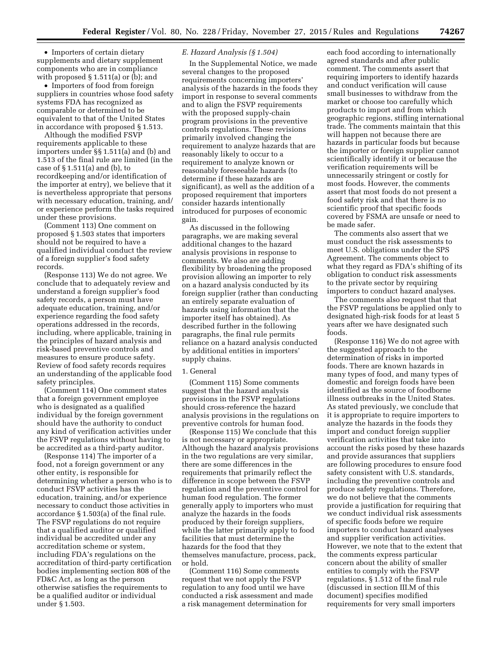• Importers of certain dietary supplements and dietary supplement components who are in compliance with proposed § 1.511(a) or (b); and

• Importers of food from foreign suppliers in countries whose food safety systems FDA has recognized as comparable or determined to be equivalent to that of the United States in accordance with proposed § 1.513.

Although the modified FSVP requirements applicable to these importers under §§ 1.511(a) and (b) and 1.513 of the final rule are limited (in the case of § 1.511(a) and (b), to recordkeeping and/or identification of the importer at entry), we believe that it is nevertheless appropriate that persons with necessary education, training, and/ or experience perform the tasks required under these provisions.

(Comment 113) One comment on proposed § 1.503 states that importers should not be required to have a qualified individual conduct the review of a foreign supplier's food safety records.

(Response 113) We do not agree. We conclude that to adequately review and understand a foreign supplier's food safety records, a person must have adequate education, training, and/or experience regarding the food safety operations addressed in the records, including, where applicable, training in the principles of hazard analysis and risk-based preventive controls and measures to ensure produce safety. Review of food safety records requires an understanding of the applicable food safety principles.

(Comment 114) One comment states that a foreign government employee who is designated as a qualified individual by the foreign government should have the authority to conduct any kind of verification activities under the FSVP regulations without having to be accredited as a third-party auditor.

(Response 114) The importer of a food, not a foreign government or any other entity, is responsible for determining whether a person who is to conduct FSVP activities has the education, training, and/or experience necessary to conduct those activities in accordance § 1.503(a) of the final rule. The FSVP regulations do not require that a qualified auditor or qualified individual be accredited under any accreditation scheme or system, including FDA's regulations on the accreditation of third-party certification bodies implementing section 808 of the FD&C Act, as long as the person otherwise satisfies the requirements to be a qualified auditor or individual under § 1.503.

### *E. Hazard Analysis (§ 1.504)*

In the Supplemental Notice, we made several changes to the proposed requirements concerning importers' analysis of the hazards in the foods they import in response to several comments and to align the FSVP requirements with the proposed supply-chain program provisions in the preventive controls regulations. These revisions primarily involved changing the requirement to analyze hazards that are reasonably likely to occur to a requirement to analyze known or reasonably foreseeable hazards (to determine if these hazards are significant), as well as the addition of a proposed requirement that importers consider hazards intentionally introduced for purposes of economic gain.

As discussed in the following paragraphs, we are making several additional changes to the hazard analysis provisions in response to comments. We also are adding flexibility by broadening the proposed provision allowing an importer to rely on a hazard analysis conducted by its foreign supplier (rather than conducting an entirely separate evaluation of hazards using information that the importer itself has obtained). As described further in the following paragraphs, the final rule permits reliance on a hazard analysis conducted by additional entities in importers' supply chains.

#### 1. General

(Comment 115) Some comments suggest that the hazard analysis provisions in the FSVP regulations should cross-reference the hazard analysis provisions in the regulations on preventive controls for human food.

(Response 115) We conclude that this is not necessary or appropriate. Although the hazard analysis provisions in the two regulations are very similar, there are some differences in the requirements that primarily reflect the difference in scope between the FSVP regulation and the preventive control for human food regulation. The former generally apply to importers who must analyze the hazards in the foods produced by their foreign suppliers, while the latter primarily apply to food facilities that must determine the hazards for the food that they themselves manufacture, process, pack, or hold.

(Comment 116) Some comments request that we not apply the FSVP regulation to any food until we have conducted a risk assessment and made a risk management determination for

each food according to internationally agreed standards and after public comment. The comments assert that requiring importers to identify hazards and conduct verification will cause small businesses to withdraw from the market or choose too carefully which products to import and from which geographic regions, stifling international trade. The comments maintain that this will happen not because there are hazards in particular foods but because the importer or foreign supplier cannot scientifically identify it or because the verification requirements will be unnecessarily stringent or costly for most foods. However, the comments assert that most foods do not present a food safety risk and that there is no scientific proof that specific foods covered by FSMA are unsafe or need to be made safer.

The comments also assert that we must conduct the risk assessments to meet U.S. obligations under the SPS Agreement. The comments object to what they regard as FDA's shifting of its obligation to conduct risk assessments to the private sector by requiring importers to conduct hazard analyses.

The comments also request that that the FSVP regulations be applied only to designated high-risk foods for at least 5 years after we have designated such foods.

(Response 116) We do not agree with the suggested approach to the determination of risks in imported foods. There are known hazards in many types of food, and many types of domestic and foreign foods have been identified as the source of foodborne illness outbreaks in the United States. As stated previously, we conclude that it is appropriate to require importers to analyze the hazards in the foods they import and conduct foreign supplier verification activities that take into account the risks posed by these hazards and provide assurances that suppliers are following procedures to ensure food safety consistent with U.S. standards, including the preventive controls and produce safety regulations. Therefore, we do not believe that the comments provide a justification for requiring that we conduct individual risk assessments of specific foods before we require importers to conduct hazard analyses and supplier verification activities. However, we note that to the extent that the comments express particular concern about the ability of smaller entities to comply with the FSVP regulations, § 1.512 of the final rule (discussed in section III.M of this document) specifies modified requirements for very small importers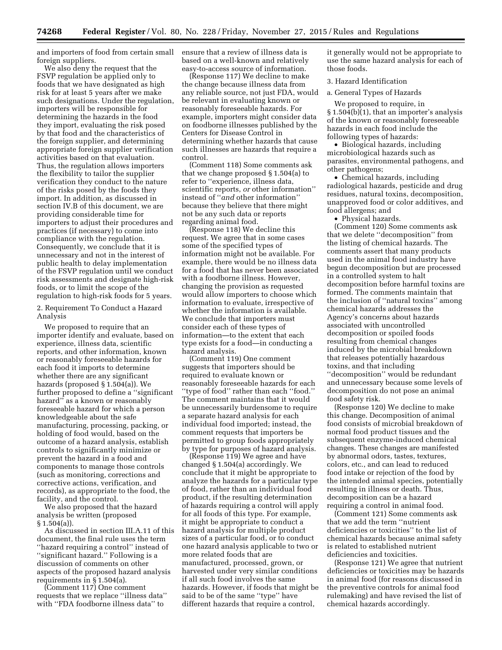and importers of food from certain small foreign suppliers.

We also deny the request that the FSVP regulation be applied only to foods that we have designated as high risk for at least 5 years after we make such designations. Under the regulation, importers will be responsible for determining the hazards in the food they import, evaluating the risk posed by that food and the characteristics of the foreign supplier, and determining appropriate foreign supplier verification activities based on that evaluation. Thus, the regulation allows importers the flexibility to tailor the supplier verification they conduct to the nature of the risks posed by the foods they import. In addition, as discussed in section IV.B of this document, we are providing considerable time for importers to adjust their procedures and practices (if necessary) to come into compliance with the regulation. Consequently, we conclude that it is unnecessary and not in the interest of public health to delay implementation of the FSVP regulation until we conduct risk assessments and designate high-risk foods, or to limit the scope of the regulation to high-risk foods for 5 years.

2. Requirement To Conduct a Hazard Analysis

We proposed to require that an importer identify and evaluate, based on experience, illness data, scientific reports, and other information, known or reasonably foreseeable hazards for each food it imports to determine whether there are any significant hazards (proposed § 1.504(a)). We further proposed to define a ''significant hazard" as a known or reasonably foreseeable hazard for which a person knowledgeable about the safe manufacturing, processing, packing, or holding of food would, based on the outcome of a hazard analysis, establish controls to significantly minimize or prevent the hazard in a food and components to manage those controls (such as monitoring, corrections and corrective actions, verification, and records), as appropriate to the food, the facility, and the control.

We also proposed that the hazard analysis be written (proposed  $§ 1.504(a)$ ).

As discussed in section III.A.11 of this document, the final rule uses the term ''hazard requiring a control'' instead of ''significant hazard.'' Following is a discussion of comments on other aspects of the proposed hazard analysis requirements in § 1.504(a).

(Comment 117) One comment requests that we replace ''illness data'' with ''FDA foodborne illness data'' to

ensure that a review of illness data is based on a well-known and relatively easy-to-access source of information.

(Response 117) We decline to make the change because illness data from any reliable source, not just FDA, would be relevant in evaluating known or reasonably foreseeable hazards. For example, importers might consider data on foodborne illnesses published by the Centers for Disease Control in determining whether hazards that cause such illnesses are hazards that require a control.

(Comment 118) Some comments ask that we change proposed § 1.504(a) to refer to ''experience, illness data, scientific reports, *or* other information'' instead of ''*and* other information'' because they believe that there might not be any such data or reports regarding animal food.

(Response 118) We decline this request. We agree that in some cases some of the specified types of information might not be available. For example, there would be no illness data for a food that has never been associated with a foodborne illness. However, changing the provision as requested would allow importers to choose which information to evaluate, irrespective of whether the information is available. We conclude that importers must consider each of these types of information—to the extent that each type exists for a food—in conducting a hazard analysis.

(Comment 119) One comment suggests that importers should be required to evaluate known or reasonably foreseeable hazards for each ''type of food'' rather than each ''food.'' The comment maintains that it would be unnecessarily burdensome to require a separate hazard analysis for each individual food imported; instead, the comment requests that importers be permitted to group foods appropriately by type for purposes of hazard analysis.

(Response 119) We agree and have changed § 1.504(a) accordingly. We conclude that it might be appropriate to analyze the hazards for a particular type of food, rather than an individual food product, if the resulting determination of hazards requiring a control will apply for all foods of this type. For example, it might be appropriate to conduct a hazard analysis for multiple product sizes of a particular food, or to conduct one hazard analysis applicable to two or more related foods that are manufactured, processed, grown, or harvested under very similar conditions if all such food involves the same hazards. However, if foods that might be said to be of the same ''type'' have different hazards that require a control,

it generally would not be appropriate to use the same hazard analysis for each of those foods.

#### 3. Hazard Identification

a. General Types of Hazards

We proposed to require, in § 1.504(b)(1), that an importer's analysis of the known or reasonably foreseeable hazards in each food include the following types of hazards:

• Biological hazards, including microbiological hazards such as parasites, environmental pathogens, and other pathogens;

• Chemical hazards, including radiological hazards, pesticide and drug residues, natural toxins, decomposition, unapproved food or color additives, and food allergens; and

• Physical hazards.

(Comment 120) Some comments ask that we delete ''decomposition'' from the listing of chemical hazards. The comments assert that many products used in the animal food industry have begun decomposition but are processed in a controlled system to halt decomposition before harmful toxins are formed. The comments maintain that the inclusion of ''natural toxins'' among chemical hazards addresses the Agency's concerns about hazards associated with uncontrolled decomposition or spoiled foods resulting from chemical changes induced by the microbial breakdown that releases potentially hazardous toxins, and that including ''decomposition'' would be redundant and unnecessary because some levels of decomposition do not pose an animal food safety risk.

(Response 120) We decline to make this change. Decomposition of animal food consists of microbial breakdown of normal food product tissues and the subsequent enzyme-induced chemical changes. These changes are manifested by abnormal odors, tastes, textures, colors, etc., and can lead to reduced food intake or rejection of the food by the intended animal species, potentially resulting in illness or death. Thus, decomposition can be a hazard requiring a control in animal food.

(Comment 121) Some comments ask that we add the term ''nutrient deficiencies or toxicities'' to the list of chemical hazards because animal safety is related to established nutrient deficiencies and toxicities.

(Response 121) We agree that nutrient deficiencies or toxicities may be hazards in animal food (for reasons discussed in the preventive controls for animal food rulemaking) and have revised the list of chemical hazards accordingly.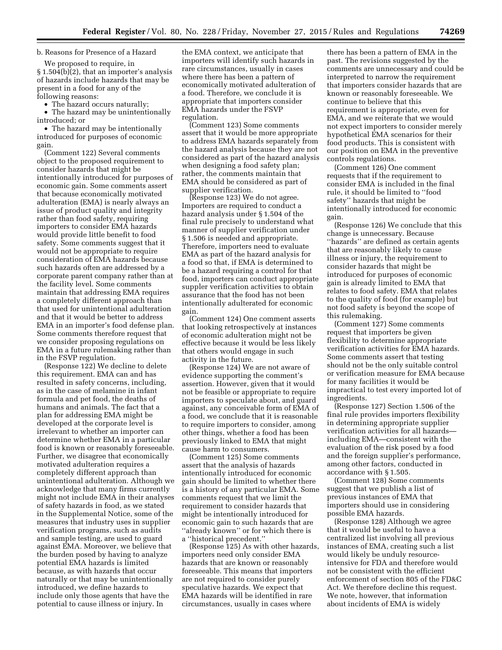# b. Reasons for Presence of a Hazard

We proposed to require, in § 1.504(b)(2), that an importer's analysis of hazards include hazards that may be present in a food for any of the following reasons:

• The hazard occurs naturally;

• The hazard may be unintentionally introduced; or

• The hazard may be intentionally introduced for purposes of economic gain.

(Comment 122) Several comments object to the proposed requirement to consider hazards that might be intentionally introduced for purposes of economic gain. Some comments assert that because economically motivated adulteration (EMA) is nearly always an issue of product quality and integrity rather than food safety, requiring importers to consider EMA hazards would provide little benefit to food safety. Some comments suggest that it would not be appropriate to require consideration of EMA hazards because such hazards often are addressed by a corporate parent company rather than at the facility level. Some comments maintain that addressing EMA requires a completely different approach than that used for unintentional adulteration and that it would be better to address EMA in an importer's food defense plan. Some comments therefore request that we consider proposing regulations on EMA in a future rulemaking rather than in the FSVP regulation.

(Response 122) We decline to delete this requirement. EMA can and has resulted in safety concerns, including, as in the case of melamine in infant formula and pet food, the deaths of humans and animals. The fact that a plan for addressing EMA might be developed at the corporate level is irrelevant to whether an importer can determine whether EMA in a particular food is known or reasonably foreseeable. Further, we disagree that economically motivated adulteration requires a completely different approach than unintentional adulteration. Although we acknowledge that many firms currently might not include EMA in their analyses of safety hazards in food, as we stated in the Supplemental Notice, some of the measures that industry uses in supplier verification programs, such as audits and sample testing, are used to guard against EMA. Moreover, we believe that the burden posed by having to analyze potential EMA hazards is limited because, as with hazards that occur naturally or that may be unintentionally introduced, we define hazards to include only those agents that have the potential to cause illness or injury. In

the EMA context, we anticipate that importers will identify such hazards in rare circumstances, usually in cases where there has been a pattern of economically motivated adulteration of a food. Therefore, we conclude it is appropriate that importers consider EMA hazards under the FSVP regulation.

(Comment 123) Some comments assert that it would be more appropriate to address EMA hazards separately from the hazard analysis because they are not considered as part of the hazard analysis when designing a food safety plan; rather, the comments maintain that EMA should be considered as part of supplier verification.

(Response 123) We do not agree. Importers are required to conduct a hazard analysis under § 1.504 of the final rule precisely to understand what manner of supplier verification under § 1.506 is needed and appropriate. Therefore, importers need to evaluate EMA as part of the hazard analysis for a food so that, if EMA is determined to be a hazard requiring a control for that food, importers can conduct appropriate suppler verification activities to obtain assurance that the food has not been intentionally adulterated for economic gain.

(Comment 124) One comment asserts that looking retrospectively at instances of economic adulteration might not be effective because it would be less likely that others would engage in such activity in the future.

(Response 124) We are not aware of evidence supporting the comment's assertion. However, given that it would not be feasible or appropriate to require importers to speculate about, and guard against, any conceivable form of EMA of a food, we conclude that it is reasonable to require importers to consider, among other things, whether a food has been previously linked to EMA that might cause harm to consumers.

(Comment 125) Some comments assert that the analysis of hazards intentionally introduced for economic gain should be limited to whether there is a history of any particular EMA. Some comments request that we limit the requirement to consider hazards that might be intentionally introduced for economic gain to such hazards that are ''already known'' or for which there is a ''historical precedent.''

(Response 125) As with other hazards, importers need only consider EMA hazards that are known or reasonably foreseeable. This means that importers are not required to consider purely speculative hazards. We expect that EMA hazards will be identified in rare circumstances, usually in cases where

there has been a pattern of EMA in the past. The revisions suggested by the comments are unnecessary and could be interpreted to narrow the requirement that importers consider hazards that are known or reasonably foreseeable. We continue to believe that this requirement is appropriate, even for EMA, and we reiterate that we would not expect importers to consider merely hypothetical EMA scenarios for their food products. This is consistent with our position on EMA in the preventive controls regulations.

(Comment 126) One comment requests that if the requirement to consider EMA is included in the final rule, it should be limited to ''food safety'' hazards that might be intentionally introduced for economic gain.

(Response 126) We conclude that this change is unnecessary. Because ''hazards'' are defined as certain agents that are reasonably likely to cause illness or injury, the requirement to consider hazards that might be introduced for purposes of economic gain is already limited to EMA that relates to food safety. EMA that relates to the quality of food (for example) but not food safety is beyond the scope of this rulemaking.

(Comment 127) Some comments request that importers be given flexibility to determine appropriate verification activities for EMA hazards. Some comments assert that testing should not be the only suitable control or verification measure for EMA because for many facilities it would be impractical to test every imported lot of ingredients.

(Response 127) Section 1.506 of the final rule provides importers flexibility in determining appropriate supplier verification activities for all hazards including EMA—consistent with the evaluation of the risk posed by a food and the foreign supplier's performance, among other factors, conducted in accordance with § 1.505.

(Comment 128) Some comments suggest that we publish a list of previous instances of EMA that importers should use in considering possible EMA hazards.

(Response 128) Although we agree that it would be useful to have a centralized list involving all previous instances of EMA, creating such a list would likely be unduly resourceintensive for FDA and therefore would not be consistent with the efficient enforcement of section 805 of the FD&C Act. We therefore decline this request. We note, however, that information about incidents of EMA is widely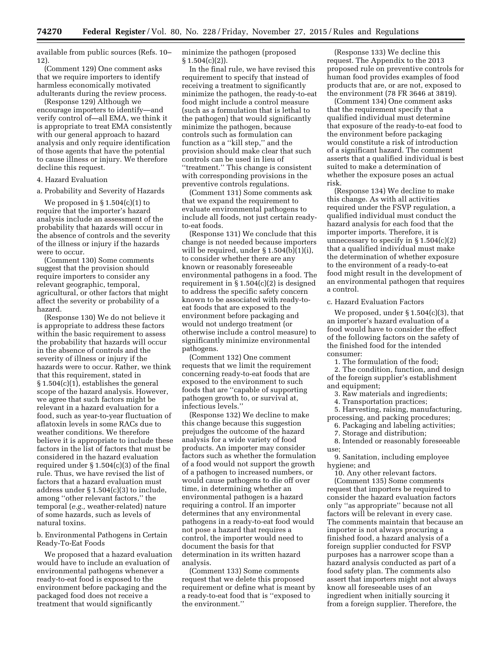available from public sources (Refs. 10– 12).

(Comment 129) One comment asks that we require importers to identify harmless economically motivated adulterants during the review process.

(Response 129) Although we encourage importers to identify—and verify control of—all EMA, we think it is appropriate to treat EMA consistently with our general approach to hazard analysis and only require identification of those agents that have the potential to cause illness or injury. We therefore decline this request.

# 4. Hazard Evaluation

a. Probability and Severity of Hazards

We proposed in  $\S 1.504(c)(1)$  to require that the importer's hazard analysis include an assessment of the probability that hazards will occur in the absence of controls and the severity of the illness or injury if the hazards were to occur.

(Comment 130) Some comments suggest that the provision should require importers to consider any relevant geographic, temporal, agricultural, or other factors that might affect the severity or probability of a hazard.

(Response 130) We do not believe it is appropriate to address these factors within the basic requirement to assess the probability that hazards will occur in the absence of controls and the severity of illness or injury if the hazards were to occur. Rather, we think that this requirement, stated in § 1.504(c)(1), establishes the general scope of the hazard analysis. However, we agree that such factors might be relevant in a hazard evaluation for a food, such as year-to-year fluctuation of aflatoxin levels in some RACs due to weather conditions. We therefore believe it is appropriate to include these factors in the list of factors that must be considered in the hazard evaluation required under  $\S 1.504(c)(3)$  of the final rule. Thus, we have revised the list of factors that a hazard evaluation must address under § 1.504(c)(3) to include, among ''other relevant factors,'' the temporal (*e.g.,* weather-related) nature of some hazards, such as levels of natural toxins.

b. Environmental Pathogens in Certain Ready-To-Eat Foods

We proposed that a hazard evaluation would have to include an evaluation of environmental pathogens whenever a ready-to-eat food is exposed to the environment before packaging and the packaged food does not receive a treatment that would significantly

minimize the pathogen (proposed  $§ 1.504(c)(2)$ .

In the final rule, we have revised this requirement to specify that instead of receiving a treatment to significantly minimize the pathogen, the ready-to-eat food might include a control measure (such as a formulation that is lethal to the pathogen) that would significantly minimize the pathogen, because controls such as formulation can function as a ''kill step,'' and the provision should make clear that such controls can be used in lieu of ''treatment.'' This change is consistent with corresponding provisions in the preventive controls regulations.

(Comment 131) Some comments ask that we expand the requirement to evaluate environmental pathogens to include all foods, not just certain readyto-eat foods.

(Response 131) We conclude that this change is not needed because importers will be required, under § 1.504(b)(1)(i), to consider whether there are any known or reasonably foreseeable environmental pathogens in a food. The requirement in  $\S 1.504(c)(2)$  is designed to address the specific safety concern known to be associated with ready-toeat foods that are exposed to the environment before packaging and would not undergo treatment (or otherwise include a control measure) to significantly minimize environmental pathogens.

(Comment 132) One comment requests that we limit the requirement concerning ready-to-eat foods that are exposed to the environment to such foods that are ''capable of supporting pathogen growth to, or survival at, infectious levels.''

(Response 132) We decline to make this change because this suggestion prejudges the outcome of the hazard analysis for a wide variety of food products. An importer may consider factors such as whether the formulation of a food would not support the growth of a pathogen to increased numbers, or would cause pathogens to die off over time, in determining whether an environmental pathogen is a hazard requiring a control. If an importer determines that any environmental pathogens in a ready-to-eat food would not pose a hazard that requires a control, the importer would need to document the basis for that determination in its written hazard analysis.

(Comment 133) Some comments request that we delete this proposed requirement or define what is meant by a ready-to-eat food that is ''exposed to the environment.''

(Response 133) We decline this request. The Appendix to the 2013 proposed rule on preventive controls for human food provides examples of food products that are, or are not, exposed to the environment (78 FR 3646 at 3819).

(Comment 134) One comment asks that the requirement specify that a qualified individual must determine that exposure of the ready-to-eat food to the environment before packaging would constitute a risk of introduction of a significant hazard. The comment asserts that a qualified individual is best suited to make a determination of whether the exposure poses an actual risk.

(Response 134) We decline to make this change. As with all activities required under the FSVP regulation, a qualified individual must conduct the hazard analysis for each food that the importer imports. Therefore, it is unnecessary to specify in  $\S 1.504(c)(2)$ that a qualified individual must make the determination of whether exposure to the environment of a ready-to-eat food might result in the development of an environmental pathogen that requires a control.

# c. Hazard Evaluation Factors

We proposed, under  $\S 1.504(c)(3)$ , that an importer's hazard evaluation of a food would have to consider the effect of the following factors on the safety of the finished food for the intended consumer:

1. The formulation of the food;

2. The condition, function, and design of the foreign supplier's establishment and equipment;

3. Raw materials and ingredients;

4. Transportation practices;

5. Harvesting, raising, manufacturing, processing, and packing procedures;

6. Packaging and labeling activities;

7. Storage and distribution;

8. Intended or reasonably foreseeable use;

9. Sanitation, including employee hygiene; and

10. Any other relevant factors. (Comment 135) Some comments request that importers be required to consider the hazard evaluation factors only ''as appropriate'' because not all factors will be relevant in every case. The comments maintain that because an importer is not always procuring a finished food, a hazard analysis of a foreign supplier conducted for FSVP purposes has a narrower scope than a hazard analysis conducted as part of a food safety plan. The comments also assert that importers might not always know all foreseeable uses of an ingredient when initially sourcing it from a foreign supplier. Therefore, the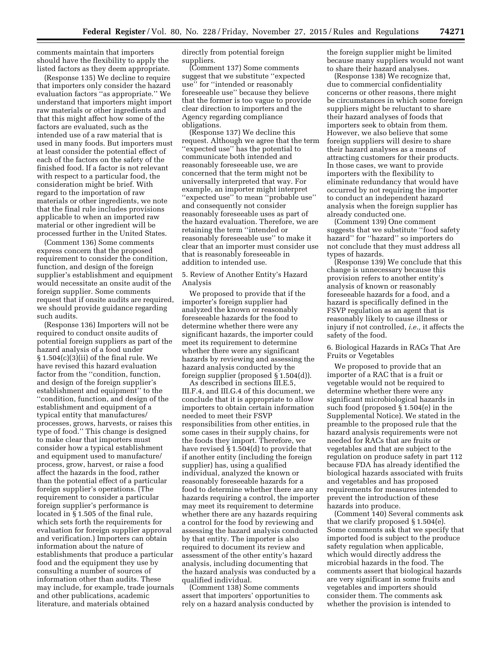comments maintain that importers should have the flexibility to apply the listed factors as they deem appropriate.

(Response 135) We decline to require that importers only consider the hazard evaluation factors ''as appropriate.'' We understand that importers might import raw materials or other ingredients and that this might affect how some of the factors are evaluated, such as the intended use of a raw material that is used in many foods. But importers must at least consider the potential effect of each of the factors on the safety of the finished food. If a factor is not relevant with respect to a particular food, the consideration might be brief. With regard to the importation of raw materials or other ingredients, we note that the final rule includes provisions applicable to when an imported raw material or other ingredient will be processed further in the United States.

(Comment 136) Some comments express concern that the proposed requirement to consider the condition, function, and design of the foreign supplier's establishment and equipment would necessitate an onsite audit of the foreign supplier. Some comments request that if onsite audits are required, we should provide guidance regarding such audits.

(Response 136) Importers will not be required to conduct onsite audits of potential foreign suppliers as part of the hazard analysis of a food under § 1.504(c)(3)(ii) of the final rule. We have revised this hazard evaluation factor from the ''condition, function, and design of the foreign supplier's establishment and equipment'' to the ''condition, function, and design of the establishment and equipment of a typical entity that manufactures/ processes, grows, harvests, or raises this type of food.'' This change is designed to make clear that importers must consider how a typical establishment and equipment used to manufacture/ process, grow, harvest, or raise a food affect the hazards in the food, rather than the potential effect of a particular foreign supplier's operations. (The requirement to consider a particular foreign supplier's performance is located in  $\S$  1.505 of the final rule, which sets forth the requirements for evaluation for foreign supplier approval and verification.) Importers can obtain information about the nature of establishments that produce a particular food and the equipment they use by consulting a number of sources of information other than audits. These may include, for example, trade journals and other publications, academic literature, and materials obtained

directly from potential foreign suppliers.

(Comment 137) Some comments suggest that we substitute ''expected use'' for ''intended or reasonably foreseeable use'' because they believe that the former is too vague to provide clear direction to importers and the Agency regarding compliance obligations.

(Response 137) We decline this request. Although we agree that the term ''expected use'' has the potential to communicate both intended and reasonably foreseeable use, we are concerned that the term might not be universally interpreted that way. For example, an importer might interpret ''expected use'' to mean ''probable use'' and consequently not consider reasonably foreseeable uses as part of the hazard evaluation. Therefore, we are retaining the term ''intended or reasonably foreseeable use'' to make it clear that an importer must consider use that is reasonably foreseeable in addition to intended use.

5. Review of Another Entity's Hazard Analysis

We proposed to provide that if the importer's foreign supplier had analyzed the known or reasonably foreseeable hazards for the food to determine whether there were any significant hazards, the importer could meet its requirement to determine whether there were any significant hazards by reviewing and assessing the hazard analysis conducted by the foreign supplier (proposed § 1.504(d)).

As described in sections III.E.5, III.F.4, and III.G.4 of this document, we conclude that it is appropriate to allow importers to obtain certain information needed to meet their FSVP responsibilities from other entities, in some cases in their supply chains, for the foods they import. Therefore, we have revised § 1.504(d) to provide that if another entity (including the foreign supplier) has, using a qualified individual, analyzed the known or reasonably foreseeable hazards for a food to determine whether there are any hazards requiring a control, the importer may meet its requirement to determine whether there are any hazards requiring a control for the food by reviewing and assessing the hazard analysis conducted by that entity. The importer is also required to document its review and assessment of the other entity's hazard analysis, including documenting that the hazard analysis was conducted by a qualified individual.

(Comment 138) Some comments assert that importers' opportunities to rely on a hazard analysis conducted by the foreign supplier might be limited because many suppliers would not want to share their hazard analyses.

(Response 138) We recognize that, due to commercial confidentiality concerns or other reasons, there might be circumstances in which some foreign suppliers might be reluctant to share their hazard analyses of foods that importers seek to obtain from them. However, we also believe that some foreign suppliers will desire to share their hazard analyses as a means of attracting customers for their products. In those cases, we want to provide importers with the flexibility to eliminate redundancy that would have occurred by not requiring the importer to conduct an independent hazard analysis when the foreign supplier has already conducted one.

(Comment 139) One comment suggests that we substitute ''food safety hazard'' for ''hazard'' so importers do not conclude that they must address all types of hazards.

(Response 139) We conclude that this change is unnecessary because this provision refers to another entity's analysis of known or reasonably foreseeable hazards for a food, and a hazard is specifically defined in the FSVP regulation as an agent that is reasonably likely to cause illness or injury if not controlled, *i.e.,* it affects the safety of the food.

6. Biological Hazards in RACs That Are Fruits or Vegetables

We proposed to provide that an importer of a RAC that is a fruit or vegetable would not be required to determine whether there were any significant microbiological hazards in such food (proposed § 1.504(e) in the Supplemental Notice). We stated in the preamble to the proposed rule that the hazard analysis requirements were not needed for RACs that are fruits or vegetables and that are subject to the regulation on produce safety in part 112 because FDA has already identified the biological hazards associated with fruits and vegetables and has proposed requirements for measures intended to prevent the introduction of these hazards into produce.

(Comment 140) Several comments ask that we clarify proposed § 1.504(e). Some comments ask that we specify that imported food is subject to the produce safety regulation when applicable, which would directly address the microbial hazards in the food. The comments assert that biological hazards are very significant in some fruits and vegetables and importers should consider them. The comments ask whether the provision is intended to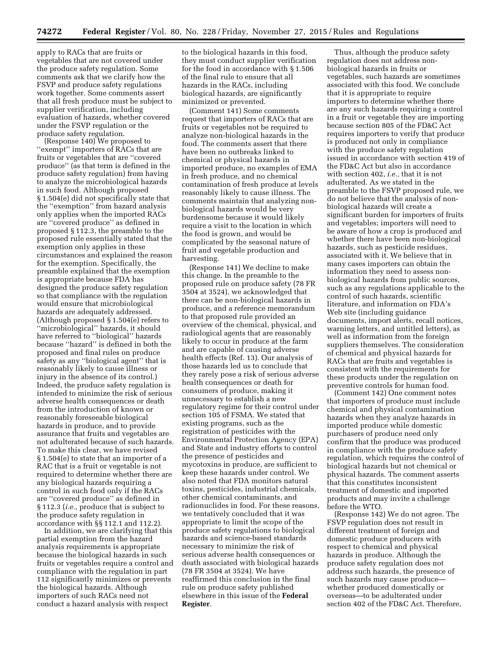apply to RACs that are fruits or vegetables that are not covered under the produce safety regulation. Some comments ask that we clarify how the FSVP and produce safety regulations work together. Some comments assert that all fresh produce must be subject to supplier verification, including evaluation of hazards, whether covered under the FSVP regulation or the produce safety regulation.

(Response 140) We proposed to "exempt" importers of RACs that are fruits or vegetables that are ''covered produce'' (as that term is defined in the produce safety regulation) from having to analyze the microbiological hazards in such food. Although proposed § 1.504(e) did not specifically state that the ''exemption'' from hazard analysis only applies when the imported RACs are ''covered produce'' as defined in proposed § 112.3, the preamble to the proposed rule essentially stated that the exemption only applies in these circumstances and explained the reason for the exemption. Specifically, the preamble explained that the exemption is appropriate because FDA has designed the produce safety regulation so that compliance with the regulation would ensure that microbiological hazards are adequately addressed. (Although proposed § 1.504(e) refers to ''microbiological'' hazards, it should have referred to ''biological'' hazards because ''hazard'' is defined in both the proposed and final rules on produce safety as any ''biological agent'' that is reasonably likely to cause illness or injury in the absence of its control.) Indeed, the produce safety regulation is intended to minimize the risk of serious adverse health consequences or death from the introduction of known or reasonably foreseeable biological hazards in produce, and to provide assurance that fruits and vegetables are not adulterated because of such hazards. To make this clear, we have revised § 1.504(e) to state that an importer of a RAC that is a fruit or vegetable is not required to determine whether there are any biological hazards requiring a control in such food only if the RACs are ''covered produce'' as defined in § 112.3 (*i.e.,* produce that is subject to the produce safety regulation in accordance with §§ 112.1 and 112.2).

In addition, we are clarifying that this partial exemption from the hazard analysis requirements is appropriate because the biological hazards in such fruits or vegetables require a control and compliance with the regulation in part 112 significantly minimizes or prevents the biological hazards. Although importers of such RACs need not conduct a hazard analysis with respect

to the biological hazards in this food, they must conduct supplier verification for the food in accordance with § 1.506 of the final rule to ensure that all hazards in the RACs, including biological hazards, are significantly minimized or prevented.

(Comment 141) Some comments request that importers of RACs that are fruits or vegetables not be required to analyze non-biological hazards in the food. The comments assert that there have been no outbreaks linked to chemical or physical hazards in imported produce, no examples of EMA in fresh produce, and no chemical contamination of fresh produce at levels reasonably likely to cause illness. The comments maintain that analyzing nonbiological hazards would be very burdensome because it would likely require a visit to the location in which the food is grown, and would be complicated by the seasonal nature of fruit and vegetable production and harvesting.

(Response 141) We decline to make this change. In the preamble to the proposed rule on produce safety (78 FR 3504 at 3524), we acknowledged that there can be non-biological hazards in produce, and a reference memorandum to that proposed rule provided an overview of the chemical, physical, and radiological agents that are reasonably likely to occur in produce at the farm and are capable of causing adverse health effects (Ref. 13). Our analysis of those hazards led us to conclude that they rarely pose a risk of serious adverse health consequences or death for consumers of produce, making it unnecessary to establish a new regulatory regime for their control under section 105 of FSMA. We stated that existing programs, such as the registration of pesticides with the Environmental Protection Agency (EPA) and State and industry efforts to control the presence of pesticides and mycotoxins in produce, are sufficient to keep these hazards under control. We also noted that FDA monitors natural toxins, pesticides, industrial chemicals, other chemical contaminants, and radionuclides in food. For these reasons, we tentatively concluded that it was appropriate to limit the scope of the produce safety regulations to biological hazards and science-based standards necessary to minimize the risk of serious adverse health consequences or death associated with biological hazards (78 FR 3504 at 3524). We have reaffirmed this conclusion in the final rule on produce safety published elsewhere in this issue of the **Federal Register**.

Thus, although the produce safety regulation does not address nonbiological hazards in fruits or vegetables, such hazards are sometimes associated with this food. We conclude that it is appropriate to require importers to determine whether there are any such hazards requiring a control in a fruit or vegetable they are importing because section 805 of the FD&C Act requires importers to verify that produce is produced not only in compliance with the produce safety regulation issued in accordance with section 419 of the FD&C Act but also in accordance with section 402, *i.e.,* that it is not adulterated. As we stated in the preamble to the FSVP proposed rule, we do not believe that the analysis of nonbiological hazards will create a significant burden for importers of fruits and vegetables; importers will need to be aware of how a crop is produced and whether there have been non-biological hazards, such as pesticide residues, associated with it. We believe that in many cases importers can obtain the information they need to assess nonbiological hazards from public sources, such as any regulations applicable to the control of such hazards, scientific literature, and information on FDA's Web site (including guidance documents, import alerts, recall notices, warning letters, and untitled letters), as well as information from the foreign suppliers themselves. The consideration of chemical and physical hazards for RACs that are fruits and vegetables is consistent with the requirements for these products under the regulation on preventive controls for human food.

(Comment 142) One comment notes that importers of produce must include chemical and physical contamination hazards when they analyze hazards in imported produce while domestic purchasers of produce need only confirm that the produce was produced in compliance with the produce safety regulation, which requires the control of biological hazards but not chemical or physical hazards. The comment asserts that this constitutes inconsistent treatment of domestic and imported products and may invite a challenge before the WTO.

(Response 142) We do not agree. The FSVP regulation does not result in different treatment of foreign and domestic produce producers with respect to chemical and physical hazards in produce. Although the produce safety regulation does not address such hazards, the presence of such hazards may cause produce whether produced domestically or overseas—to be adulterated under section 402 of the FD&C Act. Therefore,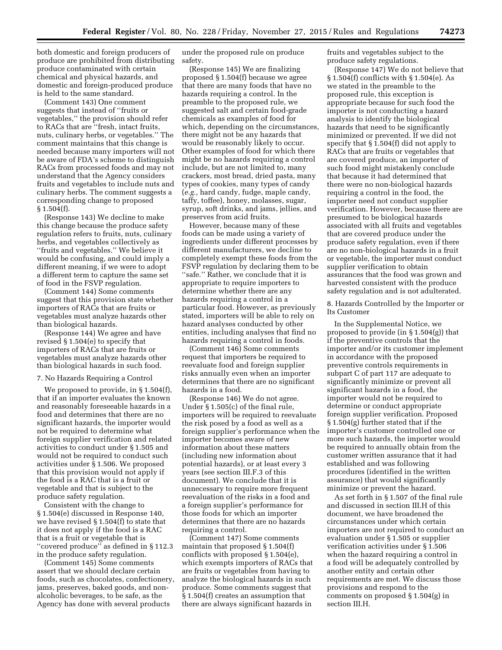both domestic and foreign producers of produce are prohibited from distributing produce contaminated with certain chemical and physical hazards, and domestic and foreign-produced produce is held to the same standard.

(Comment 143) One comment suggests that instead of ''fruits or vegetables,'' the provision should refer to RACs that are ''fresh, intact fruits, nuts, culinary herbs, or vegetables.'' The comment maintains that this change is needed because many importers will not be aware of FDA's scheme to distinguish RACs from processed foods and may not understand that the Agency considers fruits and vegetables to include nuts and culinary herbs. The comment suggests a corresponding change to proposed  $§ 1.504(f).$ 

(Response 143) We decline to make this change because the produce safety regulation refers to fruits, nuts, culinary herbs, and vegetables collectively as ''fruits and vegetables.'' We believe it would be confusing, and could imply a different meaning, if we were to adopt a different term to capture the same set of food in the FSVP regulation.

(Comment 144) Some comments suggest that this provision state whether importers of RACs that are fruits or vegetables must analyze hazards other than biological hazards.

(Response 144) We agree and have revised § 1.504(e) to specify that importers of RACs that are fruits or vegetables must analyze hazards other than biological hazards in such food.

### 7. No Hazards Requiring a Control

We proposed to provide, in § 1.504(f), that if an importer evaluates the known and reasonably foreseeable hazards in a food and determines that there are no significant hazards, the importer would not be required to determine what foreign supplier verification and related activities to conduct under § 1.505 and would not be required to conduct such activities under § 1.506. We proposed that this provision would not apply if the food is a RAC that is a fruit or vegetable and that is subject to the produce safety regulation.

Consistent with the change to § 1.504(e) discussed in Response 140, we have revised § 1.504(f) to state that it does not apply if the food is a RAC that is a fruit or vegetable that is ''covered produce'' as defined in § 112.3 in the produce safety regulation.

(Comment 145) Some comments assert that we should declare certain foods, such as chocolates, confectionery, jams, preserves, baked goods, and nonalcoholic beverages, to be safe, as the Agency has done with several products

under the proposed rule on produce safety.

(Response 145) We are finalizing proposed § 1.504(f) because we agree that there are many foods that have no hazards requiring a control. In the preamble to the proposed rule, we suggested salt and certain food-grade chemicals as examples of food for which, depending on the circumstances, there might not be any hazards that would be reasonably likely to occur. Other examples of food for which there might be no hazards requiring a control include, but are not limited to, many crackers, most bread, dried pasta, many types of cookies, many types of candy (*e.g.,* hard candy, fudge, maple candy, taffy, toffee), honey, molasses, sugar, syrup, soft drinks, and jams, jellies, and preserves from acid fruits.

However, because many of these foods can be made using a variety of ingredients under different processes by different manufacturers, we decline to completely exempt these foods from the FSVP regulation by declaring them to be ''safe.'' Rather, we conclude that it is appropriate to require importers to determine whether there are any hazards requiring a control in a particular food. However, as previously stated, importers will be able to rely on hazard analyses conducted by other entities, including analyses that find no hazards requiring a control in foods.

(Comment 146) Some comments request that importers be required to reevaluate food and foreign supplier risks annually even when an importer determines that there are no significant hazards in a food.

(Response 146) We do not agree. Under § 1.505(c) of the final rule, importers will be required to reevaluate the risk posed by a food as well as a foreign supplier's performance when the importer becomes aware of new information about these matters (including new information about potential hazards), or at least every 3 years (see section III.F.3 of this document). We conclude that it is unnecessary to require more frequent reevaluation of the risks in a food and a foreign supplier's performance for those foods for which an importer determines that there are no hazards requiring a control.

(Comment 147) Some comments maintain that proposed § 1.504(f) conflicts with proposed § 1.504(e), which exempts importers of RACs that are fruits or vegetables from having to analyze the biological hazards in such produce. Some comments suggest that § 1.504(f) creates an assumption that there are always significant hazards in

fruits and vegetables subject to the produce safety regulations.

(Response 147) We do not believe that § 1.504(f) conflicts with § 1.504(e). As we stated in the preamble to the proposed rule, this exception is appropriate because for such food the importer is not conducting a hazard analysis to identify the biological hazards that need to be significantly minimized or prevented. If we did not specify that § 1.504(f) did not apply to RACs that are fruits or vegetables that are covered produce, an importer of such food might mistakenly conclude that because it had determined that there were no non-biological hazards requiring a control in the food, the importer need not conduct supplier verification. However, because there are presumed to be biological hazards associated with all fruits and vegetables that are covered produce under the produce safety regulation, even if there are no non-biological hazards in a fruit or vegetable, the importer must conduct supplier verification to obtain assurances that the food was grown and harvested consistent with the produce safety regulation and is not adulterated.

8. Hazards Controlled by the Importer or Its Customer

In the Supplemental Notice, we proposed to provide (in § 1.504(g)) that if the preventive controls that the importer and/or its customer implement in accordance with the proposed preventive controls requirements in subpart C of part 117 are adequate to significantly minimize or prevent all significant hazards in a food, the importer would not be required to determine or conduct appropriate foreign supplier verification. Proposed § 1.504(g) further stated that if the importer's customer controlled one or more such hazards, the importer would be required to annually obtain from the customer written assurance that it had established and was following procedures (identified in the written assurance) that would significantly minimize or prevent the hazard.

As set forth in § 1.507 of the final rule and discussed in section III.H of this document, we have broadened the circumstances under which certain importers are not required to conduct an evaluation under § 1.505 or supplier verification activities under § 1.506 when the hazard requiring a control in a food will be adequately controlled by another entity and certain other requirements are met. We discuss those provisions and respond to the comments on proposed § 1.504(g) in section III.H.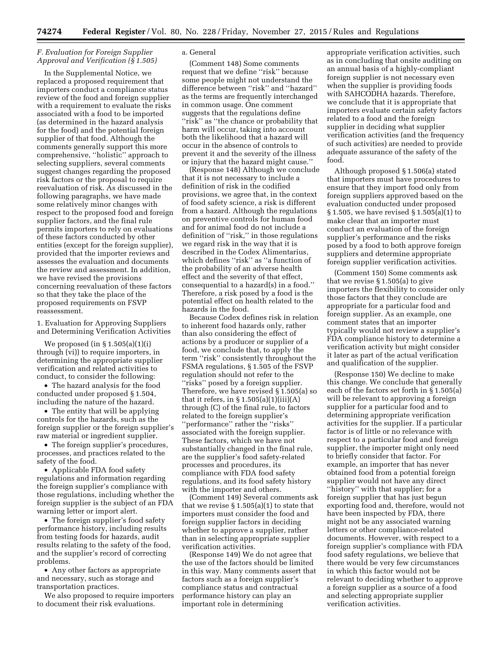### *F. Evaluation for Foreign Supplier Approval and Verification (§ 1.505)*

In the Supplemental Notice, we replaced a proposed requirement that importers conduct a compliance status review of the food and foreign supplier with a requirement to evaluate the risks associated with a food to be imported (as determined in the hazard analysis for the food) and the potential foreign supplier of that food. Although the comments generally support this more comprehensive, ''holistic'' approach to selecting suppliers, several comments suggest changes regarding the proposed risk factors or the proposal to require reevaluation of risk. As discussed in the following paragraphs, we have made some relatively minor changes with respect to the proposed food and foreign supplier factors, and the final rule permits importers to rely on evaluations of these factors conducted by other entities (except for the foreign supplier), provided that the importer reviews and assesses the evaluation and documents the review and assessment. In addition, we have revised the provisions concerning reevaluation of these factors so that they take the place of the proposed requirements on FSVP reassessment.

1. Evaluation for Approving Suppliers and Determining Verification Activities

We proposed (in § 1.505(a)(1)(i) through (vi)) to require importers, in determining the appropriate supplier verification and related activities to conduct, to consider the following:

• The hazard analysis for the food conducted under proposed § 1.504, including the nature of the hazard.

• The entity that will be applying controls for the hazards, such as the foreign supplier or the foreign supplier's raw material or ingredient supplier.

• The foreign supplier's procedures, processes, and practices related to the safety of the food.

• Applicable FDA food safety regulations and information regarding the foreign supplier's compliance with those regulations, including whether the foreign supplier is the subject of an FDA warning letter or import alert.

• The foreign supplier's food safety performance history, including results from testing foods for hazards, audit results relating to the safety of the food, and the supplier's record of correcting problems.

• Any other factors as appropriate and necessary, such as storage and transportation practices.

We also proposed to require importers to document their risk evaluations.

### a. General

(Comment 148) Some comments request that we define ''risk'' because some people might not understand the difference between ''risk'' and ''hazard'' as the terms are frequently interchanged in common usage. One comment suggests that the regulations define ''risk'' as ''the chance or probability that harm will occur, taking into account both the likelihood that a hazard will occur in the absence of controls to prevent it and the severity of the illness or injury that the hazard might cause.''

(Response 148) Although we conclude that it is not necessary to include a definition of risk in the codified provisions, we agree that, in the context of food safety science, a risk is different from a hazard. Although the regulations on preventive controls for human food and for animal food do not include a definition of ''risk,'' in those regulations we regard risk in the way that it is described in the Codex Alimentarius, which defines ''risk'' as ''a function of the probability of an adverse health effect and the severity of that effect, consequential to a hazard(s) in a food.'' Therefore, a risk posed by a food is the potential effect on health related to the hazards in the food.

Because Codex defines risk in relation to inherent food hazards only, rather than also considering the effect of actions by a producer or supplier of a food, we conclude that, to apply the term ''risk'' consistently throughout the FSMA regulations, § 1.505 of the FSVP regulation should not refer to the ''risks'' posed by a foreign supplier. Therefore, we have revised § 1.505(a) so that it refers, in  $\S 1.505(a)(1)(iii)(A)$ through (C) of the final rule, to factors related to the foreign supplier's ''performance'' rather the ''risks'' associated with the foreign supplier. These factors, which we have not substantially changed in the final rule, are the supplier's food safety-related processes and procedures, its compliance with FDA food safety regulations, and its food safety history with the importer and others.

(Comment 149) Several comments ask that we revise  $\S 1.505(a)(1)$  to state that importers must consider the food and foreign supplier factors in deciding whether to approve a supplier, rather than in selecting appropriate supplier verification activities.

(Response 149) We do not agree that the use of the factors should be limited in this way. Many comments assert that factors such as a foreign supplier's compliance status and contractual performance history can play an important role in determining

appropriate verification activities, such as in concluding that onsite auditing on an annual basis of a highly-compliant foreign supplier is not necessary even when the supplier is providing foods with SAHCODHA hazards. Therefore, we conclude that it is appropriate that importers evaluate certain safety factors related to a food and the foreign supplier in deciding what supplier verification activities (and the frequency of such activities) are needed to provide adequate assurance of the safety of the food.

Although proposed § 1.506(a) stated that importers must have procedures to ensure that they import food only from foreign suppliers approved based on the evaluation conducted under proposed § 1.505, we have revised § 1.505(a)(1) to make clear that an importer must conduct an evaluation of the foreign supplier's performance and the risks posed by a food to both approve foreign suppliers and determine appropriate foreign supplier verification activities.

(Comment 150) Some comments ask that we revise § 1.505(a) to give importers the flexibility to consider only those factors that they conclude are appropriate for a particular food and foreign supplier. As an example, one comment states that an importer typically would not review a supplier's FDA compliance history to determine a verification activity but might consider it later as part of the actual verification and qualification of the supplier.

(Response 150) We decline to make this change. We conclude that generally each of the factors set forth in § 1.505(a) will be relevant to approving a foreign supplier for a particular food and to determining appropriate verification activities for the supplier. If a particular factor is of little or no relevance with respect to a particular food and foreign supplier, the importer might only need to briefly consider that factor. For example, an importer that has never obtained food from a potential foreign supplier would not have any direct ''history'' with that supplier; for a foreign supplier that has just begun exporting food and, therefore, would not have been inspected by FDA, there might not be any associated warning letters or other compliance-related documents. However, with respect to a foreign supplier's compliance with FDA food safety regulations, we believe that there would be very few circumstances in which this factor would not be relevant to deciding whether to approve a foreign supplier as a source of a food and selecting appropriate supplier verification activities.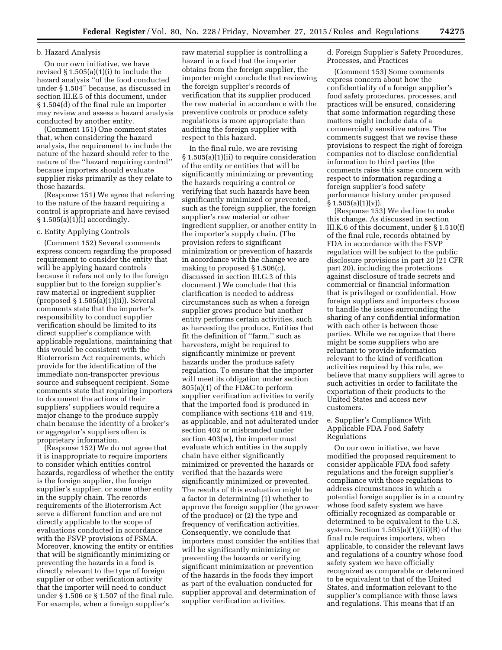# b. Hazard Analysis

On our own initiative, we have revised § 1.505(a)(1)(i) to include the hazard analysis ''of the food conducted under § 1.504'' because, as discussed in section III.E.5 of this document, under § 1.504(d) of the final rule an importer may review and assess a hazard analysis conducted by another entity.

(Comment 151) One comment states that, when considering the hazard analysis, the requirement to include the nature of the hazard should refer to the nature of the ''hazard requiring control'' because importers should evaluate supplier risks primarily as they relate to those hazards.

(Response 151) We agree that referring to the nature of the hazard requiring a control is appropriate and have revised § 1.505(a)(1)(i) accordingly.

#### c. Entity Applying Controls

(Comment 152) Several comments express concern regarding the proposed requirement to consider the entity that will be applying hazard controls because it refers not only to the foreign supplier but to the foreign supplier's raw material or ingredient supplier (proposed § 1.505(a)(1)(ii)). Several comments state that the importer's responsibility to conduct supplier verification should be limited to its direct supplier's compliance with applicable regulations, maintaining that this would be consistent with the Bioterrorism Act requirements, which provide for the identification of the immediate non-transporter previous source and subsequent recipient. Some comments state that requiring importers to document the actions of their suppliers' suppliers would require a major change to the produce supply chain because the identity of a broker's or aggregator's suppliers often is proprietary information.

(Response 152) We do not agree that it is inappropriate to require importers to consider which entities control hazards, regardless of whether the entity is the foreign supplier, the foreign supplier's supplier, or some other entity in the supply chain. The records requirements of the Bioterrorism Act serve a different function and are not directly applicable to the scope of evaluations conducted in accordance with the FSVP provisions of FSMA. Moreover, knowing the entity or entities that will be significantly minimizing or preventing the hazards in a food is directly relevant to the type of foreign supplier or other verification activity that the importer will need to conduct under § 1.506 or § 1.507 of the final rule. For example, when a foreign supplier's

raw material supplier is controlling a hazard in a food that the importer obtains from the foreign supplier, the importer might conclude that reviewing the foreign supplier's records of verification that its supplier produced the raw material in accordance with the preventive controls or produce safety regulations is more appropriate than auditing the foreign supplier with respect to this hazard.

In the final rule, we are revising § 1.505(a)(1)(ii) to require consideration of the entity or entities that will be significantly minimizing or preventing the hazards requiring a control or verifying that such hazards have been significantly minimized or prevented, such as the foreign supplier, the foreign supplier's raw material or other ingredient supplier, or another entity in the importer's supply chain. (The provision refers to significant minimization or prevention of hazards in accordance with the change we are making to proposed § 1.506(c), discussed in section III.G.3 of this document.) We conclude that this clarification is needed to address circumstances such as when a foreign supplier grows produce but another entity performs certain activities, such as harvesting the produce. Entities that fit the definition of ''farm,'' such as harvesters, might be required to significantly minimize or prevent hazards under the produce safety regulation. To ensure that the importer will meet its obligation under section 805(a)(1) of the FD&C to perform supplier verification activities to verify that the imported food is produced in compliance with sections 418 and 419, as applicable, and not adulterated under section 402 or misbranded under section 403(w), the importer must evaluate which entities in the supply chain have either significantly minimized or prevented the hazards or verified that the hazards were significantly minimized or prevented. The results of this evaluation might be a factor in determining (1) whether to approve the foreign supplier (the grower of the produce) or (2) the type and frequency of verification activities. Consequently, we conclude that importers must consider the entities that will be significantly minimizing or preventing the hazards or verifying significant minimization or prevention of the hazards in the foods they import as part of the evaluation conducted for supplier approval and determination of supplier verification activities.

d. Foreign Supplier's Safety Procedures, Processes, and Practices

(Comment 153) Some comments express concern about how the confidentiality of a foreign supplier's food safety procedures, processes, and practices will be ensured, considering that some information regarding these matters might include data of a commercially sensitive nature. The comments suggest that we revise these provisions to respect the right of foreign companies not to disclose confidential information to third parties (the comments raise this same concern with respect to information regarding a foreign supplier's food safety performance history under proposed  $\S 1.505(a)(1)(v)$ ).

(Response 153) We decline to make this change. As discussed in section III.K.6 of this document, under § 1.510(f) of the final rule, records obtained by FDA in accordance with the FSVP regulation will be subject to the public disclosure provisions in part 20 (21 CFR part 20), including the protections against disclosure of trade secrets and commercial or financial information that is privileged or confidential. How foreign suppliers and importers choose to handle the issues surrounding the sharing of any confidential information with each other is between those parties. While we recognize that there might be some suppliers who are reluctant to provide information relevant to the kind of verification activities required by this rule, we believe that many suppliers will agree to such activities in order to facilitate the exportation of their products to the United States and access new customers.

### e. Supplier's Compliance With Applicable FDA Food Safety Regulations

On our own initiative, we have modified the proposed requirement to consider applicable FDA food safety regulations and the foreign supplier's compliance with those regulations to address circumstances in which a potential foreign supplier is in a country whose food safety system we have officially recognized as comparable or determined to be equivalent to the U.S. system. Section 1.505(a)(1)(iii)(B) of the final rule requires importers, when applicable, to consider the relevant laws and regulations of a country whose food safety system we have officially recognized as comparable or determined to be equivalent to that of the United States, and information relevant to the supplier's compliance with those laws and regulations. This means that if an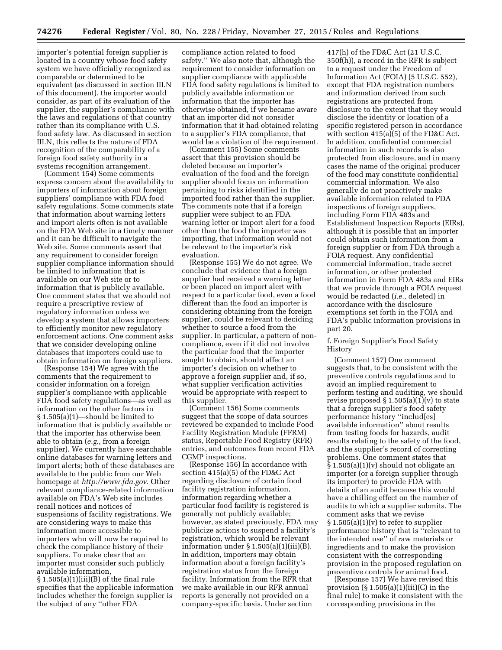importer's potential foreign supplier is located in a country whose food safety system we have officially recognized as comparable or determined to be equivalent (as discussed in section III.N of this document), the importer would consider, as part of its evaluation of the supplier, the supplier's compliance with the laws and regulations of that country rather than its compliance with U.S. food safety law. As discussed in section III.N, this reflects the nature of FDA recognition of the comparability of a foreign food safety authority in a systems recognition arrangement.

(Comment 154) Some comments express concern about the availability to importers of information about foreign suppliers' compliance with FDA food safety regulations. Some comments state that information about warning letters and import alerts often is not available on the FDA Web site in a timely manner and it can be difficult to navigate the Web site. Some comments assert that any requirement to consider foreign supplier compliance information should be limited to information that is available on our Web site or to information that is publicly available. One comment states that we should not require a prescriptive review of regulatory information unless we develop a system that allows importers to efficiently monitor new regulatory enforcement actions. One comment asks that we consider developing online databases that importers could use to obtain information on foreign suppliers.

(Response 154) We agree with the comments that the requirement to consider information on a foreign supplier's compliance with applicable FDA food safety regulations—as well as information on the other factors in § 1.505(a)(1)—should be limited to information that is publicly available or that the importer has otherwise been able to obtain (*e.g.,* from a foreign supplier). We currently have searchable online databases for warning letters and import alerts; both of these databases are available to the public from our Web homepage at *<http://www.fda.gov>*. Other relevant compliance-related information available on FDA's Web site includes recall notices and notices of suspensions of facility registrations. We are considering ways to make this information more accessible to importers who will now be required to check the compliance history of their suppliers. To make clear that an importer must consider such publicly available information, § 1.505(a)(1)(iii)(B) of the final rule

specifies that the applicable information includes whether the foreign supplier is the subject of any ''other FDA

compliance action related to food safety.'' We also note that, although the requirement to consider information on supplier compliance with applicable FDA food safety regulations is limited to publicly available information or information that the importer has otherwise obtained, if we became aware that an importer did not consider information that it had obtained relating to a supplier's FDA compliance, that would be a violation of the requirement.

(Comment 155) Some comments assert that this provision should be deleted because an importer's evaluation of the food and the foreign supplier should focus on information pertaining to risks identified in the imported food rather than the supplier. The comments note that if a foreign supplier were subject to an FDA warning letter or import alert for a food other than the food the importer was importing, that information would not be relevant to the importer's risk evaluation.

(Response 155) We do not agree. We conclude that evidence that a foreign supplier had received a warning letter or been placed on import alert with respect to a particular food, even a food different than the food an importer is considering obtaining from the foreign supplier, could be relevant to deciding whether to source a food from the supplier. In particular, a pattern of noncompliance, even if it did not involve the particular food that the importer sought to obtain, should affect an importer's decision on whether to approve a foreign supplier and, if so, what supplier verification activities would be appropriate with respect to this supplier.

(Comment 156) Some comments suggest that the scope of data sources reviewed be expanded to include Food Facility Registration Module (FFRM) status, Reportable Food Registry (RFR) entries, and outcomes from recent FDA CGMP inspections.

(Response 156) In accordance with section 415(a)(5) of the FD&C Act regarding disclosure of certain food facility registration information, information regarding whether a particular food facility is registered is generally not publicly available; however, as stated previously, FDA may publicize actions to suspend a facility's registration, which would be relevant information under  $\S 1.505(a)(1)(iii)(B)$ . In addition, importers may obtain information about a foreign facility's registration status from the foreign facility. Information from the RFR that we make available in our RFR annual reports is generally not provided on a company-specific basis. Under section

417(h) of the FD&C Act (21 U.S.C. 350f(h)), a record in the RFR is subject to a request under the Freedom of Information Act (FOIA) (5 U.S.C. 552), except that FDA registration numbers and information derived from such registrations are protected from disclosure to the extent that they would disclose the identity or location of a specific registered person in accordance with section 415(a)(5) of the FD&C Act. In addition, confidential commercial information in such records is also protected from disclosure, and in many cases the name of the original producer of the food may constitute confidential commercial information. We also generally do not proactively make available information related to FDA inspections of foreign suppliers, including Form FDA 483s and Establishment Inspection Reports (EIRs), although it is possible that an importer could obtain such information from a foreign supplier or from FDA through a FOIA request. Any confidential commercial information, trade secret information, or other protected information in Form FDA 483s and EIRs that we provide through a FOIA request would be redacted (*i.e.,* deleted) in accordance with the disclosure exemptions set forth in the FOIA and FDA's public information provisions in part 20.

#### f. Foreign Supplier's Food Safety History

(Comment 157) One comment suggests that, to be consistent with the preventive controls regulations and to avoid an implied requirement to perform testing and auditing, we should revise proposed  $\S 1.505(a)(1)(v)$  to state that a foreign supplier's food safety performance history ''includ[es] available information'' about results from testing foods for hazards, audit results relating to the safety of the food, and the supplier's record of correcting problems. One comment states that § 1.505(a)(1)(v) should not obligate an importer (or a foreign supplier through its importer) to provide FDA with details of an audit because this would have a chilling effect on the number of audits to which a supplier submits. The comment asks that we revise  $§ 1.505(a)(1)(v)$  to refer to supplier performance history that is ''relevant to the intended use'' of raw materials or ingredients and to make the provision consistent with the corresponding provision in the proposed regulation on preventive controls for animal food.

(Response 157) We have revised this provision  $(\S 1.505(a)(1)(iii)(C)$  in the final rule) to make it consistent with the corresponding provisions in the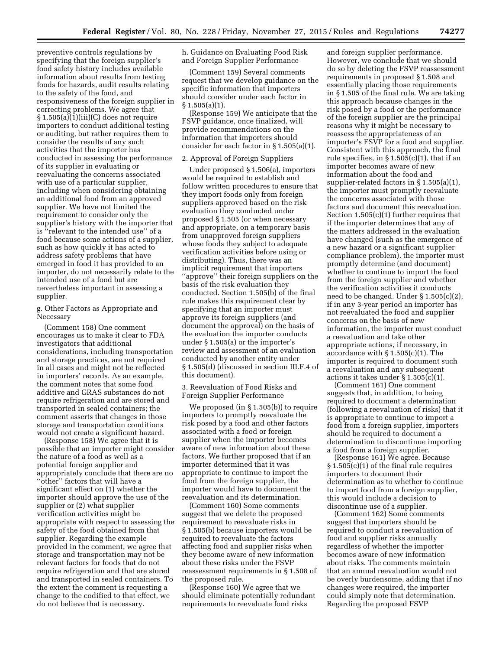preventive controls regulations by specifying that the foreign supplier's food safety history includes available information about results from testing foods for hazards, audit results relating to the safety of the food, and responsiveness of the foreign supplier in correcting problems. We agree that § 1.505(a)(1)(iii)(C) does not require importers to conduct additional testing or auditing, but rather requires them to consider the results of any such activities that the importer has conducted in assessing the performance of its supplier in evaluating or reevaluating the concerns associated with use of a particular supplier, including when considering obtaining an additional food from an approved supplier. We have not limited the requirement to consider only the supplier's history with the importer that is ''relevant to the intended use'' of a food because some actions of a supplier, such as how quickly it has acted to address safety problems that have emerged in food it has provided to an importer, do not necessarily relate to the intended use of a food but are nevertheless important in assessing a supplier.

g. Other Factors as Appropriate and Necessary

(Comment 158) One comment encourages us to make it clear to FDA investigators that additional considerations, including transportation and storage practices, are not required in all cases and might not be reflected in importers' records. As an example, the comment notes that some food additive and GRAS substances do not require refrigeration and are stored and transported in sealed containers; the comment asserts that changes in those storage and transportation conditions would not create a significant hazard.

(Response 158) We agree that it is possible that an importer might consider the nature of a food as well as a potential foreign supplier and appropriately conclude that there are no ''other'' factors that will have a significant effect on (1) whether the importer should approve the use of the supplier or (2) what supplier verification activities might be appropriate with respect to assessing the safety of the food obtained from that supplier. Regarding the example provided in the comment, we agree that storage and transportation may not be relevant factors for foods that do not require refrigeration and that are stored and transported in sealed containers. To the extent the comment is requesting a change to the codified to that effect, we do not believe that is necessary.

h. Guidance on Evaluating Food Risk and Foreign Supplier Performance

(Comment 159) Several comments request that we develop guidance on the specific information that importers should consider under each factor in  $§ 1.505(a)(1).$ 

(Response 159) We anticipate that the FSVP guidance, once finalized, will provide recommendations on the information that importers should consider for each factor in § 1.505(a)(1).

#### 2. Approval of Foreign Suppliers

Under proposed § 1.506(a), importers would be required to establish and follow written procedures to ensure that they import foods only from foreign suppliers approved based on the risk evaluation they conducted under proposed § 1.505 (or when necessary and appropriate, on a temporary basis from unapproved foreign suppliers whose foods they subject to adequate verification activities before using or distributing). Thus, there was an implicit requirement that importers ''approve'' their foreign suppliers on the basis of the risk evaluation they conducted. Section 1.505(b) of the final rule makes this requirement clear by specifying that an importer must approve its foreign suppliers (and document the approval) on the basis of the evaluation the importer conducts under § 1.505(a) or the importer's review and assessment of an evaluation conducted by another entity under § 1.505(d) (discussed in section III.F.4 of this document).

3. Reevaluation of Food Risks and Foreign Supplier Performance

We proposed (in § 1.505(b)) to require importers to promptly reevaluate the risk posed by a food and other factors associated with a food or foreign supplier when the importer becomes aware of new information about these factors. We further proposed that if an importer determined that it was appropriate to continue to import the food from the foreign supplier, the importer would have to document the reevaluation and its determination.

(Comment 160) Some comments suggest that we delete the proposed requirement to reevaluate risks in § 1.505(b) because importers would be required to reevaluate the factors affecting food and supplier risks when they become aware of new information about these risks under the FSVP reassessment requirements in § 1.508 of the proposed rule.

(Response 160) We agree that we should eliminate potentially redundant requirements to reevaluate food risks

and foreign supplier performance. However, we conclude that we should do so by deleting the FSVP reassessment requirements in proposed § 1.508 and essentially placing those requirements in § 1.505 of the final rule. We are taking this approach because changes in the risk posed by a food or the performance of the foreign supplier are the principal reasons why it might be necessary to reassess the appropriateness of an importer's FSVP for a food and supplier. Consistent with this approach, the final rule specifies, in  $\S 1.505(c)(1)$ , that if an importer becomes aware of new information about the food and supplier-related factors in § 1.505(a)(1), the importer must promptly reevaluate the concerns associated with those factors and document this reevaluation. Section 1.505(c)(1) further requires that if the importer determines that any of the matters addressed in the evaluation have changed (such as the emergence of a new hazard or a significant supplier compliance problem), the importer must promptly determine (and document) whether to continue to import the food from the foreign supplier and whether the verification activities it conducts need to be changed. Under § 1.505(c)(2), if in any 3-year period an importer has not reevaluated the food and supplier concerns on the basis of new information, the importer must conduct a reevaluation and take other appropriate actions, if necessary, in accordance with § 1.505(c)(1). The importer is required to document such a reevaluation and any subsequent actions it takes under  $\S 1.505(c)(1)$ .

(Comment 161) One comment suggests that, in addition, to being required to document a determination (following a reevaluation of risks) that it is appropriate to continue to import a food from a foreign supplier, importers should be required to document a determination to discontinue importing a food from a foreign supplier.

(Response 161) We agree. Because § 1.505(c)(1) of the final rule requires importers to document their determination as to whether to continue to import food from a foreign supplier, this would include a decision to discontinue use of a supplier.

(Comment 162) Some comments suggest that importers should be required to conduct a reevaluation of food and supplier risks annually regardless of whether the importer becomes aware of new information about risks. The comments maintain that an annual reevaluation would not be overly burdensome, adding that if no changes were required, the importer could simply note that determination. Regarding the proposed FSVP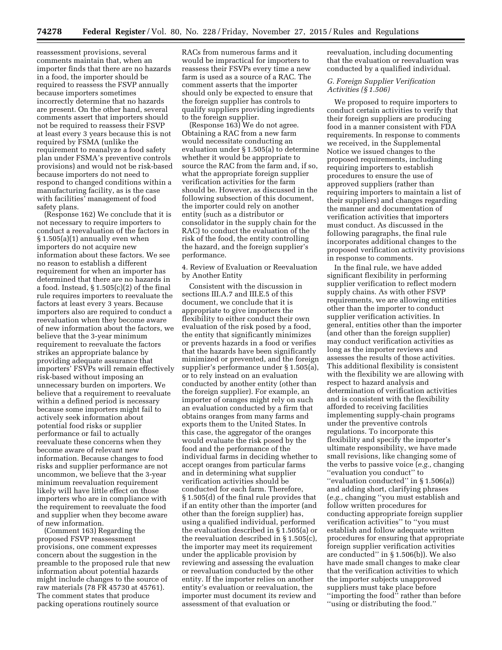reassessment provisions, several comments maintain that, when an importer finds that there are no hazards in a food, the importer should be required to reassess the FSVP annually because importers sometimes incorrectly determine that no hazards are present. On the other hand, several comments assert that importers should not be required to reassess their FSVP at least every 3 years because this is not required by FSMA (unlike the requirement to reanalyze a food safety plan under FSMA's preventive controls provisions) and would not be risk-based because importers do not need to respond to changed conditions within a manufacturing facility, as is the case with facilities' management of food safety plans.

(Response 162) We conclude that it is not necessary to require importers to conduct a reevaluation of the factors in § 1.505(a)(1) annually even when importers do not acquire new information about these factors. We see no reason to establish a different requirement for when an importer has determined that there are no hazards in a food. Instead,  $\S 1.505(c)(2)$  of the final rule requires importers to reevaluate the factors at least every 3 years. Because importers also are required to conduct a reevaluation when they become aware of new information about the factors, we believe that the 3-year minimum requirement to reevaluate the factors strikes an appropriate balance by providing adequate assurance that importers' FSVPs will remain effectively risk-based without imposing an unnecessary burden on importers. We believe that a requirement to reevaluate within a defined period is necessary because some importers might fail to actively seek information about potential food risks or supplier performance or fail to actually reevaluate these concerns when they become aware of relevant new information. Because changes to food risks and supplier performance are not uncommon, we believe that the 3-year minimum reevaluation requirement likely will have little effect on those importers who are in compliance with the requirement to reevaluate the food and supplier when they become aware of new information.

(Comment 163) Regarding the proposed FSVP reassessment provisions, one comment expresses concern about the suggestion in the preamble to the proposed rule that new information about potential hazards might include changes to the source of raw materials (78 FR 45730 at 45761). The comment states that produce packing operations routinely source

RACs from numerous farms and it would be impractical for importers to reassess their FSVPs every time a new farm is used as a source of a RAC. The comment asserts that the importer should only be expected to ensure that the foreign supplier has controls to qualify suppliers providing ingredients to the foreign supplier.

(Response 163) We do not agree. Obtaining a RAC from a new farm would necessitate conducting an evaluation under § 1.505(a) to determine whether it would be appropriate to source the RAC from the farm and, if so, what the appropriate foreign supplier verification activities for the farm should be. However, as discussed in the following subsection of this document, the importer could rely on another entity (such as a distributor or consolidator in the supply chain for the RAC) to conduct the evaluation of the risk of the food, the entity controlling the hazard, and the foreign supplier's performance.

4. Review of Evaluation or Reevaluation by Another Entity

Consistent with the discussion in sections III.A.7 and III.E.5 of this document, we conclude that it is appropriate to give importers the flexibility to either conduct their own evaluation of the risk posed by a food, the entity that significantly minimizes or prevents hazards in a food or verifies that the hazards have been significantly minimized or prevented, and the foreign supplier's performance under § 1.505(a), or to rely instead on an evaluation conducted by another entity (other than the foreign supplier). For example, an importer of oranges might rely on such an evaluation conducted by a firm that obtains oranges from many farms and exports them to the United States. In this case, the aggregator of the oranges would evaluate the risk posed by the food and the performance of the individual farms in deciding whether to accept oranges from particular farms and in determining what supplier verification activities should be conducted for each farm. Therefore, § 1.505(d) of the final rule provides that if an entity other than the importer (and other than the foreign supplier) has, using a qualified individual, performed the evaluation described in § 1.505(a) or the reevaluation described in § 1.505(c), the importer may meet its requirement under the applicable provision by reviewing and assessing the evaluation or reevaluation conducted by the other entity. If the importer relies on another entity's evaluation or reevaluation, the importer must document its review and assessment of that evaluation or

reevaluation, including documenting that the evaluation or reevaluation was conducted by a qualified individual.

### *G. Foreign Supplier Verification Activities (§ 1.506)*

We proposed to require importers to conduct certain activities to verify that their foreign suppliers are producing food in a manner consistent with FDA requirements. In response to comments we received, in the Supplemental Notice we issued changes to the proposed requirements, including requiring importers to establish procedures to ensure the use of approved suppliers (rather than requiring importers to maintain a list of their suppliers) and changes regarding the manner and documentation of verification activities that importers must conduct. As discussed in the following paragraphs, the final rule incorporates additional changes to the proposed verification activity provisions in response to comments.

In the final rule, we have added significant flexibility in performing supplier verification to reflect modern supply chains. As with other FSVP requirements, we are allowing entities other than the importer to conduct supplier verification activities. In general, entities other than the importer (and other than the foreign supplier) may conduct verification activities as long as the importer reviews and assesses the results of those activities. This additional flexibility is consistent with the flexibility we are allowing with respect to hazard analysis and determination of verification activities and is consistent with the flexibility afforded to receiving facilities implementing supply-chain programs under the preventive controls regulations. To incorporate this flexibility and specify the importer's ultimate responsibility, we have made small revisions, like changing some of the verbs to passive voice (*e.g.,* changing ''evaluation you conduct'' to ''evaluation conducted'' in § 1.506(a)) and adding short, clarifying phrases (*e.g.,* changing ''you must establish and follow written procedures for conducting appropriate foreign supplier verification activities'' to ''you must establish and follow adequate written procedures for ensuring that appropriate foreign supplier verification activities are conducted'' in § 1.506(b)). We also have made small changes to make clear that the verification activities to which the importer subjects unapproved suppliers must take place before ''importing the food'' rather than before ''using or distributing the food.''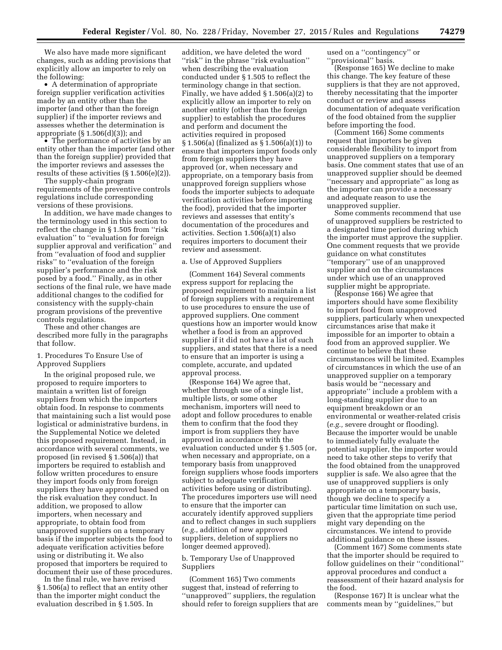We also have made more significant changes, such as adding provisions that explicitly allow an importer to rely on the following:

• A determination of appropriate foreign supplier verification activities made by an entity other than the importer (and other than the foreign supplier) if the importer reviews and assesses whether the determination is appropriate  $(\S 1.506(d)(3))$ ; and

• The performance of activities by an entity other than the importer (and other than the foreign supplier) provided that the importer reviews and assesses the results of these activities (§ 1.506(e)(2)).

The supply-chain program requirements of the preventive controls regulations include corresponding versions of these provisions.

In addition, we have made changes to the terminology used in this section to reflect the change in § 1.505 from ''risk evaluation'' to ''evaluation for foreign supplier approval and verification'' and from ''evaluation of food and supplier risks'' to ''evaluation of the foreign supplier's performance and the risk posed by a food.'' Finally, as in other sections of the final rule, we have made additional changes to the codified for consistency with the supply-chain program provisions of the preventive controls regulations.

These and other changes are described more fully in the paragraphs that follow.

# 1. Procedures To Ensure Use of Approved Suppliers

In the original proposed rule, we proposed to require importers to maintain a written list of foreign suppliers from which the importers obtain food. In response to comments that maintaining such a list would pose logistical or administrative burdens, in the Supplemental Notice we deleted this proposed requirement. Instead, in accordance with several comments, we proposed (in revised § 1.506(a)) that importers be required to establish and follow written procedures to ensure they import foods only from foreign suppliers they have approved based on the risk evaluation they conduct. In addition, we proposed to allow importers, when necessary and appropriate, to obtain food from unapproved suppliers on a temporary basis if the importer subjects the food to adequate verification activities before using or distributing it. We also proposed that importers be required to document their use of these procedures.

In the final rule, we have revised § 1.506(a) to reflect that an entity other than the importer might conduct the evaluation described in § 1.505. In

addition, we have deleted the word ''risk'' in the phrase ''risk evaluation'' when describing the evaluation conducted under § 1.505 to reflect the terminology change in that section. Finally, we have added § 1.506(a)(2) to explicitly allow an importer to rely on another entity (other than the foreign supplier) to establish the procedures and perform and document the activities required in proposed § 1.506(a) (finalized as § 1.506(a)(1)) to ensure that importers import foods only from foreign suppliers they have approved (or, when necessary and appropriate, on a temporary basis from unapproved foreign suppliers whose foods the importer subjects to adequate verification activities before importing the food), provided that the importer reviews and assesses that entity's documentation of the procedures and activities. Section 1.506(a)(1) also requires importers to document their review and assessment.

### a. Use of Approved Suppliers

(Comment 164) Several comments express support for replacing the proposed requirement to maintain a list of foreign suppliers with a requirement to use procedures to ensure the use of approved suppliers. One comment questions how an importer would know whether a food is from an approved supplier if it did not have a list of such suppliers, and states that there is a need to ensure that an importer is using a complete, accurate, and updated approval process.

(Response 164) We agree that, whether through use of a single list, multiple lists, or some other mechanism, importers will need to adopt and follow procedures to enable them to confirm that the food they import is from suppliers they have approved in accordance with the evaluation conducted under § 1.505 (or, when necessary and appropriate, on a temporary basis from unapproved foreign suppliers whose foods importers subject to adequate verification activities before using or distributing). The procedures importers use will need to ensure that the importer can accurately identify approved suppliers and to reflect changes in such suppliers (*e.g.,* addition of new approved suppliers, deletion of suppliers no longer deemed approved).

# b. Temporary Use of Unapproved Suppliers

(Comment 165) Two comments suggest that, instead of referring to ''unapproved'' suppliers, the regulation should refer to foreign suppliers that are used on a ''contingency'' or ''provisional'' basis.

(Response 165) We decline to make this change. The key feature of these suppliers is that they are not approved, thereby necessitating that the importer conduct or review and assess documentation of adequate verification of the food obtained from the supplier before importing the food.

(Comment 166) Some comments request that importers be given considerable flexibility to import from unapproved suppliers on a temporary basis. One comment states that use of an unapproved supplier should be deemed ''necessary and appropriate'' as long as the importer can provide a necessary and adequate reason to use the unapproved supplier.

Some comments recommend that use of unapproved suppliers be restricted to a designated time period during which the importer must approve the supplier. One comment requests that we provide guidance on what constitutes ''temporary'' use of an unapproved supplier and on the circumstances under which use of an unapproved supplier might be appropriate.

(Response 166) We agree that importers should have some flexibility to import food from unapproved suppliers, particularly when unexpected circumstances arise that make it impossible for an importer to obtain a food from an approved supplier. We continue to believe that these circumstances will be limited. Examples of circumstances in which the use of an unapproved supplier on a temporary basis would be ''necessary and appropriate'' include a problem with a long-standing supplier due to an equipment breakdown or an environmental or weather-related crisis (*e.g.,* severe drought or flooding). Because the importer would be unable to immediately fully evaluate the potential supplier, the importer would need to take other steps to verify that the food obtained from the unapproved supplier is safe. We also agree that the use of unapproved suppliers is only appropriate on a temporary basis, though we decline to specify a particular time limitation on such use, given that the appropriate time period might vary depending on the circumstances. We intend to provide additional guidance on these issues.

(Comment 167) Some comments state that the importer should be required to follow guidelines on their ''conditional'' approval procedures and conduct a reassessment of their hazard analysis for the food.

(Response 167) It is unclear what the comments mean by ''guidelines,'' but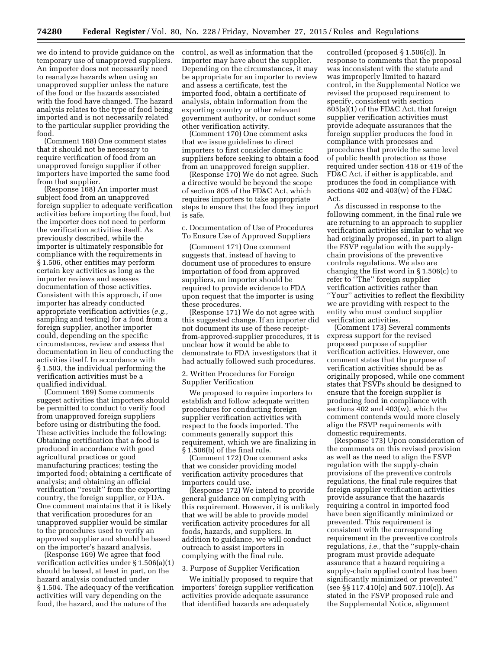we do intend to provide guidance on the temporary use of unapproved suppliers. An importer does not necessarily need to reanalyze hazards when using an unapproved supplier unless the nature of the food or the hazards associated with the food have changed. The hazard analysis relates to the type of food being imported and is not necessarily related to the particular supplier providing the food.

(Comment 168) One comment states that it should not be necessary to require verification of food from an unapproved foreign supplier if other importers have imported the same food from that supplier.

(Response 168) An importer must subject food from an unapproved foreign supplier to adequate verification activities before importing the food, but the importer does not need to perform the verification activities itself. As previously described, while the importer is ultimately responsible for compliance with the requirements in § 1.506, other entities may perform certain key activities as long as the importer reviews and assesses documentation of those activities. Consistent with this approach, if one importer has already conducted appropriate verification activities (*e.g.,*  sampling and testing) for a food from a foreign supplier, another importer could, depending on the specific circumstances, review and assess that documentation in lieu of conducting the activities itself. In accordance with § 1.503, the individual performing the verification activities must be a qualified individual.

(Comment 169) Some comments suggest activities that importers should be permitted to conduct to verify food from unapproved foreign suppliers before using or distributing the food. These activities include the following: Obtaining certification that a food is produced in accordance with good agricultural practices or good manufacturing practices; testing the imported food; obtaining a certificate of analysis; and obtaining an official verification ''result'' from the exporting country, the foreign supplier, or FDA. One comment maintains that it is likely that verification procedures for an unapproved supplier would be similar to the procedures used to verify an approved supplier and should be based on the importer's hazard analysis.

(Response 169) We agree that food verification activities under § 1.506(a)(1) should be based, at least in part, on the hazard analysis conducted under § 1.504. The adequacy of the verification activities will vary depending on the food, the hazard, and the nature of the

control, as well as information that the importer may have about the supplier. Depending on the circumstances, it may be appropriate for an importer to review and assess a certificate, test the imported food, obtain a certificate of analysis, obtain information from the exporting country or other relevant government authority, or conduct some other verification activity.

(Comment 170) One comment asks that we issue guidelines to direct importers to first consider domestic suppliers before seeking to obtain a food from an unapproved foreign supplier.

(Response 170) We do not agree. Such a directive would be beyond the scope of section 805 of the FD&C Act, which requires importers to take appropriate steps to ensure that the food they import is safe.

c. Documentation of Use of Procedures To Ensure Use of Approved Suppliers

(Comment 171) One comment suggests that, instead of having to document use of procedures to ensure importation of food from approved suppliers, an importer should be required to provide evidence to FDA upon request that the importer is using these procedures.

(Response 171) We do not agree with this suggested change. If an importer did not document its use of these receiptfrom-approved-supplier procedures, it is unclear how it would be able to demonstrate to FDA investigators that it had actually followed such procedures.

2. Written Procedures for Foreign Supplier Verification

We proposed to require importers to establish and follow adequate written procedures for conducting foreign supplier verification activities with respect to the foods imported. The comments generally support this requirement, which we are finalizing in § 1.506(b) of the final rule.

(Comment 172) One comment asks that we consider providing model verification activity procedures that importers could use.

(Response 172) We intend to provide general guidance on complying with this requirement. However, it is unlikely that we will be able to provide model verification activity procedures for all foods, hazards, and suppliers. In addition to guidance, we will conduct outreach to assist importers in complying with the final rule.

#### 3. Purpose of Supplier Verification

We initially proposed to require that importers' foreign supplier verification activities provide adequate assurance that identified hazards are adequately

controlled (proposed § 1.506(c)). In response to comments that the proposal was inconsistent with the statute and was improperly limited to hazard control, in the Supplemental Notice we revised the proposed requirement to specify, consistent with section 805(a)(1) of the FD&C Act, that foreign supplier verification activities must provide adequate assurances that the foreign supplier produces the food in compliance with processes and procedures that provide the same level of public health protection as those required under section 418 or 419 of the FD&C Act, if either is applicable, and produces the food in compliance with sections 402 and 403(w) of the FD&C Act.

As discussed in response to the following comment, in the final rule we are returning to an approach to supplier verification activities similar to what we had originally proposed, in part to align the FSVP regulation with the supplychain provisions of the preventive controls regulations. We also are changing the first word in § 1.506(c) to refer to ''The'' foreign supplier verification activities rather than ''Your'' activities to reflect the flexibility we are providing with respect to the entity who must conduct supplier verification activities.

(Comment 173) Several comments express support for the revised proposed purpose of supplier verification activities. However, one comment states that the purpose of verification activities should be as originally proposed, while one comment states that FSVPs should be designed to ensure that the foreign supplier is producing food in compliance with sections 402 and 403(w), which the comment contends would more closely align the FSVP requirements with domestic requirements.

(Response 173) Upon consideration of the comments on this revised provision as well as the need to align the FSVP regulation with the supply-chain provisions of the preventive controls regulations, the final rule requires that foreign supplier verification activities provide assurance that the hazards requiring a control in imported food have been significantly minimized or prevented. This requirement is consistent with the corresponding requirement in the preventive controls regulations, *i.e.,* that the ''supply-chain program must provide adequate assurance that a hazard requiring a supply-chain applied control has been significantly minimized or prevented'' (see §§ 117.410(c) and 507.110(c)). As stated in the FSVP proposed rule and the Supplemental Notice, alignment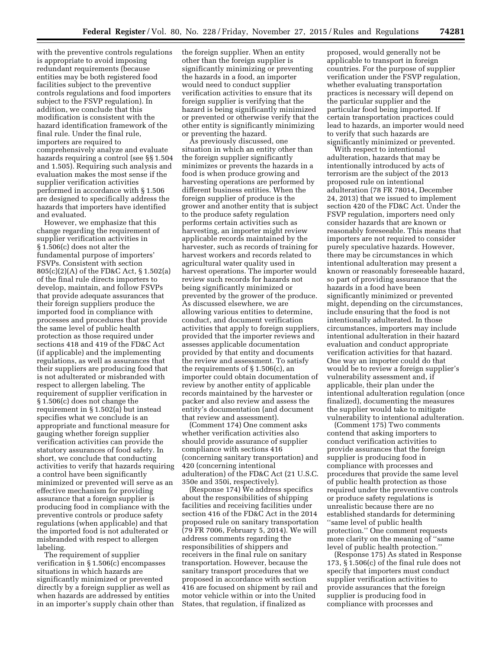with the preventive controls regulations is appropriate to avoid imposing redundant requirements (because entities may be both registered food facilities subject to the preventive controls regulations and food importers subject to the FSVP regulation). In addition, we conclude that this modification is consistent with the hazard identification framework of the final rule. Under the final rule, importers are required to comprehensively analyze and evaluate hazards requiring a control (see §§ 1.504 and 1.505). Requiring such analysis and evaluation makes the most sense if the supplier verification activities performed in accordance with § 1.506 are designed to specifically address the hazards that importers have identified and evaluated.

However, we emphasize that this change regarding the requirement of supplier verification activities in § 1.506(c) does not alter the fundamental purpose of importers' FSVPs. Consistent with section 805(c)(2)(A) of the FD&C Act, § 1.502(a) of the final rule directs importers to develop, maintain, and follow FSVPs that provide adequate assurances that their foreign suppliers produce the imported food in compliance with processes and procedures that provide the same level of public health protection as those required under sections 418 and 419 of the FD&C Act (if applicable) and the implementing regulations, as well as assurances that their suppliers are producing food that is not adulterated or misbranded with respect to allergen labeling. The requirement of supplier verification in § 1.506(c) does not change the requirement in § 1.502(a) but instead specifies what we conclude is an appropriate and functional measure for gauging whether foreign supplier verification activities can provide the statutory assurances of food safety. In short, we conclude that conducting activities to verify that hazards requiring a control have been significantly minimized or prevented will serve as an effective mechanism for providing assurance that a foreign supplier is producing food in compliance with the preventive controls or produce safety regulations (when applicable) and that the imported food is not adulterated or misbranded with respect to allergen labeling.

The requirement of supplier verification in § 1.506(c) encompasses situations in which hazards are significantly minimized or prevented directly by a foreign supplier as well as when hazards are addressed by entities in an importer's supply chain other than the foreign supplier. When an entity other than the foreign supplier is significantly minimizing or preventing the hazards in a food, an importer would need to conduct supplier verification activities to ensure that its foreign supplier is verifying that the hazard is being significantly minimized or prevented or otherwise verify that the other entity is significantly minimizing or preventing the hazard.

As previously discussed, one situation in which an entity other than the foreign supplier significantly minimizes or prevents the hazards in a food is when produce growing and harvesting operations are performed by different business entities. When the foreign supplier of produce is the grower and another entity that is subject to the produce safety regulation performs certain activities such as harvesting, an importer might review applicable records maintained by the harvester, such as records of training for harvest workers and records related to agricultural water quality used in harvest operations. The importer would review such records for hazards not being significantly minimized or prevented by the grower of the produce. As discussed elsewhere, we are allowing various entities to determine, conduct, and document verification activities that apply to foreign suppliers, provided that the importer reviews and assesses applicable documentation provided by that entity and documents the review and assessment. To satisfy the requirements of  $\S 1.506(c)$ , an importer could obtain documentation of review by another entity of applicable records maintained by the harvester or packer and also review and assess the entity's documentation (and document that review and assessment).

(Comment 174) One comment asks whether verification activities also should provide assurance of supplier compliance with sections 416 (concerning sanitary transportation) and 420 (concerning intentional adulteration) of the FD&C Act (21 U.S.C. 350e and 350i, respectively).

(Response 174) We address specifics about the responsibilities of shipping facilities and receiving facilities under section 416 of the FD&C Act in the 2014 proposed rule on sanitary transportation (79 FR 7006, February 5, 2014). We will address comments regarding the responsibilities of shippers and receivers in the final rule on sanitary transportation. However, because the sanitary transport procedures that we proposed in accordance with section 416 are focused on shipment by rail and motor vehicle within or into the United States, that regulation, if finalized as

proposed, would generally not be applicable to transport in foreign countries. For the purpose of supplier verification under the FSVP regulation, whether evaluating transportation practices is necessary will depend on the particular supplier and the particular food being imported. If certain transportation practices could lead to hazards, an importer would need to verify that such hazards are significantly minimized or prevented.

With respect to intentional adulteration, hazards that may be intentionally introduced by acts of terrorism are the subject of the 2013 proposed rule on intentional adulteration (78 FR 78014, December 24, 2013) that we issued to implement section 420 of the FD&C Act. Under the FSVP regulation, importers need only consider hazards that are known or reasonably foreseeable. This means that importers are not required to consider purely speculative hazards. However, there may be circumstances in which intentional adulteration may present a known or reasonably foreseeable hazard, so part of providing assurance that the hazards in a food have been significantly minimized or prevented might, depending on the circumstances, include ensuring that the food is not intentionally adulterated. In those circumstances, importers may include intentional adulteration in their hazard evaluation and conduct appropriate verification activities for that hazard. One way an importer could do that would be to review a foreign supplier's vulnerability assessment and, if applicable, their plan under the intentional adulteration regulation (once finalized), documenting the measures the supplier would take to mitigate vulnerability to intentional adulteration.

(Comment 175) Two comments contend that asking importers to conduct verification activities to provide assurances that the foreign supplier is producing food in compliance with processes and procedures that provide the same level of public health protection as those required under the preventive controls or produce safety regulations is unrealistic because there are no established standards for determining ''same level of public health protection.'' One comment requests more clarity on the meaning of ''same level of public health protection.''

(Response 175) As stated in Response 173, § 1.506(c) of the final rule does not specify that importers must conduct supplier verification activities to provide assurances that the foreign supplier is producing food in compliance with processes and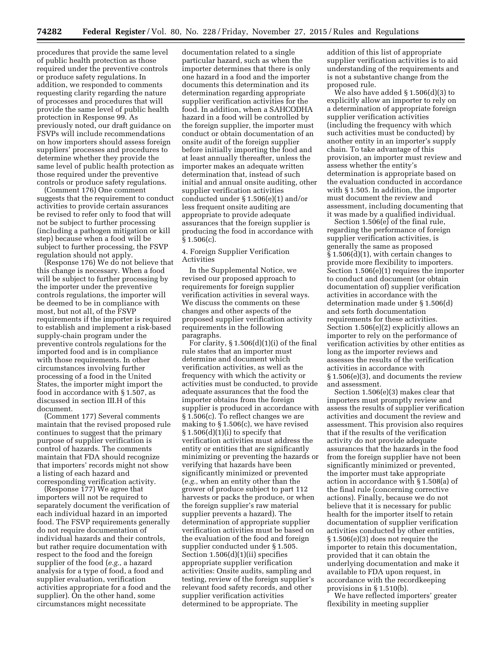procedures that provide the same level of public health protection as those required under the preventive controls or produce safety regulations. In addition, we responded to comments requesting clarity regarding the nature of processes and procedures that will provide the same level of public health protection in Response 99. As previously noted, our draft guidance on FSVPs will include recommendations on how importers should assess foreign suppliers' processes and procedures to determine whether they provide the same level of public health protection as those required under the preventive controls or produce safety regulations.

(Comment 176) One comment suggests that the requirement to conduct activities to provide certain assurances be revised to refer only to food that will not be subject to further processing (including a pathogen mitigation or kill step) because when a food will be subject to further processing, the FSVP regulation should not apply.

(Response 176) We do not believe that this change is necessary. When a food will be subject to further processing by the importer under the preventive controls regulations, the importer will be deemed to be in compliance with most, but not all, of the FSVP requirements if the importer is required to establish and implement a risk-based supply-chain program under the preventive controls regulations for the imported food and is in compliance with those requirements. In other circumstances involving further processing of a food in the United States, the importer might import the food in accordance with § 1.507, as discussed in section III.H of this document.

(Comment 177) Several comments maintain that the revised proposed rule continues to suggest that the primary purpose of supplier verification is control of hazards. The comments maintain that FDA should recognize that importers' records might not show a listing of each hazard and corresponding verification activity.

(Response 177) We agree that importers will not be required to separately document the verification of each individual hazard in an imported food. The FSVP requirements generally do not require documentation of individual hazards and their controls, but rather require documentation with respect to the food and the foreign supplier of the food (*e.g.,* a hazard analysis for a type of food, a food and supplier evaluation, verification activities appropriate for a food and the supplier). On the other hand, some circumstances might necessitate

documentation related to a single particular hazard, such as when the importer determines that there is only one hazard in a food and the importer documents this determination and its determination regarding appropriate supplier verification activities for the food. In addition, when a SAHCODHA hazard in a food will be controlled by the foreign supplier, the importer must conduct or obtain documentation of an onsite audit of the foreign supplier before initially importing the food and at least annually thereafter, unless the importer makes an adequate written determination that, instead of such initial and annual onsite auditing, other supplier verification activities conducted under § 1.506(e)(1) and/or less frequent onsite auditing are appropriate to provide adequate assurances that the foreign supplier is producing the food in accordance with  $§ 1.506(c).$ 

4. Foreign Supplier Verification Activities

In the Supplemental Notice, we revised our proposed approach to requirements for foreign supplier verification activities in several ways. We discuss the comments on these changes and other aspects of the proposed supplier verification activity requirements in the following paragraphs.

For clarity,  $\S 1.506(d)(1)(i)$  of the final rule states that an importer must determine and document which verification activities, as well as the frequency with which the activity or activities must be conducted, to provide adequate assurances that the food the importer obtains from the foreign supplier is produced in accordance with § 1.506(c). To reflect changes we are making to § 1.506(c), we have revised  $\S 1.506(d)(1)(i)$  to specify that verification activities must address the entity or entities that are significantly minimizing or preventing the hazards or verifying that hazards have been significantly minimized or prevented (*e.g.,* when an entity other than the grower of produce subject to part 112 harvests or packs the produce, or when the foreign supplier's raw material supplier prevents a hazard). The determination of appropriate supplier verification activities must be based on the evaluation of the food and foreign supplier conducted under § 1.505. Section 1.506(d)(1)(ii) specifies appropriate supplier verification activities: Onsite audits, sampling and testing, review of the foreign supplier's relevant food safety records, and other supplier verification activities determined to be appropriate. The

addition of this list of appropriate supplier verification activities is to aid understanding of the requirements and is not a substantive change from the proposed rule.

We also have added § 1.506(d)(3) to explicitly allow an importer to rely on a determination of appropriate foreign supplier verification activities (including the frequency with which such activities must be conducted) by another entity in an importer's supply chain. To take advantage of this provision, an importer must review and assess whether the entity's determination is appropriate based on the evaluation conducted in accordance with § 1.505. In addition, the importer must document the review and assessment, including documenting that it was made by a qualified individual.

Section 1.506(e) of the final rule, regarding the performance of foreign supplier verification activities, is generally the same as proposed § 1.506(d)(1), with certain changes to provide more flexibility to importers. Section 1.506(e)(1) requires the importer to conduct and document (or obtain documentation of) supplier verification activities in accordance with the determination made under § 1.506(d) and sets forth documentation requirements for these activities. Section 1.506(e)(2) explicitly allows an importer to rely on the performance of verification activities by other entities as long as the importer reviews and assesses the results of the verification activities in accordance with § 1.506(e)(3), and documents the review and assessment.

Section 1.506(e)(3) makes clear that importers must promptly review and assess the results of supplier verification activities and document the review and assessment. This provision also requires that if the results of the verification activity do not provide adequate assurances that the hazards in the food from the foreign supplier have not been significantly minimized or prevented, the importer must take appropriate action in accordance with § 1.508(a) of the final rule (concerning corrective actions). Finally, because we do not believe that it is necessary for public health for the importer itself to retain documentation of supplier verification activities conducted by other entities, § 1.506(e)(3) does not require the importer to retain this documentation, provided that it can obtain the underlying documentation and make it available to FDA upon request, in accordance with the recordkeeping provisions in § 1.510(b).

We have reflected importers' greater flexibility in meeting supplier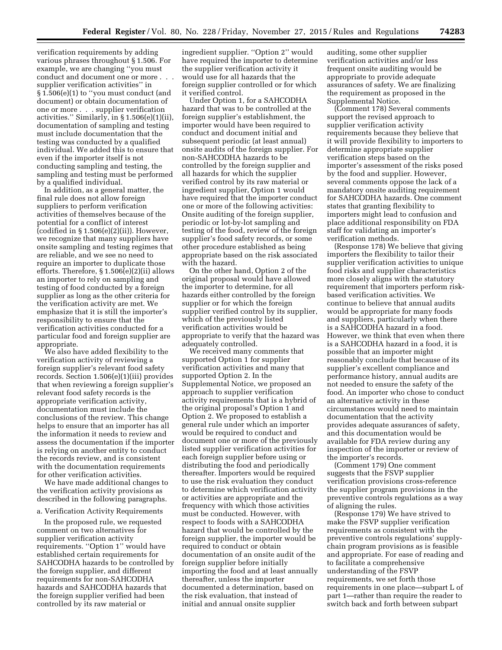verification requirements by adding various phrases throughout § 1.506. For example, we are changing ''you must conduct and document one or more . . . supplier verification activities'' in § 1.506(e)(1) to ''you must conduct (and document) or obtain documentation of one or more . . . supplier verification activities.'' Similarly, in § 1.506(e)(1)(ii), documentation of sampling and testing must include documentation that the testing was conducted by a qualified individual. We added this to ensure that even if the importer itself is not conducting sampling and testing, the sampling and testing must be performed by a qualified individual.

In addition, as a general matter, the final rule does not allow foreign suppliers to perform verification activities of themselves because of the potential for a conflict of interest (codified in  $\S 1.506(e)(2)(ii)$ ). However, we recognize that many suppliers have onsite sampling and testing regimes that are reliable, and we see no need to require an importer to duplicate those efforts. Therefore, § 1.506(e)(2)(ii) allows an importer to rely on sampling and testing of food conducted by a foreign supplier as long as the other criteria for the verification activity are met. We emphasize that it is still the importer's responsibility to ensure that the verification activities conducted for a particular food and foreign supplier are appropriate.

We also have added flexibility to the verification activity of reviewing a foreign supplier's relevant food safety records. Section 1.506(e)(1)(iii) provides that when reviewing a foreign supplier's relevant food safety records is the appropriate verification activity, documentation must include the conclusions of the review. This change helps to ensure that an importer has all the information it needs to review and assess the documentation if the importer is relying on another entity to conduct the records review, and is consistent with the documentation requirements for other verification activities.

We have made additional changes to the verification activity provisions as described in the following paragraphs.

#### a. Verification Activity Requirements

In the proposed rule, we requested comment on two alternatives for supplier verification activity requirements. ''Option 1'' would have established certain requirements for SAHCODHA hazards to be controlled by the foreign supplier, and different requirements for non-SAHCODHA hazards and SAHCODHA hazards that the foreign supplier verified had been controlled by its raw material or

ingredient supplier. ''Option 2'' would have required the importer to determine the supplier verification activity it would use for all hazards that the foreign supplier controlled or for which it verified control.

Under Option 1, for a SAHCODHA hazard that was to be controlled at the foreign supplier's establishment, the importer would have been required to conduct and document initial and subsequent periodic (at least annual) onsite audits of the foreign supplier. For non-SAHCODHA hazards to be controlled by the foreign supplier and all hazards for which the supplier verified control by its raw material or ingredient supplier, Option 1 would have required that the importer conduct one or more of the following activities: Onsite auditing of the foreign supplier, periodic or lot-by-lot sampling and testing of the food, review of the foreign supplier's food safety records, or some other procedure established as being appropriate based on the risk associated with the hazard.

On the other hand, Option 2 of the original proposal would have allowed the importer to determine, for all hazards either controlled by the foreign supplier or for which the foreign supplier verified control by its supplier, which of the previously listed verification activities would be appropriate to verify that the hazard was adequately controlled.

We received many comments that supported Option 1 for supplier verification activities and many that supported Option 2. In the Supplemental Notice, we proposed an approach to supplier verification activity requirements that is a hybrid of the original proposal's Option 1 and Option 2. We proposed to establish a general rule under which an importer would be required to conduct and document one or more of the previously listed supplier verification activities for each foreign supplier before using or distributing the food and periodically thereafter. Importers would be required to use the risk evaluation they conduct to determine which verification activity or activities are appropriate and the frequency with which those activities must be conducted. However, with respect to foods with a SAHCODHA hazard that would be controlled by the foreign supplier, the importer would be required to conduct or obtain documentation of an onsite audit of the foreign supplier before initially importing the food and at least annually thereafter, unless the importer documented a determination, based on the risk evaluation, that instead of initial and annual onsite supplier

auditing, some other supplier verification activities and/or less frequent onsite auditing would be appropriate to provide adequate assurances of safety. We are finalizing the requirement as proposed in the Supplemental Notice.

(Comment 178) Several comments support the revised approach to supplier verification activity requirements because they believe that it will provide flexibility to importers to determine appropriate supplier verification steps based on the importer's assessment of the risks posed by the food and supplier. However, several comments oppose the lack of a mandatory onsite auditing requirement for SAHCODHA hazards. One comment states that granting flexibility to importers might lead to confusion and place additional responsibility on FDA staff for validating an importer's verification methods.

(Response 178) We believe that giving importers the flexibility to tailor their supplier verification activities to unique food risks and supplier characteristics more closely aligns with the statutory requirement that importers perform riskbased verification activities. We continue to believe that annual audits would be appropriate for many foods and suppliers, particularly when there is a SAHCODHA hazard in a food. However, we think that even when there is a SAHCODHA hazard in a food, it is possible that an importer might reasonably conclude that because of its supplier's excellent compliance and performance history, annual audits are not needed to ensure the safety of the food. An importer who chose to conduct an alternative activity in these circumstances would need to maintain documentation that the activity provides adequate assurances of safety, and this documentation would be available for FDA review during any inspection of the importer or review of the importer's records.

(Comment 179) One comment suggests that the FSVP supplier verification provisions cross-reference the supplier program provisions in the preventive controls regulations as a way of aligning the rules.

(Response 179) We have strived to make the FSVP supplier verification requirements as consistent with the preventive controls regulations' supplychain program provisions as is feasible and appropriate. For ease of reading and to facilitate a comprehensive understanding of the FSVP requirements, we set forth those requirements in one place—subpart L of part 1—rather than require the reader to switch back and forth between subpart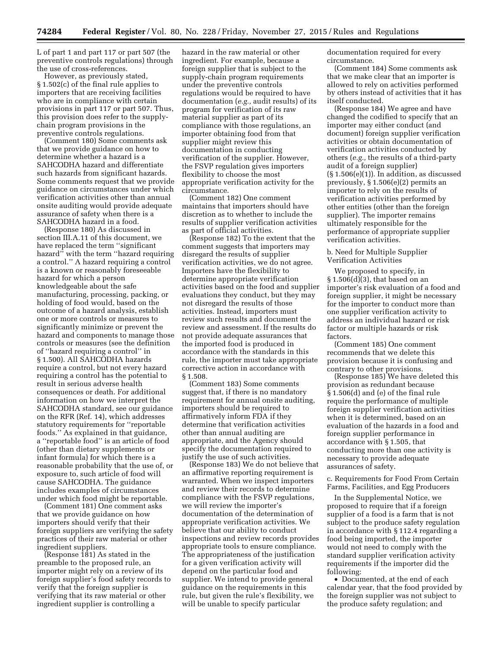L of part 1 and part 117 or part 507 (the preventive controls regulations) through the use of cross-references.

However, as previously stated, § 1.502(c) of the final rule applies to importers that are receiving facilities who are in compliance with certain provisions in part 117 or part 507. Thus, this provision does refer to the supplychain program provisions in the preventive controls regulations.

(Comment 180) Some comments ask that we provide guidance on how to determine whether a hazard is a SAHCODHA hazard and differentiate such hazards from significant hazards. Some comments request that we provide guidance on circumstances under which verification activities other than annual onsite auditing would provide adequate assurance of safety when there is a SAHCODHA hazard in a food.

(Response 180) As discussed in section III.A.11 of this document, we have replaced the term ''significant hazard'' with the term ''hazard requiring a control.'' A hazard requiring a control is a known or reasonably foreseeable hazard for which a person knowledgeable about the safe manufacturing, processing, packing, or holding of food would, based on the outcome of a hazard analysis, establish one or more controls or measures to significantly minimize or prevent the hazard and components to manage those controls or measures (see the definition of ''hazard requiring a control'' in § 1.500). All SAHCODHA hazards require a control, but not every hazard requiring a control has the potential to result in serious adverse health consequences or death. For additional information on how we interpret the SAHCODHA standard, see our guidance on the RFR (Ref. 14), which addresses statutory requirements for ''reportable foods.'' As explained in that guidance, a ''reportable food'' is an article of food (other than dietary supplements or infant formula) for which there is a reasonable probability that the use of, or exposure to, such article of food will cause SAHCODHA. The guidance includes examples of circumstances under which food might be reportable.

(Comment 181) One comment asks that we provide guidance on how importers should verify that their foreign suppliers are verifying the safety practices of their raw material or other ingredient suppliers.

(Response  $181$ ) As stated in the preamble to the proposed rule, an importer might rely on a review of its foreign supplier's food safety records to verify that the foreign supplier is verifying that its raw material or other ingredient supplier is controlling a

hazard in the raw material or other ingredient. For example, because a foreign supplier that is subject to the supply-chain program requirements under the preventive controls regulations would be required to have documentation (*e.g.,* audit results) of its program for verification of its raw material supplier as part of its compliance with those regulations, an importer obtaining food from that supplier might review this documentation in conducting verification of the supplier. However, the FSVP regulation gives importers flexibility to choose the most appropriate verification activity for the circumstance.

(Comment 182) One comment maintains that importers should have discretion as to whether to include the results of supplier verification activities as part of official activities.

(Response 182) To the extent that the comment suggests that importers may disregard the results of supplier verification activities, we do not agree. Importers have the flexibility to determine appropriate verification activities based on the food and supplier evaluations they conduct, but they may not disregard the results of those activities. Instead, importers must review such results and document the review and assessment. If the results do not provide adequate assurances that the imported food is produced in accordance with the standards in this rule, the importer must take appropriate corrective action in accordance with § 1.508.

(Comment 183) Some comments suggest that, if there is no mandatory requirement for annual onsite auditing, importers should be required to affirmatively inform FDA if they determine that verification activities other than annual auditing are appropriate, and the Agency should specify the documentation required to justify the use of such activities.

(Response 183) We do not believe that an affirmative reporting requirement is warranted. When we inspect importers and review their records to determine compliance with the FSVP regulations, we will review the importer's documentation of the determination of appropriate verification activities. We believe that our ability to conduct inspections and review records provides appropriate tools to ensure compliance. The appropriateness of the justification for a given verification activity will depend on the particular food and supplier. We intend to provide general guidance on the requirements in this rule, but given the rule's flexibility, we will be unable to specify particular

documentation required for every circumstance.

(Comment 184) Some comments ask that we make clear that an importer is allowed to rely on activities performed by others instead of activities that it has itself conducted.

(Response 184) We agree and have changed the codified to specify that an importer may either conduct (and document) foreign supplier verification activities or obtain documentation of verification activities conducted by others (*e.g.,* the results of a third-party audit of a foreign supplier)  $(\S 1.506(e)(1))$ . In addition, as discussed previously, § 1.506(e)(2) permits an importer to rely on the results of verification activities performed by other entities (other than the foreign supplier). The importer remains ultimately responsible for the performance of appropriate supplier verification activities.

b. Need for Multiple Supplier Verification Activities

We proposed to specify, in  $\S 1.506(d)(3)$ , that based on an importer's risk evaluation of a food and foreign supplier, it might be necessary for the importer to conduct more than one supplier verification activity to address an individual hazard or risk factor or multiple hazards or risk factors.

(Comment 185) One comment recommends that we delete this provision because it is confusing and contrary to other provisions.

(Response 185) We have deleted this provision as redundant because § 1.506(d) and (e) of the final rule require the performance of multiple foreign supplier verification activities when it is determined, based on an evaluation of the hazards in a food and foreign supplier performance in accordance with § 1.505, that conducting more than one activity is necessary to provide adequate assurances of safety.

c. Requirements for Food From Certain Farms, Facilities, and Egg Producers

In the Supplemental Notice, we proposed to require that if a foreign supplier of a food is a farm that is not subject to the produce safety regulation in accordance with § 112.4 regarding a food being imported, the importer would not need to comply with the standard supplier verification activity requirements if the importer did the following:

• Documented, at the end of each calendar year, that the food provided by the foreign supplier was not subject to the produce safety regulation; and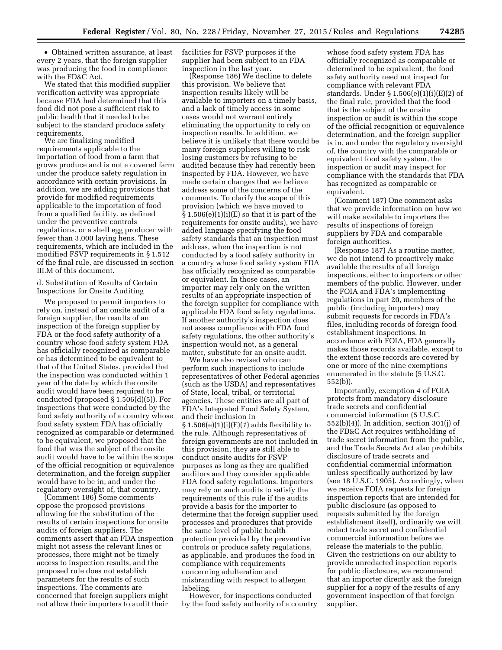• Obtained written assurance, at least every 2 years, that the foreign supplier was producing the food in compliance with the FD&C Act.

We stated that this modified supplier verification activity was appropriate because FDA had determined that this food did not pose a sufficient risk to public health that it needed to be subject to the standard produce safety requirements.

We are finalizing modified requirements applicable to the importation of food from a farm that grows produce and is not a covered farm under the produce safety regulation in accordance with certain provisions. In addition, we are adding provisions that provide for modified requirements applicable to the importation of food from a qualified facility, as defined under the preventive controls regulations, or a shell egg producer with fewer than 3,000 laying hens. These requirements, which are included in the modified FSVP requirements in § 1.512 of the final rule, are discussed in section III.M of this document.

d. Substitution of Results of Certain Inspections for Onsite Auditing

We proposed to permit importers to rely on, instead of an onsite audit of a foreign supplier, the results of an inspection of the foreign supplier by FDA or the food safety authority of a country whose food safety system FDA has officially recognized as comparable or has determined to be equivalent to that of the United States, provided that the inspection was conducted within 1 year of the date by which the onsite audit would have been required to be conducted (proposed § 1.506(d)(5)). For inspections that were conducted by the food safety authority of a country whose food safety system FDA has officially recognized as comparable or determined to be equivalent, we proposed that the food that was the subject of the onsite audit would have to be within the scope of the official recognition or equivalence determination, and the foreign supplier would have to be in, and under the regulatory oversight of, that country.

(Comment 186) Some comments oppose the proposed provisions allowing for the substitution of the results of certain inspections for onsite audits of foreign suppliers. The comments assert that an FDA inspection might not assess the relevant lines or processes, there might not be timely access to inspection results, and the proposed rule does not establish parameters for the results of such inspections. The comments are concerned that foreign suppliers might not allow their importers to audit their

facilities for FSVP purposes if the supplier had been subject to an FDA inspection in the last year.

(Response 186) We decline to delete this provision. We believe that inspection results likely will be available to importers on a timely basis, and a lack of timely access in some cases would not warrant entirely eliminating the opportunity to rely on inspection results. In addition, we believe it is unlikely that there would be many foreign suppliers willing to risk losing customers by refusing to be audited because they had recently been inspected by FDA. However, we have made certain changes that we believe address some of the concerns of the comments. To clarify the scope of this provision (which we have moved to  $§ 1.506(e)(1)(i)(E)$  so that it is part of the requirements for onsite audits), we have added language specifying the food safety standards that an inspection must address, when the inspection is not conducted by a food safety authority in a country whose food safety system FDA has officially recognized as comparable or equivalent. In those cases, an importer may rely only on the written results of an appropriate inspection of the foreign supplier for compliance with applicable FDA food safety regulations. If another authority's inspection does not assess compliance with FDA food safety regulations, the other authority's inspection would not, as a general matter, substitute for an onsite audit.

We have also revised who can perform such inspections to include representatives of other Federal agencies (such as the USDA) and representatives of State, local, tribal, or territorial agencies. These entities are all part of FDA's Integrated Food Safety System, and their inclusion in § 1.506(e)(1)(i)(E)(*1*) adds flexibility to the rule. Although representatives of foreign governments are not included in this provision, they are still able to conduct onsite audits for FSVP purposes as long as they are qualified auditors and they consider applicable FDA food safety regulations. Importers may rely on such audits to satisfy the requirements of this rule if the audits provide a basis for the importer to determine that the foreign supplier used processes and procedures that provide the same level of public health protection provided by the preventive controls or produce safety regulations, as applicable, and produces the food in compliance with requirements concerning adulteration and misbranding with respect to allergen labeling.

However, for inspections conducted by the food safety authority of a country

whose food safety system FDA has officially recognized as comparable or determined to be equivalent, the food safety authority need not inspect for compliance with relevant FDA standards. Under § 1.506(e)(1)(i)(E)(2) of the final rule, provided that the food that is the subject of the onsite inspection or audit is within the scope of the official recognition or equivalence determination, and the foreign supplier is in, and under the regulatory oversight of, the country with the comparable or equivalent food safety system, the inspection or audit may inspect for compliance with the standards that FDA has recognized as comparable or equivalent.

(Comment 187) One comment asks that we provide information on how we will make available to importers the results of inspections of foreign suppliers by FDA and comparable foreign authorities.

(Response 187) As a routine matter, we do not intend to proactively make available the results of all foreign inspections, either to importers or other members of the public. However, under the FOIA and FDA's implementing regulations in part 20, members of the public (including importers) may submit requests for records in FDA's files, including records of foreign food establishment inspections. In accordance with FOIA, FDA generally makes those records available, except to the extent those records are covered by one or more of the nine exemptions enumerated in the statute (5 U.S.C. 552(b)).

Importantly, exemption 4 of FOIA protects from mandatory disclosure trade secrets and confidential commercial information (5 U.S.C.  $552(b)(4)$ ). In addition, section  $301(j)$  of the FD&C Act requires withholding of trade secret information from the public, and the Trade Secrets Act also prohibits disclosure of trade secrets and confidential commercial information unless specifically authorized by law (see 18 U.S.C. 1905). Accordingly, when we receive FOIA requests for foreign inspection reports that are intended for public disclosure (as opposed to requests submitted by the foreign establishment itself), ordinarily we will redact trade secret and confidential commercial information before we release the materials to the public. Given the restrictions on our ability to provide unredacted inspection reports for public disclosure, we recommend that an importer directly ask the foreign supplier for a copy of the results of any government inspection of that foreign supplier.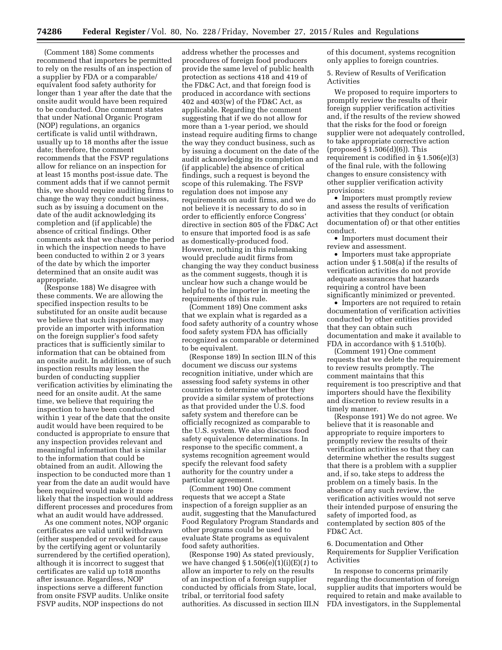(Comment 188) Some comments recommend that importers be permitted to rely on the results of an inspection of a supplier by FDA or a comparable/ equivalent food safety authority for longer than 1 year after the date that the onsite audit would have been required to be conducted. One comment states that under National Organic Program (NOP) regulations, an organics certificate is valid until withdrawn, usually up to 18 months after the issue date; therefore, the comment recommends that the FSVP regulations allow for reliance on an inspection for at least 15 months post-issue date. The comment adds that if we cannot permit this, we should require auditing firms to change the way they conduct business, such as by issuing a document on the date of the audit acknowledging its completion and (if applicable) the absence of critical findings. Other comments ask that we change the period in which the inspection needs to have been conducted to within 2 or 3 years of the date by which the importer determined that an onsite audit was appropriate.

(Response 188) We disagree with these comments. We are allowing the specified inspection results to be substituted for an onsite audit because we believe that such inspections may provide an importer with information on the foreign supplier's food safety practices that is sufficiently similar to information that can be obtained from an onsite audit. In addition, use of such inspection results may lessen the burden of conducting supplier verification activities by eliminating the need for an onsite audit. At the same time, we believe that requiring the inspection to have been conducted within 1 year of the date that the onsite audit would have been required to be conducted is appropriate to ensure that any inspection provides relevant and meaningful information that is similar to the information that could be obtained from an audit. Allowing the inspection to be conducted more than 1 year from the date an audit would have been required would make it more likely that the inspection would address different processes and procedures from what an audit would have addressed.

As one comment notes, NOP organic certificates are valid until withdrawn (either suspended or revoked for cause by the certifying agent or voluntarily surrendered by the certified operation), although it is incorrect to suggest that certificates are valid up to18 months after issuance. Regardless, NOP inspections serve a different function from onsite FSVP audits. Unlike onsite FSVP audits, NOP inspections do not

address whether the processes and procedures of foreign food producers provide the same level of public health protection as sections 418 and 419 of the FD&C Act, and that foreign food is produced in accordance with sections 402 and  $403(w)$  of the FD&C Act, as applicable. Regarding the comment suggesting that if we do not allow for more than a 1-year period, we should instead require auditing firms to change the way they conduct business, such as by issuing a document on the date of the audit acknowledging its completion and (if applicable) the absence of critical findings, such a request is beyond the scope of this rulemaking. The FSVP regulation does not impose any requirements on audit firms, and we do not believe it is necessary to do so in order to efficiently enforce Congress' directive in section 805 of the FD&C Act to ensure that imported food is as safe as domestically-produced food. However, nothing in this rulemaking would preclude audit firms from changing the way they conduct business as the comment suggests, though it is unclear how such a change would be helpful to the importer in meeting the requirements of this rule.

(Comment 189) One comment asks that we explain what is regarded as a food safety authority of a country whose food safety system FDA has officially recognized as comparable or determined to be equivalent.

(Response 189) In section III.N of this document we discuss our systems recognition initiative, under which are assessing food safety systems in other countries to determine whether they provide a similar system of protections as that provided under the U.S. food safety system and therefore can be officially recognized as comparable to the U.S. system. We also discuss food safety equivalence determinations. In response to the specific comment, a systems recognition agreement would specify the relevant food safety authority for the country under a particular agreement.

(Comment 190) One comment requests that we accept a State inspection of a foreign supplier as an audit, suggesting that the Manufactured Food Regulatory Program Standards and other programs could be used to evaluate State programs as equivalent food safety authorities.

(Response 190) As stated previously, we have changed § 1.506(e)(1)(i)(E)(*1*) to allow an importer to rely on the results of an inspection of a foreign supplier conducted by officials from State, local, tribal, or territorial food safety authorities. As discussed in section III.N of this document, systems recognition only applies to foreign countries.

5. Review of Results of Verification Activities

We proposed to require importers to promptly review the results of their foreign supplier verification activities and, if the results of the review showed that the risks for the food or foreign supplier were not adequately controlled, to take appropriate corrective action (proposed  $\S 1.506(d)(6)$ ). This requirement is codified in § 1.506(e)(3) of the final rule, with the following changes to ensure consistency with other supplier verification activity provisions:

• Importers must promptly review and assess the results of verification activities that they conduct (or obtain documentation of) or that other entities conduct.

• Importers must document their review and assessment.

• Importers must take appropriate action under § 1.508(a) if the results of verification activities do not provide adequate assurances that hazards requiring a control have been significantly minimized or prevented.

• Importers are not required to retain documentation of verification activities conducted by other entities provided that they can obtain such documentation and make it available to FDA in accordance with § 1.510(b).

(Comment 191) One comment requests that we delete the requirement to review results promptly. The comment maintains that this requirement is too prescriptive and that importers should have the flexibility and discretion to review results in a timely manner.

(Response 191) We do not agree. We believe that it is reasonable and appropriate to require importers to promptly review the results of their verification activities so that they can determine whether the results suggest that there is a problem with a supplier and, if so, take steps to address the problem on a timely basis. In the absence of any such review, the verification activities would not serve their intended purpose of ensuring the safety of imported food, as contemplated by section 805 of the FD&C Act.

6. Documentation and Other Requirements for Supplier Verification Activities

In response to concerns primarily regarding the documentation of foreign supplier audits that importers would be required to retain and make available to FDA investigators, in the Supplemental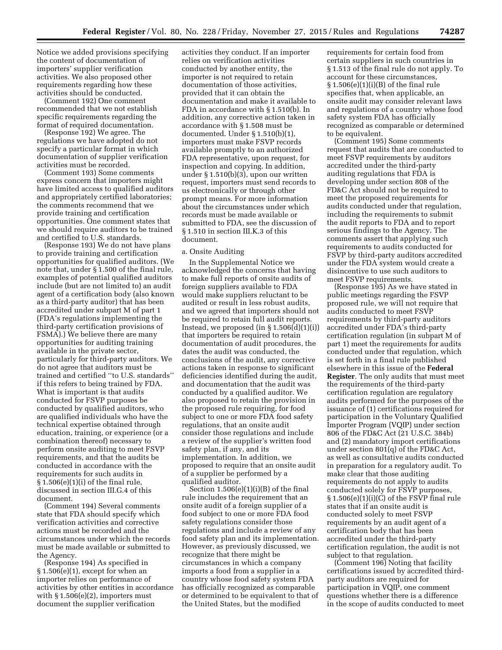Notice we added provisions specifying the content of documentation of importers' supplier verification activities. We also proposed other requirements regarding how these activities should be conducted.

(Comment 192) One comment recommended that we not establish specific requirements regarding the format of required documentation.

(Response 192) We agree. The regulations we have adopted do not specify a particular format in which documentation of supplier verification activities must be recorded.

(Comment 193) Some comments express concern that importers might have limited access to qualified auditors and appropriately certified laboratories; the comments recommend that we provide training and certification opportunities. One comment states that we should require auditors to be trained and certified to U.S. standards.

(Response 193) We do not have plans to provide training and certification opportunities for qualified auditors. (We note that, under § 1.500 of the final rule, examples of potential qualified auditors include (but are not limited to) an audit agent of a certification body (also known as a third-party auditor) that has been accredited under subpart M of part 1 (FDA's regulations implementing the third-party certification provisions of FSMA).) We believe there are many opportunities for auditing training available in the private sector, particularly for third-party auditors. We do not agree that auditors must be trained and certified ''to U.S. standards'' if this refers to being trained by FDA. What is important is that audits conducted for FSVP purposes be conducted by qualified auditors, who are qualified individuals who have the technical expertise obtained through education, training, or experience (or a combination thereof) necessary to perform onsite auditing to meet FSVP requirements, and that the audits be conducted in accordance with the requirements for such audits in  $§ 1.506(e)(1)(i)$  of the final rule, discussed in section III.G.4 of this document.

(Comment 194) Several comments state that FDA should specify which verification activities and corrective actions must be recorded and the circumstances under which the records must be made available or submitted to the Agency.

(Response 194) As specified in § 1.506(e)(1), except for when an importer relies on performance of activities by other entities in accordance with  $\S 1.506(e)(2)$ , importers must document the supplier verification

activities they conduct. If an importer relies on verification activities conducted by another entity, the importer is not required to retain documentation of those activities, provided that it can obtain the documentation and make it available to FDA in accordance with § 1.510(b). In addition, any corrective action taken in accordance with § 1.508 must be documented. Under § 1.510(b)(1), importers must make FSVP records available promptly to an authorized FDA representative, upon request, for inspection and copying. In addition, under § 1.510(b)(3), upon our written request, importers must send records to us electronically or through other prompt means. For more information about the circumstances under which records must be made available or submitted to FDA, see the discussion of § 1.510 in section III.K.3 of this document.

### a. Onsite Auditing

In the Supplemental Notice we acknowledged the concerns that having to make full reports of onsite audits of foreign suppliers available to FDA would make suppliers reluctant to be audited or result in less robust audits, and we agreed that importers should not be required to retain full audit reports. Instead, we proposed  $(in § 1.506(d)(1)(i))$ that importers be required to retain documentation of audit procedures, the dates the audit was conducted, the conclusions of the audit, any corrective actions taken in response to significant deficiencies identified during the audit, and documentation that the audit was conducted by a qualified auditor. We also proposed to retain the provision in the proposed rule requiring, for food subject to one or more FDA food safety regulations, that an onsite audit consider those regulations and include a review of the supplier's written food safety plan, if any, and its implementation. In addition, we proposed to require that an onsite audit of a supplier be performed by a qualified auditor.

Section  $1.506(e)(1)(i)(B)$  of the final rule includes the requirement that an onsite audit of a foreign supplier of a food subject to one or more FDA food safety regulations consider those regulations and include a review of any food safety plan and its implementation. However, as previously discussed, we recognize that there might be circumstances in which a company imports a food from a supplier in a country whose food safety system FDA has officially recognized as comparable or determined to be equivalent to that of the United States, but the modified

requirements for certain food from certain suppliers in such countries in § 1.513 of the final rule do not apply. To account for these circumstances, § 1.506(e)(1)(i)(B) of the final rule specifies that, when applicable, an onsite audit may consider relevant laws and regulations of a country whose food safety system FDA has officially recognized as comparable or determined to be equivalent.

(Comment 195) Some comments request that audits that are conducted to meet FSVP requirements by auditors accredited under the third-party auditing regulations that FDA is developing under section 808 of the FD&C Act should not be required to meet the proposed requirements for audits conducted under that regulation, including the requirements to submit the audit reports to FDA and to report serious findings to the Agency. The comments assert that applying such requirements to audits conducted for FSVP by third-party auditors accredited under the FDA system would create a disincentive to use such auditors to meet FSVP requirements.

(Response 195) As we have stated in public meetings regarding the FSVP proposed rule, we will not require that audits conducted to meet FSVP requirements by third-party auditors accredited under FDA's third-party certification regulation (in subpart M of part 1) meet the requirements for audits conducted under that regulation, which is set forth in a final rule published elsewhere in this issue of the **Federal Register**. The only audits that must meet the requirements of the third-party certification regulation are regulatory audits performed for the purposes of the issuance of (1) certifications required for participation in the Voluntary Qualified Importer Program (VQIP) under section 806 of the FD&C Act (21 U.S.C. 384b) and (2) mandatory import certifications under section 801(q) of the FD&C Act, as well as consultative audits conducted in preparation for a regulatory audit. To make clear that those auditing requirements do not apply to audits conducted solely for FSVP purposes, § 1.506(e)(1)(i)(C) of the FSVP final rule states that if an onsite audit is conducted solely to meet FSVP requirements by an audit agent of a certification body that has been accredited under the third-party certification regulation, the audit is not subject to that regulation.

(Comment 196) Noting that facility certifications issued by accredited thirdparty auditors are required for participation in VQIP, one comment questions whether there is a difference in the scope of audits conducted to meet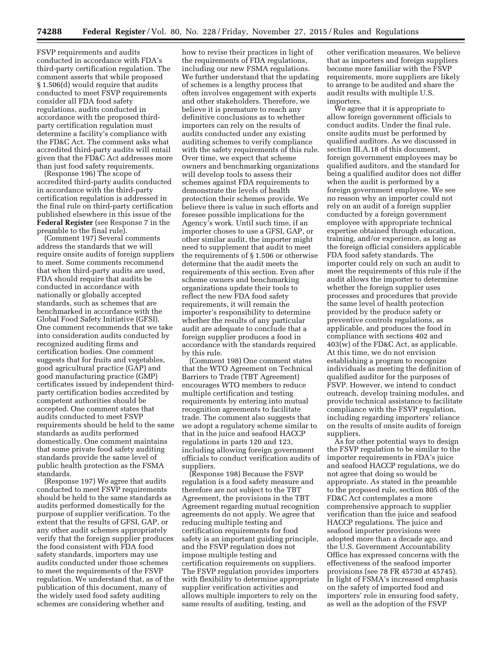FSVP requirements and audits conducted in accordance with FDA's third-party certification regulation. The comment asserts that while proposed § 1.506(d) would require that audits conducted to meet FSVP requirements consider all FDA food safety regulations, audits conducted in accordance with the proposed thirdparty certification regulation must determine a facility's compliance with the FD&C Act. The comment asks what accredited third-party audits will entail given that the FD&C Act addresses more than just food safety requirements.

(Response 196) The scope of accredited third-party audits conducted in accordance with the third-party certification regulation is addressed in the final rule on third-party certification published elsewhere in this issue of the **Federal Register** (see Response 7 in the preamble to the final rule).

(Comment 197) Several comments address the standards that we will require onsite audits of foreign suppliers to meet. Some comments recommend that when third-party audits are used, FDA should require that audits be conducted in accordance with nationally or globally accepted standards, such as schemes that are benchmarked in accordance with the Global Food Safety Initiative (GFSI). One comment recommends that we take into consideration audits conducted by recognized auditing firms and certification bodies. One comment suggests that for fruits and vegetables, good agricultural practice (GAP) and good manufacturing practice (GMP) certificates issued by independent thirdparty certification bodies accredited by competent authorities should be accepted. One comment states that audits conducted to meet FSVP requirements should be held to the same standards as audits performed domestically. One comment maintains that some private food safety auditing standards provide the same level of public health protection as the FSMA standards.

(Response 197) We agree that audits conducted to meet FSVP requirements should be held to the same standards as audits performed domestically for the purpose of supplier verification. To the extent that the results of GFSI, GAP, or any other audit schemes appropriately verify that the foreign supplier produces the food consistent with FDA food safety standards, importers may use audits conducted under those schemes to meet the requirements of the FSVP regulation. We understand that, as of the publication of this document, many of the widely used food safety auditing schemes are considering whether and

how to revise their practices in light of the requirements of FDA regulations, including our new FSMA regulations. We further understand that the updating of schemes is a lengthy process that often involves engagement with experts and other stakeholders. Therefore, we believe it is premature to reach any definitive conclusions as to whether importers can rely on the results of audits conducted under any existing auditing schemes to verify compliance with the safety requirements of this rule. Over time, we expect that scheme owners and benchmarking organizations will develop tools to assess their schemes against FDA requirements to demonstrate the levels of health protection their schemes provide. We believe there is value in such efforts and foresee possible implications for the Agency's work. Until such time, if an importer choses to use a GFSI, GAP, or other similar audit, the importer might need to supplement that audit to meet the requirements of § 1.506 or otherwise determine that the audit meets the requirements of this section. Even after scheme owners and benchmarking organizations update their tools to reflect the new FDA food safety requirements, it will remain the importer's responsibility to determine whether the results of any particular audit are adequate to conclude that a foreign supplier produces a food in accordance with the standards required by this rule.

(Comment 198) One comment states that the WTO Agreement on Technical Barriers to Trade (TBT Agreement) encourages WTO members to reduce multiple certification and testing requirements by entering into mutual recognition agreements to facilitate trade. The comment also suggests that we adopt a regulatory scheme similar to that in the juice and seafood HACCP regulations in parts 120 and 123, including allowing foreign government officials to conduct verification audits of suppliers.

(Response 198) Because the FSVP regulation is a food safety measure and therefore are not subject to the TBT Agreement, the provisions in the TBT Agreement regarding mutual recognition agreements do not apply. We agree that reducing multiple testing and certification requirements for food safety is an important guiding principle, and the FSVP regulation does not impose multiple testing and certification requirements on suppliers. The FSVP regulation provides importers with flexibility to determine appropriate supplier verification activities and allows multiple importers to rely on the same results of auditing, testing, and

other verification measures. We believe that as importers and foreign suppliers become more familiar with the FSVP requirements, more suppliers are likely to arrange to be audited and share the audit results with multiple U.S. importers.

We agree that it is appropriate to allow foreign government officials to conduct audits. Under the final rule, onsite audits must be performed by qualified auditors. As we discussed in section III.A.18 of this document, foreign government employees may be qualified auditors, and the standard for being a qualified auditor does not differ when the audit is performed by a foreign government employee. We see no reason why an importer could not rely on an audit of a foreign supplier conducted by a foreign government employee with appropriate technical expertise obtained through education, training, and/or experience, as long as the foreign official considers applicable FDA food safety standards. The importer could rely on such an audit to meet the requirements of this rule if the audit allows the importer to determine whether the foreign supplier uses processes and procedures that provide the same level of health protection provided by the produce safety or preventive controls regulations, as applicable, and produces the food in compliance with sections 402 and 403(w) of the FD&C Act, as applicable. At this time, we do not envision establishing a program to recognize individuals as meeting the definition of qualified auditor for the purposes of FSVP. However, we intend to conduct outreach, develop training modules, and provide technical assistance to facilitate compliance with the FSVP regulation, including regarding importers' reliance on the results of onsite audits of foreign suppliers.

As for other potential ways to design the FSVP regulation to be similar to the importer requirements in FDA's juice and seafood HACCP regulations, we do not agree that doing so would be appropriate. As stated in the preamble to the proposed rule, section 805 of the FD&C Act contemplates a more comprehensive approach to supplier verification than the juice and seafood HACCP regulations. The juice and seafood importer provisions were adopted more than a decade ago, and the U.S. Government Accountability Office has expressed concerns with the effectiveness of the seafood importer provisions (see 78 FR 45730 at 45745). In light of FSMA's increased emphasis on the safety of imported food and importers' role in ensuring food safety, as well as the adoption of the FSVP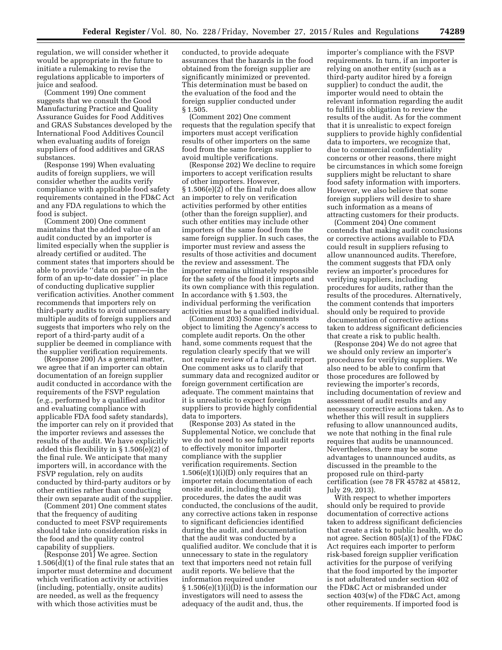regulation, we will consider whether it would be appropriate in the future to initiate a rulemaking to revise the regulations applicable to importers of juice and seafood.

(Comment 199) One comment suggests that we consult the Good Manufacturing Practice and Quality Assurance Guides for Food Additives and GRAS Substances developed by the International Food Additives Council when evaluating audits of foreign suppliers of food additives and GRAS substances.

(Response 199) When evaluating audits of foreign suppliers, we will consider whether the audits verify compliance with applicable food safety requirements contained in the FD&C Act and any FDA regulations to which the food is subject.

(Comment 200) One comment maintains that the added value of an audit conducted by an importer is limited especially when the supplier is already certified or audited. The comment states that importers should be able to provide ''data on paper—in the form of an up-to-date dossier'' in place of conducting duplicative supplier verification activities. Another comment recommends that importers rely on third-party audits to avoid unnecessary multiple audits of foreign suppliers and suggests that importers who rely on the report of a third-party audit of a supplier be deemed in compliance with the supplier verification requirements.

(Response 200) As a general matter, we agree that if an importer can obtain documentation of an foreign supplier audit conducted in accordance with the requirements of the FSVP regulation (*e.g.*, performed by a qualified auditor and evaluating compliance with applicable FDA food safety standards), the importer can rely on it provided that the importer reviews and assesses the results of the audit. We have explicitly added this flexibility in § 1.506(e)(2) of the final rule. We anticipate that many importers will, in accordance with the FSVP regulation, rely on audits conducted by third-party auditors or by other entities rather than conducting their own separate audit of the supplier.

(Comment 201) One comment states that the frequency of auditing conducted to meet FSVP requirements should take into consideration risks in the food and the quality control capability of suppliers.

(Response 201) We agree. Section 1.506(d)(1) of the final rule states that an importer must determine and document which verification activity or activities (including, potentially, onsite audits) are needed, as well as the frequency with which those activities must be

conducted, to provide adequate assurances that the hazards in the food obtained from the foreign supplier are significantly minimized or prevented. This determination must be based on the evaluation of the food and the foreign supplier conducted under § 1.505.

(Comment 202) One comment requests that the regulation specify that importers must accept verification results of other importers on the same food from the same foreign supplier to avoid multiple verifications.

(Response 202) We decline to require importers to accept verification results of other importers. However, § 1.506(e)(2) of the final rule does allow an importer to rely on verification activities performed by other entities (other than the foreign supplier), and such other entities may include other importers of the same food from the same foreign supplier. In such cases, the importer must review and assess the results of those activities and document the review and assessment. The importer remains ultimately responsible for the safety of the food it imports and its own compliance with this regulation. In accordance with § 1.503, the individual performing the verification activities must be a qualified individual.

(Comment 203) Some comments object to limiting the Agency's access to complete audit reports. On the other hand, some comments request that the regulation clearly specify that we will not require review of a full audit report. One comment asks us to clarify that summary data and recognized auditor or foreign government certification are adequate. The comment maintains that it is unrealistic to expect foreign suppliers to provide highly confidential data to importers.

(Response 203) As stated in the Supplemental Notice, we conclude that we do not need to see full audit reports to effectively monitor importer compliance with the supplier verification requirements. Section  $1.506(e)(1)(i)(D)$  only requires that an importer retain documentation of each onsite audit, including the audit procedures, the dates the audit was conducted, the conclusions of the audit, any corrective actions taken in response to significant deficiencies identified during the audit, and documentation that the audit was conducted by a qualified auditor. We conclude that it is unnecessary to state in the regulatory text that importers need not retain full audit reports. We believe that the information required under  $\S 1.506(e)(1)(i)(D)$  is the information our investigators will need to assess the adequacy of the audit and, thus, the

importer's compliance with the FSVP requirements. In turn, if an importer is relying on another entity (such as a third-party auditor hired by a foreign supplier) to conduct the audit, the importer would need to obtain the relevant information regarding the audit to fulfill its obligation to review the results of the audit. As for the comment that it is unrealistic to expect foreign suppliers to provide highly confidential data to importers, we recognize that, due to commercial confidentiality concerns or other reasons, there might be circumstances in which some foreign suppliers might be reluctant to share food safety information with importers. However, we also believe that some foreign suppliers will desire to share such information as a means of attracting customers for their products.

(Comment 204) One comment contends that making audit conclusions or corrective actions available to FDA could result in suppliers refusing to allow unannounced audits. Therefore, the comment suggests that FDA only review an importer's procedures for verifying suppliers, including procedures for audits, rather than the results of the procedures. Alternatively, the comment contends that importers should only be required to provide documentation of corrective actions taken to address significant deficiencies that create a risk to public health.

(Response 204) We do not agree that we should only review an importer's procedures for verifying suppliers. We also need to be able to confirm that those procedures are followed by reviewing the importer's records, including documentation of review and assessment of audit results and any necessary corrective actions taken. As to whether this will result in suppliers refusing to allow unannounced audits, we note that nothing in the final rule requires that audits be unannounced. Nevertheless, there may be some advantages to unannounced audits, as discussed in the preamble to the proposed rule on third-party certification (see 78 FR 45782 at 45812, July 29, 2013).

With respect to whether importers should only be required to provide documentation of corrective actions taken to address significant deficiencies that create a risk to public health, we do not agree. Section 805(a)(1) of the FD&C Act requires each importer to perform risk-based foreign supplier verification activities for the purpose of verifying that the food imported by the importer is not adulterated under section 402 of the FD&C Act or misbranded under section 403(w) of the FD&C Act, among other requirements. If imported food is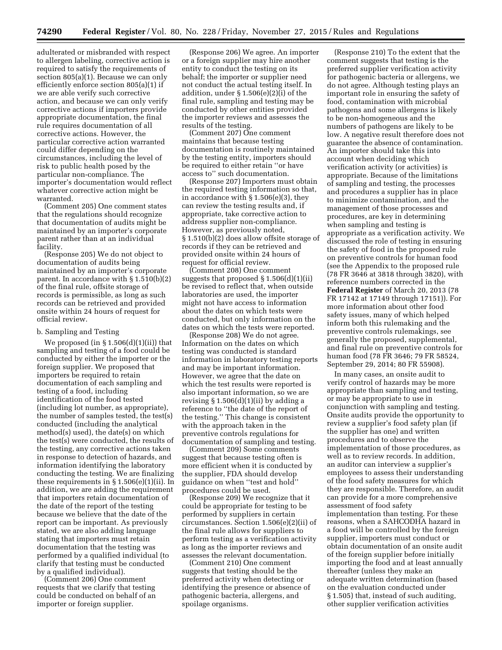adulterated or misbranded with respect to allergen labeling, corrective action is required to satisfy the requirements of section 805(a)(1). Because we can only efficiently enforce section 805(a)(1) if we are able verify such corrective action, and because we can only verify corrective actions if importers provide appropriate documentation, the final rule requires documentation of all corrective actions. However, the particular corrective action warranted could differ depending on the circumstances, including the level of risk to public health posed by the particular non-compliance. The importer's documentation would reflect whatever corrective action might be warranted.

(Comment 205) One comment states that the regulations should recognize that documentation of audits might be maintained by an importer's corporate parent rather than at an individual facility.

(Response 205) We do not object to documentation of audits being maintained by an importer's corporate parent. In accordance with § 1.510(b)(2) of the final rule, offsite storage of records is permissible, as long as such records can be retrieved and provided onsite within 24 hours of request for official review.

#### b. Sampling and Testing

We proposed (in  $\S 1.506(d)(1)(ii)$ ) that sampling and testing of a food could be conducted by either the importer or the foreign supplier. We proposed that importers be required to retain documentation of each sampling and testing of a food, including identification of the food tested (including lot number, as appropriate), the number of samples tested, the test(s) conducted (including the analytical method(s) used), the date(s) on which the test(s) were conducted, the results of the testing, any corrective actions taken in response to detection of hazards, and information identifying the laboratory conducting the testing. We are finalizing these requirements in  $\S 1.506(e)(1)(ii)$ . In addition, we are adding the requirement that importers retain documentation of the date of the report of the testing because we believe that the date of the report can be important. As previously stated, we are also adding language stating that importers must retain documentation that the testing was performed by a qualified individual (to clarify that testing must be conducted by a qualified individual).

(Comment 206) One comment requests that we clarify that testing could be conducted on behalf of an importer or foreign supplier.

(Response 206) We agree. An importer or a foreign supplier may hire another entity to conduct the testing on its behalf; the importer or supplier need not conduct the actual testing itself. In addition, under § 1.506(e)(2)(i) of the final rule, sampling and testing may be conducted by other entities provided the importer reviews and assesses the results of the testing.

(Comment 207) One comment maintains that because testing documentation is routinely maintained by the testing entity, importers should be required to either retain ''or have access to'' such documentation.

(Response 207) Importers must obtain the required testing information so that, in accordance with § 1.506(e)(3), they can review the testing results and, if appropriate, take corrective action to address supplier non-compliance. However, as previously noted, § 1.510(b)(2) does allow offsite storage of records if they can be retrieved and provided onsite within 24 hours of request for official review.

(Comment 208) One comment suggests that proposed § 1.506(d)(1)(ii) be revised to reflect that, when outside laboratories are used, the importer might not have access to information about the dates on which tests were conducted, but only information on the dates on which the tests were reported.

(Response 208) We do not agree. Information on the dates on which testing was conducted is standard information in laboratory testing reports and may be important information. However, we agree that the date on which the test results were reported is also important information, so we are revising  $\S 1.506(d)(1)(ii)$  by adding a reference to ''the date of the report of the testing.'' This change is consistent with the approach taken in the preventive controls regulations for documentation of sampling and testing.

(Comment 209) Some comments suggest that because testing often is more efficient when it is conducted by the supplier, FDA should develop guidance on when ''test and hold'' procedures could be used.

(Response 209) We recognize that it could be appropriate for testing to be performed by suppliers in certain circumstances. Section 1.506(e)(2)(ii) of the final rule allows for suppliers to perform testing as a verification activity as long as the importer reviews and assesses the relevant documentation.

(Comment 210) One comment suggests that testing should be the preferred activity when detecting or identifying the presence or absence of pathogenic bacteria, allergens, and spoilage organisms.

(Response 210) To the extent that the comment suggests that testing is the preferred supplier verification activity for pathogenic bacteria or allergens, we do not agree. Although testing plays an important role in ensuring the safety of food, contamination with microbial pathogens and some allergens is likely to be non-homogeneous and the numbers of pathogens are likely to be low. A negative result therefore does not guarantee the absence of contamination. An importer should take this into account when deciding which verification activity (or activities) is appropriate. Because of the limitations of sampling and testing, the processes and procedures a supplier has in place to minimize contamination, and the management of those processes and procedures, are key in determining when sampling and testing is appropriate as a verification activity. We discussed the role of testing in ensuring the safety of food in the proposed rule on preventive controls for human food (see the Appendix to the proposed rule (78 FR 3646 at 3818 through 3820), with reference numbers corrected in the **Federal Register** of March 20, 2013 (78 FR 17142 at 17149 through 17151)). For more information about other food safety issues, many of which helped inform both this rulemaking and the preventive controls rulemakings, see generally the proposed, supplemental, and final rule on preventive controls for human food (78 FR 3646; 79 FR 58524, September 29, 2014; 80 FR 55908).

In many cases, an onsite audit to verify control of hazards may be more appropriate than sampling and testing, or may be appropriate to use in conjunction with sampling and testing. Onsite audits provide the opportunity to review a supplier's food safety plan (if the supplier has one) and written procedures and to observe the implementation of those procedures, as well as to review records. In addition, an auditor can interview a supplier's employees to assess their understanding of the food safety measures for which they are responsible. Therefore, an audit can provide for a more comprehensive assessment of food safety implementation than testing. For these reasons, when a SAHCODHA hazard in a food will be controlled by the foreign supplier, importers must conduct or obtain documentation of an onsite audit of the foreign supplier before initially importing the food and at least annually thereafter (unless they make an adequate written determination (based on the evaluation conducted under § 1.505) that, instead of such auditing, other supplier verification activities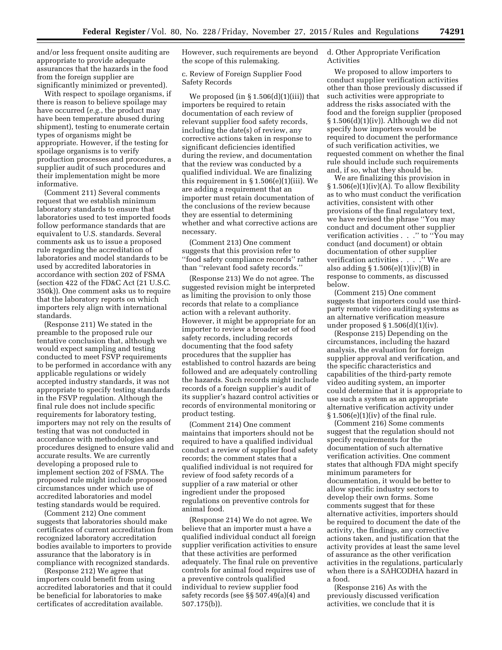and/or less frequent onsite auditing are appropriate to provide adequate assurances that the hazards in the food from the foreign supplier are significantly minimized or prevented).

With respect to spoilage organisms, if there is reason to believe spoilage may have occurred (*e.g.*, the product may have been temperature abused during shipment), testing to enumerate certain types of organisms might be appropriate. However, if the testing for spoilage organisms is to verify production processes and procedures, a supplier audit of such procedures and their implementation might be more informative.

(Comment 211) Several comments request that we establish minimum laboratory standards to ensure that laboratories used to test imported foods follow performance standards that are equivalent to U.S. standards. Several comments ask us to issue a proposed rule regarding the accreditation of laboratories and model standards to be used by accredited laboratories in accordance with section 202 of FSMA (section 422 of the FD&C Act (21 U.S.C. 350k)). One comment asks us to require that the laboratory reports on which importers rely align with international standards.

(Response 211) We stated in the preamble to the proposed rule our tentative conclusion that, although we would expect sampling and testing conducted to meet FSVP requirements to be performed in accordance with any applicable regulations or widely accepted industry standards, it was not appropriate to specify testing standards in the FSVP regulation. Although the final rule does not include specific requirements for laboratory testing, importers may not rely on the results of testing that was not conducted in accordance with methodologies and procedures designed to ensure valid and accurate results. We are currently developing a proposed rule to implement section 202 of FSMA. The proposed rule might include proposed circumstances under which use of accredited laboratories and model testing standards would be required.

(Comment 212) One comment suggests that laboratories should make certificates of current accreditation from recognized laboratory accreditation bodies available to importers to provide assurance that the laboratory is in compliance with recognized standards.

(Response 212) We agree that importers could benefit from using accredited laboratories and that it could be beneficial for laboratories to make certificates of accreditation available.

However, such requirements are beyond the scope of this rulemaking.

c. Review of Foreign Supplier Food Safety Records

We proposed (in  $\S 1.506(d)(1)(iii)$ ) that importers be required to retain documentation of each review of relevant supplier food safety records, including the date(s) of review, any corrective actions taken in response to significant deficiencies identified during the review, and documentation that the review was conducted by a qualified individual. We are finalizing this requirement in § 1.506(e)(1)(iii). We are adding a requirement that an importer must retain documentation of the conclusions of the review because they are essential to determining whether and what corrective actions are necessary.

(Comment 213) One comment suggests that this provision refer to ''food safety compliance records'' rather than ''relevant food safety records.''

(Response 213) We do not agree. The suggested revision might be interpreted as limiting the provision to only those records that relate to a compliance action with a relevant authority. However, it might be appropriate for an importer to review a broader set of food safety records, including records documenting that the food safety procedures that the supplier has established to control hazards are being followed and are adequately controlling the hazards. Such records might include records of a foreign supplier's audit of its supplier's hazard control activities or records of environmental monitoring or product testing.

(Comment 214) One comment maintains that importers should not be required to have a qualified individual conduct a review of supplier food safety records; the comment states that a qualified individual is not required for review of food safety records of a supplier of a raw material or other ingredient under the proposed regulations on preventive controls for animal food.

(Response 214) We do not agree. We believe that an importer must a have a qualified individual conduct all foreign supplier verification activities to ensure that these activities are performed adequately. The final rule on preventive controls for animal food requires use of a preventive controls qualified individual to review supplier food safety records (see §§ 507.49(a)(4) and 507.175(b)).

d. Other Appropriate Verification Activities

We proposed to allow importers to conduct supplier verification activities other than those previously discussed if such activities were appropriate to address the risks associated with the food and the foreign supplier (proposed § 1.506(d)(1)(iv)). Although we did not specify how importers would be required to document the performance of such verification activities, we requested comment on whether the final rule should include such requirements and, if so, what they should be.

We are finalizing this provision in  $§ 1.506(e)(1)(iv)(A)$ . To allow flexibility as to who must conduct the verification activities, consistent with other provisions of the final regulatory text, we have revised the phrase ''You may conduct and document other supplier verification activities . . ." to "You may conduct (and document) or obtain documentation of other supplier verification activities . . . .'' We are also adding § 1.506(e)(1)(iv)(B) in response to comments, as discussed below.

(Comment 215) One comment suggests that importers could use thirdparty remote video auditing systems as an alternative verification measure under proposed  $\S 1.506(d)(1)(iv)$ .

(Response 215) Depending on the circumstances, including the hazard analysis, the evaluation for foreign supplier approval and verification, and the specific characteristics and capabilities of the third-party remote video auditing system, an importer could determine that it is appropriate to use such a system as an appropriate alternative verification activity under  $§ 1.506(e)(1)(iv)$  of the final rule.

(Comment 216) Some comments suggest that the regulation should not specify requirements for the documentation of such alternative verification activities. One comment states that although FDA might specify minimum parameters for documentation, it would be better to allow specific industry sectors to develop their own forms. Some comments suggest that for these alternative activities, importers should be required to document the date of the activity, the findings, any corrective actions taken, and justification that the activity provides at least the same level of assurance as the other verification activities in the regulations, particularly when there is a SAHCODHA hazard in a food.

(Response 216) As with the previously discussed verification activities, we conclude that it is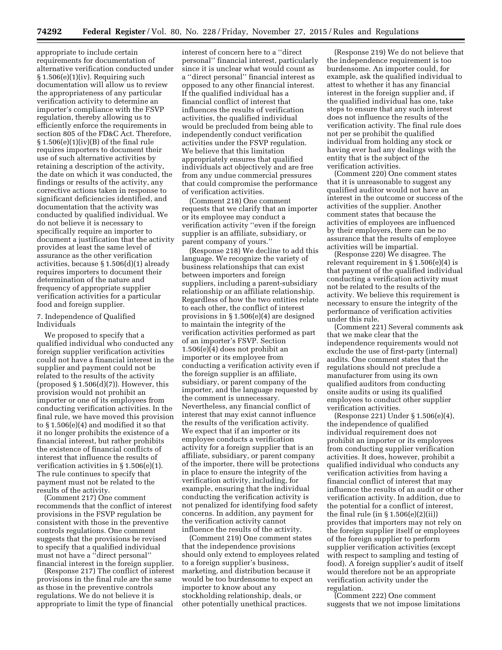appropriate to include certain requirements for documentation of alternative verification conducted under  $§ 1.506(e)(1)(iv)$ . Requiring such documentation will allow us to review the appropriateness of any particular verification activity to determine an importer's compliance with the FSVP regulation, thereby allowing us to efficiently enforce the requirements in section 805 of the FD&C Act. Therefore, § 1.506(e)(1)(iv)(B) of the final rule requires importers to document their use of such alternative activities by retaining a description of the activity, the date on which it was conducted, the findings or results of the activity, any corrective actions taken in response to significant deficiencies identified, and documentation that the activity was conducted by qualified individual. We do not believe it is necessary to specifically require an importer to document a justification that the activity provides at least the same level of assurance as the other verification activities, because § 1.506(d)(1) already requires importers to document their determination of the nature and frequency of appropriate supplier verification activities for a particular food and foreign supplier.

### 7. Independence of Qualified Individuals

We proposed to specify that a qualified individual who conducted any foreign supplier verification activities could not have a financial interest in the supplier and payment could not be related to the results of the activity (proposed  $\S 1.506(d)(7)$ ). However, this provision would not prohibit an importer or one of its employees from conducting verification activities. In the final rule, we have moved this provision to § 1.506(e)(4) and modified it so that it no longer prohibits the existence of a financial interest, but rather prohibits the existence of financial conflicts of interest that influence the results of verification activities in § 1.506(e)(1). The rule continues to specify that payment must not be related to the results of the activity.

(Comment 217) One comment recommends that the conflict of interest provisions in the FSVP regulation be consistent with those in the preventive controls regulations. One comment suggests that the provisions be revised to specify that a qualified individual must not have a ''direct personal'' financial interest in the foreign supplier.

(Response 217) The conflict of interest provisions in the final rule are the same as those in the preventive controls regulations. We do not believe it is appropriate to limit the type of financial

interest of concern here to a ''direct personal'' financial interest, particularly since it is unclear what would count as a ''direct personal'' financial interest as opposed to any other financial interest. If the qualified individual has a financial conflict of interest that influences the results of verification activities, the qualified individual would be precluded from being able to independently conduct verification activities under the FSVP regulation. We believe that this limitation appropriately ensures that qualified individuals act objectively and are free from any undue commercial pressures that could compromise the performance of verification activities.

(Comment 218) One comment requests that we clarify that an importer or its employee may conduct a verification activity ''even if the foreign supplier is an affiliate, subsidiary, or parent company of yours.''

(Response 218) We decline to add this language. We recognize the variety of business relationships that can exist between importers and foreign suppliers, including a parent-subsidiary relationship or an affiliate relationship. Regardless of how the two entities relate to each other, the conflict of interest provisions in § 1.506(e)(4) are designed to maintain the integrity of the verification activities performed as part of an importer's FSVP. Section 1.506(e)(4) does not prohibit an importer or its employee from conducting a verification activity even if the foreign supplier is an affiliate, subsidiary, or parent company of the importer, and the language requested by the comment is unnecessary. Nevertheless, any financial conflict of interest that may exist cannot influence the results of the verification activity. We expect that if an importer or its employee conducts a verification activity for a foreign supplier that is an affiliate, subsidiary, or parent company of the importer, there will be protections in place to ensure the integrity of the verification activity, including, for example, ensuring that the individual conducting the verification activity is not penalized for identifying food safety concerns. In addition, any payment for the verification activity cannot influence the results of the activity.

(Comment 219) One comment states that the independence provisions should only extend to employees related to a foreign supplier's business, marketing, and distribution because it would be too burdensome to expect an importer to know about any stockholding relationship, deals, or other potentially unethical practices.

(Response 219) We do not believe that the independence requirement is too burdensome. An importer could, for example, ask the qualified individual to attest to whether it has any financial interest in the foreign supplier and, if the qualified individual has one, take steps to ensure that any such interest does not influence the results of the verification activity. The final rule does not per se prohibit the qualified individual from holding any stock or having ever had any dealings with the entity that is the subject of the verification activities.

(Comment 220) One comment states that it is unreasonable to suggest any qualified auditor would not have an interest in the outcome or success of the activities of the supplier. Another comment states that because the activities of employees are influenced by their employers, there can be no assurance that the results of employee activities will be impartial.

(Response 220) We disagree. The relevant requirement in § 1.506(e)(4) is that payment of the qualified individual conducting a verification activity must not be related to the results of the activity. We believe this requirement is necessary to ensure the integrity of the performance of verification activities under this rule.

(Comment 221) Several comments ask that we make clear that the independence requirements would not exclude the use of first-party (internal) audits. One comment states that the regulations should not preclude a manufacturer from using its own qualified auditors from conducting onsite audits or using its qualified employees to conduct other supplier verification activities.

(Response 221) Under § 1.506(e)(4), the independence of qualified individual requirement does not prohibit an importer or its employees from conducting supplier verification activities. It does, however, prohibit a qualified individual who conducts any verification activities from having a financial conflict of interest that may influence the results of an audit or other verification activity. In addition, due to the potential for a conflict of interest, the final rule (in § 1.506(e)(2)(ii)) provides that importers may not rely on the foreign supplier itself or employees of the foreign supplier to perform supplier verification activities (except with respect to sampling and testing of food). A foreign supplier's audit of itself would therefore not be an appropriate verification activity under the regulation.

(Comment 222) One comment suggests that we not impose limitations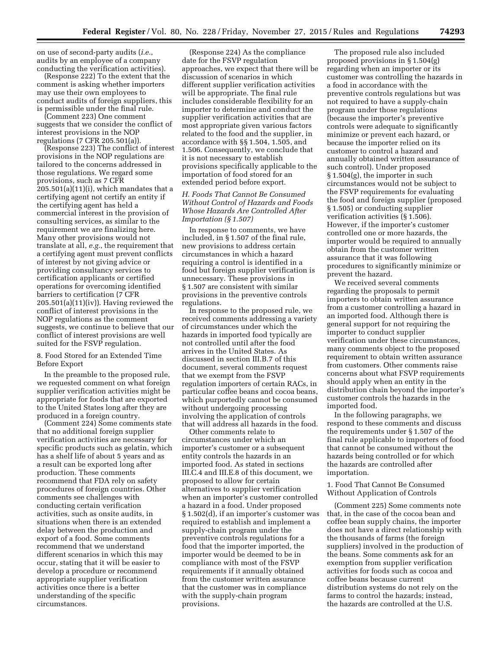on use of second-party audits (*i.e.*, audits by an employee of a company conducting the verification activities).

(Response 222) To the extent that the comment is asking whether importers may use their own employees to conduct audits of foreign suppliers, this is permissible under the final rule.

(Comment 223) One comment suggests that we consider the conflict of interest provisions in the NOP regulations (7 CFR 205.501(a)).

(Response 223) The conflict of interest provisions in the NOP regulations are tailored to the concerns addressed in those regulations. We regard some provisions, such as 7 CFR  $205.501(a)(11)(i)$ , which mandates that a certifying agent not certify an entity if the certifying agent has held a commercial interest in the provision of consulting services, as similar to the requirement we are finalizing here. Many other provisions would not translate at all, *e.g.*, the requirement that a certifying agent must prevent conflicts of interest by not giving advice or providing consultancy services to certification applicants or certified operations for overcoming identified barriers to certification (7 CFR 205.501(a)(11)(iv)). Having reviewed the conflict of interest provisions in the NOP regulations as the comment suggests, we continue to believe that our conflict of interest provisions are well suited for the FSVP regulation.

8. Food Stored for an Extended Time Before Export

In the preamble to the proposed rule, we requested comment on what foreign supplier verification activities might be appropriate for foods that are exported to the United States long after they are produced in a foreign country.

(Comment 224) Some comments state that no additional foreign supplier verification activities are necessary for specific products such as gelatin, which has a shelf life of about 5 years and as a result can be exported long after production. These comments recommend that FDA rely on safety procedures of foreign countries. Other comments see challenges with conducting certain verification activities, such as onsite audits, in situations when there is an extended delay between the production and export of a food. Some comments recommend that we understand different scenarios in which this may occur, stating that it will be easier to develop a procedure or recommend appropriate supplier verification activities once there is a better understanding of the specific circumstances.

(Response 224) As the compliance date for the FSVP regulation approaches, we expect that there will be discussion of scenarios in which different supplier verification activities will be appropriate. The final rule includes considerable flexibility for an importer to determine and conduct the supplier verification activities that are most appropriate given various factors related to the food and the supplier, in accordance with §§ 1.504, 1.505, and 1.506. Consequently, we conclude that it is not necessary to establish provisions specifically applicable to the importation of food stored for an extended period before export.

# *H. Foods That Cannot Be Consumed Without Control of Hazards and Foods Whose Hazards Are Controlled After Importation (§ 1.507)*

In response to comments, we have included, in § 1.507 of the final rule, new provisions to address certain circumstances in which a hazard requiring a control is identified in a food but foreign supplier verification is unnecessary. These provisions in § 1.507 are consistent with similar provisions in the preventive controls regulations.

In response to the proposed rule, we received comments addressing a variety of circumstances under which the hazards in imported food typically are not controlled until after the food arrives in the United States. As discussed in section III.B.7 of this document, several comments request that we exempt from the FSVP regulation importers of certain RACs, in particular coffee beans and cocoa beans, which purportedly cannot be consumed without undergoing processing involving the application of controls that will address all hazards in the food.

Other comments relate to circumstances under which an importer's customer or a subsequent entity controls the hazards in an imported food. As stated in sections III.C.4 and III.E.8 of this document, we proposed to allow for certain alternatives to supplier verification when an importer's customer controlled a hazard in a food. Under proposed § 1.502(d), if an importer's customer was required to establish and implement a supply-chain program under the preventive controls regulations for a food that the importer imported, the importer would be deemed to be in compliance with most of the FSVP requirements if it annually obtained from the customer written assurance that the customer was in compliance with the supply-chain program provisions.

The proposed rule also included proposed provisions in § 1.504(g) regarding when an importer or its customer was controlling the hazards in a food in accordance with the preventive controls regulations but was not required to have a supply-chain program under those regulations (because the importer's preventive controls were adequate to significantly minimize or prevent each hazard, or because the importer relied on its customer to control a hazard and annually obtained written assurance of such control). Under proposed § 1.504(g), the importer in such circumstances would not be subject to the FSVP requirements for evaluating the food and foreign supplier (proposed § 1.505) or conducting supplier verification activities (§ 1.506). However, if the importer's customer controlled one or more hazards, the importer would be required to annually obtain from the customer written assurance that it was following procedures to significantly minimize or prevent the hazard.

We received several comments regarding the proposals to permit importers to obtain written assurance from a customer controlling a hazard in an imported food. Although there is general support for not requiring the importer to conduct supplier verification under these circumstances, many comments object to the proposed requirement to obtain written assurance from customers. Other comments raise concerns about what FSVP requirements should apply when an entity in the distribution chain beyond the importer's customer controls the hazards in the imported food.

In the following paragraphs, we respond to these comments and discuss the requirements under § 1.507 of the final rule applicable to importers of food that cannot be consumed without the hazards being controlled or for which the hazards are controlled after importation.

1. Food That Cannot Be Consumed Without Application of Controls

(Comment 225) Some comments note that, in the case of the cocoa bean and coffee bean supply chains, the importer does not have a direct relationship with the thousands of farms (the foreign suppliers) involved in the production of the beans. Some comments ask for an exemption from supplier verification activities for foods such as cocoa and coffee beans because current distribution systems do not rely on the farms to control the hazards; instead, the hazards are controlled at the U.S.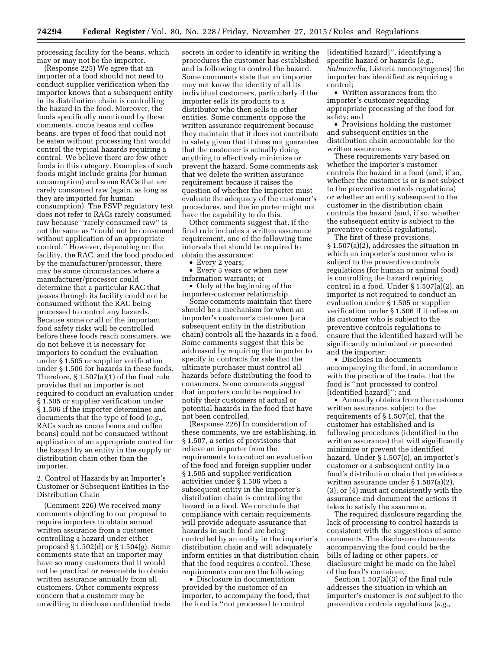processing facility for the beans, which may or may not be the importer.

(Response 225) We agree that an importer of a food should not need to conduct supplier verification when the importer knows that a subsequent entity in its distribution chain is controlling the hazard in the food. Moreover, the foods specifically mentioned by these comments, cocoa beans and coffee beans, are types of food that could not be eaten without processing that would control the typical hazards requiring a control. We believe there are few other foods in this category. Examples of such foods might include grains (for human consumption) and some RACs that are rarely consumed raw (again, as long as they are imported for human consumption). The FSVP regulatory text does not refer to RACs rarely consumed raw because ''rarely consumed raw'' is not the same as ''could not be consumed without application of an appropriate control.'' However, depending on the facility, the RAC, and the food produced by the manufacturer/processor, there may be some circumstances where a manufacturer/processor could determine that a particular RAC that passes through its facility could not be consumed without the RAC being processed to control any hazards. Because some or all of the important food safety risks will be controlled before these foods reach consumers, we do not believe it is necessary for importers to conduct the evaluation under § 1.505 or supplier verification under § 1.506 for hazards in these foods. Therefore, § 1.507(a)(1) of the final rule provides that an importer is not required to conduct an evaluation under § 1.505 or supplier verification under § 1.506 if the importer determines and documents that the type of food (*e.g.,*  RACs such as cocoa beans and coffee beans) could not be consumed without application of an appropriate control for the hazard by an entity in the supply or distribution chain other than the importer.

2. Control of Hazards by an Importer's Customer or Subsequent Entities in the Distribution Chain

(Comment 226) We received many comments objecting to our proposal to require importers to obtain annual written assurance from a customer controlling a hazard under either proposed § 1.502(d) or § 1.504(g). Some comments state that an importer may have so many customers that it would not be practical or reasonable to obtain written assurance annually from all customers. Other comments express concern that a customer may be unwilling to disclose confidential trade

secrets in order to identify in writing the procedures the customer has established and is following to control the hazard. Some comments state that an importer may not know the identity of all its individual customers, particularly if the importer sells its products to a distributor who then sells to other entities. Some comments oppose the written assurance requirement because they maintain that it does not contribute to safety given that it does not guarantee that the customer is actually doing anything to effectively minimize or prevent the hazard. Some comments ask that we delete the written assurance requirement because it raises the question of whether the importer must evaluate the adequacy of the customer's procedures, and the importer might not have the capability to do this.

Other comments suggest that, if the final rule includes a written assurance requirement, one of the following time intervals that should be required to obtain the assurance:

• Every 2 years;

• Every 3 years or when new information warrants; or

• Only at the beginning of the importer-customer relationship.

Some comments maintain that there should be a mechanism for when an importer's customer's customer (or a subsequent entity in the distribution chain) controls all the hazards in a food. Some comments suggest that this be addressed by requiring the importer to specify in contracts for sale that the ultimate purchaser must control all hazards before distributing the food to consumers. Some comments suggest that importers could be required to notify their customers of actual or potential hazards in the food that have not been controlled.

(Response 226) In consideration of these comments, we are establishing, in § 1.507, a series of provisions that relieve an importer from the requirements to conduct an evaluation of the food and foreign supplier under § 1.505 and supplier verification activities under § 1.506 when a subsequent entity in the importer's distribution chain is controlling the hazard in a food. We conclude that compliance with certain requirements will provide adequate assurance that hazards in such food are being controlled by an entity in the importer's distribution chain and will adequately inform entities in that distribution chain that the food requires a control. These requirements concern the following:

• Disclosure in documentation provided by the customer of an importer, to accompany the food, that the food is ''not processed to control

[identified hazard]'', identifying a specific hazard or hazards (*e.g., Salmonella,* Listeria monocytogenes) the importer has identified as requiring a control;

• Written assurances from the importer's customer regarding appropriate processing of the food for safety; and

• Provisions holding the customer and subsequent entities in the distribution chain accountable for the written assurances.

These requirements vary based on whether the importer's customer controls the hazard in a food (and, if so, whether the customer is or is not subject to the preventive controls regulations) or whether an entity subsequent to the customer in the distribution chain controls the hazard (and, if so, whether the subsequent entity is subject to the preventive controls regulations).

The first of these provisions, § 1.507(a)(2), addresses the situation in which an importer's customer who is subject to the preventive controls regulations (for human or animal food) is controlling the hazard requiring control in a food. Under § 1.507(a)(2), an importer is not required to conduct an evaluation under § 1.505 or supplier verification under § 1.506 if it relies on its customer who is subject to the preventive controls regulations to ensure that the identified hazard will be significantly minimized or prevented and the importer:

• Discloses in documents accompanying the food, in accordance with the practice of the trade, that the food is ''not processed to control [identified hazard]''; and

• Annually obtains from the customer written assurance, subject to the requirements of § 1.507(c), that the customer has established and is following procedures (identified in the written assurance) that will significantly minimize or prevent the identified hazard. Under § 1.507(c), an importer's customer or a subsequent entity in a food's distribution chain that provides a written assurance under § 1.507(a)(2), (3), or (4) must act consistently with the assurance and document the actions it takes to satisfy the assurance.

The required disclosure regarding the lack of processing to control hazards is consistent with the suggestions of some comments. The disclosure documents accompanying the food could be the bills of lading or other papers, or disclosure might be made on the label of the food's container.

Section 1.507(a)(3) of the final rule addresses the situation in which an importer's customer is *not* subject to the preventive controls regulations (*e.g.,*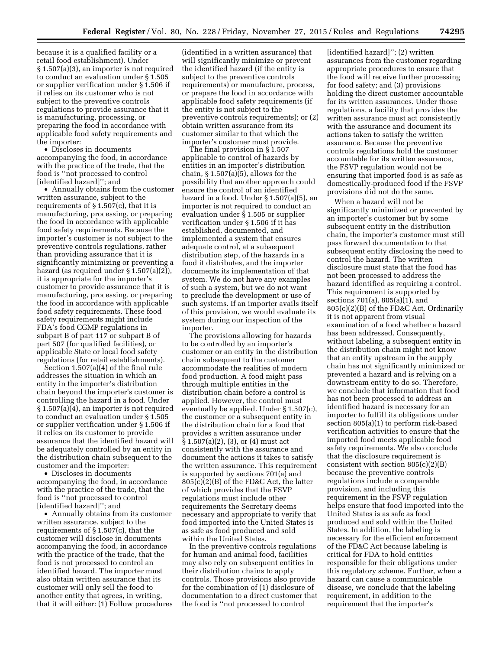because it is a qualified facility or a retail food establishment). Under § 1.507(a)(3), an importer is not required to conduct an evaluation under § 1.505 or supplier verification under § 1.506 if it relies on its customer who is not subject to the preventive controls regulations to provide assurance that it is manufacturing, processing, or preparing the food in accordance with applicable food safety requirements and the importer:

• Discloses in documents accompanying the food, in accordance with the practice of the trade, that the food is ''not processed to control [identified hazard]''; and

• Annually obtains from the customer written assurance, subject to the requirements of § 1.507(c), that it is manufacturing, processing, or preparing the food in accordance with applicable food safety requirements. Because the importer's customer is not subject to the preventive controls regulations, rather than providing assurance that it is significantly minimizing or preventing a hazard (as required under § 1.507(a)(2)), it is appropriate for the importer's customer to provide assurance that it is manufacturing, processing, or preparing the food in accordance with applicable food safety requirements. These food safety requirements might include FDA's food CGMP regulations in subpart B of part 117 or subpart B of part 507 (for qualified facilities), or applicable State or local food safety regulations (for retail establishments).

Section 1.507(a)(4) of the final rule addresses the situation in which an entity in the importer's distribution chain beyond the importer's customer is controlling the hazard in a food. Under § 1.507(a)(4), an importer is not required to conduct an evaluation under § 1.505 or supplier verification under § 1.506 if it relies on its customer to provide assurance that the identified hazard will be adequately controlled by an entity in the distribution chain subsequent to the customer and the importer:

• Discloses in documents accompanying the food, in accordance with the practice of the trade, that the food is ''not processed to control [identified hazard]''; and

• Annually obtains from its customer written assurance, subject to the requirements of § 1.507(c), that the customer will disclose in documents accompanying the food, in accordance with the practice of the trade, that the food is not processed to control an identified hazard. The importer must also obtain written assurance that its customer will only sell the food to another entity that agrees, in writing, that it will either: (1) Follow procedures

(identified in a written assurance) that will significantly minimize or prevent the identified hazard (if the entity is subject to the preventive controls requirements) or manufacture, process, or prepare the food in accordance with applicable food safety requirements (if the entity is not subject to the preventive controls requirements); or (2) obtain written assurance from its customer similar to that which the importer's customer must provide.

The final provision in § 1.507 applicable to control of hazards by entities in an importer's distribution chain,  $\S 1.507(a)(5)$ , allows for the possibility that another approach could ensure the control of an identified hazard in a food. Under § 1.507(a)(5), an importer is not required to conduct an evaluation under § 1.505 or supplier verification under § 1.506 if it has established, documented, and implemented a system that ensures adequate control, at a subsequent distribution step, of the hazards in a food it distributes, and the importer documents its implementation of that system. We do not have any examples of such a system, but we do not want to preclude the development or use of such systems. If an importer avails itself of this provision, we would evaluate its system during our inspection of the importer.

The provisions allowing for hazards to be controlled by an importer's customer or an entity in the distribution chain subsequent to the customer accommodate the realities of modern food production. A food might pass through multiple entities in the distribution chain before a control is applied. However, the control must eventually be applied. Under § 1.507(c), the customer or a subsequent entity in the distribution chain for a food that provides a written assurance under § 1.507(a)(2), (3), or (4) must act consistently with the assurance and document the actions it takes to satisfy the written assurance. This requirement is supported by sections 701(a) and 805(c)(2)(B) of the FD&C Act, the latter of which provides that the FSVP regulations must include other requirements the Secretary deems necessary and appropriate to verify that food imported into the United States is as safe as food produced and sold within the United States.

In the preventive controls regulations for human and animal food, facilities may also rely on subsequent entities in their distribution chains to apply controls. Those provisions also provide for the combination of (1) disclosure of documentation to a direct customer that the food is ''not processed to control

[identified hazard]''; (2) written assurances from the customer regarding appropriate procedures to ensure that the food will receive further processing for food safety; and (3) provisions holding the direct customer accountable for its written assurances. Under those regulations, a facility that provides the written assurance must act consistently with the assurance and document its actions taken to satisfy the written assurance. Because the preventive controls regulations hold the customer accountable for its written assurance, the FSVP regulation would not be ensuring that imported food is as safe as domestically-produced food if the FSVP provisions did not do the same.

When a hazard will not be significantly minimized or prevented by an importer's customer but by some subsequent entity in the distribution chain, the importer's customer must still pass forward documentation to that subsequent entity disclosing the need to control the hazard. The written disclosure must state that the food has not been processed to address the hazard identified as requiring a control. This requirement is supported by sections 701(a), 805(a)(1), and 805(c)(2)(B) of the FD&C Act. Ordinarily it is not apparent from visual examination of a food whether a hazard has been addressed. Consequently, without labeling, a subsequent entity in the distribution chain might not know that an entity upstream in the supply chain has not significantly minimized or prevented a hazard and is relying on a downstream entity to do so. Therefore, we conclude that information that food has not been processed to address an identified hazard is necessary for an importer to fulfill its obligations under section 805(a)(1) to perform risk-based verification activities to ensure that the imported food meets applicable food safety requirements. We also conclude that the disclosure requirement is consistent with section 805(c)(2)(B) because the preventive controls regulations include a comparable provision, and including this requirement in the FSVP regulation helps ensure that food imported into the United States is as safe as food produced and sold within the United States. In addition, the labeling is necessary for the efficient enforcement of the FD&C Act because labeling is critical for FDA to hold entities responsible for their obligations under this regulatory scheme. Further, when a hazard can cause a communicable disease, we conclude that the labeling requirement, in addition to the requirement that the importer's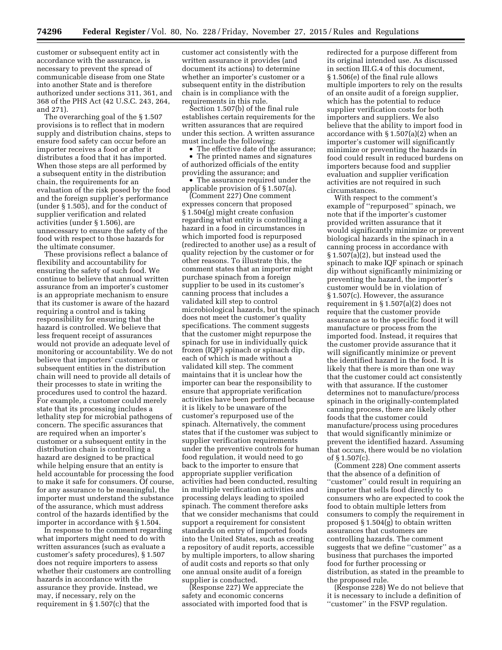customer or subsequent entity act in accordance with the assurance, is necessary to prevent the spread of communicable disease from one State into another State and is therefore authorized under sections 311, 361, and 368 of the PHS Act (42 U.S.C. 243, 264, and 271).

The overarching goal of the § 1.507 provisions is to reflect that in modern supply and distribution chains, steps to ensure food safety can occur before an importer receives a food or after it distributes a food that it has imported. When those steps are all performed by a subsequent entity in the distribution chain, the requirements for an evaluation of the risk posed by the food and the foreign supplier's performance (under § 1.505), and for the conduct of supplier verification and related activities (under § 1.506), are unnecessary to ensure the safety of the food with respect to those hazards for the ultimate consumer.

These provisions reflect a balance of flexibility and accountability for ensuring the safety of such food. We continue to believe that annual written assurance from an importer's customer is an appropriate mechanism to ensure that its customer is aware of the hazard requiring a control and is taking responsibility for ensuring that the hazard is controlled. We believe that less frequent receipt of assurances would not provide an adequate level of monitoring or accountability. We do not believe that importers' customers or subsequent entities in the distribution chain will need to provide all details of their processes to state in writing the procedures used to control the hazard. For example, a customer could merely state that its processing includes a lethality step for microbial pathogens of concern. The specific assurances that are required when an importer's customer or a subsequent entity in the distribution chain is controlling a hazard are designed to be practical while helping ensure that an entity is held accountable for processing the food to make it safe for consumers. Of course, for any assurance to be meaningful, the importer must understand the substance of the assurance, which must address control of the hazards identified by the importer in accordance with § 1.504.

In response to the comment regarding what importers might need to do with written assurances (such as evaluate a customer's safety procedures), § 1.507 does not require importers to assess whether their customers are controlling hazards in accordance with the assurance they provide. Instead, we may, if necessary, rely on the requirement in § 1.507(c) that the

customer act consistently with the written assurance it provides (and document its actions) to determine whether an importer's customer or a subsequent entity in the distribution chain is in compliance with the requirements in this rule.

Section 1.507(b) of the final rule establishes certain requirements for the written assurances that are required under this section. A written assurance must include the following:

• The effective date of the assurance; • The printed names and signatures of authorized officials of the entity providing the assurance; and

• The assurance required under the applicable provision of § 1.507(a).

(Comment 227) One comment expresses concern that proposed § 1.504(g) might create confusion regarding what entity is controlling a hazard in a food in circumstances in which imported food is repurposed (redirected to another use) as a result of quality rejection by the customer or for other reasons. To illustrate this, the comment states that an importer might purchase spinach from a foreign supplier to be used in its customer's canning process that includes a validated kill step to control microbiological hazards, but the spinach does not meet the customer's quality specifications. The comment suggests that the customer might repurpose the spinach for use in individually quick frozen (IQF) spinach or spinach dip, each of which is made without a validated kill step. The comment maintains that it is unclear how the importer can bear the responsibility to ensure that appropriate verification activities have been performed because it is likely to be unaware of the customer's repurposed use of the spinach. Alternatively, the comment states that if the customer was subject to supplier verification requirements under the preventive controls for human food regulation, it would need to go back to the importer to ensure that appropriate supplier verification activities had been conducted, resulting in multiple verification activities and processing delays leading to spoiled spinach. The comment therefore asks that we consider mechanisms that could support a requirement for consistent standards on entry of imported foods into the United States, such as creating a repository of audit reports, accessible by multiple importers, to allow sharing of audit costs and reports so that only one annual onsite audit of a foreign supplier is conducted.

(Response 227) We appreciate the safety and economic concerns associated with imported food that is redirected for a purpose different from its original intended use. As discussed in section III.G.4 of this document, § 1.506(e) of the final rule allows multiple importers to rely on the results of an onsite audit of a foreign supplier, which has the potential to reduce supplier verification costs for both importers and suppliers. We also believe that the ability to import food in accordance with § 1.507(a)(2) when an importer's customer will significantly minimize or preventing the hazards in food could result in reduced burdens on importers because food and supplier evaluation and supplier verification activities are not required in such circumstances.

With respect to the comment's example of ''repurposed'' spinach, we note that if the importer's customer provided written assurance that it would significantly minimize or prevent biological hazards in the spinach in a canning process in accordance with § 1.507(a)(2), but instead used the spinach to make IQF spinach or spinach dip without significantly minimizing or preventing the hazard, the importer's customer would be in violation of § 1.507(c). However, the assurance requirement in § 1.507(a)(2) does not require that the customer provide assurance as to the specific food it will manufacture or process from the imported food. Instead, it requires that the customer provide assurance that it will significantly minimize or prevent the identified hazard in the food. It is likely that there is more than one way that the customer could act consistently with that assurance. If the customer determines not to manufacture/process spinach in the originally-contemplated canning process, there are likely other foods that the customer could manufacture/process using procedures that would significantly minimize or prevent the identified hazard. Assuming that occurs, there would be no violation of § 1.507(c).

(Comment 228) One comment asserts that the absence of a definition of ''customer'' could result in requiring an importer that sells food directly to consumers who are expected to cook the food to obtain multiple letters from consumers to comply the requirement in proposed § 1.504(g) to obtain written assurances that customers are controlling hazards. The comment suggests that we define "customer" as a business that purchases the imported food for further processing or distribution, as stated in the preamble to the proposed rule.

(Response 228) We do not believe that it is necessary to include a definition of ''customer'' in the FSVP regulation.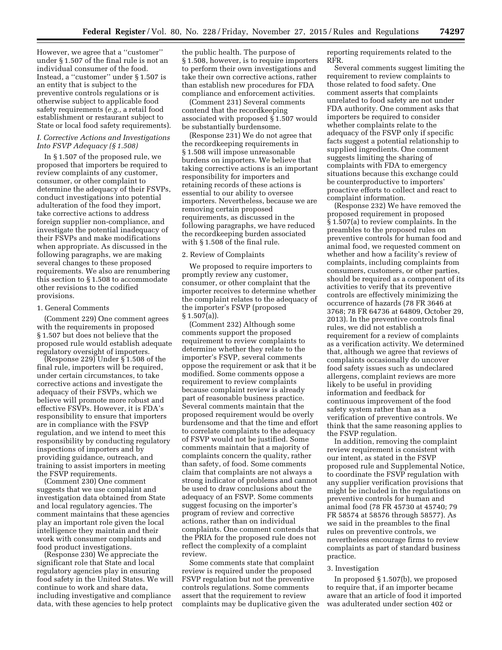However, we agree that a ''customer'' under § 1.507 of the final rule is not an individual consumer of the food. Instead, a ''customer'' under § 1.507 is an entity that is subject to the preventive controls regulations or is otherwise subject to applicable food safety requirements (*e.g.,* a retail food establishment or restaurant subject to State or local food safety requirements).

### *I. Corrective Actions and Investigations Into FSVP Adequacy (§ 1.508)*

In § 1.507 of the proposed rule, we proposed that importers be required to review complaints of any customer, consumer, or other complaint to determine the adequacy of their FSVPs, conduct investigations into potential adulteration of the food they import, take corrective actions to address foreign supplier non-compliance, and investigate the potential inadequacy of their FSVPs and make modifications when appropriate. As discussed in the following paragraphs, we are making several changes to these proposed requirements. We also are renumbering this section to § 1.508 to accommodate other revisions to the codified provisions.

### 1. General Comments

(Comment 229) One comment agrees with the requirements in proposed § 1.507 but does not believe that the proposed rule would establish adequate regulatory oversight of importers.

(Response 229) Under § 1.508 of the final rule, importers will be required, under certain circumstances, to take corrective actions and investigate the adequacy of their FSVPs, which we believe will promote more robust and effective FSVPs. However, it is FDA's responsibility to ensure that importers are in compliance with the FSVP regulation, and we intend to meet this responsibility by conducting regulatory inspections of importers and by providing guidance, outreach, and training to assist importers in meeting the FSVP requirements.

(Comment 230) One comment suggests that we use complaint and investigation data obtained from State and local regulatory agencies. The comment maintains that these agencies play an important role given the local intelligence they maintain and their work with consumer complaints and food product investigations.

(Response 230) We appreciate the significant role that State and local regulatory agencies play in ensuring food safety in the United States. We will continue to work and share data, including investigative and compliance data, with these agencies to help protect

the public health. The purpose of § 1.508, however, is to require importers to perform their own investigations and take their own corrective actions, rather than establish new procedures for FDA compliance and enforcement activities.

(Comment 231) Several comments contend that the recordkeeping associated with proposed § 1.507 would be substantially burdensome.

(Response 231) We do not agree that the recordkeeping requirements in § 1.508 will impose unreasonable burdens on importers. We believe that taking corrective actions is an important responsibility for importers and retaining records of these actions is essential to our ability to oversee importers. Nevertheless, because we are removing certain proposed requirements, as discussed in the following paragraphs, we have reduced the recordkeeping burden associated with § 1.508 of the final rule.

#### 2. Review of Complaints

We proposed to require importers to promptly review any customer, consumer, or other complaint that the importer receives to determine whether the complaint relates to the adequacy of the importer's FSVP (proposed § 1.507(a)).

(Comment 232) Although some comments support the proposed requirement to review complaints to determine whether they relate to the importer's FSVP, several comments oppose the requirement or ask that it be modified. Some comments oppose a requirement to review complaints because complaint review is already part of reasonable business practice. Several comments maintain that the proposed requirement would be overly burdensome and that the time and effort to correlate complaints to the adequacy of FSVP would not be justified. Some comments maintain that a majority of complaints concern the quality, rather than safety, of food. Some comments claim that complaints are not always a strong indicator of problems and cannot be used to draw conclusions about the adequacy of an FSVP. Some comments suggest focusing on the importer's program of review and corrective actions, rather than on individual complaints. One comment contends that the PRIA for the proposed rule does not reflect the complexity of a complaint review.

Some comments state that complaint review is required under the proposed FSVP regulation but not the preventive controls regulations. Some comments assert that the requirement to review complaints may be duplicative given the reporting requirements related to the RFR.

Several comments suggest limiting the requirement to review complaints to those related to food safety. One comment asserts that complaints unrelated to food safety are not under FDA authority. One comment asks that importers be required to consider whether complaints relate to the adequacy of the FSVP only if specific facts suggest a potential relationship to supplied ingredients. One comment suggests limiting the sharing of complaints with FDA to emergency situations because this exchange could be counterproductive to importers' proactive efforts to collect and react to complaint information.

(Response 232) We have removed the proposed requirement in proposed § 1.507(a) to review complaints. In the preambles to the proposed rules on preventive controls for human food and animal food, we requested comment on whether and how a facility's review of complaints, including complaints from consumers, customers, or other parties, should be required as a component of its activities to verify that its preventive controls are effectively minimizing the occurrence of hazards (78 FR 3646 at 3768; 78 FR 64736 at 64809, October 29, 2013). In the preventive controls final rules, we did not establish a requirement for a review of complaints as a verification activity. We determined that, although we agree that reviews of complaints occasionally do uncover food safety issues such as undeclared allergens, complaint reviews are more likely to be useful in providing information and feedback for continuous improvement of the food safety system rather than as a verification of preventive controls. We think that the same reasoning applies to the FSVP regulation.

In addition, removing the complaint review requirement is consistent with our intent, as stated in the FSVP proposed rule and Supplemental Notice, to coordinate the FSVP regulation with any supplier verification provisions that might be included in the regulations on preventive controls for human and animal food (78 FR 45730 at 45740; 79 FR 58574 at 58576 through 58577). As we said in the preambles to the final rules on preventive controls, we nevertheless encourage firms to review complaints as part of standard business practice.

#### 3. Investigation

In proposed § 1.507(b), we proposed to require that, if an importer became aware that an article of food it imported was adulterated under section 402 or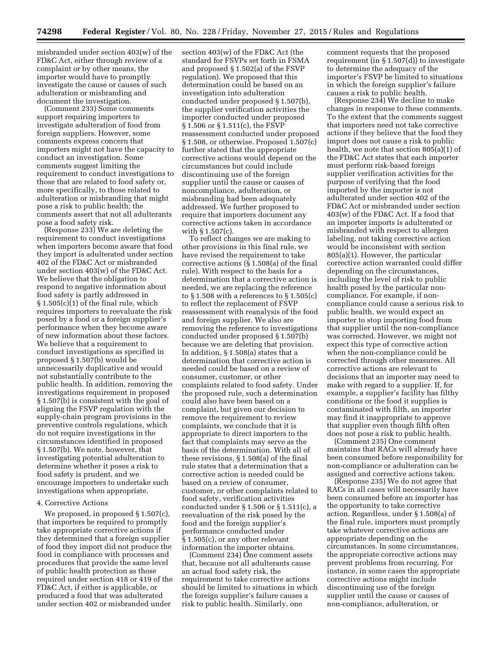misbranded under section 403(w) of the FD&C Act, either through review of a complaint or by other means, the importer would have to promptly investigate the cause or causes of such adulteration or misbranding and document the investigation.

(Comment 233) Some comments support requiring importers to investigate adulteration of food from foreign suppliers. However, some comments express concern that importers might not have the capacity to conduct an investigation. Some comments suggest limiting the requirement to conduct investigations to those that are related to food safety or, more specifically, to those related to adulteration or misbranding that might pose a risk to public health; the comments assert that not all adulterants pose a food safety risk.

(Response 233) We are deleting the requirement to conduct investigations when importers become aware that food they import is adulterated under section 402 of the FD&C Act or misbranded under section 403(w) of the FD&C Act. We believe that the obligation to respond to negative information about food safety is partly addressed in § 1.505(c)(1) of the final rule, which requires importers to reevaluate the risk posed by a food or a foreign supplier's performance when they become aware of new information about these factors. We believe that a requirement to conduct investigations as specified in proposed § 1.507(b) would be unnecessarily duplicative and would not substantially contribute to the public health. In addition, removing the investigations requirement in proposed § 1.507(b) is consistent with the goal of aligning the FSVP regulation with the supply-chain program provisions in the preventive controls regulations, which do not require investigations in the circumstances identified in proposed § 1.507(b). We note, however, that investigating potential adulteration to determine whether it poses a risk to food safety is prudent, and we encourage importers to undertake such investigations when appropriate.

#### 4. Corrective Actions

We proposed, in proposed § 1.507(c), that importers be required to promptly take appropriate corrective actions if they determined that a foreign supplier of food they import did not produce the food in compliance with processes and procedures that provide the same level of public health protection as those required under section 418 or 419 of the FD&C Act, if either is applicable, or produced a food that was adulterated under section 402 or misbranded under

section 403(w) of the FD&C Act (the standard for FSVPs set forth in FSMA and proposed § 1.502(a) of the FSVP regulation). We proposed that this determination could be based on an investigation into adulteration conducted under proposed § 1.507(b), the supplier verification activities the importer conducted under proposed § 1.506 or § 1.511(c), the FSVP reassessment conducted under proposed § 1.508, or otherwise. Proposed 1.507(c) further stated that the appropriate corrective actions would depend on the circumstances but could include discontinuing use of the foreign supplier until the cause or causes of noncompliance, adulteration, or misbranding had been adequately addressed. We further proposed to require that importers document any corrective actions taken in accordance with § 1.507(c).

To reflect changes we are making to other provisions in this final rule, we have revised the requirement to take corrective actions (§ 1.508(a) of the final rule). With respect to the basis for a determination that a corrective action is needed, we are replacing the reference to  $\S 1.508$  with a references to  $\S 1.505(c)$ to reflect the replacement of FSVP reassessment with reanalysis of the food and foreign supplier. We also are removing the reference to investigations conducted under proposed § 1.507(b) because we are deleting that provision. In addition, § 1.508(a) states that a determination that corrective action is needed could be based on a review of consumer, customer, or other complaints related to food safety. Under the proposed rule, such a determination could also have been based on a complaint, but given our decision to remove the requirement to review complaints, we conclude that it is appropriate to direct importers to the fact that complaints may serve as the basis of the determination. With all of these revisions, § 1.508(a) of the final rule states that a determination that a corrective action is needed could be based on a review of consumer, customer, or other complaints related to food safety, verification activities conducted under § 1.506 or § 1.511(c), a reevaluation of the risk posed by the food and the foreign supplier's performance conducted under § 1.505(c), or any other relevant information the importer obtains.

(Comment 234) One comment assets that, because not all adulterants cause an actual food safety risk, the requirement to take corrective actions should be limited to situations in which the foreign supplier's failure causes a risk to public health. Similarly, one

comment requests that the proposed requirement (in § 1.507(d)) to investigate to determine the adequacy of the importer's FSVP be limited to situations in which the foreign supplier's failure causes a risk to public health.

(Response 234) We decline to make changes in response to these comments. To the extent that the comments suggest that importers need not take corrective actions if they believe that the food they import does not cause a risk to public health, we note that section 805(a)(1) of the FD&C Act states that each importer must perform risk-based foreign supplier verification activities for the purpose of verifying that the food imported by the importer is not adulterated under section 402 of the FD&C Act or misbranded under section 403(w) of the FD&C Act. If a food that an importer imports is adulterated or misbranded with respect to allergen labeling, not taking corrective action would be inconsistent with section 805(a)(1). However, the particular corrective action warranted could differ depending on the circumstances, including the level of risk to public health posed by the particular noncompliance. For example, if noncompliance could cause a serious risk to public health, we would expect an importer to stop importing food from that supplier until the non-compliance was corrected. However, we might not expect this type of corrective action when the non-compliance could be corrected through other measures. All corrective actions are relevant to decisions that an importer may need to make with regard to a supplier. If, for example, a supplier's facility has filthy conditions or the food it supplies is contaminated with filth, an importer may find it inappropriate to approve that supplier even though filth often does not pose a risk to public health.

(Comment 235) One comment maintains that RACs will already have been consumed before responsibility for non-compliance or adulteration can be assigned and corrective actions taken.

(Response 235) We do not agree that RACs in all cases will necessarily have been consumed before an importer has the opportunity to take corrective action. Regardless, under § 1.508(a) of the final rule, importers must promptly take whatever corrective actions are appropriate depending on the circumstances. In some circumstances, the appropriate corrective actions may prevent problems from recurring. For instance, in some cases the appropriate corrective actions might include discontinuing use of the foreign supplier until the cause or causes of non-compliance, adulteration, or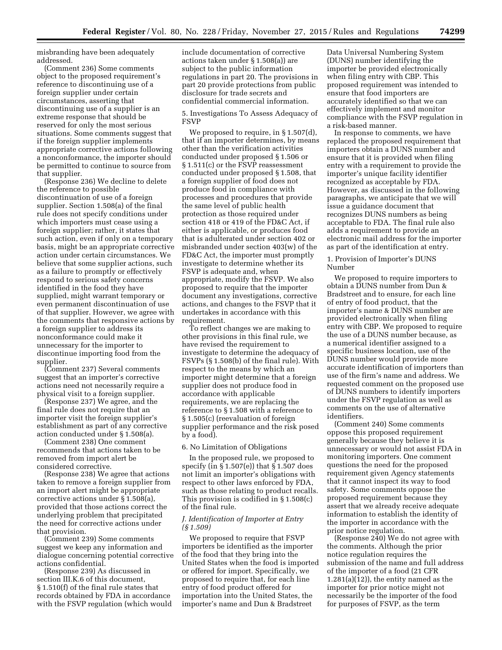misbranding have been adequately addressed.

(Comment 236) Some comments object to the proposed requirement's reference to discontinuing use of a foreign supplier under certain circumstances, asserting that discontinuing use of a supplier is an extreme response that should be reserved for only the most serious situations. Some comments suggest that if the foreign supplier implements appropriate corrective actions following a nonconformance, the importer should be permitted to continue to source from that supplier.

(Response 236) We decline to delete the reference to possible discontinuation of use of a foreign supplier. Section 1.508(a) of the final rule does not specify conditions under which importers must cease using a foreign supplier; rather, it states that such action, even if only on a temporary basis, might be an appropriate corrective action under certain circumstances. We believe that some supplier actions, such as a failure to promptly or effectively respond to serious safety concerns identified in the food they have supplied, might warrant temporary or even permanent discontinuation of use of that supplier. However, we agree with the comments that responsive actions by a foreign supplier to address its nonconformance could make it unnecessary for the importer to discontinue importing food from the supplier.

(Comment 237) Several comments suggest that an importer's corrective actions need not necessarily require a physical visit to a foreign supplier.

(Response 237) We agree, and the final rule does not require that an importer visit the foreign supplier's establishment as part of any corrective action conducted under § 1.508(a).

(Comment 238) One comment recommends that actions taken to be removed from import alert be considered corrective.

(Response 238) We agree that actions taken to remove a foreign supplier from an import alert might be appropriate corrective actions under § 1.508(a), provided that those actions correct the underlying problem that precipitated the need for corrective actions under that provision.

(Comment 239) Some comments suggest we keep any information and dialogue concerning potential corrective actions confidential.

(Response 239) As discussed in section III.K.6 of this document, § 1.510(f) of the final rule states that records obtained by FDA in accordance with the FSVP regulation (which would

include documentation of corrective actions taken under § 1.508(a)) are subject to the public information regulations in part 20. The provisions in part 20 provide protections from public disclosure for trade secrets and confidential commercial information.

5. Investigations To Assess Adequacy of FSVP

We proposed to require, in § 1.507(d), that if an importer determines, by means other than the verification activities conducted under proposed § 1.506 or § 1.511(c) or the FSVP reassessment conducted under proposed § 1.508, that a foreign supplier of food does not produce food in compliance with processes and procedures that provide the same level of public health protection as those required under section 418 or 419 of the FD&C Act, if either is applicable, or produces food that is adulterated under section 402 or misbranded under section 403(w) of the FD&C Act, the importer must promptly investigate to determine whether its FSVP is adequate and, when appropriate, modify the FSVP. We also proposed to require that the importer document any investigations, corrective actions, and changes to the FSVP that it undertakes in accordance with this requirement.

To reflect changes we are making to other provisions in this final rule, we have revised the requirement to investigate to determine the adequacy of FSVPs (§ 1.508(b) of the final rule). With respect to the means by which an importer might determine that a foreign supplier does not produce food in accordance with applicable requirements, we are replacing the reference to § 1.508 with a reference to § 1.505(c) (reevaluation of foreign supplier performance and the risk posed by a food).

6. No Limitation of Obligations

In the proposed rule, we proposed to specify (in § 1.507(e)) that § 1.507 does not limit an importer's obligations with respect to other laws enforced by FDA, such as those relating to product recalls. This provision is codified in § 1.508(c) of the final rule.

# *J. Identification of Importer at Entry (§ 1.509)*

We proposed to require that FSVP importers be identified as the importer of the food that they bring into the United States when the food is imported or offered for import. Specifically, we proposed to require that, for each line entry of food product offered for importation into the United States, the importer's name and Dun & Bradstreet

Data Universal Numbering System (DUNS) number identifying the importer be provided electronically when filing entry with CBP. This proposed requirement was intended to ensure that food importers are accurately identified so that we can effectively implement and monitor compliance with the FSVP regulation in a risk-based manner.

In response to comments, we have replaced the proposed requirement that importers obtain a DUNS number and ensure that it is provided when filing entry with a requirement to provide the importer's unique facility identifier recognized as acceptable by FDA. However, as discussed in the following paragraphs, we anticipate that we will issue a guidance document that recognizes DUNS numbers as being acceptable to FDA. The final rule also adds a requirement to provide an electronic mail address for the importer as part of the identification at entry.

1. Provision of Importer's DUNS Number

We proposed to require importers to obtain a DUNS number from Dun & Bradstreet and to ensure, for each line of entry of food product, that the importer's name & DUNS number are provided electronically when filing entry with CBP. We proposed to require the use of a DUNS number because, as a numerical identifier assigned to a specific business location, use of the DUNS number would provide more accurate identification of importers than use of the firm's name and address. We requested comment on the proposed use of DUNS numbers to identify importers under the FSVP regulation as well as comments on the use of alternative identifiers.

(Comment 240) Some comments oppose this proposed requirement generally because they believe it is unnecessary or would not assist FDA in monitoring importers. One comment questions the need for the proposed requirement given Agency statements that it cannot inspect its way to food safety. Some comments oppose the proposed requirement because they assert that we already receive adequate information to establish the identity of the importer in accordance with the prior notice regulation.

(Response 240) We do not agree with the comments. Although the prior notice regulation requires the submission of the name and full address of the importer of a food (21 CFR 1.281(a)(12)), the entity named as the importer for prior notice might not necessarily be the importer of the food for purposes of FSVP, as the term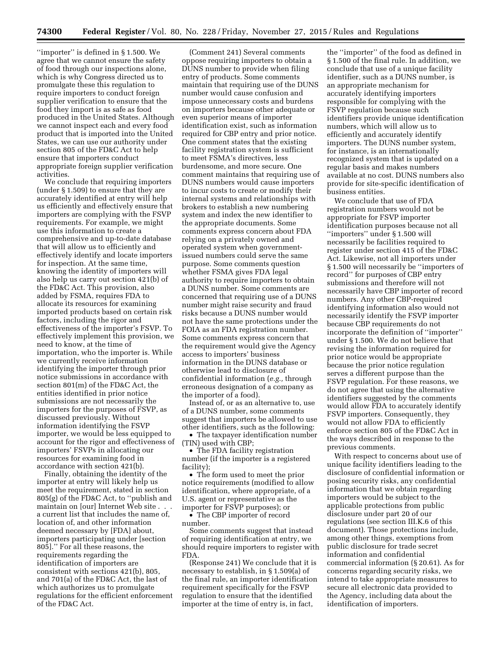''importer'' is defined in § 1.500. We agree that we cannot ensure the safety of food through our inspections alone, which is why Congress directed us to promulgate these this regulation to require importers to conduct foreign supplier verification to ensure that the food they import is as safe as food produced in the United States. Although we cannot inspect each and every food product that is imported into the United States, we can use our authority under section 805 of the FD&C Act to help ensure that importers conduct appropriate foreign supplier verification activities.

We conclude that requiring importers (under § 1.509) to ensure that they are accurately identified at entry will help us efficiently and effectively ensure that importers are complying with the FSVP requirements. For example, we might use this information to create a comprehensive and up-to-date database that will allow us to efficiently and effectively identify and locate importers for inspection. At the same time, knowing the identity of importers will also help us carry out section 421(b) of the FD&C Act. This provision, also added by FSMA, requires FDA to allocate its resources for examining imported products based on certain risk factors, including the rigor and effectiveness of the importer's FSVP. To effectively implement this provision, we need to know, at the time of importation, who the importer is. While we currently receive information identifying the importer through prior notice submissions in accordance with section 801(m) of the FD&C Act, the entities identified in prior notice submissions are not necessarily the importers for the purposes of FSVP, as discussed previously. Without information identifying the FSVP importer, we would be less equipped to account for the rigor and effectiveness of importers' FSVPs in allocating our resources for examining food in accordance with section 421(b).

Finally, obtaining the identity of the importer at entry will likely help us meet the requirement, stated in section 805(g) of the FD&C Act, to ''publish and maintain on [our] Internet Web site . . . a current list that includes the name of, location of, and other information deemed necessary by [FDA] about, importers participating under [section 805].'' For all these reasons, the requirements regarding the identification of importers are consistent with sections 421(b), 805, and 701(a) of the FD&C Act, the last of which authorizes us to promulgate regulations for the efficient enforcement of the FD&C Act.

(Comment 241) Several comments oppose requiring importers to obtain a DUNS number to provide when filing entry of products. Some comments maintain that requiring use of the DUNS number would cause confusion and impose unnecessary costs and burdens on importers because other adequate or even superior means of importer identification exist, such as information required for CBP entry and prior notice. One comment states that the existing facility registration system is sufficient to meet FSMA's directives, less burdensome, and more secure. One comment maintains that requiring use of DUNS numbers would cause importers to incur costs to create or modify their internal systems and relationships with brokers to establish a new numbering system and index the new identifier to the appropriate documents. Some comments express concern about FDA relying on a privately owned and operated system when governmentissued numbers could serve the same purpose. Some comments question whether FSMA gives FDA legal authority to require importers to obtain a DUNS number. Some comments are concerned that requiring use of a DUNS number might raise security and fraud risks because a DUNS number would not have the same protections under the FOIA as an FDA registration number. Some comments express concern that the requirement would give the Agency access to importers' business information in the DUNS database or otherwise lead to disclosure of confidential information (*e.g.,* through erroneous designation of a company as the importer of a food).

Instead of, or as an alternative to, use of a DUNS number, some comments suggest that importers be allowed to use other identifiers, such as the following:

• The taxpayer identification number (TIN) used with CBP;

• The FDA facility registration number (if the importer is a registered facility);

• The form used to meet the prior notice requirements (modified to allow identification, where appropriate, of a U.S. agent or representative as the importer for FSVP purposes); or

• The CBP importer of record number.

Some comments suggest that instead of requiring identification at entry, we should require importers to register with FDA.

(Response 241) We conclude that it is necessary to establish, in § 1.509(a) of the final rule, an importer identification requirement specifically for the FSVP regulation to ensure that the identified importer at the time of entry is, in fact,

the ''importer'' of the food as defined in § 1.500 of the final rule. In addition, we conclude that use of a unique facility identifier, such as a DUNS number, is an appropriate mechanism for accurately identifying importers responsible for complying with the FSVP regulation because such identifiers provide unique identification numbers, which will allow us to efficiently and accurately identify importers. The DUNS number system, for instance, is an internationally recognized system that is updated on a regular basis and makes numbers available at no cost. DUNS numbers also provide for site-specific identification of business entities.

We conclude that use of FDA registration numbers would not be appropriate for FSVP importer identification purposes because not all ''importers'' under § 1.500 will necessarily be facilities required to register under section 415 of the FD&C Act. Likewise, not all importers under § 1.500 will necessarily be ''importers of record'' for purposes of CBP entry submissions and therefore will not necessarily have CBP importer of record numbers. Any other CBP-required identifying information also would not necessarily identify the FSVP importer because CBP requirements do not incorporate the definition of ''importer'' under § 1.500. We do not believe that revising the information required for prior notice would be appropriate because the prior notice regulation serves a different purpose than the FSVP regulation. For these reasons, we do not agree that using the alternative identifiers suggested by the comments would allow FDA to accurately identify FSVP importers. Consequently, they would not allow FDA to efficiently enforce section 805 of the FD&C Act in the ways described in response to the previous comments.

With respect to concerns about use of unique facility identifiers leading to the disclosure of confidential information or posing security risks, any confidential information that we obtain regarding importers would be subject to the applicable protections from public disclosure under part 20 of our regulations (see section III.K.6 of this document). Those protections include, among other things, exemptions from public disclosure for trade secret information and confidential commercial information (§ 20.61). As for concerns regarding security risks, we intend to take appropriate measures to secure all electronic data provided to the Agency, including data about the identification of importers.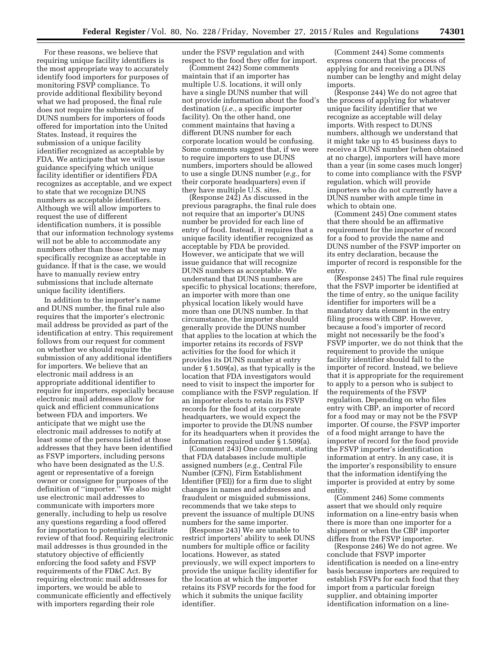For these reasons, we believe that requiring unique facility identifiers is the most appropriate way to accurately identify food importers for purposes of monitoring FSVP compliance. To provide additional flexibility beyond what we had proposed, the final rule does not require the submission of DUNS numbers for importers of foods offered for importation into the United States. Instead, it requires the submission of a unique facility identifier recognized as acceptable by FDA. We anticipate that we will issue guidance specifying which unique facility identifier or identifiers FDA recognizes as acceptable, and we expect to state that we recognize DUNS numbers as acceptable identifiers. Although we will allow importers to request the use of different identification numbers, it is possible that our information technology systems will not be able to accommodate any numbers other than those that we may specifically recognize as acceptable in guidance. If that is the case, we would have to manually review entry submissions that include alternate unique facility identifiers.

In addition to the importer's name and DUNS number, the final rule also requires that the importer's electronic mail address be provided as part of the identification at entry. This requirement follows from our request for comment on whether we should require the submission of any additional identifiers for importers. We believe that an electronic mail address is an appropriate additional identifier to require for importers, especially because electronic mail addresses allow for quick and efficient communications between FDA and importers. We anticipate that we might use the electronic mail addresses to notify at least some of the persons listed at those addresses that they have been identified as FSVP importers, including persons who have been designated as the U.S. agent or representative of a foreign owner or consignee for purposes of the definition of ''importer.'' We also might use electronic mail addresses to communicate with importers more generally, including to help us resolve any questions regarding a food offered for importation to potentially facilitate review of that food. Requiring electronic mail addresses is thus grounded in the statutory objective of efficiently enforcing the food safety and FSVP requirements of the FD&C Act. By requiring electronic mail addresses for importers, we would be able to communicate efficiently and effectively with importers regarding their role

under the FSVP regulation and with respect to the food they offer for import.

(Comment 242) Some comments maintain that if an importer has multiple U.S. locations, it will only have a single DUNS number that will not provide information about the food's destination (*i.e.,* a specific importer facility). On the other hand, one comment maintains that having a different DUNS number for each corporate location would be confusing. Some comments suggest that, if we were to require importers to use DUNS numbers, importers should be allowed to use a single DUNS number (*e.g.,* for their corporate headquarters) even if they have multiple U.S. sites.

 $($ Response 242 $)$  As discussed in the previous paragraphs, the final rule does not require that an importer's DUNS number be provided for each line of entry of food. Instead, it requires that a unique facility identifier recognized as acceptable by FDA be provided. However, we anticipate that we will issue guidance that will recognize DUNS numbers as acceptable. We understand that DUNS numbers are specific to physical locations; therefore, an importer with more than one physical location likely would have more than one DUNS number. In that circumstance, the importer should generally provide the DUNS number that applies to the location at which the importer retains its records of FSVP activities for the food for which it provides its DUNS number at entry under § 1.509(a), as that typically is the location that FDA investigators would need to visit to inspect the importer for compliance with the FSVP regulation. If an importer elects to retain its FSVP records for the food at its corporate headquarters, we would expect the importer to provide the DUNS number for its headquarters when it provides the information required under § 1.509(a).

(Comment 243) One comment, stating that FDA databases include multiple assigned numbers (*e.g.,* Central File Number (CFN), Firm Establishment Identifier (FEI)) for a firm due to slight changes in names and addresses and fraudulent or misguided submissions, recommends that we take steps to prevent the issuance of multiple DUNS numbers for the same importer.

(Response 243) We are unable to restrict importers' ability to seek DUNS numbers for multiple office or facility locations. However, as stated previously, we will expect importers to provide the unique facility identifier for the location at which the importer retains its FSVP records for the food for which it submits the unique facility identifier.

(Comment 244) Some comments express concern that the process of applying for and receiving a DUNS number can be lengthy and might delay imports.

(Response 244) We do not agree that the process of applying for whatever unique facility identifier that we recognize as acceptable will delay imports. With respect to DUNS numbers, although we understand that it might take up to 45 business days to receive a DUNS number (when obtained at no charge), importers will have more than a year (in some cases much longer) to come into compliance with the FSVP regulation, which will provide importers who do not currently have a DUNS number with ample time in which to obtain one.

(Comment 245) One comment states that there should be an affirmative requirement for the importer of record for a food to provide the name and DUNS number of the FSVP importer on its entry declaration, because the importer of record is responsible for the entry.

(Response 245) The final rule requires that the FSVP importer be identified at the time of entry, so the unique facility identifier for importers will be a mandatory data element in the entry filing process with CBP. However, because a food's importer of record might not necessarily be the food's FSVP importer, we do not think that the requirement to provide the unique facility identifier should fall to the importer of record. Instead, we believe that it is appropriate for the requirement to apply to a person who is subject to the requirements of the FSVP regulation. Depending on who files entry with CBP, an importer of record for a food may or may not be the FSVP importer. Of course, the FSVP importer of a food might arrange to have the importer of record for the food provide the FSVP importer's identification information at entry. In any case, it is the importer's responsibility to ensure that the information identifying the importer is provided at entry by some entity.

(Comment 246) Some comments assert that we should only require information on a line-entry basis when there is more than one importer for a shipment or when the CBP importer differs from the FSVP importer.

(Response 246) We do not agree. We conclude that FSVP importer identification is needed on a line-entry basis because importers are required to establish FSVPs for each food that they import from a particular foreign supplier, and obtaining importer identification information on a line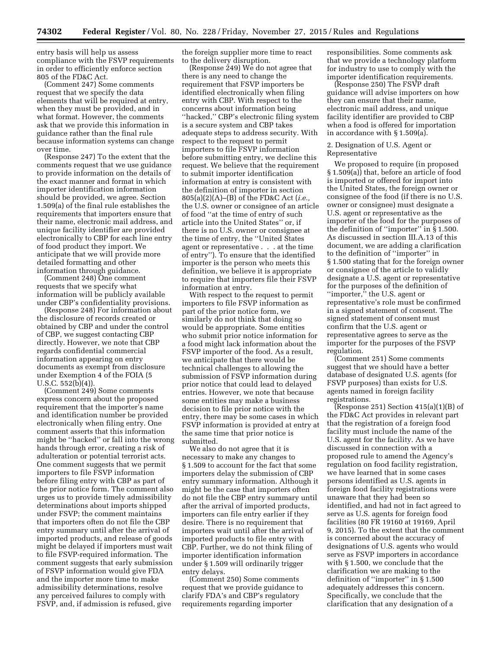entry basis will help us assess compliance with the FSVP requirements in order to efficiently enforce section 805 of the FD&C Act.

(Comment 247) Some comments request that we specify the data elements that will be required at entry, when they must be provided, and in what format. However, the comments ask that we provide this information in guidance rather than the final rule because information systems can change over time.

(Response 247) To the extent that the comments request that we use guidance to provide information on the details of the exact manner and format in which importer identification information should be provided, we agree. Section 1.509(a) of the final rule establishes the requirements that importers ensure that their name, electronic mail address, and unique facility identifier are provided electronically to CBP for each line entry of food product they import. We anticipate that we will provide more detailed formatting and other information through guidance.

(Comment 248) One comment requests that we specify what information will be publicly available under CBP's confidentiality provisions.

(Response 248) For information about the disclosure of records created or obtained by CBP and under the control of CBP, we suggest contacting CBP directly. However, we note that CBP regards confidential commercial information appearing on entry documents as exempt from disclosure under Exemption 4 of the FOIA (5 U.S.C. 552(b)(4)).

(Comment 249) Some comments express concern about the proposed requirement that the importer's name and identification number be provided electronically when filing entry. One comment asserts that this information might be ''hacked'' or fall into the wrong hands through error, creating a risk of adulteration or potential terrorist acts. One comment suggests that we permit importers to file FSVP information before filing entry with CBP as part of the prior notice form. The comment also urges us to provide timely admissibility determinations about imports shipped under FSVP; the comment maintains that importers often do not file the CBP entry summary until after the arrival of imported products, and release of goods might be delayed if importers must wait to file FSVP-required information. The comment suggests that early submission of FSVP information would give FDA and the importer more time to make admissibility determinations, resolve any perceived failures to comply with FSVP, and, if admission is refused, give

the foreign supplier more time to react to the delivery disruption.

(Response 249) We do not agree that there is any need to change the requirement that FSVP importers be identified electronically when filing entry with CBP. With respect to the concerns about information being ''hacked,'' CBP's electronic filing system is a secure system and CBP takes adequate steps to address security. With respect to the request to permit importers to file FSVP information before submitting entry, we decline this request. We believe that the requirement to submit importer identification information at entry is consistent with the definition of importer in section 805(a)(2)(A)–(B) of the FD&C Act (*i.e.,*  the U.S. owner or consignee of an article of food ''at the time of entry of such article into the United States'' or, if there is no U.S. owner or consignee at the time of entry, the ''United States agent or representative . . . at the time of entry''). To ensure that the identified importer is the person who meets this definition, we believe it is appropriate to require that importers file their FSVP information at entry.

With respect to the request to permit importers to file FSVP information as part of the prior notice form, we similarly do not think that doing so would be appropriate. Some entities who submit prior notice information for a food might lack information about the FSVP importer of the food. As a result, we anticipate that there would be technical challenges to allowing the submission of FSVP information during prior notice that could lead to delayed entries. However, we note that because some entities may make a business decision to file prior notice with the entry, there may be some cases in which FSVP information is provided at entry at the same time that prior notice is submitted.

We also do not agree that it is necessary to make any changes to § 1.509 to account for the fact that some importers delay the submission of CBP entry summary information. Although it might be the case that importers often do not file the CBP entry summary until after the arrival of imported products, importers can file entry earlier if they desire. There is no requirement that importers wait until after the arrival of imported products to file entry with CBP. Further, we do not think filing of importer identification information under § 1.509 will ordinarily trigger entry delays.

(Comment 250) Some comments request that we provide guidance to clarify FDA's and CBP's regulatory requirements regarding importer

responsibilities. Some comments ask that we provide a technology platform for industry to use to comply with the importer identification requirements.

(Response 250) The FSVP draft guidance will advise importers on how they can ensure that their name, electronic mail address, and unique facility identifier are provided to CBP when a food is offered for importation in accordance with § 1.509(a).

## 2. Designation of U.S. Agent or Representative

We proposed to require (in proposed § 1.509(a)) that, before an article of food is imported or offered for import into the United States, the foreign owner or consignee of the food (if there is no U.S. owner or consignee) must designate a U.S. agent or representative as the importer of the food for the purposes of the definition of ''importer'' in § 1.500. As discussed in section III.A.13 of this document, we are adding a clarification to the definition of ''importer'' in § 1.500 stating that for the foreign owner or consignee of the article to validly designate a U.S. agent or representative for the purposes of the definition of "importer," the U.S. agent or representative's role must be confirmed in a signed statement of consent. The signed statement of consent must confirm that the U.S. agent or representative agrees to serve as the importer for the purposes of the FSVP regulation.

(Comment 251) Some comments suggest that we should have a better database of designated U.S. agents (for FSVP purposes) than exists for U.S. agents named in foreign facility registrations.

(Response 251) Section  $415(a)(1)(B)$  of the FD&C Act provides in relevant part that the registration of a foreign food facility must include the name of the U.S. agent for the facility. As we have discussed in connection with a proposed rule to amend the Agency's regulation on food facility registration, we have learned that in some cases persons identified as U.S. agents in foreign food facility registrations were unaware that they had been so identified, and had not in fact agreed to serve as U.S. agents for foreign food facilities (80 FR 19160 at 19169, April 9, 2015). To the extent that the comment is concerned about the accuracy of designations of U.S. agents who would serve as FSVP importers in accordance with § 1.500, we conclude that the clarification we are making to the definition of ''importer'' in § 1.500 adequately addresses this concern. Specifically, we conclude that the clarification that any designation of a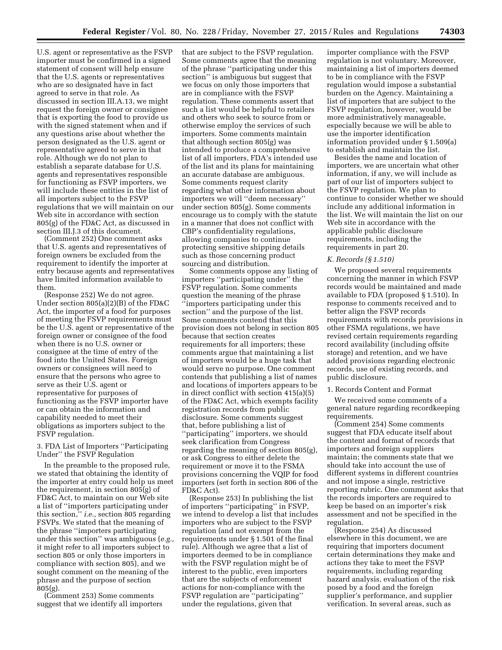U.S. agent or representative as the FSVP importer must be confirmed in a signed statement of consent will help ensure that the U.S. agents or representatives who are so designated have in fact agreed to serve in that role. As discussed in section III.A.13, we might request the foreign owner or consignee that is exporting the food to provide us with the signed statement when and if any questions arise about whether the person designated as the U.S. agent or representative agreed to serve in that role. Although we do not plan to establish a separate database for U.S. agents and representatives responsible for functioning as FSVP importers, we will include these entities in the list of all importers subject to the FSVP regulations that we will maintain on our Web site in accordance with section 805(g) of the FD&C Act, as discussed in section III.J.3 of this document.

(Comment 252) One comment asks that U.S. agents and representatives of foreign owners be excluded from the requirement to identify the importer at entry because agents and representatives have limited information available to them.

(Response 252) We do not agree. Under section 805(a)(2)(B) of the FD&C Act, the importer of a food for purposes of meeting the FSVP requirements must be the U.S. agent or representative of the foreign owner or consignee of the food when there is no U.S. owner or consignee at the time of entry of the food into the United States. Foreign owners or consignees will need to ensure that the persons who agree to serve as their U.S. agent or representative for purposes of functioning as the FSVP importer have or can obtain the information and capability needed to meet their obligations as importers subject to the FSVP regulation.

# 3. FDA List of Importers ''Participating Under'' the FSVP Regulation

In the preamble to the proposed rule, we stated that obtaining the identity of the importer at entry could help us meet the requirement, in section 805(g) of FD&C Act, to maintain on our Web site a list of ''importers participating under this section,'' *i.e.,* section 805 regarding FSVPs. We stated that the meaning of the phrase ''importers participating under this section'' was ambiguous (*e.g.,*  it might refer to all importers subject to section 805 or only those importers in compliance with section 805), and we sought comment on the meaning of the phrase and the purpose of section 805(g).

(Comment 253) Some comments suggest that we identify all importers that are subject to the FSVP regulation. Some comments agree that the meaning of the phrase ''participating under this section'' is ambiguous but suggest that we focus on only those importers that are in compliance with the FSVP regulation. These comments assert that such a list would be helpful to retailers and others who seek to source from or otherwise employ the services of such importers. Some comments maintain that although section 805(g) was intended to produce a comprehensive list of all importers, FDA's intended use of the list and its plans for maintaining an accurate database are ambiguous. Some comments request clarity regarding what other information about importers we will ''deem necessary'' under section 805(g). Some comments encourage us to comply with the statute in a manner that does not conflict with CBP's confidentiality regulations, allowing companies to continue protecting sensitive shipping details such as those concerning product sourcing and distribution.

Some comments oppose any listing of importers ''participating under'' the FSVP regulation. Some comments question the meaning of the phrase ''importers participating under this section'' and the purpose of the list. Some comments contend that this provision does not belong in section 805 because that section creates requirements for all importers; these comments argue that maintaining a list of importers would be a huge task that would serve no purpose. One comment contends that publishing a list of names and locations of importers appears to be in direct conflict with section 415(a)(5) of the FD&C Act, which exempts facility registration records from public disclosure. Some comments suggest that, before publishing a list of ''participating'' importers, we should seek clarification from Congress regarding the meaning of section 805(g), or ask Congress to either delete the requirement or move it to the FSMA provisions concerning the VQIP for food importers (set forth in section 806 of the FD&C Act).

(Response 253) In publishing the list of importers ''participating'' in FSVP, we intend to develop a list that includes importers who are subject to the FSVP regulation (and not exempt from the requirements under § 1.501 of the final rule). Although we agree that a list of importers deemed to be in compliance with the FSVP regulation might be of interest to the public, even importers that are the subjects of enforcement actions for non-compliance with the FSVP regulation are ''participating'' under the regulations, given that

importer compliance with the FSVP regulation is not voluntary. Moreover, maintaining a list of importers deemed to be in compliance with the FSVP regulation would impose a substantial burden on the Agency. Maintaining a list of importers that are subject to the FSVP regulation, however, would be more administratively manageable, especially because we will be able to use the importer identification information provided under § 1.509(a) to establish and maintain the list.

Besides the name and location of importers, we are uncertain what other information, if any, we will include as part of our list of importers subject to the FSVP regulation. We plan to continue to consider whether we should include any additional information in the list. We will maintain the list on our Web site in accordance with the applicable public disclosure requirements, including the requirements in part 20.

### *K. Records (§ 1.510)*

We proposed several requirements concerning the manner in which FSVP records would be maintained and made available to FDA (proposed § 1.510). In response to comments received and to better align the FSVP records requirements with records provisions in other FSMA regulations, we have revised certain requirements regarding record availability (including offsite storage) and retention, and we have added provisions regarding electronic records, use of existing records, and public disclosure.

# 1. Records Content and Format

We received some comments of a general nature regarding recordkeeping requirements.

(Comment 254) Some comments suggest that FDA educate itself about the content and format of records that importers and foreign suppliers maintain; the comments state that we should take into account the use of different systems in different countries and not impose a single, restrictive reporting rubric. One comment asks that the records importers are required to keep be based on an importer's risk assessment and not be specified in the regulation.

(Response 254) As discussed elsewhere in this document, we are requiring that importers document certain determinations they make and actions they take to meet the FSVP requirements, including regarding hazard analysis, evaluation of the risk posed by a food and the foreign supplier's performance, and supplier verification. In several areas, such as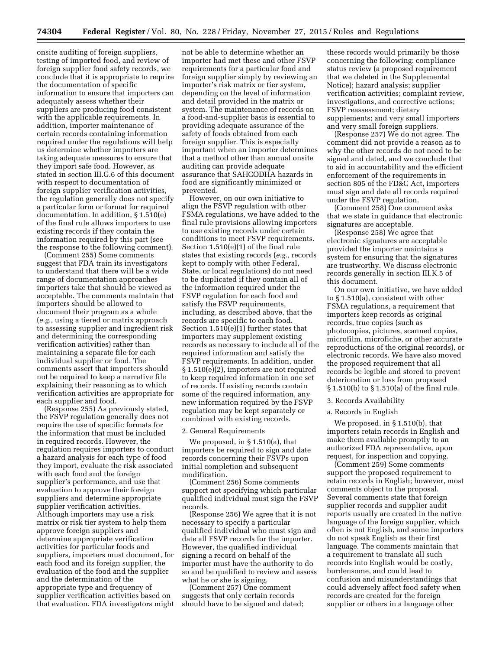onsite auditing of foreign suppliers, testing of imported food, and review of foreign supplier food safety records, we conclude that it is appropriate to require the documentation of specific information to ensure that importers can adequately assess whether their suppliers are producing food consistent with the applicable requirements. In addition, importer maintenance of certain records containing information required under the regulations will help us determine whether importers are taking adequate measures to ensure that they import safe food. However, as stated in section III.G.6 of this document with respect to documentation of foreign supplier verification activities, the regulation generally does not specify a particular form or format for required documentation. In addition, § 1.510(e) of the final rule allows importers to use existing records if they contain the information required by this part (see the response to the following comment).

(Comment 255) Some comments suggest that FDA train its investigators to understand that there will be a wide range of documentation approaches importers take that should be viewed as acceptable. The comments maintain that importers should be allowed to document their program as a whole (*e.g.,* using a tiered or matrix approach to assessing supplier and ingredient risk and determining the corresponding verification activities) rather than maintaining a separate file for each individual supplier or food. The comments assert that importers should not be required to keep a narrative file explaining their reasoning as to which verification activities are appropriate for each supplier and food.

(Response 255) As previously stated, the FSVP regulation generally does not require the use of specific formats for the information that must be included in required records. However, the regulation requires importers to conduct a hazard analysis for each type of food they import, evaluate the risk associated with each food and the foreign supplier's performance, and use that evaluation to approve their foreign suppliers and determine appropriate supplier verification activities. Although importers may use a risk matrix or risk tier system to help them approve foreign suppliers and determine appropriate verification activities for particular foods and suppliers, importers must document, for each food and its foreign supplier, the evaluation of the food and the supplier and the determination of the appropriate type and frequency of supplier verification activities based on that evaluation. FDA investigators might

not be able to determine whether an importer had met these and other FSVP requirements for a particular food and foreign supplier simply by reviewing an importer's risk matrix or tier system, depending on the level of information and detail provided in the matrix or system. The maintenance of records on a food-and-supplier basis is essential to providing adequate assurance of the safety of foods obtained from each foreign supplier. This is especially important when an importer determines that a method other than annual onsite auditing can provide adequate assurance that SAHCODHA hazards in food are significantly minimized or prevented.

However, on our own initiative to align the FSVP regulation with other FSMA regulations, we have added to the final rule provisions allowing importers to use existing records under certain conditions to meet FSVP requirements. Section 1.510(e)(1) of the final rule states that existing records (*e.g.,* records kept to comply with other Federal, State, or local regulations) do not need to be duplicated if they contain all of the information required under the FSVP regulation for each food and satisfy the FSVP requirements, including, as described above, that the records are specific to each food. Section 1.510(e)(1) further states that importers may supplement existing records as necessary to include all of the required information and satisfy the FSVP requirements. In addition, under § 1.510(e)(2), importers are not required to keep required information in one set of records. If existing records contain some of the required information, any new information required by the FSVP regulation may be kept separately or combined with existing records.

#### 2. General Requirements

We proposed, in § 1.510(a), that importers be required to sign and date records concerning their FSVPs upon initial completion and subsequent modification.

(Comment 256) Some comments support not specifying which particular qualified individual must sign the FSVP records.

(Response 256) We agree that it is not necessary to specify a particular qualified individual who must sign and date all FSVP records for the importer. However, the qualified individual signing a record on behalf of the importer must have the authority to do so and be qualified to review and assess what he or she is signing.

(Comment 257) One comment suggests that only certain records should have to be signed and dated;

these records would primarily be those concerning the following: compliance status review (a proposed requirement that we deleted in the Supplemental Notice); hazard analysis; supplier verification activities; complaint review, investigations, and corrective actions; FSVP reassessment; dietary supplements; and very small importers and very small foreign suppliers.

(Response 257) We do not agree. The comment did not provide a reason as to why the other records do not need to be signed and dated, and we conclude that to aid in accountability and the efficient enforcement of the requirements in section 805 of the FD&C Act, importers must sign and date all records required under the FSVP regulation.

(Comment 258) One comment asks that we state in guidance that electronic signatures are acceptable.

(Response 258) We agree that electronic signatures are acceptable provided the importer maintains a system for ensuring that the signatures are trustworthy. We discuss electronic records generally in section III.K.5 of this document.

On our own initiative, we have added to § 1.510(a), consistent with other FSMA regulations, a requirement that importers keep records as original records, true copies (such as photocopies, pictures, scanned copies, microfilm, microfiche, or other accurate reproductions of the original records), or electronic records. We have also moved the proposed requirement that all records be legible and stored to prevent deterioration or loss from proposed § 1.510(b) to § 1.510(a) of the final rule.

3. Records Availability

## a. Records in English

We proposed, in § 1.510(b), that importers retain records in English and make them available promptly to an authorized FDA representative, upon request, for inspection and copying.

(Comment 259) Some comments support the proposed requirement to retain records in English; however, most comments object to the proposal. Several comments state that foreign supplier records and supplier audit reports usually are created in the native language of the foreign supplier, which often is not English, and some importers do not speak English as their first language. The comments maintain that a requirement to translate all such records into English would be costly, burdensome, and could lead to confusion and misunderstandings that could adversely affect food safety when records are created for the foreign supplier or others in a language other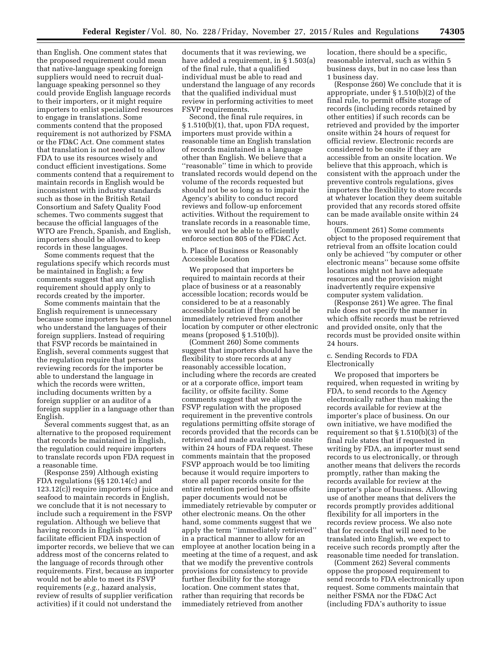than English. One comment states that the proposed requirement could mean that native-language speaking foreign suppliers would need to recruit duallanguage speaking personnel so they could provide English language records to their importers, or it might require importers to enlist specialized resources to engage in translations. Some comments contend that the proposed requirement is not authorized by FSMA or the FD&C Act. One comment states that translation is not needed to allow FDA to use its resources wisely and conduct efficient investigations. Some comments contend that a requirement to maintain records in English would be inconsistent with industry standards such as those in the British Retail Consortium and Safety Quality Food schemes. Two comments suggest that because the official languages of the WTO are French, Spanish, and English, importers should be allowed to keep records in these languages.

Some comments request that the regulations specify which records must be maintained in English; a few comments suggest that any English requirement should apply only to records created by the importer.

Some comments maintain that the English requirement is unnecessary because some importers have personnel who understand the languages of their foreign suppliers. Instead of requiring that FSVP records be maintained in English, several comments suggest that the regulation require that persons reviewing records for the importer be able to understand the language in which the records were written, including documents written by a foreign supplier or an auditor of a foreign supplier in a language other than English.

Several comments suggest that, as an alternative to the proposed requirement that records be maintained in English, the regulation could require importers to translate records upon FDA request in a reasonable time.

(Response 259) Although existing FDA regulations (§§ 120.14(c) and 123.12(c)) require importers of juice and seafood to maintain records in English, we conclude that it is not necessary to include such a requirement in the FSVP regulation. Although we believe that having records in English would facilitate efficient FDA inspection of importer records, we believe that we can address most of the concerns related to the language of records through other requirements. First, because an importer would not be able to meet its FSVP requirements (*e.g.,* hazard analysis, review of results of supplier verification activities) if it could not understand the

documents that it was reviewing, we have added a requirement, in § 1.503(a) of the final rule, that a qualified individual must be able to read and understand the language of any records that the qualified individual must review in performing activities to meet FSVP requirements.

Second, the final rule requires, in § 1.510(b)(1), that, upon FDA request, importers must provide within a reasonable time an English translation of records maintained in a language other than English. We believe that a ''reasonable'' time in which to provide translated records would depend on the volume of the records requested but should not be so long as to impair the Agency's ability to conduct record reviews and follow-up enforcement activities. Without the requirement to translate records in a reasonable time, we would not be able to efficiently enforce section 805 of the FD&C Act.

b. Place of Business or Reasonably Accessible Location

We proposed that importers be required to maintain records at their place of business or at a reasonably accessible location; records would be considered to be at a reasonably accessible location if they could be immediately retrieved from another location by computer or other electronic means (proposed § 1.510(b)).

(Comment 260) Some comments suggest that importers should have the flexibility to store records at any reasonably accessible location, including where the records are created or at a corporate office, import team facility, or offsite facility. Some comments suggest that we align the FSVP regulation with the proposed requirement in the preventive controls regulations permitting offsite storage of records provided that the records can be retrieved and made available onsite within 24 hours of FDA request. These comments maintain that the proposed FSVP approach would be too limiting because it would require importers to store all paper records onsite for the entire retention period because offsite paper documents would not be immediately retrievable by computer or other electronic means. On the other hand, some comments suggest that we apply the term ''immediately retrieved'' in a practical manner to allow for an employee at another location being in a meeting at the time of a request, and ask that we modify the preventive controls provisions for consistency to provide further flexibility for the storage location. One comment states that, rather than requiring that records be immediately retrieved from another

location, there should be a specific, reasonable interval, such as within 5 business days, but in no case less than 1 business day.

(Response 260) We conclude that it is appropriate, under § 1.510(b)(2) of the final rule, to permit offsite storage of records (including records retained by other entities) if such records can be retrieved and provided by the importer onsite within 24 hours of request for official review. Electronic records are considered to be onsite if they are accessible from an onsite location. We believe that this approach, which is consistent with the approach under the preventive controls regulations, gives importers the flexibility to store records at whatever location they deem suitable provided that any records stored offsite can be made available onsite within 24 hours.

(Comment 261) Some comments object to the proposed requirement that retrieval from an offsite location could only be achieved ''by computer or other electronic means'' because some offsite locations might not have adequate resources and the provision might inadvertently require expensive computer system validation.

(Response 261) We agree. The final rule does not specify the manner in which offsite records must be retrieved and provided onsite, only that the records must be provided onsite within 24 hours.

# c. Sending Records to FDA Electronically

We proposed that importers be required, when requested in writing by FDA, to send records to the Agency electronically rather than making the records available for review at the importer's place of business. On our own initiative, we have modified the requirement so that § 1.510(b)(3) of the final rule states that if requested in writing by FDA, an importer must send records to us electronically, or through another means that delivers the records promptly, rather than making the records available for review at the importer's place of business. Allowing use of another means that delivers the records promptly provides additional flexibility for all importers in the records review process. We also note that for records that will need to be translated into English, we expect to receive such records promptly after the reasonable time needed for translation.

(Comment 262) Several comments oppose the proposed requirement to send records to FDA electronically upon request. Some comments maintain that neither FSMA nor the FD&C Act (including FDA's authority to issue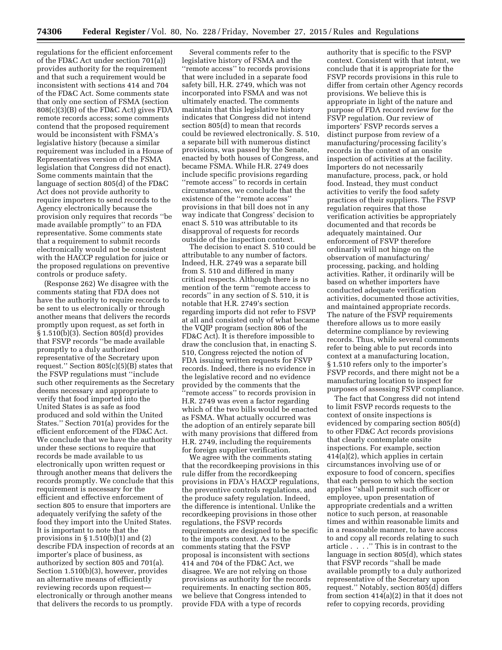regulations for the efficient enforcement of the FD&C Act under section 701(a)) provides authority for the requirement and that such a requirement would be inconsistent with sections 414 and 704 of the FD&C Act. Some comments state that only one section of FSMA (section 808(c)(3)(B) of the FD&C Act) gives FDA remote records access; some comments contend that the proposed requirement would be inconsistent with FSMA's legislative history (because a similar requirement was included in a House of Representatives version of the FSMA legislation that Congress did not enact). Some comments maintain that the language of section 805(d) of the FD&C Act does not provide authority to require importers to send records to the Agency electronically because the provision only requires that records ''be made available promptly'' to an FDA representative. Some comments state that a requirement to submit records electronically would not be consistent with the HACCP regulation for juice or the proposed regulations on preventive controls or produce safety.

(Response 262) We disagree with the comments stating that FDA does not have the authority to require records to be sent to us electronically or through another means that delivers the records promptly upon request, as set forth in § 1.510(b)(3). Section 805(d) provides that FSVP records ''be made available promptly to a duly authorized representative of the Secretary upon request.'' Section 805(c)(5)(B) states that the FSVP regulations must ''include such other requirements as the Secretary deems necessary and appropriate to verify that food imported into the United States is as safe as food produced and sold within the United States.'' Section 701(a) provides for the efficient enforcement of the FD&C Act. We conclude that we have the authority under these sections to require that records be made available to us electronically upon written request or through another means that delivers the records promptly. We conclude that this requirement is necessary for the efficient and effective enforcement of section 805 to ensure that importers are adequately verifying the safety of the food they import into the United States. It is important to note that the provisions in § 1.510(b)(1) and (2) describe FDA inspection of records at an importer's place of business, as authorized by section 805 and 701(a). Section 1.510(b)(3), however, provides an alternative means of efficiently reviewing records upon request electronically or through another means that delivers the records to us promptly.

Several comments refer to the legislative history of FSMA and the ''remote access'' to records provisions that were included in a separate food safety bill, H.R. 2749, which was not incorporated into FSMA and was not ultimately enacted. The comments maintain that this legislative history indicates that Congress did not intend section 805(d) to mean that records could be reviewed electronically. S. 510, a separate bill with numerous distinct provisions, was passed by the Senate, enacted by both houses of Congress, and became FSMA. While H.R. 2749 does include specific provisions regarding ''remote access'' to records in certain circumstances, we conclude that the existence of the ''remote access'' provisions in that bill does not in any way indicate that Congress' decision to enact S. 510 was attributable to its disapproval of requests for records outside of the inspection context.

The decision to enact S. 510 could be attributable to any number of factors. Indeed, H.R. 2749 was a separate bill from S. 510 and differed in many critical respects. Although there is no mention of the term ''remote access to records'' in any section of S. 510, it is notable that H.R. 2749's section regarding imports did not refer to FSVP at all and consisted only of what became the VQIP program (section 806 of the FD&C Act). It is therefore impossible to draw the conclusion that, in enacting S. 510, Congress rejected the notion of FDA issuing written requests for FSVP records. Indeed, there is no evidence in the legislative record and no evidence provided by the comments that the ''remote access'' to records provision in H.R. 2749 was even a factor regarding which of the two bills would be enacted as FSMA. What actually occurred was the adoption of an entirely separate bill with many provisions that differed from H.R. 2749, including the requirements for foreign supplier verification.

We agree with the comments stating that the recordkeeping provisions in this rule differ from the recordkeeping provisions in FDA's HACCP regulations, the preventive controls regulations, and the produce safety regulation. Indeed, the difference is intentional. Unlike the recordkeeping provisions in those other regulations, the FSVP records requirements are designed to be specific to the imports context. As to the comments stating that the FSVP proposal is inconsistent with sections 414 and 704 of the FD&C Act, we disagree. We are not relying on those provisions as authority for the records requirements. In enacting section 805, we believe that Congress intended to provide FDA with a type of records

authority that is specific to the FSVP context. Consistent with that intent, we conclude that it is appropriate for the FSVP records provisions in this rule to differ from certain other Agency records provisions. We believe this is appropriate in light of the nature and purpose of FDA record review for the FSVP regulation. Our review of importers' FSVP records serves a distinct purpose from review of a manufacturing/processing facility's records in the context of an onsite inspection of activities at the facility. Importers do not necessarily manufacture, process, pack, or hold food. Instead, they must conduct activities to verify the food safety practices of their suppliers. The FSVP regulation requires that those verification activities be appropriately documented and that records be adequately maintained. Our enforcement of FSVP therefore ordinarily will not hinge on the observation of manufacturing/ processing, packing, and holding activities. Rather, it ordinarily will be based on whether importers have conducted adequate verification activities, documented those activities, and maintained appropriate records. The nature of the FSVP requirements therefore allows us to more easily determine compliance by reviewing records. Thus, while several comments refer to being able to put records into context at a manufacturing location, § 1.510 refers only to the importer's FSVP records, and there might not be a manufacturing location to inspect for purposes of assessing FSVP compliance.

The fact that Congress did not intend to limit FSVP records requests to the context of onsite inspections is evidenced by comparing section 805(d) to other FD&C Act records provisions that clearly contemplate onsite inspections. For example, section 414(a)(2), which applies in certain circumstances involving use of or exposure to food of concern, specifies that each person to which the section applies ''shall permit such officer or employee, upon presentation of appropriate credentials and a written notice to such person, at reasonable times and within reasonable limits and in a reasonable manner, to have access to and copy all records relating to such article . . . .'' This is in contrast to the language in section 805(d), which states that FSVP records ''shall be made available promptly to a duly authorized representative of the Secretary upon request.'' Notably, section 805(d) differs from section 414(a)(2) in that it does not refer to copying records, providing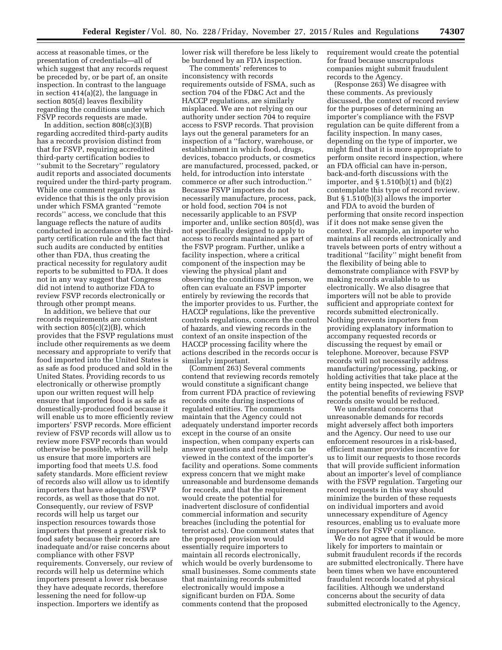access at reasonable times, or the presentation of credentials—all of which suggest that any records request be preceded by, or be part of, an onsite inspection. In contrast to the language in section 414(a)(2), the language in section 805(d) leaves flexibility regarding the conditions under which FSVP records requests are made.

In addition, section 808(c)(3)(B) regarding accredited third-party audits has a records provision distinct from that for FSVP, requiring accredited third-party certification bodies to ''submit to the Secretary'' regulatory audit reports and associated documents required under the third-party program. While one comment regards this as evidence that this is the only provision under which FSMA granted ''remote records'' access, we conclude that this language reflects the nature of audits conducted in accordance with the thirdparty certification rule and the fact that such audits are conducted by entities other than FDA, thus creating the practical necessity for regulatory audit reports to be submitted to FDA. It does not in any way suggest that Congress did not intend to authorize FDA to review FSVP records electronically or through other prompt means.

In addition, we believe that our records requirements are consistent with section 805(c)(2)(B), which provides that the FSVP regulations must include other requirements as we deem necessary and appropriate to verify that food imported into the United States is as safe as food produced and sold in the United States. Providing records to us electronically or otherwise promptly upon our written request will help ensure that imported food is as safe as domestically-produced food because it will enable us to more efficiently review importers' FSVP records. More efficient review of FSVP records will allow us to review more FSVP records than would otherwise be possible, which will help us ensure that more importers are importing food that meets U.S. food safety standards. More efficient review of records also will allow us to identify importers that have adequate FSVP records, as well as those that do not. Consequently, our review of FSVP records will help us target our inspection resources towards those importers that present a greater risk to food safety because their records are inadequate and/or raise concerns about compliance with other FSVP requirements. Conversely, our review of records will help us determine which importers present a lower risk because they have adequate records, therefore lessening the need for follow-up inspection. Importers we identify as

lower risk will therefore be less likely to be burdened by an FDA inspection.

The comments' references to inconsistency with records requirements outside of FSMA, such as section 704 of the FD&C Act and the HACCP regulations, are similarly misplaced. We are not relying on our authority under section 704 to require access to FSVP records. That provision lays out the general parameters for an inspection of a ''factory, warehouse, or establishment in which food, drugs, devices, tobacco products, or cosmetics are manufactured, processed, packed, or held, for introduction into interstate commerce or after such introduction.'' Because FSVP importers do not necessarily manufacture, process, pack, or hold food, section 704 is not necessarily applicable to an FSVP importer and, unlike section 805(d), was not specifically designed to apply to access to records maintained as part of the FSVP program. Further, unlike a facility inspection, where a critical component of the inspection may be viewing the physical plant and observing the conditions in person, we often can evaluate an FSVP importer entirely by reviewing the records that the importer provides to us. Further, the HACCP regulations, like the preventive controls regulations, concern the control of hazards, and viewing records in the context of an onsite inspection of the HACCP processing facility where the actions described in the records occur is similarly important.

(Comment 263) Several comments contend that reviewing records remotely would constitute a significant change from current FDA practice of reviewing records onsite during inspections of regulated entities. The comments maintain that the Agency could not adequately understand importer records except in the course of an onsite inspection, when company experts can answer questions and records can be viewed in the context of the importer's facility and operations. Some comments express concern that we might make unreasonable and burdensome demands for records, and that the requirement would create the potential for inadvertent disclosure of confidential commercial information and security breaches (including the potential for terrorist acts). One comment states that the proposed provision would essentially require importers to maintain all records electronically, which would be overly burdensome to small businesses. Some comments state that maintaining records submitted electronically would impose a significant burden on FDA. Some comments contend that the proposed

requirement would create the potential for fraud because unscrupulous companies might submit fraudulent records to the Agency.

(Response 263) We disagree with these comments. As previously discussed, the context of record review for the purposes of determining an importer's compliance with the FSVP regulation can be quite different from a facility inspection. In many cases, depending on the type of importer, we might find that it is more appropriate to perform onsite record inspection, where an FDA official can have in-person, back-and-forth discussions with the importer, and § 1.510(b)(1) and (b)(2) contemplate this type of record review. But § 1.510(b)(3) allows the importer and FDA to avoid the burden of performing that onsite record inspection if it does not make sense given the context. For example, an importer who maintains all records electronically and travels between ports of entry without a traditional ''facility'' might benefit from the flexibility of being able to demonstrate compliance with FSVP by making records available to us electronically. We also disagree that importers will not be able to provide sufficient and appropriate context for records submitted electronically. Nothing prevents importers from providing explanatory information to accompany requested records or discussing the request by email or telephone. Moreover, because FSVP records will not necessarily address manufacturing/processing, packing, or holding activities that take place at the entity being inspected, we believe that the potential benefits of reviewing FSVP records onsite would be reduced.

We understand concerns that unreasonable demands for records might adversely affect both importers and the Agency. Our need to use our enforcement resources in a risk-based, efficient manner provides incentive for us to limit our requests to those records that will provide sufficient information about an importer's level of compliance with the FSVP regulation. Targeting our record requests in this way should minimize the burden of these requests on individual importers and avoid unnecessary expenditure of Agency resources, enabling us to evaluate more importers for FSVP compliance.

We do not agree that it would be more likely for importers to maintain or submit fraudulent records if the records are submitted electronically. There have been times when we have encountered fraudulent records located at physical facilities. Although we understand concerns about the security of data submitted electronically to the Agency,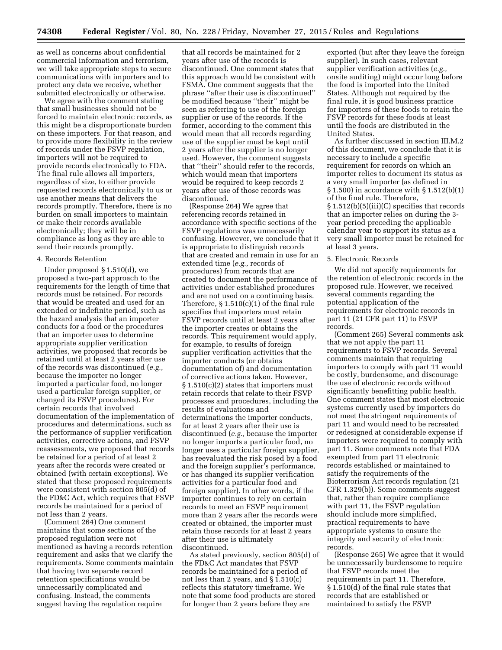as well as concerns about confidential commercial information and terrorism, we will take appropriate steps to secure communications with importers and to protect any data we receive, whether submitted electronically or otherwise.

We agree with the comment stating that small businesses should not be forced to maintain electronic records, as this might be a disproportionate burden on these importers. For that reason, and to provide more flexibility in the review of records under the FSVP regulation, importers will not be required to provide records electronically to FDA. The final rule allows all importers, regardless of size, to either provide requested records electronically to us or use another means that delivers the records promptly. Therefore, there is no burden on small importers to maintain or make their records available electronically; they will be in compliance as long as they are able to send their records promptly.

#### 4. Records Retention

Under proposed § 1.510(d), we proposed a two-part approach to the requirements for the length of time that records must be retained. For records that would be created and used for an extended or indefinite period, such as the hazard analysis that an importer conducts for a food or the procedures that an importer uses to determine appropriate supplier verification activities, we proposed that records be retained until at least 2 years after use of the records was discontinued (*e.g.,*  because the importer no longer imported a particular food, no longer used a particular foreign supplier, or changed its FSVP procedures). For certain records that involved documentation of the implementation of procedures and determinations, such as the performance of supplier verification activities, corrective actions, and FSVP reassessments, we proposed that records be retained for a period of at least 2 years after the records were created or obtained (with certain exceptions). We stated that these proposed requirements were consistent with section 805(d) of the FD&C Act, which requires that FSVP records be maintained for a period of not less than 2 years.

(Comment 264) One comment maintains that some sections of the proposed regulation were not mentioned as having a records retention requirement and asks that we clarify the requirements. Some comments maintain that having two separate record retention specifications would be unnecessarily complicated and confusing. Instead, the comments suggest having the regulation require

that all records be maintained for 2 years after use of the records is discontinued. One comment states that this approach would be consistent with FSMA. One comment suggests that the phrase ''after their use is discontinued'' be modified because ''their'' might be seen as referring to use of the foreign supplier or use of the records. If the former, according to the comment this would mean that all records regarding use of the supplier must be kept until 2 years after the supplier is no longer used. However, the comment suggests that ''their'' should refer to the records, which would mean that importers would be required to keep records 2 years after use of those records was discontinued.

(Response 264) We agree that referencing records retained in accordance with specific sections of the FSVP regulations was unnecessarily confusing. However, we conclude that it is appropriate to distinguish records that are created and remain in use for an extended time (*e.g.,* records of procedures) from records that are created to document the performance of activities under established procedures and are not used on a continuing basis. Therefore,  $\S 1.510(c)(1)$  of the final rule specifies that importers must retain FSVP records until at least 2 years after the importer creates or obtains the records. This requirement would apply, for example, to results of foreign supplier verification activities that the importer conducts (or obtains documentation of) and documentation of corrective actions taken. However, § 1.510(c)(2) states that importers must retain records that relate to their FSVP processes and procedures, including the results of evaluations and determinations the importer conducts, for at least 2 years after their use is discontinued (*e.g.,* because the importer no longer imports a particular food, no longer uses a particular foreign supplier, has reevaluated the risk posed by a food and the foreign supplier's performance, or has changed its supplier verification activities for a particular food and foreign supplier). In other words, if the importer continues to rely on certain records to meet an FSVP requirement more than 2 years after the records were created or obtained, the importer must retain those records for at least 2 years after their use is ultimately discontinued.

As stated previously, section 805(d) of the FD&C Act mandates that FSVP records be maintained for a period of not less than 2 years, and § 1.510(c) reflects this statutory timeframe. We note that some food products are stored for longer than 2 years before they are

exported (but after they leave the foreign supplier). In such cases, relevant supplier verification activities (*e.g.,*  onsite auditing) might occur long before the food is imported into the United States. Although not required by the final rule, it is good business practice for importers of these foods to retain the FSVP records for these foods at least until the foods are distributed in the United States.

As further discussed in section III.M.2 of this document, we conclude that it is necessary to include a specific requirement for records on which an importer relies to document its status as a very small importer (as defined in § 1.500) in accordance with § 1.512(b)(1) of the final rule. Therefore, § 1.512(b)(5)(iii)(C) specifies that records that an importer relies on during the 3 year period preceding the applicable calendar year to support its status as a very small importer must be retained for at least 3 years.

#### 5. Electronic Records

We did not specify requirements for the retention of electronic records in the proposed rule. However, we received several comments regarding the potential application of the requirements for electronic records in part 11 (21 CFR part 11) to FSVP records.

(Comment 265) Several comments ask that we not apply the part 11 requirements to FSVP records. Several comments maintain that requiring importers to comply with part 11 would be costly, burdensome, and discourage the use of electronic records without significantly benefitting public health. One comment states that most electronic systems currently used by importers do not meet the stringent requirements of part 11 and would need to be recreated or redesigned at considerable expense if importers were required to comply with part 11. Some comments note that FDA exempted from part 11 electronic records established or maintained to satisfy the requirements of the Bioterrorism Act records regulation (21 CFR 1.329(b)). Some comments suggest that, rather than require compliance with part 11, the FSVP regulation should include more simplified, practical requirements to have appropriate systems to ensure the integrity and security of electronic records.

(Response 265) We agree that it would be unnecessarily burdensome to require that FSVP records meet the requirements in part 11. Therefore, § 1.510(d) of the final rule states that records that are established or maintained to satisfy the FSVP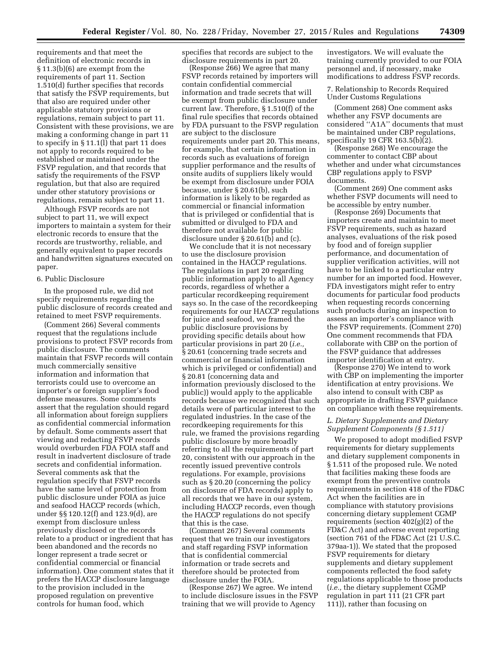requirements and that meet the definition of electronic records in § 11.3(b)(6) are exempt from the requirements of part 11. Section 1.510(d) further specifies that records that satisfy the FSVP requirements, but that also are required under other applicable statutory provisions or regulations, remain subject to part 11. Consistent with these provisions, we are making a conforming change in part 11 to specify in § 11.1(l) that part 11 does not apply to records required to be established or maintained under the FSVP regulation, and that records that satisfy the requirements of the FSVP regulation, but that also are required under other statutory provisions or regulations, remain subject to part 11.

Although FSVP records are not subject to part 11, we will expect importers to maintain a system for their electronic records to ensure that the records are trustworthy, reliable, and generally equivalent to paper records and handwritten signatures executed on paper.

### 6. Public Disclosure

In the proposed rule, we did not specify requirements regarding the public disclosure of records created and retained to meet FSVP requirements.

(Comment 266) Several comments request that the regulations include provisions to protect FSVP records from public disclosure. The comments maintain that FSVP records will contain much commercially sensitive information and information that terrorists could use to overcome an importer's or foreign supplier's food defense measures. Some comments assert that the regulation should regard all information about foreign suppliers as confidential commercial information by default. Some comments assert that viewing and redacting FSVP records would overburden FDA FOIA staff and result in inadvertent disclosure of trade secrets and confidential information. Several comments ask that the regulation specify that FSVP records have the same level of protection from public disclosure under FOIA as juice and seafood HACCP records (which, under §§ 120.12(f) and 123.9(d), are exempt from disclosure unless previously disclosed or the records relate to a product or ingredient that has been abandoned and the records no longer represent a trade secret or confidential commercial or financial information). One comment states that it prefers the HACCP disclosure language to the provision included in the proposed regulation on preventive controls for human food, which

specifies that records are subject to the disclosure requirements in part 20.

(Response 266) We agree that many FSVP records retained by importers will contain confidential commercial information and trade secrets that will be exempt from public disclosure under current law. Therefore, § 1.510(f) of the final rule specifies that records obtained by FDA pursuant to the FSVP regulation are subject to the disclosure requirements under part 20. This means, for example, that certain information in records such as evaluations of foreign supplier performance and the results of onsite audits of suppliers likely would be exempt from disclosure under FOIA because, under § 20.61(b), such information is likely to be regarded as commercial or financial information that is privileged or confidential that is submitted or divulged to FDA and therefore not available for public disclosure under § 20.61(b) and (c).

We conclude that it is not necessary to use the disclosure provision contained in the HACCP regulations. The regulations in part 20 regarding public information apply to all Agency records, regardless of whether a particular recordkeeping requirement says so. In the case of the recordkeeping requirements for our HACCP regulations for juice and seafood, we framed the public disclosure provisions by providing specific details about how particular provisions in part 20 (*i.e.,*  § 20.61 (concerning trade secrets and commercial or financial information which is privileged or confidential) and § 20.81 (concerning data and information previously disclosed to the public)) would apply to the applicable records because we recognized that such details were of particular interest to the regulated industries. In the case of the recordkeeping requirements for this rule, we framed the provisions regarding public disclosure by more broadly referring to all the requirements of part 20, consistent with our approach in the recently issued preventive controls regulations. For example, provisions such as § 20.20 (concerning the policy on disclosure of FDA records) apply to all records that we have in our system, including HACCP records, even though the HACCP regulations do not specify that this is the case.

(Comment 267) Several comments request that we train our investigators and staff regarding FSVP information that is confidential commercial information or trade secrets and therefore should be protected from disclosure under the FOIA.

(Response 267) We agree. We intend to include disclosure issues in the FSVP training that we will provide to Agency

investigators. We will evaluate the training currently provided to our FOIA personnel and, if necessary, make modifications to address FSVP records.

7. Relationship to Records Required Under Customs Regulations

(Comment 268) One comment asks whether any FSVP documents are considered ''A1A'' documents that must be maintained under CBP regulations, specifically 19 CFR 163.5(b)(2).

(Response 268) We encourage the commenter to contact CBP about whether and under what circumstances CBP regulations apply to FSVP documents.

(Comment 269) One comment asks whether FSVP documents will need to be accessible by entry number.

(Response 269) Documents that importers create and maintain to meet FSVP requirements, such as hazard analyses, evaluations of the risk posed by food and of foreign supplier performance, and documentation of supplier verification activities, will not have to be linked to a particular entry number for an imported food. However, FDA investigators might refer to entry documents for particular food products when requesting records concerning such products during an inspection to assess an importer's compliance with the FSVP requirements. (Comment 270) One comment recommends that FDA collaborate with CBP on the portion of the FSVP guidance that addresses importer identification at entry.

(Response 270) We intend to work with CBP on implementing the importer identification at entry provisions. We also intend to consult with CBP as appropriate in drafting FSVP guidance on compliance with these requirements.

### *L. Dietary Supplements and Dietary Supplement Components (§ 1.511)*

We proposed to adopt modified FSVP requirements for dietary supplements and dietary supplement components in § 1.511 of the proposed rule. We noted that facilities making these foods are exempt from the preventive controls requirements in section 418 of the FD&C Act when the facilities are in compliance with statutory provisions concerning dietary supplement CGMP requirements (section 402(g)(2) of the FD&C Act) and adverse event reporting (section 761 of the FD&C Act (21 U.S.C. 379aa-1)). We stated that the proposed FSVP requirements for dietary supplements and dietary supplement components reflected the food safety regulations applicable to those products (*i.e.,* the dietary supplement CGMP regulation in part 111 (21 CFR part 111)), rather than focusing on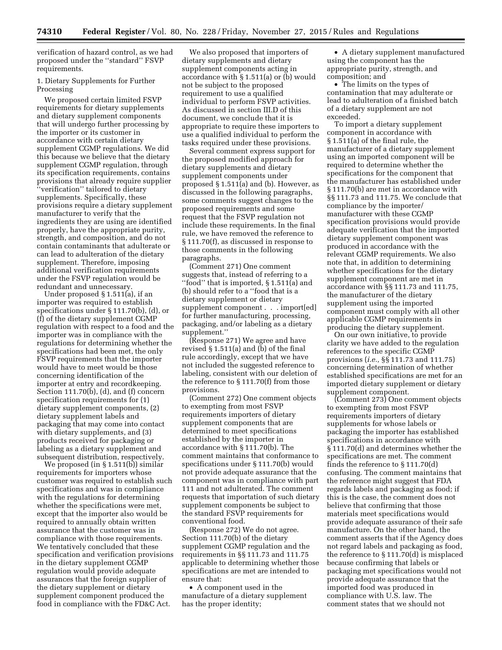verification of hazard control, as we had proposed under the ''standard'' FSVP requirements.

# 1. Dietary Supplements for Further Processing

We proposed certain limited FSVP requirements for dietary supplements and dietary supplement components that will undergo further processing by the importer or its customer in accordance with certain dietary supplement CGMP regulations. We did this because we believe that the dietary supplement CGMP regulation, through its specification requirements, contains provisions that already require supplier ''verification'' tailored to dietary supplements. Specifically, these provisions require a dietary supplement manufacturer to verify that the ingredients they are using are identified properly, have the appropriate purity, strength, and composition, and do not contain contaminants that adulterate or can lead to adulteration of the dietary supplement. Therefore, imposing additional verification requirements under the FSVP regulation would be redundant and unnecessary.

Under proposed § 1.511(a), if an importer was required to establish specifications under § 111.70(b), (d), or (f) of the dietary supplement CGMP regulation with respect to a food and the importer was in compliance with the regulations for determining whether the specifications had been met, the only FSVP requirements that the importer would have to meet would be those concerning identification of the importer at entry and recordkeeping. Section 111.70(b), (d), and (f) concern specification requirements for (1) dietary supplement components, (2) dietary supplement labels and packaging that may come into contact with dietary supplements, and (3) products received for packaging or labeling as a dietary supplement and subsequent distribution, respectively.

We proposed (in § 1.511(b)) similar requirements for importers whose customer was required to establish such specifications and was in compliance with the regulations for determining whether the specifications were met, except that the importer also would be required to annually obtain written assurance that the customer was in compliance with those requirements. We tentatively concluded that these specification and verification provisions in the dietary supplement CGMP regulation would provide adequate assurances that the foreign supplier of the dietary supplement or dietary supplement component produced the food in compliance with the FD&C Act.

We also proposed that importers of dietary supplements and dietary supplement components acting in accordance with § 1.511(a) or (b) would not be subject to the proposed requirement to use a qualified individual to perform FSVP activities. As discussed in section III.D of this document, we conclude that it is appropriate to require these importers to use a qualified individual to perform the tasks required under these provisions.

Several comment express support for the proposed modified approach for dietary supplements and dietary supplement components under proposed § 1.511(a) and (b). However, as discussed in the following paragraphs, some comments suggest changes to the proposed requirements and some request that the FSVP regulation not include these requirements. In the final rule, we have removed the reference to § 111.70(f), as discussed in response to those comments in the following paragraphs.

(Comment 271) One comment suggests that, instead of referring to a ''food'' that is imported, § 1.511(a) and (b) should refer to a ''food that is a dietary supplement or dietary supplement component . . . import[ed] for further manufacturing, processing, packaging, and/or labeling as a dietary supplement.''

(Response 271) We agree and have revised § 1.511(a) and (b) of the final rule accordingly, except that we have not included the suggested reference to labeling, consistent with our deletion of the reference to § 111.70(f) from those provisions.

(Comment 272) One comment objects to exempting from most FSVP requirements importers of dietary supplement components that are determined to meet specifications established by the importer in accordance with § 111.70(b). The comment maintains that conformance to specifications under § 111.70(b) would not provide adequate assurance that the component was in compliance with part 111 and not adulterated. The comment requests that importation of such dietary supplement components be subject to the standard FSVP requirements for conventional food.

(Response 272) We do not agree. Section 111.70(b) of the dietary supplement CGMP regulation and the requirements in §§ 111.73 and 111.75 applicable to determining whether those specifications are met are intended to ensure that:

• A component used in the manufacture of a dietary supplement has the proper identity;

• A dietary supplement manufactured using the component has the appropriate purity, strength, and composition; and

• The limits on the types of contamination that may adulterate or lead to adulteration of a finished batch of a dietary supplement are not exceeded.

To import a dietary supplement component in accordance with § 1.511(a) of the final rule, the manufacturer of a dietary supplement using an imported component will be required to determine whether the specifications for the component that the manufacturer has established under § 111.70(b) are met in accordance with §§ 111.73 and 111.75. We conclude that compliance by the importer/ manufacturer with these CGMP specification provisions would provide adequate verification that the imported dietary supplement component was produced in accordance with the relevant CGMP requirements. We also note that, in addition to determining whether specifications for the dietary supplement component are met in accordance with §§ 111.73 and 111.75, the manufacturer of the dietary supplement using the imported component must comply with all other applicable CGMP requirements in producing the dietary supplement.

On our own initiative, to provide clarity we have added to the regulation references to the specific CGMP provisions (*i.e.,* §§ 111.73 and 111.75) concerning determination of whether established specifications are met for an imported dietary supplement or dietary supplement component.

(Comment 273) One comment objects to exempting from most FSVP requirements importers of dietary supplements for whose labels or packaging the importer has established specifications in accordance with § 111.70(d) and determines whether the specifications are met. The comment finds the reference to § 111.70(d) confusing. The comment maintains that the reference might suggest that FDA regards labels and packaging as food; if this is the case, the comment does not believe that confirming that those materials meet specifications would provide adequate assurance of their safe manufacture. On the other hand, the comment asserts that if the Agency does not regard labels and packaging as food, the reference to § 111.70(d) is misplaced because confirming that labels or packaging met specifications would not provide adequate assurance that the imported food was produced in compliance with U.S. law. The comment states that we should not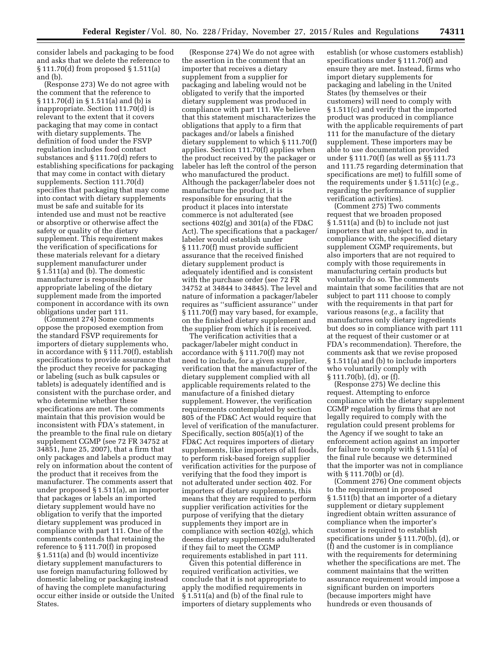consider labels and packaging to be food and asks that we delete the reference to § 111.70(d) from proposed § 1.511(a) and (b).

(Response 273) We do not agree with the comment that the reference to § 111.70(d) in § 1.511(a) and (b) is inappropriate. Section 111.70(d) is relevant to the extent that it covers packaging that may come in contact with dietary supplements. The definition of food under the FSVP regulation includes food contact substances and § 111.70(d) refers to establishing specifications for packaging that may come in contact with dietary supplements. Section 111.70(d) specifies that packaging that may come into contact with dietary supplements must be safe and suitable for its intended use and must not be reactive or absorptive or otherwise affect the safety or quality of the dietary supplement. This requirement makes the verification of specifications for these materials relevant for a dietary supplement manufacturer under § 1.511(a) and (b). The domestic manufacturer is responsible for appropriate labeling of the dietary supplement made from the imported component in accordance with its own obligations under part 111.

(Comment 274) Some comments oppose the proposed exemption from the standard FSVP requirements for importers of dietary supplements who, in accordance with § 111.70(f), establish specifications to provide assurance that the product they receive for packaging or labeling (such as bulk capsules or tablets) is adequately identified and is consistent with the purchase order, and who determine whether these specifications are met. The comments maintain that this provision would be inconsistent with FDA's statement, in the preamble to the final rule on dietary supplement CGMP (see 72 FR 34752 at 34851, June 25, 2007), that a firm that only packages and labels a product may rely on information about the content of the product that it receives from the manufacturer. The comments assert that under proposed § 1.511(a), an importer that packages or labels an imported dietary supplement would have no obligation to verify that the imported dietary supplement was produced in compliance with part 111. One of the comments contends that retaining the reference to § 111.70(f) in proposed § 1.511(a) and (b) would incentivize dietary supplement manufacturers to use foreign manufacturing followed by domestic labeling or packaging instead of having the complete manufacturing occur either inside or outside the United States.

(Response 274) We do not agree with the assertion in the comment that an importer that receives a dietary supplement from a supplier for packaging and labeling would not be obligated to verify that the imported dietary supplement was produced in compliance with part 111. We believe that this statement mischaracterizes the obligations that apply to a firm that packages and/or labels a finished dietary supplement to which § 111.70(f) applies. Section 111.70(f) applies when the product received by the packager or labeler has left the control of the person who manufactured the product. Although the packager/labeler does not manufacture the product, it is responsible for ensuring that the product it places into interstate commerce is not adulterated (see sections 402(g) and 301(a) of the FD&C Act). The specifications that a packager/ labeler would establish under § 111.70(f) must provide sufficient assurance that the received finished dietary supplement product is adequately identified and is consistent with the purchase order (see 72 FR 34752 at 34844 to 34845). The level and nature of information a packager/labeler requires as ''sufficient assurance'' under § 111.70(f) may vary based, for example, on the finished dietary supplement and the supplier from which it is received.

The verification activities that a packager/labeler might conduct in accordance with § 111.70(f) may not need to include, for a given supplier, verification that the manufacturer of the dietary supplement complied with all applicable requirements related to the manufacture of a finished dietary supplement. However, the verification requirements contemplated by section 805 of the FD&C Act would require that level of verification of the manufacturer. Specifically, section 805(a)(1) of the FD&C Act requires importers of dietary supplements, like importers of all foods, to perform risk-based foreign supplier verification activities for the purpose of verifying that the food they import is not adulterated under section 402. For importers of dietary supplements, this means that they are required to perform supplier verification activities for the purpose of verifying that the dietary supplements they import are in compliance with section 402(g), which deems dietary supplements adulterated if they fail to meet the CGMP requirements established in part 111.

Given this potential difference in required verification activities, we conclude that it is not appropriate to apply the modified requirements in § 1.511(a) and (b) of the final rule to importers of dietary supplements who

establish (or whose customers establish) specifications under § 111.70(f) and ensure they are met. Instead, firms who import dietary supplements for packaging and labeling in the United States (by themselves or their customers) will need to comply with § 1.511(c) and verify that the imported product was produced in compliance with the applicable requirements of part 111 for the manufacture of the dietary supplement. These importers may be able to use documentation provided under § 111.70(f) (as well as §§ 111.73 and 111.75 regarding determination that specifications are met) to fulfill some of the requirements under § 1.511(c) (*e.g.,*  regarding the performance of supplier verification activities).

(Comment 275) Two comments request that we broaden proposed § 1.511(a) and (b) to include not just importers that are subject to, and in compliance with, the specified dietary supplement CGMP requirements, but also importers that are not required to comply with those requirements in manufacturing certain products but voluntarily do so. The comments maintain that some facilities that are not subject to part 111 choose to comply with the requirements in that part for various reasons (*e.g.,* a facility that manufactures only dietary ingredients but does so in compliance with part 111 at the request of their customer or at FDA's recommendation). Therefore, the comments ask that we revise proposed § 1.511(a) and (b) to include importers who voluntarily comply with § 111.70(b), (d), or (f).

(Response 275) We decline this request. Attempting to enforce compliance with the dietary supplement CGMP regulation by firms that are not legally required to comply with the regulation could present problems for the Agency if we sought to take an enforcement action against an importer for failure to comply with § 1.511(a) of the final rule because we determined that the importer was not in compliance with § 111.70(b) or (d).

(Comment 276) One comment objects to the requirement in proposed § 1.511(b) that an importer of a dietary supplement or dietary supplement ingredient obtain written assurance of compliance when the importer's customer is required to establish specifications under § 111.70(b), (d), or (f) and the customer is in compliance with the requirements for determining whether the specifications are met. The comment maintains that the written assurance requirement would impose a significant burden on importers (because importers might have hundreds or even thousands of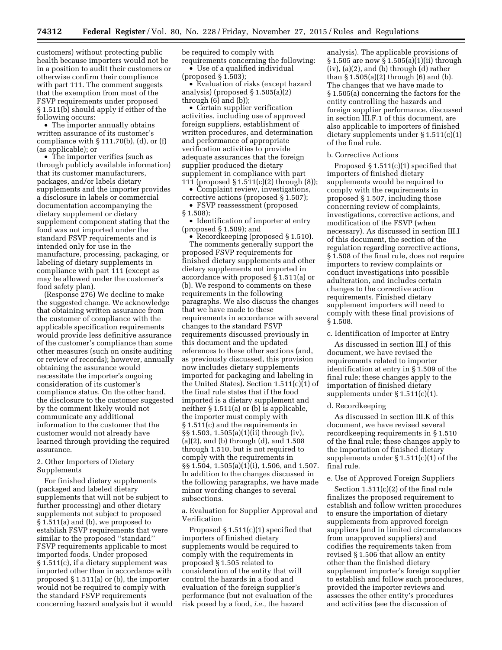customers) without protecting public health because importers would not be in a position to audit their customers or otherwise confirm their compliance with part 111. The comment suggests that the exemption from most of the FSVP requirements under proposed § 1.511(b) should apply if either of the following occurs:

• The importer annually obtains written assurance of its customer's compliance with  $\S 111.70(b)$ , (d), or (f) (as applicable); or

• The importer verifies (such as through publicly available information) that its customer manufacturers, packages, and/or labels dietary supplements and the importer provides a disclosure in labels or commercial documentation accompanying the dietary supplement or dietary supplement component stating that the food was not imported under the standard FSVP requirements and is intended only for use in the manufacture, processing, packaging, or labeling of dietary supplements in compliance with part 111 (except as may be allowed under the customer's food safety plan).

(Response 276) We decline to make the suggested change. We acknowledge that obtaining written assurance from the customer of compliance with the applicable specification requirements would provide less definitive assurance of the customer's compliance than some other measures (such on onsite auditing or review of records); however, annually obtaining the assurance would necessitate the importer's ongoing consideration of its customer's compliance status. On the other hand, the disclosure to the customer suggested by the comment likely would not communicate any additional information to the customer that the customer would not already have learned through providing the required assurance.

# 2. Other Importers of Dietary Supplements

For finished dietary supplements (packaged and labeled dietary supplements that will not be subject to further processing) and other dietary supplements not subject to proposed § 1.511(a) and (b), we proposed to establish FSVP requirements that were similar to the proposed ''standard'' FSVP requirements applicable to most imported foods. Under proposed § 1.511(c), if a dietary supplement was imported other than in accordance with proposed § 1.511(a) or (b), the importer would not be required to comply with the standard FSVP requirements concerning hazard analysis but it would be required to comply with requirements concerning the following: • Use of a qualified individual

(proposed § 1.503);

• Evaluation of risks (except hazard analysis) (proposed § 1.505(a)(2) through (6) and (b));

• Certain supplier verification activities, including use of approved foreign suppliers, establishment of written procedures, and determination and performance of appropriate verification activities to provide adequate assurances that the foreign supplier produced the dietary supplement in compliance with part 111 (proposed § 1.511(c)(2) through (8));

• Complaint review, investigations,

corrective actions (proposed § 1.507); • FSVP reassessment (proposed § 1.508);

• Identification of importer at entry (proposed § 1.509); and

• Recordkeeping (proposed § 1.510). The comments generally support the proposed FSVP requirements for finished dietary supplements and other dietary supplements not imported in accordance with proposed § 1.511(a) or (b). We respond to comments on these requirements in the following paragraphs. We also discuss the changes that we have made to these requirements in accordance with several changes to the standard FSVP requirements discussed previously in this document and the updated references to these other sections (and, as previously discussed, this provision now includes dietary supplements imported for packaging and labeling in the United States). Section 1.511(c)(1) of the final rule states that if the food imported is a dietary supplement and neither § 1.511(a) or (b) is applicable, the importer must comply with § 1.511(c) and the requirements in §§ 1.503, 1.505(a)(1)(ii) through (iv), (a)(2), and (b) through (d), and 1.508 through 1.510, but is not required to comply with the requirements in §§ 1.504, 1.505(a)(1)(i), 1.506, and 1.507. In addition to the changes discussed in the following paragraphs, we have made minor wording changes to several subsections.

a. Evaluation for Supplier Approval and Verification

Proposed § 1.511(c)(1) specified that importers of finished dietary supplements would be required to comply with the requirements in proposed § 1.505 related to consideration of the entity that will control the hazards in a food and evaluation of the foreign supplier's performance (but not evaluation of the risk posed by a food, *i.e.,* the hazard

analysis). The applicable provisions of § 1.505 are now § 1.505(a)(1)(ii) through  $(iv)$ ,  $(a)(2)$ , and  $(b)$  through  $(d)$  rather than § 1.505(a)(2) through (6) and (b). The changes that we have made to § 1.505(a) concerning the factors for the entity controlling the hazards and foreign supplier performance, discussed in section III.F.1 of this document, are also applicable to importers of finished dietary supplements under § 1.511(c)(1) of the final rule.

#### b. Corrective Actions

Proposed  $\S 1.511(c)(1)$  specified that importers of finished dietary supplements would be required to comply with the requirements in proposed § 1.507, including those concerning review of complaints, investigations, corrective actions, and modification of the FSVP (when necessary). As discussed in section III.I of this document, the section of the regulation regarding corrective actions, § 1.508 of the final rule, does not require importers to review complaints or conduct investigations into possible adulteration, and includes certain changes to the corrective action requirements. Finished dietary supplement importers will need to comply with these final provisions of § 1.508.

c. Identification of Importer at Entry

As discussed in section III.J of this document, we have revised the requirements related to importer identification at entry in § 1.509 of the final rule; these changes apply to the importation of finished dietary supplements under § 1.511(c)(1).

#### d. Recordkeeping

As discussed in section III.K of this document, we have revised several recordkeeping requirements in § 1.510 of the final rule; these changes apply to the importation of finished dietary supplements under § 1.511(c)(1) of the final rule.

# e. Use of Approved Foreign Suppliers

Section 1.511(c)(2) of the final rule finalizes the proposed requirement to establish and follow written procedures to ensure the importation of dietary supplements from approved foreign suppliers (and in limited circumstances from unapproved suppliers) and codifies the requirements taken from revised § 1.506 that allow an entity other than the finished dietary supplement importer's foreign supplier to establish and follow such procedures, provided the importer reviews and assesses the other entity's procedures and activities (see the discussion of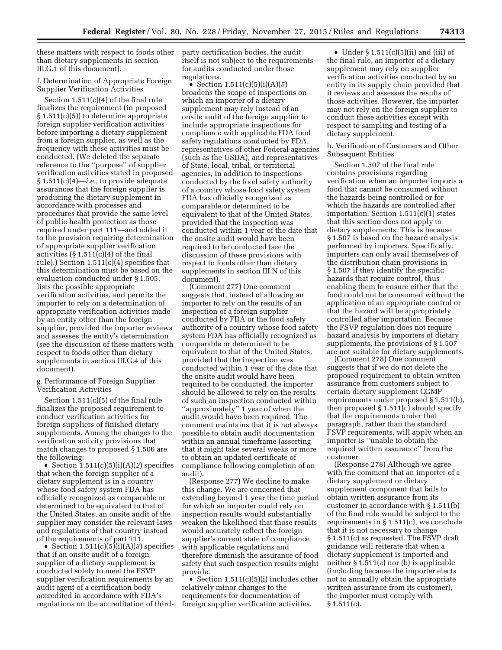these matters with respect to foods other than dietary supplements in section III.G.1 of this document).

# f. Determination of Appropriate Foreign Supplier Verification Activities

Section 1.511(c)(4) of the final rule finalizes the requirement (in proposed § 1.511(c)(5)) to determine appropriate foreign supplier verification activities before importing a dietary supplement from a foreign supplier, as well as the frequency with these activities must be conducted. (We deleted the separate reference to the ''purpose'' of supplier verification activities stated in proposed § 1.511(c)(4)—*i.e.,* to provide adequate assurances that the foreign supplier is producing the dietary supplement in accordance with processes and procedures that provide the same level of public health protection as those required under part 111—and added it to the provision requiring determination of appropriate supplier verification activities  $(\S 1.511(c)(4)$  of the final rule).) Section 1.511(c)(4) specifies that this determination must be based on the evaluation conducted under § 1.505, lists the possible appropriate verification activities, and permits the importer to rely on a determination of appropriate verification activities made by an entity other than the foreign supplier, provided the importer reviews and assesses the entity's determination (see the discussion of these matters with respect to foods other than dietary supplements in section III.G.4 of this document).

## g. Performance of Foreign Supplier Verification Activities

Section 1.511(c)(5) of the final rule finalizes the proposed requirement to conduct verification activities for foreign suppliers of finished dietary supplements. Among the changes to the verification activity provisions that match changes to proposed § 1.506 are the following:

• Section 1.511(c)(5)(i)(A)(*2*) specifies that when the foreign supplier of a dietary supplement is in a country whose food safety system FDA has officially recognized as comparable or determined to be equivalent to that of the United States, an onsite audit of the supplier may consider the relevant laws and regulations of that country instead of the requirements of part 111.

• Section 1.511(c)(5)(i)(A)(*3*) specifies that if an onsite audit of a foreign supplier of a dietary supplement is conducted solely to meet the FSVP supplier verification requirements by an audit agent of a certification body accredited in accordance with FDA's regulations on the accreditation of thirdparty certification bodies, the audit itself is not subject to the requirements for audits conducted under those regulations.

• Section  $1.511(c)(5)(i)(A)(5)$ broadens the scope of inspections on which an importer of a dietary supplement may rely instead of an onsite audit of the foreign supplier to include appropriate inspections for compliance with applicable FDA food safety regulations conducted by FDA, representatives of other Federal agencies (such as the USDA), and representatives of State, local, tribal, or territorial agencies, in addition to inspections conducted by the food safety authority of a country whose food safety system FDA has officially recognized as comparable or determined to be equivalent to that of the United States, provided that the inspection was conducted within 1 year of the date that the onsite audit would have been required to be conducted (see the discussion of these provisions with respect to foods other than dietary supplements in section III.N of this document).

(Comment 277) One comment suggests that, instead of allowing an importer to rely on the results of an inspection of a foreign supplier conducted by FDA or the food safety authority of a country whose food safety system FDA has officially recognized as comparable or determined to be equivalent to that of the United States, provided that the inspection was conducted within 1 year of the date that the onsite audit would have been required to be conducted, the importer should be allowed to rely on the results of such an inspection conducted within ''approximately'' 1 year of when the audit would have been required. The comment maintains that it is not always possible to obtain audit documentation within an annual timeframe (asserting that it might take several weeks or more to obtain an updated certificate of compliance following completion of an audit).

(Response 277) We decline to make this change. We are concerned that extending beyond 1 year the time period for which an importer could rely on inspection results would substantially weaken the likelihood that those results would accurately reflect the foreign supplier's current state of compliance with applicable regulations and therefore diminish the assurance of food safety that such inspection results might provide.

• Section 1.511(c)(5)(i) includes other relatively minor changes to the requirements for documentation of foreign supplier verification activities.

• Under  $\S 1.511(c)(5)(ii)$  and (iii) of the final rule, an importer of a dietary supplement may rely on supplier verification activities conducted by an entity in its supply chain provided that it reviews and assesses the results of those activities. However, the importer may not rely on the foreign supplier to conduct these activities except with respect to sampling and testing of a dietary supplement.

## h. Verification of Customers and Other Subsequent Entities

Section 1.507 of the final rule contains provisions regarding verification when an importer imports a food that cannot be consumed without the hazards being controlled or for which the hazards are controlled after importation. Section 1.511(c)(1) states that this section does not apply to dietary supplements. This is because § 1.507 is based on the hazard analysis performed by importers. Specifically, importers can only avail themselves of the distribution chain provisions in § 1.507 if they identify the specific hazards that require control, thus enabling them to ensure either that the food could not be consumed without the application of an appropriate control or that the hazard will be appropriately controlled after importation. Because the FSVP regulation does not require hazard analysis by importers of dietary supplements, the provisions of § 1.507 are not suitable for dietary supplements.

(Comment 278) One comment suggests that if we do not delete the proposed requirement to obtain written assurance from customers subject to certain dietary supplement CGMP requirements under proposed § 1.511(b), then proposed § 1.511(c) should specify that the requirements under that paragraph, rather than the standard FSVP requirements, will apply when an importer is ''unable to obtain the required written assurance'' from the customer.

(Response 278) Although we agree with the comment that an importer of a dietary supplement or dietary supplement component that fails to obtain written assurance from its customer in accordance with § 1.511(b) of the final rule would be subject to the requirements in § 1.511(c), we conclude that it is not necessary to change § 1.511(c) as requested. The FSVP draft guidance will reiterate that when a dietary supplement is imported and neither § 1.511(a) nor (b) is applicable (including because the importer elects not to annually obtain the appropriate written assurance from its customer), the importer must comply with  $§ 1.511(c).$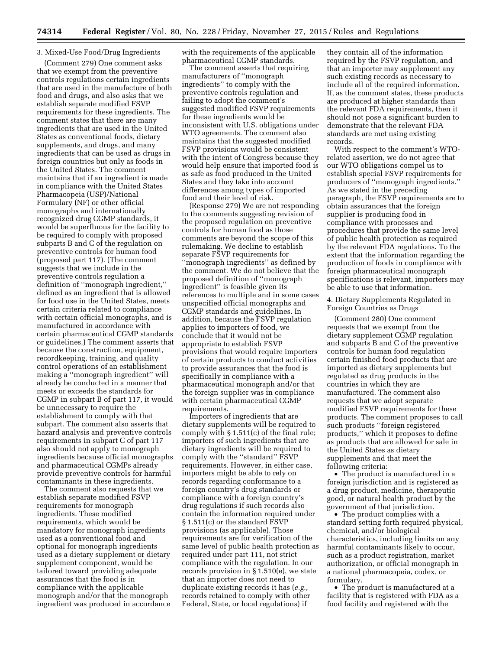### 3. Mixed-Use Food/Drug Ingredients

(Comment 279) One comment asks that we exempt from the preventive controls regulations certain ingredients that are used in the manufacture of both food and drugs, and also asks that we establish separate modified FSVP requirements for these ingredients. The comment states that there are many ingredients that are used in the United States as conventional foods, dietary supplements, and drugs, and many ingredients that can be used as drugs in foreign countries but only as foods in the United States. The comment maintains that if an ingredient is made in compliance with the United States Pharmacopeia (USP)/National Formulary (NF) or other official monographs and internationally recognized drug CGMP standards, it would be superfluous for the facility to be required to comply with proposed subparts B and C of the regulation on preventive controls for human food (proposed part 117). (The comment suggests that we include in the preventive controls regulation a definition of ''monograph ingredient,'' defined as an ingredient that is allowed for food use in the United States, meets certain criteria related to compliance with certain official monographs, and is manufactured in accordance with certain pharmaceutical CGMP standards or guidelines.) The comment asserts that because the construction, equipment, recordkeeping, training, and quality control operations of an establishment making a ''monograph ingredient'' will already be conducted in a manner that meets or exceeds the standards for CGMP in subpart B of part 117, it would be unnecessary to require the establishment to comply with that subpart. The comment also asserts that hazard analysis and preventive controls requirements in subpart C of part 117 also should not apply to monograph ingredients because official monographs and pharmaceutical CGMPs already provide preventive controls for harmful contaminants in these ingredients.

The comment also requests that we establish separate modified FSVP requirements for monograph ingredients. These modified requirements, which would be mandatory for monograph ingredients used as a conventional food and optional for monograph ingredients used as a dietary supplement or dietary supplement component, would be tailored toward providing adequate assurances that the food is in compliance with the applicable monograph and/or that the monograph ingredient was produced in accordance with the requirements of the applicable pharmaceutical CGMP standards.

The comment asserts that requiring manufacturers of ''monograph ingredients'' to comply with the preventive controls regulation and failing to adopt the comment's suggested modified FSVP requirements for these ingredients would be inconsistent with U.S. obligations under WTO agreements. The comment also maintains that the suggested modified FSVP provisions would be consistent with the intent of Congress because they would help ensure that imported food is as safe as food produced in the United States and they take into account differences among types of imported food and their level of risk.

(Response 279) We are not responding to the comments suggesting revision of the proposed regulation on preventive controls for human food as those comments are beyond the scope of this rulemaking. We decline to establish separate FSVP requirements for ''monograph ingredients'' as defined by the comment. We do not believe that the proposed definition of ''monograph ingredient'' is feasible given its references to multiple and in some cases unspecified official monographs and CGMP standards and guidelines. In addition, because the FSVP regulation applies to importers of food, we conclude that it would not be appropriate to establish FSVP provisions that would require importers of certain products to conduct activities to provide assurances that the food is specifically in compliance with a pharmaceutical monograph and/or that the foreign supplier was in compliance with certain pharmaceutical CGMP requirements.

Importers of ingredients that are dietary supplements will be required to comply with § 1.511(c) of the final rule; importers of such ingredients that are dietary ingredients will be required to comply with the ''standard'' FSVP requirements. However, in either case, importers might be able to rely on records regarding conformance to a foreign country's drug standards or compliance with a foreign country's drug regulations if such records also contain the information required under § 1.511(c) or the standard FSVP provisions (as applicable). Those requirements are for verification of the same level of public health protection as required under part 111, not strict compliance with the regulation. In our records provision in § 1.510(e), we state that an importer does not need to duplicate existing records it has (*e.g.,*  records retained to comply with other Federal, State, or local regulations) if

they contain all of the information required by the FSVP regulation, and that an importer may supplement any such existing records as necessary to include all of the required information. If, as the comment states, these products are produced at higher standards than the relevant FDA requirements, then it should not pose a significant burden to demonstrate that the relevant FDA standards are met using existing records.

With respect to the comment's WTOrelated assertion, we do not agree that our WTO obligations compel us to establish special FSVP requirements for producers of ''monograph ingredients.'' As we stated in the preceding paragraph, the FSVP requirements are to obtain assurances that the foreign supplier is producing food in compliance with processes and procedures that provide the same level of public health protection as required by the relevant FDA regulations. To the extent that the information regarding the production of foods in compliance with foreign pharmaceutical monograph specifications is relevant, importers may be able to use that information.

4. Dietary Supplements Regulated in Foreign Countries as Drugs

(Comment 280) One comment requests that we exempt from the dietary supplement CGMP regulation and subparts B and C of the preventive controls for human food regulation certain finished food products that are imported as dietary supplements but regulated as drug products in the countries in which they are manufactured. The comment also requests that we adopt separate modified FSVP requirements for these products. The comment proposes to call such products ''foreign registered products,'' which it proposes to define as products that are allowed for sale in the United States as dietary supplements and that meet the following criteria:

• The product is manufactured in a foreign jurisdiction and is registered as a drug product, medicine, therapeutic good, or natural health product by the government of that jurisdiction.

• The product complies with a standard setting forth required physical, chemical, and/or biological characteristics, including limits on any harmful contaminants likely to occur, such as a product registration, market authorization, or official monograph in a national pharmacopeia, codex, or formulary.

• The product is manufactured at a facility that is registered with FDA as a food facility and registered with the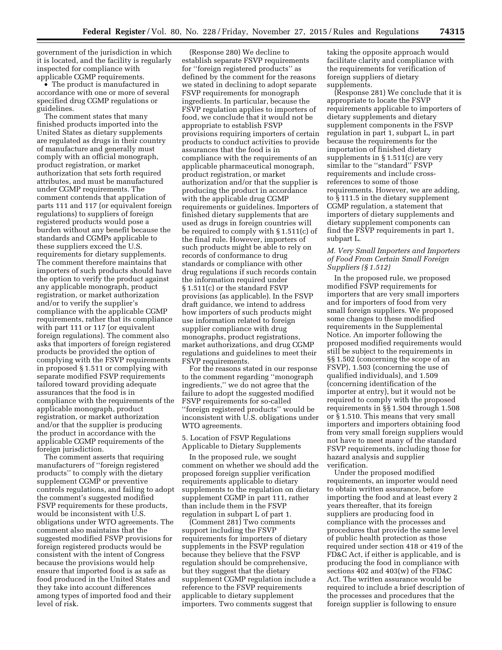government of the jurisdiction in which it is located, and the facility is regularly inspected for compliance with applicable CGMP requirements.

• The product is manufactured in accordance with one or more of several specified drug CGMP regulations or guidelines.

The comment states that many finished products imported into the United States as dietary supplements are regulated as drugs in their country of manufacture and generally must comply with an official monograph, product registration, or market authorization that sets forth required attributes, and must be manufactured under CGMP requirements. The comment contends that application of parts 111 and 117 (or equivalent foreign regulations) to suppliers of foreign registered products would pose a burden without any benefit because the standards and CGMPs applicable to these suppliers exceed the U.S. requirements for dietary supplements. The comment therefore maintains that importers of such products should have the option to verify the product against any applicable monograph, product registration, or market authorization and/or to verify the supplier's compliance with the applicable CGMP requirements, rather that its compliance with part 111 or 117 (or equivalent foreign regulations). The comment also asks that importers of foreign registered products be provided the option of complying with the FSVP requirements in proposed § 1.511 or complying with separate modified FSVP requirements tailored toward providing adequate assurances that the food is in compliance with the requirements of the applicable monograph, product registration, or market authorization and/or that the supplier is producing the product in accordance with the applicable CGMP requirements of the foreign jurisdiction.

The comment asserts that requiring manufacturers of ''foreign registered products'' to comply with the dietary supplement CGMP or preventive controls regulations, and failing to adopt the comment's suggested modified FSVP requirements for these products, would be inconsistent with U.S. obligations under WTO agreements. The comment also maintains that the suggested modified FSVP provisions for foreign registered products would be consistent with the intent of Congress because the provisions would help ensure that imported food is as safe as food produced in the United States and they take into account differences among types of imported food and their level of risk.

(Response 280) We decline to establish separate FSVP requirements for ''foreign registered products'' as defined by the comment for the reasons we stated in declining to adopt separate FSVP requirements for monograph ingredients. In particular, because the FSVP regulation applies to importers of food, we conclude that it would not be appropriate to establish FSVP provisions requiring importers of certain products to conduct activities to provide assurances that the food is in compliance with the requirements of an applicable pharmaceutical monograph, product registration, or market authorization and/or that the supplier is producing the product in accordance with the applicable drug CGMP requirements or guidelines. Importers of finished dietary supplements that are used as drugs in foreign countries will be required to comply with § 1.511(c) of the final rule. However, importers of such products might be able to rely on records of conformance to drug standards or compliance with other drug regulations if such records contain the information required under § 1.511(c) or the standard FSVP provisions (as applicable). In the FSVP draft guidance, we intend to address how importers of such products might use information related to foreign supplier compliance with drug monographs, product registrations, market authorizations, and drug CGMP regulations and guidelines to meet their FSVP requirements.

For the reasons stated in our response to the comment regarding ''monograph ingredients,'' we do not agree that the failure to adopt the suggested modified FSVP requirements for so-called ''foreign registered products'' would be inconsistent with U.S. obligations under WTO agreements.

5. Location of FSVP Regulations Applicable to Dietary Supplements

In the proposed rule, we sought comment on whether we should add the proposed foreign supplier verification requirements applicable to dietary supplements to the regulation on dietary supplement CGMP in part 111, rather than include them in the FSVP regulation in subpart L of part 1.

(Comment 281) Two comments support including the FSVP requirements for importers of dietary supplements in the FSVP regulation because they believe that the FSVP regulation should be comprehensive, but they suggest that the dietary supplement CGMP regulation include a reference to the FSVP requirements applicable to dietary supplement importers. Two comments suggest that

taking the opposite approach would facilitate clarity and compliance with the requirements for verification of foreign suppliers of dietary supplements.

(Response 281) We conclude that it is appropriate to locate the FSVP requirements applicable to importers of dietary supplements and dietary supplement components in the FSVP regulation in part 1, subpart L, in part because the requirements for the importation of finished dietary supplements in § 1.511(c) are very similar to the ''standard'' FSVP requirements and include crossreferences to some of those requirements. However, we are adding, to § 111.5 in the dietary supplement CGMP regulation, a statement that importers of dietary supplements and dietary supplement components can find the FSVP requirements in part 1, subpart L.

# *M. Very Small Importers and Importers of Food From Certain Small Foreign Suppliers (§ 1.512)*

In the proposed rule, we proposed modified FSVP requirements for importers that are very small importers and for importers of food from very small foreign suppliers. We proposed some changes to these modified requirements in the Supplemental Notice. An importer following the proposed modified requirements would still be subject to the requirements in §§ 1.502 (concerning the scope of an FSVP), 1.503 (concerning the use of qualified individuals), and 1.509 (concerning identification of the importer at entry), but it would not be required to comply with the proposed requirements in §§ 1.504 through 1.508 or § 1.510. This means that very small importers and importers obtaining food from very small foreign suppliers would not have to meet many of the standard FSVP requirements, including those for hazard analysis and supplier verification.

Under the proposed modified requirements, an importer would need to obtain written assurance, before importing the food and at least every 2 years thereafter, that its foreign suppliers are producing food in compliance with the processes and procedures that provide the same level of public health protection as those required under section 418 or 419 of the FD&C Act, if either is applicable, and is producing the food in compliance with sections 402 and 403(w) of the FD&C Act. The written assurance would be required to include a brief description of the processes and procedures that the foreign supplier is following to ensure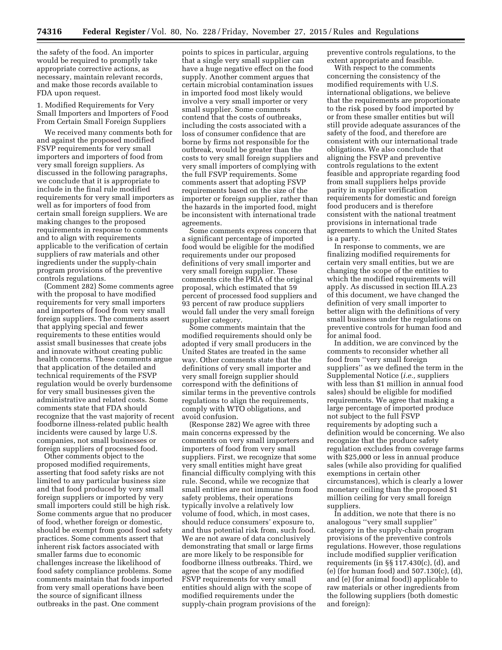the safety of the food. An importer would be required to promptly take appropriate corrective actions, as necessary, maintain relevant records, and make those records available to FDA upon request.

1. Modified Requirements for Very Small Importers and Importers of Food From Certain Small Foreign Suppliers

We received many comments both for and against the proposed modified FSVP requirements for very small importers and importers of food from very small foreign suppliers. As discussed in the following paragraphs, we conclude that it is appropriate to include in the final rule modified requirements for very small importers as well as for importers of food from certain small foreign suppliers. We are making changes to the proposed requirements in response to comments and to align with requirements applicable to the verification of certain suppliers of raw materials and other ingredients under the supply-chain program provisions of the preventive controls regulations.

(Comment 282) Some comments agree with the proposal to have modified requirements for very small importers and importers of food from very small foreign suppliers. The comments assert that applying special and fewer requirements to these entities would assist small businesses that create jobs and innovate without creating public health concerns. These comments argue that application of the detailed and technical requirements of the FSVP regulation would be overly burdensome for very small businesses given the administrative and related costs. Some comments state that FDA should recognize that the vast majority of recent foodborne illness-related public health incidents were caused by large U.S. companies, not small businesses or foreign suppliers of processed food.

Other comments object to the proposed modified requirements, asserting that food safety risks are not limited to any particular business size and that food produced by very small foreign suppliers or imported by very small importers could still be high risk. Some comments argue that no producer of food, whether foreign or domestic, should be exempt from good food safety practices. Some comments assert that inherent risk factors associated with smaller farms due to economic challenges increase the likelihood of food safety compliance problems. Some comments maintain that foods imported from very small operations have been the source of significant illness outbreaks in the past. One comment

points to spices in particular, arguing that a single very small supplier can have a huge negative effect on the food supply. Another comment argues that certain microbial contamination issues in imported food most likely would involve a very small importer or very small supplier. Some comments contend that the costs of outbreaks, including the costs associated with a loss of consumer confidence that are borne by firms not responsible for the outbreak, would be greater than the costs to very small foreign suppliers and very small importers of complying with the full FSVP requirements. Some comments assert that adopting FSVP requirements based on the size of the importer or foreign supplier, rather than the hazards in the imported food, might be inconsistent with international trade agreements.

Some comments express concern that a significant percentage of imported food would be eligible for the modified requirements under our proposed definitions of very small importer and very small foreign supplier. These comments cite the PRIA of the original proposal, which estimated that 59 percent of processed food suppliers and 93 percent of raw produce suppliers would fall under the very small foreign supplier category.

Some comments maintain that the modified requirements should only be adopted if very small producers in the United States are treated in the same way. Other comments state that the definitions of very small importer and very small foreign supplier should correspond with the definitions of similar terms in the preventive controls regulations to align the requirements, comply with WTO obligations, and avoid confusion.

(Response 282) We agree with three main concerns expressed by the comments on very small importers and importers of food from very small suppliers. First, we recognize that some very small entities might have great financial difficulty complying with this rule. Second, while we recognize that small entities are not immune from food safety problems, their operations typically involve a relatively low volume of food, which, in most cases, should reduce consumers' exposure to, and thus potential risk from, such food. We are not aware of data conclusively demonstrating that small or large firms are more likely to be responsible for foodborne illness outbreaks. Third, we agree that the scope of any modified FSVP requirements for very small entities should align with the scope of modified requirements under the supply-chain program provisions of the

preventive controls regulations, to the extent appropriate and feasible.

With respect to the comments concerning the consistency of the modified requirements with U.S. international obligations, we believe that the requirements are proportionate to the risk posed by food imported by or from these smaller entities but will still provide adequate assurances of the safety of the food, and therefore are consistent with our international trade obligations. We also conclude that aligning the FSVP and preventive controls regulations to the extent feasible and appropriate regarding food from small suppliers helps provide parity in supplier verification requirements for domestic and foreign food producers and is therefore consistent with the national treatment provisions in international trade agreements to which the United States is a party.

In response to comments, we are finalizing modified requirements for certain very small entities, but we are changing the scope of the entities to which the modified requirements will apply. As discussed in section III.A.23 of this document, we have changed the definition of very small importer to better align with the definitions of very small business under the regulations on preventive controls for human food and for animal food.

In addition, we are convinced by the comments to reconsider whether all food from ''very small foreign suppliers'' as we defined the term in the Supplemental Notice (*i.e.,* suppliers with less than \$1 million in annual food sales) should be eligible for modified requirements. We agree that making a large percentage of imported produce not subject to the full FSVP requirements by adopting such a definition would be concerning. We also recognize that the produce safety regulation excludes from coverage farms with \$25,000 or less in annual produce sales (while also providing for qualified exemptions in certain other circumstances), which is clearly a lower monetary ceiling than the proposed \$1 million ceiling for very small foreign suppliers.

In addition, we note that there is no analogous ''very small supplier'' category in the supply-chain program provisions of the preventive controls regulations. However, those regulations include modified supplier verification requirements (in §§ 117.430(c), (d), and (e) (for human food) and 507.130(c), (d), and (e) (for animal food)) applicable to raw materials or other ingredients from the following suppliers (both domestic and foreign):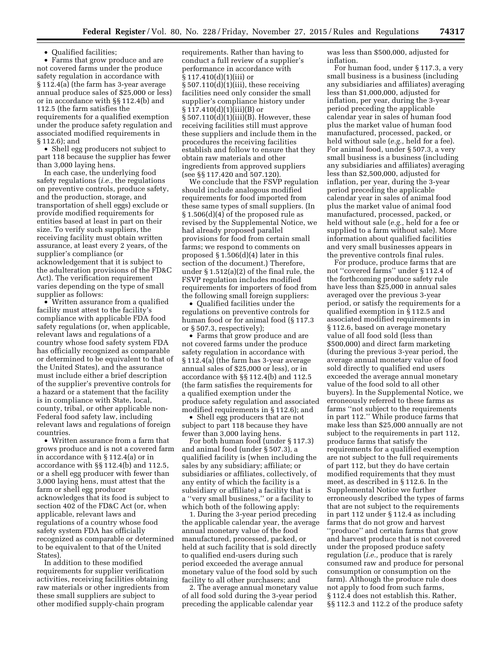• Qualified facilities;

• Farms that grow produce and are not covered farms under the produce safety regulation in accordance with § 112.4(a) (the farm has 3-year average annual produce sales of \$25,000 or less) or in accordance with §§ 112.4(b) and 112.5 (the farm satisfies the requirements for a qualified exemption under the produce safety regulation and associated modified requirements in § 112.6); and

• Shell egg producers not subject to part 118 because the supplier has fewer than 3,000 laying hens.

In each case, the underlying food safety regulations (*i.e.,* the regulations on preventive controls, produce safety, and the production, storage, and transportation of shell eggs) exclude or provide modified requirements for entities based at least in part on their size. To verify such suppliers, the receiving facility must obtain written assurance, at least every 2 years, of the supplier's compliance (or acknowledgement that it is subject to the adulteration provisions of the FD&C Act). The verification requirement varies depending on the type of small supplier as follows:

• Written assurance from a qualified facility must attest to the facility's compliance with applicable FDA food safety regulations (or, when applicable, relevant laws and regulations of a country whose food safety system FDA has officially recognized as comparable or determined to be equivalent to that of the United States), and the assurance must include either a brief description of the supplier's preventive controls for a hazard or a statement that the facility is in compliance with State, local, county, tribal, or other applicable non-Federal food safety law, including relevant laws and regulations of foreign countries.

• Written assurance from a farm that grows produce and is not a covered farm in accordance with § 112.4(a) or in accordance with §§ 112.4(b) and 112.5, or a shell egg producer with fewer than 3,000 laying hens, must attest that the farm or shell egg producer acknowledges that its food is subject to section 402 of the FD&C Act (or, when applicable, relevant laws and regulations of a country whose food safety system FDA has officially recognized as comparable or determined to be equivalent to that of the United States).

In addition to these modified requirements for supplier verification activities, receiving facilities obtaining raw materials or other ingredients from these small suppliers are subject to other modified supply-chain program

requirements. Rather than having to conduct a full review of a supplier's performance in accordance with § 117.410(d)(1)(iii) or  $§ 507.110(d)(1)(iii)$ , these receiving facilities need only consider the small supplier's compliance history under § 117.410(d)(1)(iii)(B) or § 507.110(d)(1)(iii)(B). However, these receiving facilities still must approve these suppliers and include them in the procedures the receiving facilities establish and follow to ensure that they obtain raw materials and other ingredients from approved suppliers (see §§ 117.420 and 507.120).

We conclude that the FSVP regulation should include analogous modified requirements for food imported from these same types of small suppliers. (In § 1.506(d)(4) of the proposed rule as revised by the Supplemental Notice, we had already proposed parallel provisions for food from certain small farms; we respond to comments on proposed § 1.506(d)(4) later in this section of the document.) Therefore, under § 1.512(a)(2) of the final rule, the FSVP regulation includes modified requirements for importers of food from the following small foreign suppliers:

• Qualified facilities under the regulations on preventive controls for human food or for animal food (§ 117.3 or § 507.3, respectively);

• Farms that grow produce and are not covered farms under the produce safety regulation in accordance with § 112.4(a) (the farm has 3-year average annual sales of \$25,000 or less), or in accordance with §§ 112.4(b) and 112.5 (the farm satisfies the requirements for a qualified exemption under the produce safety regulation and associated modified requirements in § 112.6); and

• Shell egg producers that are not subject to part 118 because they have fewer than 3,000 laying hens.

For both human food (under § 117.3) and animal food (under § 507.3), a qualified facility is (when including the sales by any subsidiary; affiliate; or subsidiaries or affiliates, collectively, of any entity of which the facility is a subsidiary or affiliate) a facility that is a ''very small business,'' or a facility to which both of the following apply:

1. During the 3-year period preceding the applicable calendar year, the average annual monetary value of the food manufactured, processed, packed, or held at such facility that is sold directly to qualified end-users during such period exceeded the average annual monetary value of the food sold by such facility to all other purchasers; and

2. The average annual monetary value of all food sold during the 3-year period preceding the applicable calendar year

was less than \$500,000, adjusted for inflation.

For human food, under § 117.3, a very small business is a business (including any subsidiaries and affiliates) averaging less than \$1,000,000, adjusted for inflation, per year, during the 3-year period preceding the applicable calendar year in sales of human food plus the market value of human food manufactured, processed, packed, or held without sale (*e.g.,* held for a fee). For animal food, under § 507.3, a very small business is a business (including any subsidiaries and affiliates) averaging less than \$2,500,000, adjusted for inflation, per year, during the 3-year period preceding the applicable calendar year in sales of animal food plus the market value of animal food manufactured, processed, packed, or held without sale (*e.g.,* held for a fee or supplied to a farm without sale). More information about qualified facilities and very small businesses appears in the preventive controls final rules.

For produce, produce farms that are not ''covered farms'' under § 112.4 of the forthcoming produce safety rule have less than \$25,000 in annual sales averaged over the previous 3-year period, or satisfy the requirements for a qualified exemption in § 112.5 and associated modified requirements in § 112.6, based on average monetary value of all food sold (less than \$500,000) and direct farm marketing (during the previous 3-year period, the average annual monetary value of food sold directly to qualified end users exceeded the average annual monetary value of the food sold to all other buyers). In the Supplemental Notice, we erroneously referred to these farms as farms ''not subject to the requirements in part 112.'' While produce farms that make less than \$25,000 annually are not subject to the requirements in part 112, produce farms that satisfy the requirements for a qualified exemption are not subject to the full requirements of part 112, but they do have certain modified requirements that they must meet, as described in § 112.6. In the Supplemental Notice we further erroneously described the types of farms that are not subject to the requirements in part 112 under § 112.4 as including farms that do not grow and harvest ''produce'' and certain farms that grow and harvest produce that is not covered under the proposed produce safety regulation (*i.e.,* produce that is rarely consumed raw and produce for personal consumption or consumption on the farm). Although the produce rule does not apply to food from such farms, § 112.4 does not establish this. Rather, §§ 112.3 and 112.2 of the produce safety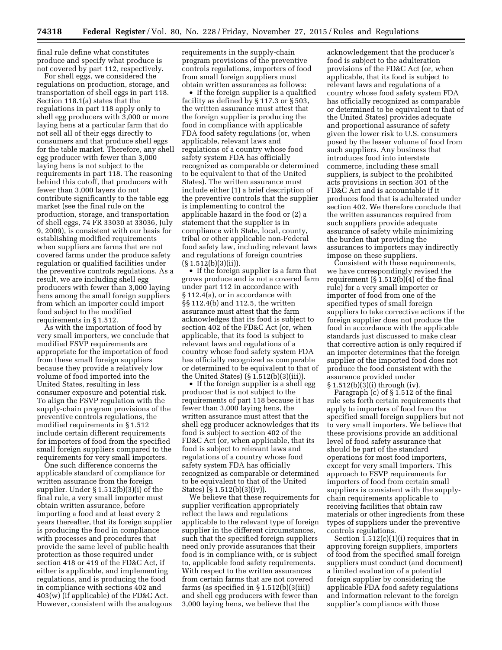final rule define what constitutes produce and specify what produce is not covered by part 112, respectively.

For shell eggs, we considered the regulations on production, storage, and transportation of shell eggs in part 118. Section 118.1(a) states that the regulations in part 118 apply only to shell egg producers with 3,000 or more laying hens at a particular farm that do not sell all of their eggs directly to consumers and that produce shell eggs for the table market. Therefore, any shell egg producer with fewer than 3,000 laying hens is not subject to the requirements in part 118. The reasoning behind this cutoff, that producers with fewer than 3,000 layers do not contribute significantly to the table egg market (see the final rule on the production, storage, and transportation of shell eggs, 74 FR 33030 at 33036, July 9, 2009), is consistent with our basis for establishing modified requirements when suppliers are farms that are not covered farms under the produce safety regulation or qualified facilities under the preventive controls regulations. As a result, we are including shell egg producers with fewer than 3,000 laying hens among the small foreign suppliers from which an importer could import food subject to the modified requirements in § 1.512.

As with the importation of food by very small importers, we conclude that modified FSVP requirements are appropriate for the importation of food from these small foreign suppliers because they provide a relatively low volume of food imported into the United States, resulting in less consumer exposure and potential risk. To align the FSVP regulation with the supply-chain program provisions of the preventive controls regulations, the modified requirements in § 1.512 include certain different requirements for importers of food from the specified small foreign suppliers compared to the requirements for very small importers.

One such difference concerns the applicable standard of compliance for written assurance from the foreign supplier. Under § 1.512(b)(3)(i) of the final rule, a very small importer must obtain written assurance, before importing a food and at least every 2 years thereafter, that its foreign supplier is producing the food in compliance with processes and procedures that provide the same level of public health protection as those required under section 418 or 419 of the FD&C Act, if either is applicable, and implementing regulations, and is producing the food in compliance with sections 402 and 403(w) (if applicable) of the FD&C Act. However, consistent with the analogous

requirements in the supply-chain program provisions of the preventive controls regulations, importers of food from small foreign suppliers must obtain written assurances as follows:

• If the foreign supplier is a qualified facility as defined by § 117.3 or § 503, the written assurance must attest that the foreign supplier is producing the food in compliance with applicable FDA food safety regulations (or, when applicable, relevant laws and regulations of a country whose food safety system FDA has officially recognized as comparable or determined to be equivalent to that of the United States). The written assurance must include either (1) a brief description of the preventive controls that the supplier is implementing to control the applicable hazard in the food or (2) a statement that the supplier is in compliance with State, local, county, tribal or other applicable non-Federal food safety law, including relevant laws and regulations of foreign countries  $(S 1.512(b)(3)(ii)).$ 

• If the foreign supplier is a farm that grows produce and is not a covered farm under part 112 in accordance with § 112.4(a), or in accordance with §§ 112.4(b) and 112.5, the written assurance must attest that the farm acknowledges that its food is subject to section 402 of the FD&C Act (or, when applicable, that its food is subject to relevant laws and regulations of a country whose food safety system FDA has officially recognized as comparable or determined to be equivalent to that of the United States) (§ 1.512(b)(3)(iii)).

• If the foreign supplier is a shell egg producer that is not subject to the requirements of part 118 because it has fewer than 3,000 laying hens, the written assurance must attest that the shell egg producer acknowledges that its food is subject to section 402 of the FD&C Act (or, when applicable, that its food is subject to relevant laws and regulations of a country whose food safety system FDA has officially recognized as comparable or determined to be equivalent to that of the United States) (§ 1.512(b)(3)(iv)).

We believe that these requirements for supplier verification appropriately reflect the laws and regulations applicable to the relevant type of foreign supplier in the different circumstances, such that the specified foreign suppliers need only provide assurances that their food is in compliance with, or is subject to, applicable food safety requirements. With respect to the written assurances from certain farms that are not covered farms (as specified in  $\S 1.512(b)(3(iii))$ and shell egg producers with fewer than 3,000 laying hens, we believe that the

acknowledgement that the producer's food is subject to the adulteration provisions of the FD&C Act (or, when applicable, that its food is subject to relevant laws and regulations of a country whose food safety system FDA has officially recognized as comparable or determined to be equivalent to that of the United States) provides adequate and proportional assurance of safety given the lower risk to U.S. consumers posed by the lesser volume of food from such suppliers. Any business that introduces food into interstate commerce, including these small suppliers, is subject to the prohibited acts provisions in section 301 of the FD&C Act and is accountable if it produces food that is adulterated under section 402. We therefore conclude that the written assurances required from such suppliers provide adequate assurance of safety while minimizing the burden that providing the assurances to importers may indirectly impose on these suppliers.

Consistent with these requirements, we have correspondingly revised the requirement  $(\S 1.512(b)(4)$  of the final rule) for a very small importer or importer of food from one of the specified types of small foreign suppliers to take corrective actions if the foreign supplier does not produce the food in accordance with the applicable standards just discussed to make clear that corrective action is only required if an importer determines that the foreign supplier of the imported food does not produce the food consistent with the assurance provided under § 1.512(b)(3)(i) through (iv).

Paragraph (c) of § 1.512 of the final rule sets forth certain requirements that apply to importers of food from the specified small foreign suppliers but not to very small importers. We believe that these provisions provide an additional level of food safety assurance that should be part of the standard operations for most food importers, except for very small importers. This approach to FSVP requirements for importers of food from certain small suppliers is consistent with the supplychain requirements applicable to receiving facilities that obtain raw materials or other ingredients from these types of suppliers under the preventive controls regulations.

Section 1.512(c)(1)(i) requires that in approving foreign suppliers, importers of food from the specified small foreign suppliers must conduct (and document) a limited evaluation of a potential foreign supplier by considering the applicable FDA food safety regulations and information relevant to the foreign supplier's compliance with those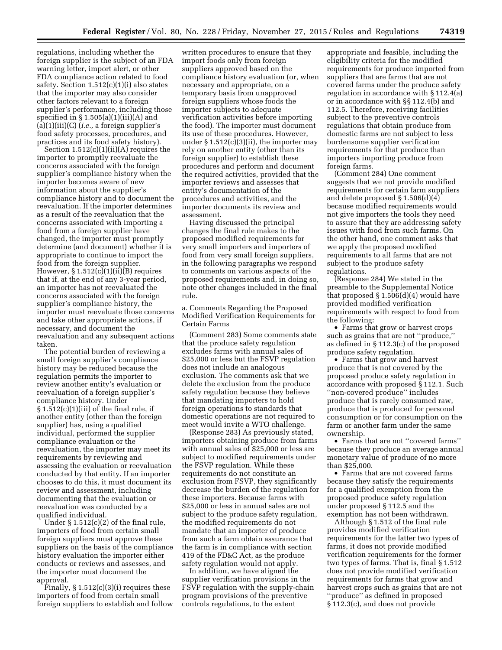regulations, including whether the foreign supplier is the subject of an FDA warning letter, import alert, or other FDA compliance action related to food safety. Section 1.512(c)(1)(i) also states that the importer may also consider other factors relevant to a foreign supplier's performance, including those specified in  $\S 1.505(a)(1)(iii)(A)$  and (a)(1)(iii)(C) (*i.e.,* a foreign supplier's food safety processes, procedures, and practices and its food safety history).

Section  $1.512(c)(1)(ii)(A)$  requires the importer to promptly reevaluate the concerns associated with the foreign supplier's compliance history when the importer becomes aware of new information about the supplier's compliance history and to document the reevaluation. If the importer determines as a result of the reevaluation that the concerns associated with importing a food from a foreign supplier have changed, the importer must promptly determine (and document) whether it is appropriate to continue to import the food from the foreign supplier. However,  $§ 1.512(c)(1)(ii)(B)$  requires that if, at the end of any 3-year period, an importer has not reevaluated the concerns associated with the foreign supplier's compliance history, the importer must reevaluate those concerns and take other appropriate actions, if necessary, and document the reevaluation and any subsequent actions taken.

The potential burden of reviewing a small foreign supplier's compliance history may be reduced because the regulation permits the importer to review another entity's evaluation or reevaluation of a foreign supplier's compliance history. Under  $\S 1.512(c)(1)(iii)$  of the final rule, if another entity (other than the foreign supplier) has, using a qualified individual, performed the supplier compliance evaluation or the reevaluation, the importer may meet its requirements by reviewing and assessing the evaluation or reevaluation conducted by that entity. If an importer chooses to do this, it must document its review and assessment, including documenting that the evaluation or reevaluation was conducted by a qualified individual.

Under § 1.512(c)(2) of the final rule, importers of food from certain small foreign suppliers must approve these suppliers on the basis of the compliance history evaluation the importer either conducts or reviews and assesses, and the importer must document the approval.

Finally,  $\S 1.512(c)(3)(i)$  requires these importers of food from certain small foreign suppliers to establish and follow

written procedures to ensure that they import foods only from foreign suppliers approved based on the compliance history evaluation (or, when necessary and appropriate, on a temporary basis from unapproved foreign suppliers whose foods the importer subjects to adequate verification activities before importing the food). The importer must document its use of these procedures. However, under  $\S 1.512(c)(3)(ii)$ , the importer may rely on another entity (other than its foreign supplier) to establish these procedures and perform and document the required activities, provided that the importer reviews and assesses that entity's documentation of the procedures and activities, and the importer documents its review and assessment.

Having discussed the principal changes the final rule makes to the proposed modified requirements for very small importers and importers of food from very small foreign suppliers, in the following paragraphs we respond to comments on various aspects of the proposed requirements and, in doing so, note other changes included in the final rule.

a. Comments Regarding the Proposed Modified Verification Requirements for Certain Farms

(Comment 283) Some comments state that the produce safety regulation excludes farms with annual sales of \$25,000 or less but the FSVP regulation does not include an analogous exclusion. The comments ask that we delete the exclusion from the produce safety regulation because they believe that mandating importers to hold foreign operations to standards that domestic operations are not required to meet would invite a WTO challenge.

(Response 283) As previously stated, importers obtaining produce from farms with annual sales of \$25,000 or less are subject to modified requirements under the FSVP regulation. While these requirements do not constitute an exclusion from FSVP, they significantly decrease the burden of the regulation for these importers. Because farms with \$25,000 or less in annual sales are not subject to the produce safety regulation, the modified requirements do not mandate that an importer of produce from such a farm obtain assurance that the farm is in compliance with section 419 of the FD&C Act, as the produce safety regulation would not apply.

In addition, we have aligned the supplier verification provisions in the FSVP regulation with the supply-chain program provisions of the preventive controls regulations, to the extent

appropriate and feasible, including the eligibility criteria for the modified requirements for produce imported from suppliers that are farms that are not covered farms under the produce safety regulation in accordance with § 112.4(a) or in accordance with §§ 112.4(b) and 112.5. Therefore, receiving facilities subject to the preventive controls regulations that obtain produce from domestic farms are not subject to less burdensome supplier verification requirements for that produce than importers importing produce from foreign farms.

(Comment 284) One comment suggests that we not provide modified requirements for certain farm suppliers and delete proposed § 1.506(d)(4) because modified requirements would not give importers the tools they need to assure that they are addressing safety issues with food from such farms. On the other hand, one comment asks that we apply the proposed modified requirements to all farms that are not subject to the produce safety regulations.

(Response 284) We stated in the preamble to the Supplemental Notice that proposed § 1.506(d)(4) would have provided modified verification requirements with respect to food from the following:

• Farms that grow or harvest crops such as grains that are not ''produce,'' as defined in § 112.3(c) of the proposed produce safety regulation.

• Farms that grow and harvest produce that is not covered by the proposed produce safety regulation in accordance with proposed § 112.1. Such ''non-covered produce'' includes produce that is rarely consumed raw, produce that is produced for personal consumption or for consumption on the farm or another farm under the same ownership.

• Farms that are not ''covered farms'' because they produce an average annual monetary value of produce of no more than \$25,000.

• Farms that are not covered farms because they satisfy the requirements for a qualified exemption from the proposed produce safety regulation under proposed § 112.5 and the exemption has not been withdrawn.

Although § 1.512 of the final rule provides modified verification requirements for the latter two types of farms, it does not provide modified verification requirements for the former two types of farms. That is, final § 1.512 does not provide modified verification requirements for farms that grow and harvest crops such as grains that are not ''produce'' as defined in proposed § 112.3(c), and does not provide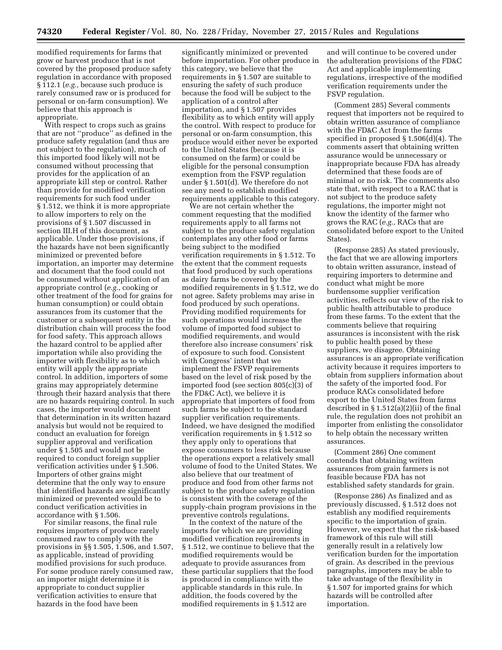modified requirements for farms that grow or harvest produce that is not covered by the proposed produce safety regulation in accordance with proposed § 112.1 (*e.g.,* because such produce is rarely consumed raw or is produced for personal or on-farm consumption). We believe that this approach is appropriate.

With respect to crops such as grains that are not ''produce'' as defined in the produce safety regulation (and thus are not subject to the regulation), much of this imported food likely will not be consumed without processing that provides for the application of an appropriate kill step or control. Rather than provide for modified verification requirements for such food under § 1.512, we think it is more appropriate to allow importers to rely on the provisions of § 1.507 discussed in section III.H of this document, as applicable. Under those provisions, if the hazards have not been significantly minimized or prevented before importation, an importer may determine and document that the food could not be consumed without application of an appropriate control (*e.g.,* cooking or other treatment of the food for grains for human consumption) or could obtain assurances from its customer that the customer or a subsequent entity in the distribution chain will process the food for food safety. This approach allows the hazard control to be applied after importation while also providing the importer with flexibility as to which entity will apply the appropriate control. In addition, importers of some grains may appropriately determine through their hazard analysis that there are no hazards requiring control. In such cases, the importer would document that determination in its written hazard analysis but would not be required to conduct an evaluation for foreign supplier approval and verification under § 1.505 and would not be required to conduct foreign supplier verification activities under § 1.506. Importers of other grains might determine that the only way to ensure that identified hazards are significantly minimized or prevented would be to conduct verification activities in accordance with § 1.506.

For similar reasons, the final rule requires importers of produce rarely consumed raw to comply with the provisions in §§ 1.505, 1.506, and 1.507, as applicable, instead of providing modified provisions for such produce. For some produce rarely consumed raw, an importer might determine it is appropriate to conduct supplier verification activities to ensure that hazards in the food have been

significantly minimized or prevented before importation. For other produce in this category, we believe that the requirements in § 1.507 are suitable to ensuring the safety of such produce because the food will be subject to the application of a control after importation, and § 1.507 provides flexibility as to which entity will apply the control. With respect to produce for personal or on-farm consumption, this produce would either never be exported to the United States (because it is consumed on the farm) or could be eligible for the personal consumption exemption from the FSVP regulation under § 1.501(d). We therefore do not see any need to establish modified requirements applicable to this category.

We are not certain whether the comment requesting that the modified requirements apply to all farms not subject to the produce safety regulation contemplates any other food or farms being subject to the modified verification requirements in § 1.512. To the extent that the comment requests that food produced by such operations as dairy farms be covered by the modified requirements in § 1.512, we do not agree. Safety problems may arise in food produced by such operations. Providing modified requirements for such operations would increase the volume of imported food subject to modified requirements, and would therefore also increase consumers' risk of exposure to such food. Consistent with Congress' intent that we implement the FSVP requirements based on the level of risk posed by the imported food (see section 805(c)(3) of the FD&C Act), we believe it is appropriate that importers of food from such farms be subject to the standard supplier verification requirements. Indeed, we have designed the modified verification requirements in § 1.512 so they apply only to operations that expose consumers to less risk because the operations export a relatively small volume of food to the United States. We also believe that our treatment of produce and food from other farms not subject to the produce safety regulation is consistent with the coverage of the supply-chain program provisions in the preventive controls regulations.

In the context of the nature of the imports for which we are providing modified verification requirements in § 1.512, we continue to believe that the modified requirements would be adequate to provide assurances from these particular suppliers that the food is produced in compliance with the applicable standards in this rule. In addition, the foods covered by the modified requirements in § 1.512 are

and will continue to be covered under the adulteration provisions of the FD&C Act and applicable implementing regulations, irrespective of the modified verification requirements under the FSVP regulation.

(Comment 285) Several comments request that importers not be required to obtain written assurance of compliance with the FD&C Act from the farms specified in proposed § 1.506(d)(4). The comments assert that obtaining written assurance would be unnecessary or inappropriate because FDA has already determined that these foods are of minimal or no risk. The comments also state that, with respect to a RAC that is not subject to the produce safety regulations, the importer might not know the identity of the farmer who grows the RAC (*e.g.,* RACs that are consolidated before export to the United States).

(Response 285) As stated previously, the fact that we are allowing importers to obtain written assurance, instead of requiring importers to determine and conduct what might be more burdensome supplier verification activities, reflects our view of the risk to public health attributable to produce from these farms. To the extent that the comments believe that requiring assurances is inconsistent with the risk to public health posed by these suppliers, we disagree. Obtaining assurances is an appropriate verification activity because it requires importers to obtain from suppliers information about the safety of the imported food. For produce RACs consolidated before export to the United States from farms described in § 1.512(a)(2)(ii) of the final rule, the regulation does not prohibit an importer from enlisting the consolidator to help obtain the necessary written assurances.

(Comment 286) One comment contends that obtaining written assurances from grain farmers is not feasible because FDA has not established safety standards for grain.

(Response 286) As finalized and as previously discussed, § 1.512 does not establish any modified requirements specific to the importation of grain. However, we expect that the risk-based framework of this rule will still generally result in a relatively low verification burden for the importation of grain. As described in the previous paragraphs, importers may be able to take advantage of the flexibility in § 1.507 for imported grains for which hazards will be controlled after importation.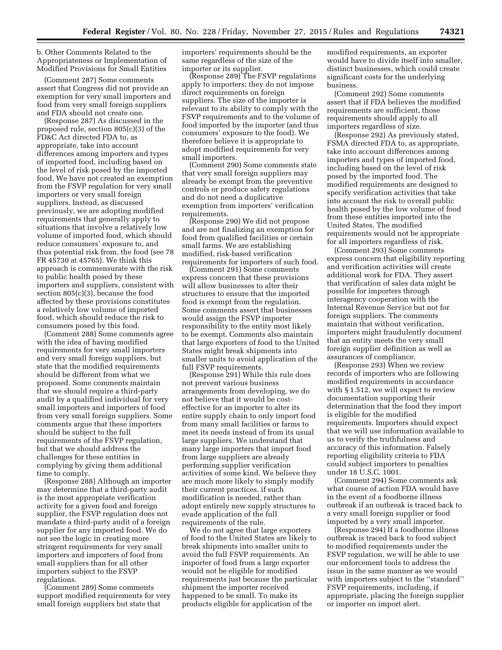b. Other Comments Related to the Appropriateness or Implementation of Modified Provisions for Small Entities

(Comment 287) Some comments assert that Congress did not provide an exemption for very small importers and food from very small foreign suppliers and FDA should not create one.

(Response 287) As discussed in the proposed rule, section 805(c)(3) of the FD&C Act directed FDA to, as appropriate, take into account differences among importers and types of imported food, including based on the level of risk posed by the imported food. We have not created an exemption from the FSVP regulation for very small importers or very small foreign suppliers. Instead, as discussed previously, we are adopting modified requirements that generally apply to situations that involve a relatively low volume of imported food, which should reduce consumers' exposure to, and thus potential risk from, the food (see 78 FR 45730 at 45765). We think this approach is commensurate with the risk to public health posed by these importers and suppliers, consistent with section 805(c)(3), because the food affected by these provisions constitutes a relatively low volume of imported food, which should reduce the risk to consumers posed by this food.

(Comment 288) Some comments agree with the idea of having modified requirements for very small importers and very small foreign suppliers, but state that the modified requirements should be different from what we proposed. Some comments maintain that we should require a third-party audit by a qualified individual for very small importers and importers of food from very small foreign suppliers. Some comments argue that these importers should be subject to the full requirements of the FSVP regulation, but that we should address the challenges for these entities in complying by giving them additional time to comply.

(Response 288) Although an importer may determine that a third-party audit is the most appropriate verification activity for a given food and foreign supplier, the FSVP regulation does not mandate a third-party audit of a foreign supplier for any imported food. We do not see the logic in creating more stringent requirements for very small importers and importers of food from small suppliers than for all other importers subject to the FSVP regulations.

(Comment 289) Some comments support modified requirements for very small foreign suppliers but state that

importers' requirements should be the same regardless of the size of the importer or its supplier.

(Response 289) The FSVP regulations apply to importers; they do not impose direct requirements on foreign suppliers. The size of the importer is relevant to its ability to comply with the FSVP requirements and to the volume of food imported by the importer (and thus consumers' exposure to the food). We therefore believe it is appropriate to adopt modified requirements for very small importers.

(Comment 290) Some comments state that very small foreign suppliers may already be exempt from the preventive controls or produce safety regulations and do not need a duplicative exemption from importers' verification requirements.

(Response 290) We did not propose and are not finalizing an exemption for food from qualified facilities or certain small farms. We are establishing modified, risk-based verification requirements for importers of such food.

(Comment 291) Some comments express concern that these provisions will allow businesses to alter their structures to ensure that the imported food is exempt from the regulation. Some comments assert that businesses would assign the FSVP importer responsibility to the entity most likely to be exempt. Comments also maintain that large exporters of food to the United States might break shipments into smaller units to avoid application of the full FSVP requirements.

(Response 291) While this rule does not prevent various business arrangements from developing, we do not believe that it would be costeffective for an importer to alter its entire supply chain to only import food from many small facilities or farms to meet its needs instead of from its usual large suppliers. We understand that many large importers that import food from large suppliers are already performing supplier verification activities of some kind. We believe they are much more likely to simply modify their current practices, if such modification is needed, rather than adopt entirely new supply structures to evade application of the full requirements of the rule.

We do not agree that large exporters of food to the United States are likely to break shipments into smaller units to avoid the full FSVP requirements. An importer of food from a large exporter would not be eligible for modified requirements just because the particular shipment the importer received happened to be small. To make its products eligible for application of the

modified requirements, an exporter would have to divide itself into smaller, distinct businesses, which could create significant costs for the underlying business.

(Comment 292) Some comments assert that if FDA believes the modified requirements are sufficient, those requirements should apply to all importers regardless of size.

(Response 292) As previously stated, FSMA directed FDA to, as appropriate, take into account differences among importers and types of imported food, including based on the level of risk posed by the imported food. The modified requirements are designed to specify verification activities that take into account the risk to overall public health posed by the low volume of food from these entities imported into the United States. The modified requirements would not be appropriate for all importers regardless of risk.

(Comment 293) Some comments express concern that eligibility reporting and verification activities will create additional work for FDA. They assert that verification of sales data might be possible for importers through interagency cooperation with the Internal Revenue Service but not for foreign suppliers. The comments maintain that without verification, importers might fraudulently document that an entity meets the very small foreign supplier definition as well as assurances of compliance.

(Response 293) When we review records of importers who are following modified requirements in accordance with  $\S 1.512$ , we will expect to review documentation supporting their determination that the food they import is eligible for the modified requirements. Importers should expect that we will use information available to us to verify the truthfulness and accuracy of this information. Falsely reporting eligibility criteria to FDA could subject importers to penalties under 18 U.S.C. 1001.

(Comment 294) Some comments ask what course of action FDA would have in the event of a foodborne illness outbreak if an outbreak is traced back to a very small foreign supplier or food imported by a very small importer.

(Response 294) If a foodborne illness outbreak is traced back to food subject to modified requirements under the FSVP regulation, we will be able to use our enforcement tools to address the issue in the same manner as we would with importers subject to the ''standard'' FSVP requirements, including, if appropriate, placing the foreign supplier or importer on import alert.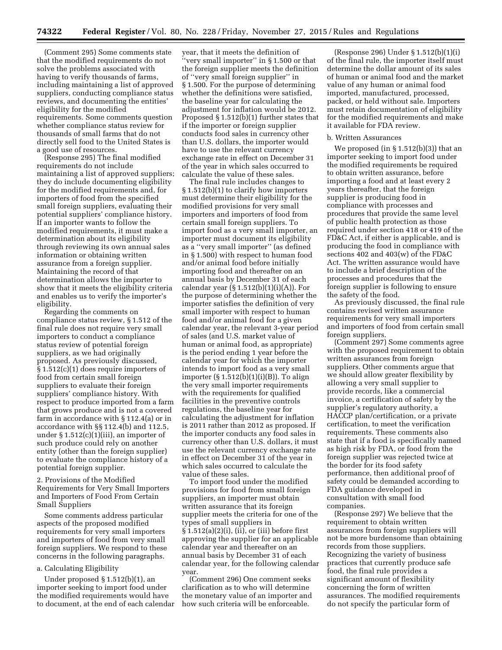(Comment 295) Some comments state that the modified requirements do not solve the problems associated with having to verify thousands of farms, including maintaining a list of approved suppliers, conducting compliance status reviews, and documenting the entities' eligibility for the modified requirements. Some comments question whether compliance status review for thousands of small farms that do not directly sell food to the United States is a good use of resources.

(Response 295) The final modified requirements do not include maintaining a list of approved suppliers; they do include documenting eligibility for the modified requirements and, for importers of food from the specified small foreign suppliers, evaluating their potential suppliers' compliance history. If an importer wants to follow the modified requirements, it must make a determination about its eligibility through reviewing its own annual sales information or obtaining written assurance from a foreign supplier. Maintaining the record of that determination allows the importer to show that it meets the eligibility criteria and enables us to verify the importer's eligibility.

Regarding the comments on compliance status review, § 1.512 of the final rule does not require very small importers to conduct a compliance status review of potential foreign suppliers, as we had originally proposed. As previously discussed, § 1.512(c)(1) does require importers of food from certain small foreign suppliers to evaluate their foreign suppliers' compliance history. With respect to produce imported from a farm that grows produce and is not a covered farm in accordance with § 112.4(a) or in accordance with §§ 112.4(b) and 112.5, under § 1.512(c)(1)(iii), an importer of such produce could rely on another entity (other than the foreign supplier) to evaluate the compliance history of a potential foreign supplier.

2. Provisions of the Modified Requirements for Very Small Importers and Importers of Food From Certain Small Suppliers

Some comments address particular aspects of the proposed modified requirements for very small importers and importers of food from very small foreign suppliers. We respond to these concerns in the following paragraphs.

### a. Calculating Eligibility

Under proposed § 1.512(b)(1), an importer seeking to import food under the modified requirements would have to document, at the end of each calendar

year, that it meets the definition of ''very small importer'' in § 1.500 or that the foreign supplier meets the definition of ''very small foreign supplier'' in § 1.500. For the purpose of determining whether the definitions were satisfied, the baseline year for calculating the adjustment for inflation would be 2012. Proposed § 1.512(b)(1) further states that if the importer or foreign supplier conducts food sales in currency other than U.S. dollars, the importer would have to use the relevant currency exchange rate in effect on December 31 of the year in which sales occurred to calculate the value of these sales.

The final rule includes changes to § 1.512(b)(1) to clarify how importers must determine their eligibility for the modified provisions for very small importers and importers of food from certain small foreign suppliers. To import food as a very small importer, an importer must document its eligibility as a ''very small importer'' (as defined in § 1.500) with respect to human food and/or animal food before initially importing food and thereafter on an annual basis by December 31 of each calendar year  $(\S 1.512(b)(1)(i)(A))$ . For the purpose of determining whether the importer satisfies the definition of very small importer with respect to human food and/or animal food for a given calendar year, the relevant 3-year period of sales (and U.S. market value of human or animal food, as appropriate) is the period ending 1 year before the calendar year for which the importer intends to import food as a very small importer (§ 1.512(b)(1)(i)(B)). To align the very small importer requirements with the requirements for qualified facilities in the preventive controls regulations, the baseline year for calculating the adjustment for inflation is 2011 rather than 2012 as proposed. If the importer conducts any food sales in currency other than U.S. dollars, it must use the relevant currency exchange rate in effect on December 31 of the year in which sales occurred to calculate the value of these sales.

To import food under the modified provisions for food from small foreign suppliers, an importer must obtain written assurance that its foreign supplier meets the criteria for one of the types of small suppliers in § 1.512(a)(2)(i), (ii), or (iii) before first approving the supplier for an applicable calendar year and thereafter on an annual basis by December 31 of each calendar year, for the following calendar year.

(Comment 296) One comment seeks clarification as to who will determine the monetary value of an importer and how such criteria will be enforceable.

(Response 296) Under § 1.512(b)(1)(i) of the final rule, the importer itself must determine the dollar amount of its sales of human or animal food and the market value of any human or animal food imported, manufactured, processed, packed, or held without sale. Importers must retain documentation of eligibility for the modified requirements and make it available for FDA review.

#### b. Written Assurances

We proposed (in  $\S 1.512(b)(3)$ ) that an importer seeking to import food under the modified requirements be required to obtain written assurance, before importing a food and at least every 2 years thereafter, that the foreign supplier is producing food in compliance with processes and procedures that provide the same level of public health protection as those required under section 418 or 419 of the FD&C Act, if either is applicable, and is producing the food in compliance with sections 402 and 403(w) of the FD&C Act. The written assurance would have to include a brief description of the processes and procedures that the foreign supplier is following to ensure the safety of the food.

As previously discussed, the final rule contains revised written assurance requirements for very small importers and importers of food from certain small foreign suppliers.

(Comment 297) Some comments agree with the proposed requirement to obtain written assurances from foreign suppliers. Other comments argue that we should allow greater flexibility by allowing a very small supplier to provide records, like a commercial invoice, a certification of safety by the supplier's regulatory authority, a HACCP plan/certification, or a private certification, to meet the verification requirements. These comments also state that if a food is specifically named as high risk by FDA, or food from the foreign supplier was rejected twice at the border for its food safety performance, then additional proof of safety could be demanded according to FDA guidance developed in consultation with small food companies.

(Response 297) We believe that the requirement to obtain written assurances from foreign suppliers will not be more burdensome than obtaining records from those suppliers. Recognizing the variety of business practices that currently produce safe food, the final rule provides a significant amount of flexibility concerning the form of written assurances. The modified requirements do not specify the particular form of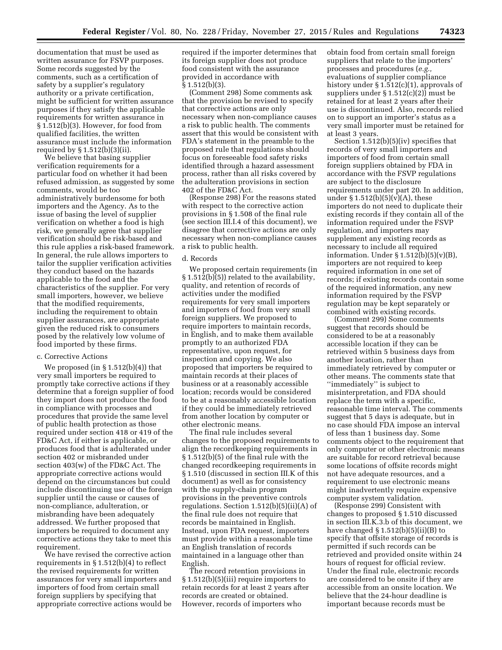documentation that must be used as written assurance for FSVP purposes. Some records suggested by the comments, such as a certification of safety by a supplier's regulatory authority or a private certification, might be sufficient for written assurance purposes if they satisfy the applicable requirements for written assurance in § 1.512(b)(3). However, for food from qualified facilities, the written assurance must include the information required by § 1.512(b)(3)(ii).

We believe that basing supplier verification requirements for a particular food on whether it had been refused admission, as suggested by some comments, would be too administratively burdensome for both importers and the Agency. As to the issue of basing the level of supplier verification on whether a food is high risk, we generally agree that supplier verification should be risk-based and this rule applies a risk-based framework. In general, the rule allows importers to tailor the supplier verification activities they conduct based on the hazards applicable to the food and the characteristics of the supplier. For very small importers, however, we believe that the modified requirements, including the requirement to obtain supplier assurances, are appropriate given the reduced risk to consumers posed by the relatively low volume of food imported by these firms.

#### c. Corrective Actions

We proposed (in § 1.512(b)(4)) that very small importers be required to promptly take corrective actions if they determine that a foreign supplier of food they import does not produce the food in compliance with processes and procedures that provide the same level of public health protection as those required under section 418 or 419 of the FD&C Act, if either is applicable, or produces food that is adulterated under section 402 or misbranded under section 403(w) of the FD&C Act. The appropriate corrective actions would depend on the circumstances but could include discontinuing use of the foreign supplier until the cause or causes of non-compliance, adulteration, or misbranding have been adequately addressed. We further proposed that importers be required to document any corrective actions they take to meet this requirement.

We have revised the corrective action requirements in § 1.512(b)(4) to reflect the revised requirements for written assurances for very small importers and importers of food from certain small foreign suppliers by specifying that appropriate corrective actions would be required if the importer determines that its foreign supplier does not produce food consistent with the assurance provided in accordance with § 1.512(b)(3).

(Comment 298) Some comments ask that the provision be revised to specify that corrective actions are only necessary when non-compliance causes a risk to public health. The comments assert that this would be consistent with FDA's statement in the preamble to the proposed rule that regulations should focus on foreseeable food safety risks identified through a hazard assessment process, rather than all risks covered by the adulteration provisions in section 402 of the FD&C Act.

(Response 298) For the reasons stated with respect to the corrective action provisions in § 1.508 of the final rule (see section III.I.4 of this document), we disagree that corrective actions are only necessary when non-compliance causes a risk to public health.

#### d. Records

We proposed certain requirements (in § 1.512(b)(5)) related to the availability, quality, and retention of records of activities under the modified requirements for very small importers and importers of food from very small foreign suppliers. We proposed to require importers to maintain records, in English, and to make them available promptly to an authorized FDA representative, upon request, for inspection and copying. We also proposed that importers be required to maintain records at their places of business or at a reasonably accessible location; records would be considered to be at a reasonably accessible location if they could be immediately retrieved from another location by computer or other electronic means.

The final rule includes several changes to the proposed requirements to align the recordkeeping requirements in § 1.512(b)(5) of the final rule with the changed recordkeeping requirements in § 1.510 (discussed in section III.K of this document) as well as for consistency with the supply-chain program provisions in the preventive controls regulations. Section 1.512(b)(5)(ii)(A) of the final rule does not require that records be maintained in English. Instead, upon FDA request, importers must provide within a reasonable time an English translation of records maintained in a language other than English.

The record retention provisions in § 1.512(b)(5)(iii) require importers to retain records for at least 2 years after records are created or obtained. However, records of importers who

obtain food from certain small foreign suppliers that relate to the importers' processes and procedures (*e.g.,*  evaluations of supplier compliance history under § 1.512(c)(1), approvals of suppliers under § 1.512(c)(2)) must be retained for at least 2 years after their use is discontinued. Also, records relied on to support an importer's status as a very small importer must be retained for at least 3 years.

Section 1.512(b)(5)(iv) specifies that records of very small importers and importers of food from certain small foreign suppliers obtained by FDA in accordance with the FSVP regulations are subject to the disclosure requirements under part 20. In addition, under  $\S 1.512(b)(5)(v)(A)$ , these importers do not need to duplicate their existing records if they contain all of the information required under the FSVP regulation, and importers may supplement any existing records as necessary to include all required information. Under  $\S 1.512(b)(5)(v)(B)$ , importers are not required to keep required information in one set of records; if existing records contain some of the required information, any new information required by the FSVP regulation may be kept separately or combined with existing records.

(Comment 299) Some comments suggest that records should be considered to be at a reasonably accessible location if they can be retrieved within 5 business days from another location, rather than immediately retrieved by computer or other means. The comments state that ''immediately'' is subject to misinterpretation, and FDA should replace the term with a specific, reasonable time interval. The comments suggest that 5 days is adequate, but in no case should FDA impose an interval of less than 1 business day. Some comments object to the requirement that only computer or other electronic means are suitable for record retrieval because some locations of offsite records might not have adequate resources, and a requirement to use electronic means might inadvertently require expensive computer system validation.

(Response 299) Consistent with changes to proposed § 1.510 discussed in section III.K.3.b of this document, we have changed  $\S 1.512(b)(5)(ii)(B)$  to specify that offsite storage of records is permitted if such records can be retrieved and provided onsite within 24 hours of request for official review. Under the final rule, electronic records are considered to be onsite if they are accessible from an onsite location. We believe that the 24-hour deadline is important because records must be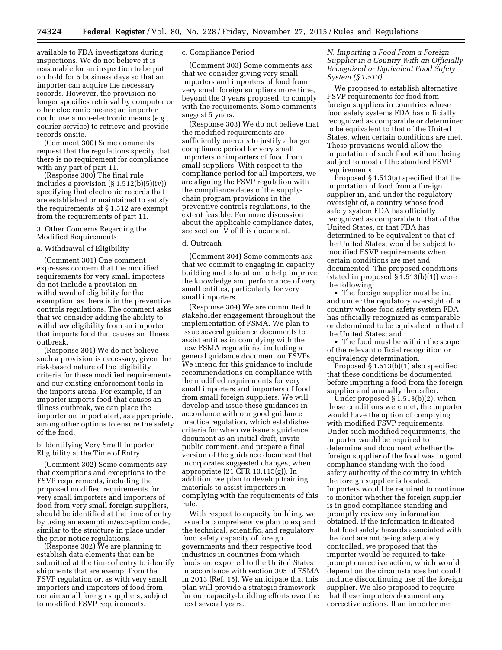available to FDA investigators during inspections. We do not believe it is reasonable for an inspection to be put on hold for 5 business days so that an importer can acquire the necessary records. However, the provision no longer specifies retrieval by computer or other electronic means; an importer could use a non-electronic means (*e.g.,*  courier service) to retrieve and provide records onsite.

(Comment 300) Some comments request that the regulations specify that there is no requirement for compliance with any part of part 11.

(Response 300) The final rule includes a provision (§ 1.512(b)(5)(iv)) specifying that electronic records that are established or maintained to satisfy the requirements of § 1.512 are exempt from the requirements of part 11.

## 3. Other Concerns Regarding the Modified Requirements

### a. Withdrawal of Eligibility

(Comment 301) One comment expresses concern that the modified requirements for very small importers do not include a provision on withdrawal of eligibility for the exemption, as there is in the preventive controls regulations. The comment asks that we consider adding the ability to withdraw eligibility from an importer that imports food that causes an illness outbreak.

(Response 301) We do not believe such a provision is necessary, given the risk-based nature of the eligibility criteria for these modified requirements and our existing enforcement tools in the imports arena. For example, if an importer imports food that causes an illness outbreak, we can place the importer on import alert, as appropriate, among other options to ensure the safety of the food.

## b. Identifying Very Small Importer Eligibility at the Time of Entry

(Comment 302) Some comments say that exemptions and exceptions to the FSVP requirements, including the proposed modified requirements for very small importers and importers of food from very small foreign suppliers, should be identified at the time of entry by using an exemption/exception code, similar to the structure in place under the prior notice regulations.

(Response 302) We are planning to establish data elements that can be submitted at the time of entry to identify shipments that are exempt from the FSVP regulation or, as with very small importers and importers of food from certain small foreign suppliers, subject to modified FSVP requirements.

# c. Compliance Period

(Comment 303) Some comments ask that we consider giving very small importers and importers of food from very small foreign suppliers more time, beyond the 3 years proposed, to comply with the requirements. Some comments suggest 5 years.

(Response 303) We do not believe that the modified requirements are sufficiently onerous to justify a longer compliance period for very small importers or importers of food from small suppliers. With respect to the compliance period for all importers, we are aligning the FSVP regulation with the compliance dates of the supplychain program provisions in the preventive controls regulations, to the extent feasible. For more discussion about the applicable compliance dates, see section IV of this document.

## d. Outreach

(Comment 304) Some comments ask that we commit to engaging in capacity building and education to help improve the knowledge and performance of very small entities, particularly for very small importers.

(Response 304) We are committed to stakeholder engagement throughout the implementation of FSMA. We plan to issue several guidance documents to assist entities in complying with the new FSMA regulations, including a general guidance document on FSVPs. We intend for this guidance to include recommendations on compliance with the modified requirements for very small importers and importers of food from small foreign suppliers. We will develop and issue these guidances in accordance with our good guidance practice regulation, which establishes criteria for when we issue a guidance document as an initial draft, invite public comment, and prepare a final version of the guidance document that incorporates suggested changes, when appropriate (21 CFR 10.115(g)). In addition, we plan to develop training materials to assist importers in complying with the requirements of this rule.

With respect to capacity building, we issued a comprehensive plan to expand the technical, scientific, and regulatory food safety capacity of foreign governments and their respective food industries in countries from which foods are exported to the United States in accordance with section 305 of FSMA in 2013 (Ref. 15). We anticipate that this plan will provide a strategic framework for our capacity-building efforts over the next several years.

# *N. Importing a Food From a Foreign Supplier in a Country With an Officially Recognized or Equivalent Food Safety System (§ 1.513)*

We proposed to establish alternative FSVP requirements for food from foreign suppliers in countries whose food safety systems FDA has officially recognized as comparable or determined to be equivalent to that of the United States, when certain conditions are met. These provisions would allow the importation of such food without being subject to most of the standard FSVP requirements.

Proposed § 1.513(a) specified that the importation of food from a foreign supplier in, and under the regulatory oversight of, a country whose food safety system FDA has officially recognized as comparable to that of the United States, or that FDA has determined to be equivalent to that of the United States, would be subject to modified FSVP requirements when certain conditions are met and documented. The proposed conditions (stated in proposed  $\S 1.513(b)(1)$ ) were the following:

• The foreign supplier must be in, and under the regulatory oversight of, a country whose food safety system FDA has officially recognized as comparable or determined to be equivalent to that of the United States; and

• The food must be within the scope of the relevant official recognition or equivalency determination.

Proposed § 1.513(b)(1) also specified that these conditions be documented before importing a food from the foreign supplier and annually thereafter.

Under proposed § 1.513(b)(2), when those conditions were met, the importer would have the option of complying with modified FSVP requirements. Under such modified requirements, the importer would be required to determine and document whether the foreign supplier of the food was in good compliance standing with the food safety authority of the country in which the foreign supplier is located. Importers would be required to continue to monitor whether the foreign supplier is in good compliance standing and promptly review any information obtained. If the information indicated that food safety hazards associated with the food are not being adequately controlled, we proposed that the importer would be required to take prompt corrective action, which would depend on the circumstances but could include discontinuing use of the foreign supplier. We also proposed to require that these importers document any corrective actions. If an importer met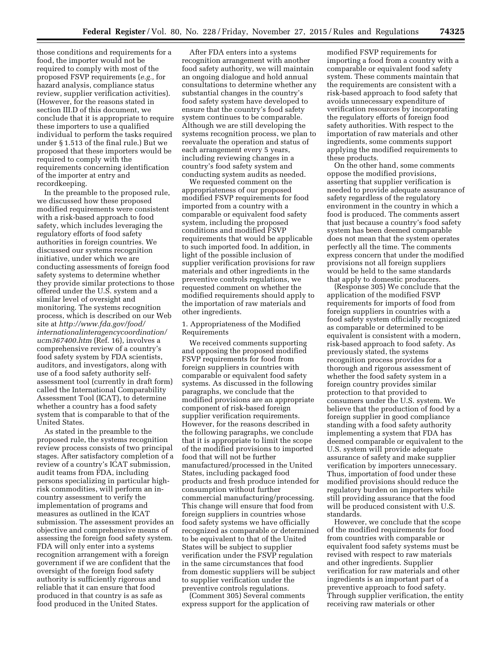those conditions and requirements for a food, the importer would not be required to comply with most of the proposed FSVP requirements (*e.g.,* for hazard analysis, compliance status review, supplier verification activities). (However, for the reasons stated in section III.D of this document, we conclude that it is appropriate to require these importers to use a qualified individual to perform the tasks required under § 1.513 of the final rule.) But we proposed that these importers would be required to comply with the requirements concerning identification of the importer at entry and recordkeeping.

In the preamble to the proposed rule, we discussed how these proposed modified requirements were consistent with a risk-based approach to food safety, which includes leveraging the regulatory efforts of food safety authorities in foreign countries. We discussed our systems recognition initiative, under which we are conducting assessments of foreign food safety systems to determine whether they provide similar protections to those offered under the U.S. system and a similar level of oversight and monitoring. The systems recognition process, which is described on our Web site at *[http://www.fda.gov/food/](http://www.fda.gov/food/internationalinteragencycoordination/ucm367400.htm) [internationalinteragencycoordination/](http://www.fda.gov/food/internationalinteragencycoordination/ucm367400.htm) [ucm367400.htm](http://www.fda.gov/food/internationalinteragencycoordination/ucm367400.htm)* (Ref. 16), involves a comprehensive review of a country's food safety system by FDA scientists, auditors, and investigators, along with use of a food safety authority selfassessment tool (currently in draft form) called the International Comparability Assessment Tool (ICAT), to determine whether a country has a food safety system that is comparable to that of the United States.

As stated in the preamble to the proposed rule, the systems recognition review process consists of two principal stages. After satisfactory completion of a review of a country's ICAT submission, audit teams from FDA, including persons specializing in particular highrisk commodities, will perform an incountry assessment to verify the implementation of programs and measures as outlined in the ICAT submission. The assessment provides an objective and comprehensive means of assessing the foreign food safety system. FDA will only enter into a systems recognition arrangement with a foreign government if we are confident that the oversight of the foreign food safety authority is sufficiently rigorous and reliable that it can ensure that food produced in that country is as safe as food produced in the United States.

After FDA enters into a systems recognition arrangement with another food safety authority, we will maintain an ongoing dialogue and hold annual consultations to determine whether any substantial changes in the country's food safety system have developed to ensure that the country's food safety system continues to be comparable. Although we are still developing the systems recognition process, we plan to reevaluate the operation and status of each arrangement every 5 years, including reviewing changes in a country's food safety system and conducting system audits as needed.

We requested comment on the appropriateness of our proposed modified FSVP requirements for food imported from a country with a comparable or equivalent food safety system, including the proposed conditions and modified FSVP requirements that would be applicable to such imported food. In addition, in light of the possible inclusion of supplier verification provisions for raw materials and other ingredients in the preventive controls regulations, we requested comment on whether the modified requirements should apply to the importation of raw materials and other ingredients.

# 1. Appropriateness of the Modified Requirements

We received comments supporting and opposing the proposed modified FSVP requirements for food from foreign suppliers in countries with comparable or equivalent food safety systems. As discussed in the following paragraphs, we conclude that the modified provisions are an appropriate component of risk-based foreign supplier verification requirements. However, for the reasons described in the following paragraphs, we conclude that it is appropriate to limit the scope of the modified provisions to imported food that will not be further manufactured/processed in the United States, including packaged food products and fresh produce intended for consumption without further commercial manufacturing/processing. This change will ensure that food from foreign suppliers in countries whose food safety systems we have officially recognized as comparable or determined to be equivalent to that of the United States will be subject to supplier verification under the FSVP regulation in the same circumstances that food from domestic suppliers will be subject to supplier verification under the preventive controls regulations.

(Comment 305) Several comments express support for the application of

modified FSVP requirements for importing a food from a country with a comparable or equivalent food safety system. These comments maintain that the requirements are consistent with a risk-based approach to food safety that avoids unnecessary expenditure of verification resources by incorporating the regulatory efforts of foreign food safety authorities. With respect to the importation of raw materials and other ingredients, some comments support applying the modified requirements to these products.

On the other hand, some comments oppose the modified provisions, asserting that supplier verification is needed to provide adequate assurance of safety regardless of the regulatory environment in the country in which a food is produced. The comments assert that just because a country's food safety system has been deemed comparable does not mean that the system operates perfectly all the time. The comments express concern that under the modified provisions not all foreign suppliers would be held to the same standards that apply to domestic producers.

(Response 305) We conclude that the application of the modified FSVP requirements for imports of food from foreign suppliers in countries with a food safety system officially recognized as comparable or determined to be equivalent is consistent with a modern, risk-based approach to food safety. As previously stated, the systems recognition process provides for a thorough and rigorous assessment of whether the food safety system in a foreign country provides similar protection to that provided to consumers under the U.S. system. We believe that the production of food by a foreign supplier in good compliance standing with a food safety authority implementing a system that FDA has deemed comparable or equivalent to the U.S. system will provide adequate assurance of safety and make supplier verification by importers unnecessary. Thus, importation of food under these modified provisions should reduce the regulatory burden on importers while still providing assurance that the food will be produced consistent with U.S. standards.

However, we conclude that the scope of the modified requirements for food from countries with comparable or equivalent food safety systems must be revised with respect to raw materials and other ingredients. Supplier verification for raw materials and other ingredients is an important part of a preventive approach to food safety. Through supplier verification, the entity receiving raw materials or other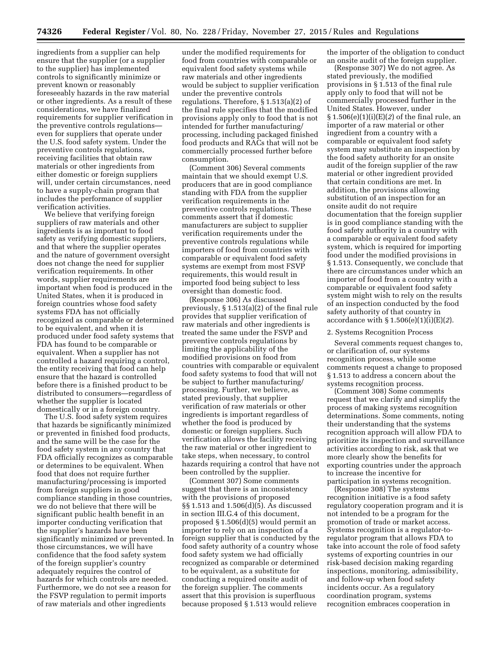ingredients from a supplier can help ensure that the supplier (or a supplier to the supplier) has implemented controls to significantly minimize or prevent known or reasonably foreseeably hazards in the raw material or other ingredients. As a result of these considerations, we have finalized requirements for supplier verification in the preventive controls regulations even for suppliers that operate under the U.S. food safety system. Under the preventive controls regulations, receiving facilities that obtain raw materials or other ingredients from either domestic or foreign suppliers will, under certain circumstances, need to have a supply-chain program that includes the performance of supplier verification activities.

We believe that verifying foreign suppliers of raw materials and other ingredients is as important to food safety as verifying domestic suppliers, and that where the supplier operates and the nature of government oversight does not change the need for supplier verification requirements. In other words, supplier requirements are important when food is produced in the United States, when it is produced in foreign countries whose food safety systems FDA has not officially recognized as comparable or determined to be equivalent, and when it is produced under food safety systems that FDA has found to be comparable or equivalent. When a supplier has not controlled a hazard requiring a control, the entity receiving that food can help ensure that the hazard is controlled before there is a finished product to be distributed to consumers—regardless of whether the supplier is located domestically or in a foreign country.

The U.S. food safety system requires that hazards be significantly minimized or prevented in finished food products, and the same will be the case for the food safety system in any country that FDA officially recognizes as comparable or determines to be equivalent. When food that does not require further manufacturing/processing is imported from foreign suppliers in good compliance standing in those countries, we do not believe that there will be significant public health benefit in an importer conducting verification that the supplier's hazards have been significantly minimized or prevented. In those circumstances, we will have confidence that the food safety system of the foreign supplier's country adequately requires the control of hazards for which controls are needed. Furthermore, we do not see a reason for the FSVP regulation to permit imports of raw materials and other ingredients

under the modified requirements for food from countries with comparable or equivalent food safety systems while raw materials and other ingredients would be subject to supplier verification under the preventive controls regulations. Therefore, § 1.513(a)(2) of the final rule specifies that the modified provisions apply only to food that is not intended for further manufacturing/ processing, including packaged finished food products and RACs that will not be commercially processed further before consumption.

(Comment 306) Several comments maintain that we should exempt U.S. producers that are in good compliance standing with FDA from the supplier verification requirements in the preventive controls regulations. These comments assert that if domestic manufacturers are subject to supplier verification requirements under the preventive controls regulations while importers of food from countries with comparable or equivalent food safety systems are exempt from most FSVP requirements, this would result in imported food being subject to less oversight than domestic food.

(Response 306) As discussed previously, § 1.513(a)(2) of the final rule provides that supplier verification of raw materials and other ingredients is treated the same under the FSVP and preventive controls regulations by limiting the applicability of the modified provisions on food from countries with comparable or equivalent food safety systems to food that will not be subject to further manufacturing/ processing. Further, we believe, as stated previously, that supplier verification of raw materials or other ingredients is important regardless of whether the food is produced by domestic or foreign suppliers. Such verification allows the facility receiving the raw material or other ingredient to take steps, when necessary, to control hazards requiring a control that have not been controlled by the supplier.

(Comment 307) Some comments suggest that there is an inconsistency with the provisions of proposed §§ 1.513 and 1.506(d)(5). As discussed in section III.G.4 of this document, proposed § 1.506(d)(5) would permit an importer to rely on an inspection of a foreign supplier that is conducted by the food safety authority of a country whose food safety system we had officially recognized as comparable or determined to be equivalent, as a substitute for conducting a required onsite audit of the foreign supplier. The comments assert that this provision is superfluous because proposed § 1.513 would relieve

the importer of the obligation to conduct an onsite audit of the foreign supplier.

(Response 307) We do not agree. As stated previously, the modified provisions in § 1.513 of the final rule apply only to food that will not be commercially processed further in the United States. However, under § 1.506(e)(1)(i)(E)(*2*) of the final rule, an importer of a raw material or other ingredient from a country with a comparable or equivalent food safety system may substitute an inspection by the food safety authority for an onsite audit of the foreign supplier of the raw material or other ingredient provided that certain conditions are met. In addition, the provisions allowing substitution of an inspection for an onsite audit do not require documentation that the foreign supplier is in good compliance standing with the food safety authority in a country with a comparable or equivalent food safety system, which is required for importing food under the modified provisions in § 1.513. Consequently, we conclude that there are circumstances under which an importer of food from a country with a comparable or equivalent food safety system might wish to rely on the results of an inspection conducted by the food safety authority of that country in accordance with § 1.506(e)(1)(i)(E)(*2*).

## 2. Systems Recognition Process

Several comments request changes to, or clarification of, our systems recognition process, while some comments request a change to proposed § 1.513 to address a concern about the systems recognition process.

(Comment 308) Some comments request that we clarify and simplify the process of making systems recognition determinations. Some comments, noting their understanding that the systems recognition approach will allow FDA to prioritize its inspection and surveillance activities according to risk, ask that we more clearly show the benefits for exporting countries under the approach to increase the incentive for participation in systems recognition.

(Response 308) The systems recognition initiative is a food safety regulatory cooperation program and it is not intended to be a program for the promotion of trade or market access. Systems recognition is a regulator-toregulator program that allows FDA to take into account the role of food safety systems of exporting countries in our risk-based decision making regarding inspections, monitoring, admissibility, and follow-up when food safety incidents occur. As a regulatory coordination program, systems recognition embraces cooperation in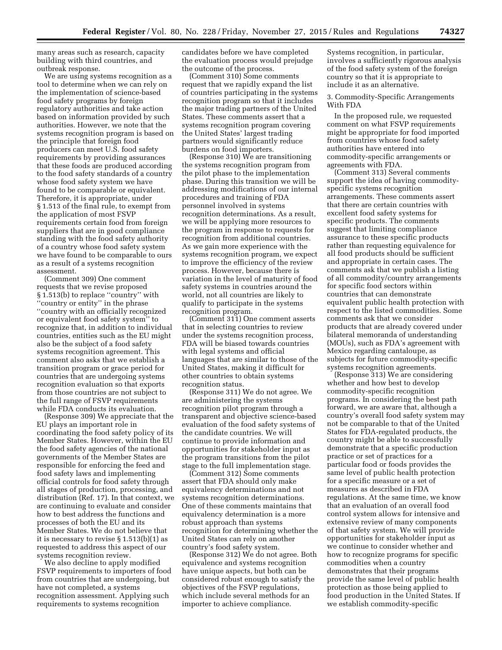many areas such as research, capacity building with third countries, and outbreak response.

We are using systems recognition as a tool to determine when we can rely on the implementation of science-based food safety programs by foreign regulatory authorities and take action based on information provided by such authorities. However, we note that the systems recognition program is based on the principle that foreign food producers can meet U.S. food safety requirements by providing assurances that these foods are produced according to the food safety standards of a country whose food safety system we have found to be comparable or equivalent. Therefore, it is appropriate, under § 1.513 of the final rule, to exempt from the application of most FSVP requirements certain food from foreign suppliers that are in good compliance standing with the food safety authority of a country whose food safety system we have found to be comparable to ours as a result of a systems recognition assessment.

(Comment 309) One comment requests that we revise proposed § 1.513(b) to replace ''country'' with ''country or entity'' in the phrase ''country with an officially recognized or equivalent food safety system'' to recognize that, in addition to individual countries, entities such as the EU might also be the subject of a food safety systems recognition agreement. This comment also asks that we establish a transition program or grace period for countries that are undergoing systems recognition evaluation so that exports from those countries are not subject to the full range of FSVP requirements while FDA conducts its evaluation.

(Response 309) We appreciate that the EU plays an important role in coordinating the food safety policy of its Member States. However, within the EU the food safety agencies of the national governments of the Member States are responsible for enforcing the feed and food safety laws and implementing official controls for food safety through all stages of production, processing, and distribution (Ref. 17). In that context, we are continuing to evaluate and consider how to best address the functions and processes of both the EU and its Member States. We do not believe that it is necessary to revise § 1.513(b)(1) as requested to address this aspect of our systems recognition review.

We also decline to apply modified FSVP requirements to importers of food from countries that are undergoing, but have not completed, a systems recognition assessment. Applying such requirements to systems recognition

candidates before we have completed the evaluation process would prejudge the outcome of the process.

(Comment 310) Some comments request that we rapidly expand the list of countries participating in the systems recognition program so that it includes the major trading partners of the United States. These comments assert that a systems recognition program covering the United States' largest trading partners would significantly reduce burdens on food importers.

(Response 310) We are transitioning the systems recognition program from the pilot phase to the implementation phase. During this transition we will be addressing modifications of our internal procedures and training of FDA personnel involved in systems recognition determinations. As a result, we will be applying more resources to the program in response to requests for recognition from additional countries. As we gain more experience with the systems recognition program, we expect to improve the efficiency of the review process. However, because there is variation in the level of maturity of food safety systems in countries around the world, not all countries are likely to qualify to participate in the systems recognition program.

(Comment 311) One comment asserts that in selecting countries to review under the systems recognition process, FDA will be biased towards countries with legal systems and official languages that are similar to those of the United States, making it difficult for other countries to obtain systems recognition status.

(Response 311) We do not agree. We are administering the systems recognition pilot program through a transparent and objective science-based evaluation of the food safety systems of the candidate countries. We will continue to provide information and opportunities for stakeholder input as the program transitions from the pilot stage to the full implementation stage.

(Comment 312) Some comments assert that FDA should only make equivalency determinations and not systems recognition determinations. One of these comments maintains that equivalency determination is a more robust approach than systems recognition for determining whether the United States can rely on another country's food safety system.

(Response 312) We do not agree. Both equivalence and systems recognition have unique aspects, but both can be considered robust enough to satisfy the objectives of the FSVP regulations, which include several methods for an importer to achieve compliance.

Systems recognition, in particular, involves a sufficiently rigorous analysis of the food safety system of the foreign country so that it is appropriate to include it as an alternative.

3. Commodity-Specific Arrangements With FDA

In the proposed rule, we requested comment on what FSVP requirements might be appropriate for food imported from countries whose food safety authorities have entered into commodity-specific arrangements or agreements with FDA.

(Comment 313) Several comments support the idea of having commodityspecific systems recognition arrangements. These comments assert that there are certain countries with excellent food safety systems for specific products. The comments suggest that limiting compliance assurance to these specific products rather than requesting equivalence for all food products should be sufficient and appropriate in certain cases. The comments ask that we publish a listing of all commodity/country arrangements for specific food sectors within countries that can demonstrate equivalent public health protection with respect to the listed commodities. Some comments ask that we consider products that are already covered under bilateral memoranda of understanding (MOUs), such as FDA's agreement with Mexico regarding cantaloupe, as subjects for future commodity-specific systems recognition agreements.

(Response 313) We are considering whether and how best to develop commodity-specific recognition programs. In considering the best path forward, we are aware that, although a country's overall food safety system may not be comparable to that of the United States for FDA-regulated products, the country might be able to successfully demonstrate that a specific production practice or set of practices for a particular food or foods provides the same level of public health protection for a specific measure or a set of measures as described in FDA regulations. At the same time, we know that an evaluation of an overall food control system allows for intensive and extensive review of many components of that safety system. We will provide opportunities for stakeholder input as we continue to consider whether and how to recognize programs for specific commodities when a country demonstrates that their programs provide the same level of public health protection as those being applied to food production in the United States. If we establish commodity-specific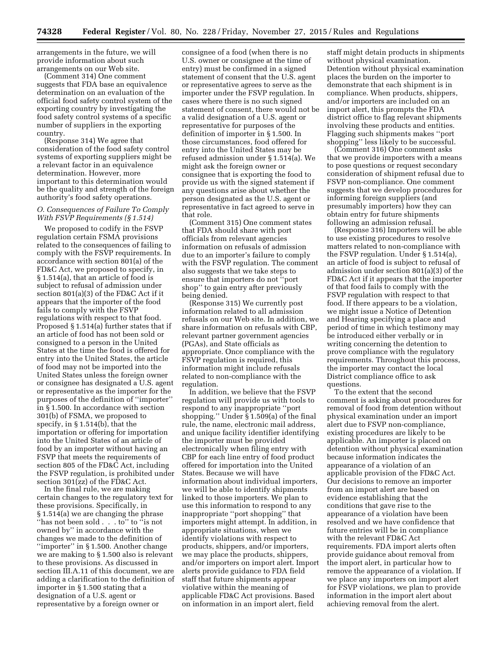arrangements in the future, we will provide information about such arrangements on our Web site.

(Comment 314) One comment suggests that FDA base an equivalence determination on an evaluation of the official food safety control system of the exporting country by investigating the food safety control systems of a specific number of suppliers in the exporting country.

(Response 314) We agree that consideration of the food safety control systems of exporting suppliers might be a relevant factor in an equivalence determination. However, more important to this determination would be the quality and strength of the foreign authority's food safety operations.

## *O. Consequences of Failure To Comply With FSVP Requirements (§ 1.514)*

We proposed to codify in the FSVP regulation certain FSMA provisions related to the consequences of failing to comply with the FSVP requirements. In accordance with section 801(a) of the FD&C Act, we proposed to specify, in § 1.514(a), that an article of food is subject to refusal of admission under section 801(a)(3) of the FD&C Act if it appears that the importer of the food fails to comply with the FSVP regulations with respect to that food. Proposed § 1.514(a) further states that if an article of food has not been sold or consigned to a person in the United States at the time the food is offered for entry into the United States, the article of food may not be imported into the United States unless the foreign owner or consignee has designated a U.S. agent or representative as the importer for the purposes of the definition of ''importer'' in § 1.500. In accordance with section 301(b) of FSMA, we proposed to specify, in § 1.514(b), that the importation or offering for importation into the United States of an article of food by an importer without having an FSVP that meets the requirements of section 805 of the FD&C Act, including the FSVP regulation, is prohibited under section  $301$ ( $zz$ ) of the FD&C Act.

In the final rule, we are making certain changes to the regulatory text for these provisions. Specifically, in § 1.514(a) we are changing the phrase ''has not been sold . . . to'' to ''is not owned by'' in accordance with the changes we made to the definition of ''importer'' in § 1.500. Another change we are making to § 1.500 also is relevant to these provisions. As discussed in section III.A.11 of this document, we are adding a clarification to the definition of importer in § 1.500 stating that a designation of a U.S. agent or representative by a foreign owner or

consignee of a food (when there is no U.S. owner or consignee at the time of entry) must be confirmed in a signed statement of consent that the U.S. agent or representative agrees to serve as the importer under the FSVP regulation. In cases where there is no such signed statement of consent, there would not be a valid designation of a U.S. agent or representative for purposes of the definition of importer in § 1.500. In those circumstances, food offered for entry into the United States may be refused admission under § 1.514(a). We might ask the foreign owner or consignee that is exporting the food to provide us with the signed statement if any questions arise about whether the person designated as the U.S. agent or representative in fact agreed to serve in that role.

(Comment 315) One comment states that FDA should share with port officials from relevant agencies information on refusals of admission due to an importer's failure to comply with the FSVP regulation. The comment also suggests that we take steps to ensure that importers do not ''port shop'' to gain entry after previously being denied.

(Response 315) We currently post information related to all admission refusals on our Web site. In addition, we share information on refusals with CBP, relevant partner government agencies (PGAs), and State officials as appropriate. Once compliance with the FSVP regulation is required, this information might include refusals related to non-compliance with the regulation.

In addition, we believe that the FSVP regulation will provide us with tools to respond to any inappropriate ''port shopping.'' Under § 1.509(a) of the final rule, the name, electronic mail address, and unique facility identifier identifying the importer must be provided electronically when filing entry with CBP for each line entry of food product offered for importation into the United States. Because we will have information about individual importers, we will be able to identify shipments linked to those importers. We plan to use this information to respond to any inappropriate ''port shopping'' that importers might attempt. In addition, in appropriate situations, when we identify violations with respect to products, shippers, and/or importers, we may place the products, shippers, and/or importers on import alert. Import alerts provide guidance to FDA field staff that future shipments appear violative within the meaning of applicable FD&C Act provisions. Based on information in an import alert, field

staff might detain products in shipments without physical examination. Detention without physical examination places the burden on the importer to demonstrate that each shipment is in compliance. When products, shippers, and/or importers are included on an import alert, this prompts the FDA district office to flag relevant shipments involving these products and entities. Flagging such shipments makes ''port shopping'' less likely to be successful.

(Comment 316) One comment asks that we provide importers with a means to pose questions or request secondary consideration of shipment refusal due to FSVP non-compliance. One comment suggests that we develop procedures for informing foreign suppliers (and presumably importers) how they can obtain entry for future shipments following an admission refusal.

(Response 316) Importers will be able to use existing procedures to resolve matters related to non-compliance with the FSVP regulation. Under § 1.514(a), an article of food is subject to refusal of admission under section 801(a)(3) of the FD&C Act if it appears that the importer of that food fails to comply with the FSVP regulation with respect to that food. If there appears to be a violation, we might issue a Notice of Detention and Hearing specifying a place and period of time in which testimony may be introduced either verbally or in writing concerning the detention to prove compliance with the regulatory requirements. Throughout this process, the importer may contact the local District compliance office to ask questions.

To the extent that the second comment is asking about procedures for removal of food from detention without physical examination under an import alert due to FSVP non-compliance, existing procedures are likely to be applicable. An importer is placed on detention without physical examination because information indicates the appearance of a violation of an applicable provision of the FD&C Act. Our decisions to remove an importer from an import alert are based on evidence establishing that the conditions that gave rise to the appearance of a violation have been resolved and we have confidence that future entries will be in compliance with the relevant FD&C Act requirements. FDA import alerts often provide guidance about removal from the import alert, in particular how to remove the appearance of a violation. If we place any importers on import alert for FSVP violations, we plan to provide information in the import alert about achieving removal from the alert.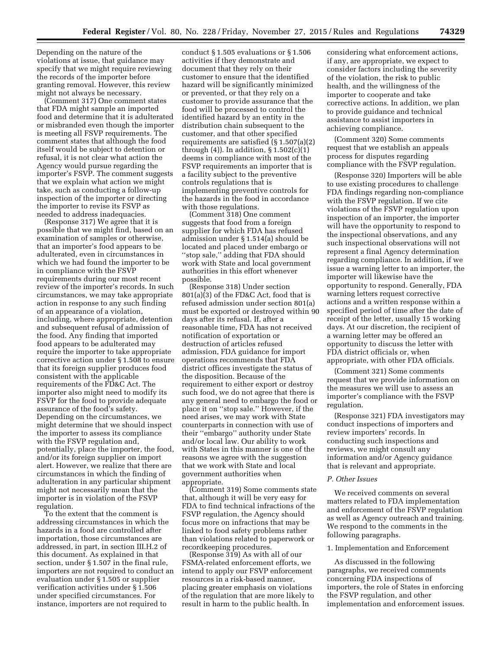Depending on the nature of the violations at issue, that guidance may specify that we might require reviewing the records of the importer before granting removal. However, this review might not always be necessary.

(Comment 317) One comment states that FDA might sample an imported food and determine that it is adulterated or misbranded even though the importer is meeting all FSVP requirements. The comment states that although the food itself would be subject to detention or refusal, it is not clear what action the Agency would pursue regarding the importer's FSVP. The comment suggests that we explain what action we might take, such as conducting a follow-up inspection of the importer or directing the importer to revise its FSVP as needed to address inadequacies.

(Response 317) We agree that it is possible that we might find, based on an examination of samples or otherwise, that an importer's food appears to be adulterated, even in circumstances in which we had found the importer to be in compliance with the FSVP requirements during our most recent review of the importer's records. In such circumstances, we may take appropriate action in response to any such finding of an appearance of a violation, including, where appropriate, detention and subsequent refusal of admission of the food. Any finding that imported food appears to be adulterated may require the importer to take appropriate corrective action under § 1.508 to ensure that its foreign supplier produces food consistent with the applicable requirements of the FD&C Act. The importer also might need to modify its FSVP for the food to provide adequate assurance of the food's safety. Depending on the circumstances, we might determine that we should inspect the importer to assess its compliance with the FSVP regulation and, potentially, place the importer, the food, and/or its foreign supplier on import alert. However, we realize that there are circumstances in which the finding of adulteration in any particular shipment might not necessarily mean that the importer is in violation of the FSVP regulation.

To the extent that the comment is addressing circumstances in which the hazards in a food are controlled after importation, those circumstances are addressed, in part, in section III.H.2 of this document. As explained in that section, under § 1.507 in the final rule, importers are not required to conduct an evaluation under § 1.505 or supplier verification activities under § 1.506 under specified circumstances. For instance, importers are not required to

conduct § 1.505 evaluations or § 1.506 activities if they demonstrate and document that they rely on their customer to ensure that the identified hazard will be significantly minimized or prevented, or that they rely on a customer to provide assurance that the food will be processed to control the identified hazard by an entity in the distribution chain subsequent to the customer, and that other specified requirements are satisfied (§ 1.507(a)(2) through  $(4)$ ). In addition,  $\S 1.502(c)(1)$ deems in compliance with most of the FSVP requirements an importer that is a facility subject to the preventive controls regulations that is implementing preventive controls for the hazards in the food in accordance with those regulations.

(Comment 318) One comment suggests that food from a foreign supplier for which FDA has refused admission under § 1.514(a) should be located and placed under embargo or ''stop sale,'' adding that FDA should work with State and local government authorities in this effort whenever possible.

(Response 318) Under section 801(a)(3) of the FD&C Act, food that is refused admission under section 801(a) must be exported or destroyed within 90 days after its refusal. If, after a reasonable time, FDA has not received notification of exportation or destruction of articles refused admission, FDA guidance for import operations recommends that FDA district offices investigate the status of the disposition. Because of the requirement to either export or destroy such food, we do not agree that there is any general need to embargo the food or place it on ''stop sale.'' However, if the need arises, we may work with State counterparts in connection with use of their ''embargo'' authority under State and/or local law. Our ability to work with States in this manner is one of the reasons we agree with the suggestion that we work with State and local government authorities when appropriate.

(Comment 319) Some comments state that, although it will be very easy for FDA to find technical infractions of the FSVP regulation, the Agency should focus more on infractions that may be linked to food safety problems rather than violations related to paperwork or recordkeeping procedures.

(Response 319) As with all of our FSMA-related enforcement efforts, we intend to apply our FSVP enforcement resources in a risk-based manner, placing greater emphasis on violations of the regulation that are more likely to result in harm to the public health. In

considering what enforcement actions, if any, are appropriate, we expect to consider factors including the severity of the violation, the risk to public health, and the willingness of the importer to cooperate and take corrective actions. In addition, we plan to provide guidance and technical assistance to assist importers in achieving compliance.

(Comment 320) Some comments request that we establish an appeals process for disputes regarding compliance with the FSVP regulation.

(Response 320) Importers will be able to use existing procedures to challenge FDA findings regarding non-compliance with the FSVP regulation. If we cite violations of the FSVP regulation upon inspection of an importer, the importer will have the opportunity to respond to the inspectional observations, and any such inspectional observations will not represent a final Agency determination regarding compliance. In addition, if we issue a warning letter to an importer, the importer will likewise have the opportunity to respond. Generally, FDA warning letters request corrective actions and a written response within a specified period of time after the date of receipt of the letter, usually 15 working days. At our discretion, the recipient of a warning letter may be offered an opportunity to discuss the letter with FDA district officials or, when appropriate, with other FDA officials.

(Comment 321) Some comments request that we provide information on the measures we will use to assess an importer's compliance with the FSVP regulation.

(Response 321) FDA investigators may conduct inspections of importers and review importers' records. In conducting such inspections and reviews, we might consult any information and/or Agency guidance that is relevant and appropriate.

# *P. Other Issues*

We received comments on several matters related to FDA implementation and enforcement of the FSVP regulation as well as Agency outreach and training. We respond to the comments in the following paragraphs.

### 1. Implementation and Enforcement

As discussed in the following paragraphs, we received comments concerning FDA inspections of importers, the role of States in enforcing the FSVP regulation, and other implementation and enforcement issues.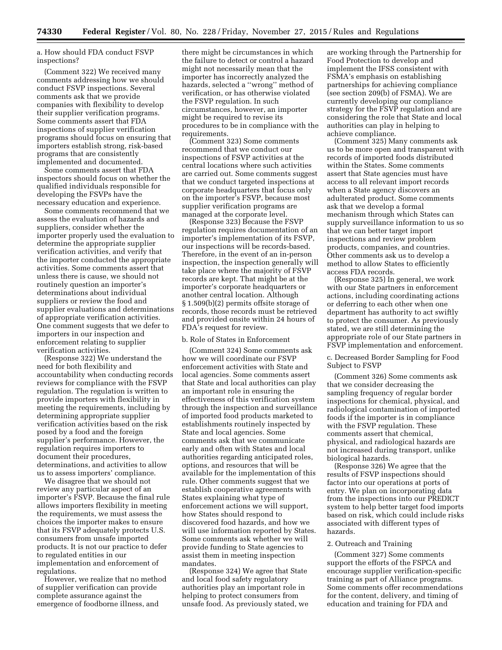a. How should FDA conduct FSVP inspections?

(Comment 322) We received many comments addressing how we should conduct FSVP inspections. Several comments ask that we provide companies with flexibility to develop their supplier verification programs. Some comments assert that FDA inspections of supplier verification programs should focus on ensuring that importers establish strong, risk-based programs that are consistently implemented and documented.

Some comments assert that FDA inspectors should focus on whether the qualified individuals responsible for developing the FSVPs have the necessary education and experience.

Some comments recommend that we assess the evaluation of hazards and suppliers, consider whether the importer properly used the evaluation to determine the appropriate supplier verification activities, and verify that the importer conducted the appropriate activities. Some comments assert that unless there is cause, we should not routinely question an importer's determinations about individual suppliers or review the food and supplier evaluations and determinations of appropriate verification activities. One comment suggests that we defer to importers in our inspection and enforcement relating to supplier verification activities.

(Response 322) We understand the need for both flexibility and accountability when conducting records reviews for compliance with the FSVP regulation. The regulation is written to provide importers with flexibility in meeting the requirements, including by determining appropriate supplier verification activities based on the risk posed by a food and the foreign supplier's performance. However, the regulation requires importers to document their procedures, determinations, and activities to allow us to assess importers' compliance.

We disagree that we should not review any particular aspect of an importer's FSVP. Because the final rule allows importers flexibility in meeting the requirements, we must assess the choices the importer makes to ensure that its FSVP adequately protects U.S. consumers from unsafe imported products. It is not our practice to defer to regulated entities in our implementation and enforcement of regulations.

However, we realize that no method of supplier verification can provide complete assurance against the emergence of foodborne illness, and

there might be circumstances in which the failure to detect or control a hazard might not necessarily mean that the importer has incorrectly analyzed the hazards, selected a ''wrong'' method of verification, or has otherwise violated the FSVP regulation. In such circumstances, however, an importer might be required to revise its procedures to be in compliance with the requirements.

(Comment 323) Some comments recommend that we conduct our inspections of FSVP activities at the central locations where such activities are carried out. Some comments suggest that we conduct targeted inspections at corporate headquarters that focus only on the importer's FSVP, because most supplier verification programs are managed at the corporate level.

(Response 323) Because the FSVP regulation requires documentation of an importer's implementation of its FSVP, our inspections will be records-based. Therefore, in the event of an in-person inspection, the inspection generally will take place where the majority of FSVP records are kept. That might be at the importer's corporate headquarters or another central location. Although § 1.509(b)(2) permits offsite storage of records, those records must be retrieved and provided onsite within 24 hours of FDA's request for review.

### b. Role of States in Enforcement

(Comment 324) Some comments ask how we will coordinate our FSVP enforcement activities with State and local agencies. Some comments assert that State and local authorities can play an important role in ensuring the effectiveness of this verification system through the inspection and surveillance of imported food products marketed to establishments routinely inspected by State and local agencies. Some comments ask that we communicate early and often with States and local authorities regarding anticipated roles, options, and resources that will be available for the implementation of this rule. Other comments suggest that we establish cooperative agreements with States explaining what type of enforcement actions we will support, how States should respond to discovered food hazards, and how we will use information reported by States. Some comments ask whether we will provide funding to State agencies to assist them in meeting inspection mandates.

(Response 324) We agree that State and local food safety regulatory authorities play an important role in helping to protect consumers from unsafe food. As previously stated, we are working through the Partnership for Food Protection to develop and implement the IFSS consistent with FSMA's emphasis on establishing partnerships for achieving compliance (see section 209(b) of FSMA). We are currently developing our compliance strategy for the FSVP regulation and are considering the role that State and local authorities can play in helping to achieve compliance.

(Comment 325) Many comments ask us to be more open and transparent with records of imported foods distributed within the States. Some comments assert that State agencies must have access to all relevant import records when a State agency discovers an adulterated product. Some comments ask that we develop a formal mechanism through which States can supply surveillance information to us so that we can better target import inspections and review problem products, companies, and countries. Other comments ask us to develop a method to allow States to efficiently access FDA records.

(Response 325) In general, we work with our State partners in enforcement actions, including coordinating actions or deferring to each other when one department has authority to act swiftly to protect the consumer. As previously stated, we are still determining the appropriate role of our State partners in FSVP implementation and enforcement.

c. Decreased Border Sampling for Food Subject to FSVP

(Comment 326) Some comments ask that we consider decreasing the sampling frequency of regular border inspections for chemical, physical, and radiological contamination of imported foods if the importer is in compliance with the FSVP regulation. These comments assert that chemical, physical, and radiological hazards are not increased during transport, unlike biological hazards.

(Response 326) We agree that the results of FSVP inspections should factor into our operations at ports of entry. We plan on incorporating data from the inspections into our PREDICT system to help better target food imports based on risk, which could include risks associated with different types of hazards.

### 2. Outreach and Training

(Comment 327) Some comments support the efforts of the FSPCA and encourage supplier verification-specific training as part of Alliance programs. Some comments offer recommendations for the content, delivery, and timing of education and training for FDA and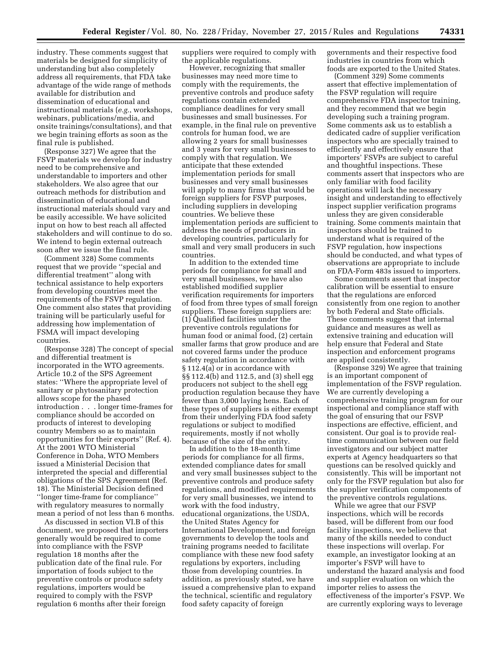industry. These comments suggest that materials be designed for simplicity of understanding but also completely address all requirements, that FDA take advantage of the wide range of methods available for distribution and dissemination of educational and instructional materials (*e.g.*, workshops, webinars, publications/media, and onsite trainings/consultations), and that we begin training efforts as soon as the final rule is published.

(Response 327) We agree that the FSVP materials we develop for industry need to be comprehensive and understandable to importers and other stakeholders. We also agree that our outreach methods for distribution and dissemination of educational and instructional materials should vary and be easily accessible. We have solicited input on how to best reach all affected stakeholders and will continue to do so. We intend to begin external outreach soon after we issue the final rule.

(Comment 328) Some comments request that we provide ''special and differential treatment'' along with technical assistance to help exporters from developing countries meet the requirements of the FSVP regulation. One comment also states that providing training will be particularly useful for addressing how implementation of FSMA will impact developing countries.

(Response 328) The concept of special and differential treatment is incorporated in the WTO agreements. Article 10.2 of the SPS Agreement states: ''Where the appropriate level of sanitary or phytosanitary protection allows scope for the phased introduction . . . longer time-frames for compliance should be accorded on products of interest to developing country Members so as to maintain opportunities for their exports'' (Ref. 4). At the 2001 WTO Ministerial Conference in Doha, WTO Members issued a Ministerial Decision that interpreted the special and differential obligations of the SPS Agreement (Ref. 18). The Ministerial Decision defined ''longer time-frame for compliance'' with regulatory measures to normally mean a period of not less than 6 months.

As discussed in section VI.B of this document, we proposed that importers generally would be required to come into compliance with the FSVP regulation 18 months after the publication date of the final rule. For importation of foods subject to the preventive controls or produce safety regulations, importers would be required to comply with the FSVP regulation 6 months after their foreign

suppliers were required to comply with the applicable regulations.

However, recognizing that smaller businesses may need more time to comply with the requirements, the preventive controls and produce safety regulations contain extended compliance deadlines for very small businesses and small businesses. For example, in the final rule on preventive controls for human food, we are allowing 2 years for small businesses and 3 years for very small businesses to comply with that regulation. We anticipate that these extended implementation periods for small businesses and very small businesses will apply to many firms that would be foreign suppliers for FSVP purposes, including suppliers in developing countries. We believe these implementation periods are sufficient to address the needs of producers in developing countries, particularly for small and very small producers in such countries.

In addition to the extended time periods for compliance for small and very small businesses, we have also established modified supplier verification requirements for importers of food from three types of small foreign suppliers. These foreign suppliers are: (1) Qualified facilities under the preventive controls regulations for human food or animal food, (2) certain smaller farms that grow produce and are not covered farms under the produce safety regulation in accordance with § 112.4(a) or in accordance with §§ 112.4(b) and 112.5, and (3) shell egg producers not subject to the shell egg production regulation because they have fewer than 3,000 laying hens. Each of these types of suppliers is either exempt from their underlying FDA food safety regulations or subject to modified requirements, mostly if not wholly because of the size of the entity.

In addition to the 18-month time periods for compliance for all firms, extended compliance dates for small and very small businesses subject to the preventive controls and produce safety regulations, and modified requirements for very small businesses, we intend to work with the food industry, educational organizations, the USDA, the United States Agency for International Development, and foreign governments to develop the tools and training programs needed to facilitate compliance with these new food safety regulations by exporters, including those from developing countries. In addition, as previously stated, we have issued a comprehensive plan to expand the technical, scientific and regulatory food safety capacity of foreign

governments and their respective food industries in countries from which foods are exported to the United States.

(Comment 329) Some comments assert that effective implementation of the FSVP regulation will require comprehensive FDA inspector training, and they recommend that we begin developing such a training program. Some comments ask us to establish a dedicated cadre of supplier verification inspectors who are specially trained to efficiently and effectively ensure that importers' FSVPs are subject to careful and thoughtful inspections. These comments assert that inspectors who are only familiar with food facility operations will lack the necessary insight and understanding to effectively inspect supplier verification programs unless they are given considerable training. Some comments maintain that inspectors should be trained to understand what is required of the FSVP regulation, how inspections should be conducted, and what types of observations are appropriate to include on FDA-Form 483s issued to importers.

Some comments assert that inspector calibration will be essential to ensure that the regulations are enforced consistently from one region to another by both Federal and State officials. These comments suggest that internal guidance and measures as well as extensive training and education will help ensure that Federal and State inspection and enforcement programs are applied consistently.

(Response 329) We agree that training is an important component of implementation of the FSVP regulation. We are currently developing a comprehensive training program for our inspectional and compliance staff with the goal of ensuring that our FSVP inspections are effective, efficient, and consistent. Our goal is to provide realtime communication between our field investigators and our subject matter experts at Agency headquarters so that questions can be resolved quickly and consistently. This will be important not only for the FSVP regulation but also for the supplier verification components of the preventive controls regulations.

While we agree that our FSVP inspections, which will be records based, will be different from our food facility inspections, we believe that many of the skills needed to conduct these inspections will overlap. For example, an investigator looking at an importer's FSVP will have to understand the hazard analysis and food and supplier evaluation on which the importer relies to assess the effectiveness of the importer's FSVP. We are currently exploring ways to leverage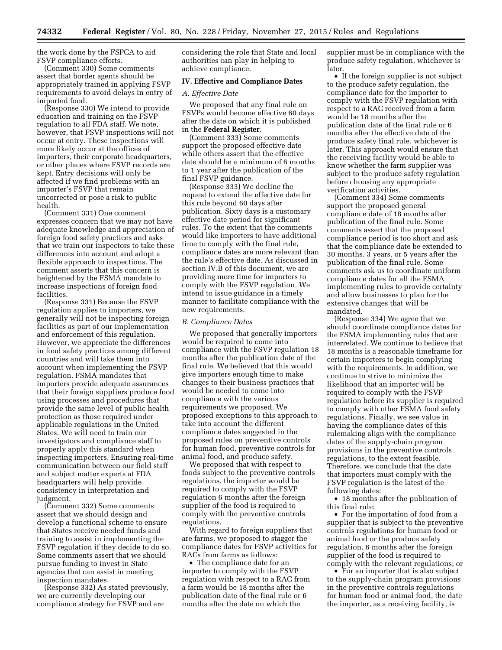the work done by the FSPCA to aid FSVP compliance efforts.

(Comment 330) Some comments assert that border agents should be appropriately trained in applying FSVP requirements to avoid delays in entry of imported food.

(Response 330) We intend to provide education and training on the FSVP regulation to all FDA staff. We note, however, that FSVP inspections will not occur at entry. These inspections will more likely occur at the offices of importers, their corporate headquarters, or other places where FSVP records are kept. Entry decisions will only be affected if we find problems with an importer's FSVP that remain uncorrected or pose a risk to public health.

(Comment 331) One comment expresses concern that we may not have adequate knowledge and appreciation of foreign food safety practices and asks that we train our inspectors to take these differences into account and adopt a flexible approach to inspections. The comment asserts that this concern is heightened by the FSMA mandate to increase inspections of foreign food facilities.

(Response 331) Because the FSVP regulation applies to importers, we generally will not be inspecting foreign facilities as part of our implementation and enforcement of this regulation. However, we appreciate the differences in food safety practices among different countries and will take them into account when implementing the FSVP regulation. FSMA mandates that importers provide adequate assurances that their foreign suppliers produce food using processes and procedures that provide the same level of public health protection as those required under applicable regulations in the United States. We will need to train our investigators and compliance staff to properly apply this standard when inspecting importers. Ensuring real-time communication between our field staff and subject matter experts at FDA headquarters will help provide consistency in interpretation and judgment.

(Comment 332) Some comments assert that we should design and develop a functional scheme to ensure that States receive needed funds and training to assist in implementing the FSVP regulation if they decide to do so. Some comments assert that we should pursue funding to invest in State agencies that can assist in meeting inspection mandates.

(Response 332) As stated previously, we are currently developing our compliance strategy for FSVP and are

considering the role that State and local authorities can play in helping to achieve compliance.

## **IV. Effective and Compliance Dates**

#### *A. Effective Date*

We proposed that any final rule on FSVPs would become effective 60 days after the date on which it is published in the **Federal Register**.

(Comment 333) Some comments support the proposed effective date while others assert that the effective date should be a minimum of 6 months to 1 year after the publication of the final FSVP guidance.

(Response 333) We decline the request to extend the effective date for this rule beyond 60 days after publication. Sixty days is a customary effective date period for significant rules. To the extent that the comments would like importers to have additional time to comply with the final rule, compliance dates are more relevant than the rule's effective date. As discussed in section IV.B of this document, we are providing more time for importers to comply with the FSVP regulation. We intend to issue guidance in a timely manner to facilitate compliance with the new requirements.

#### *B. Compliance Dates*

We proposed that generally importers would be required to come into compliance with the FSVP regulation 18 months after the publication date of the final rule. We believed that this would give importers enough time to make changes to their business practices that would be needed to come into compliance with the various requirements we proposed. We proposed exceptions to this approach to take into account the different compliance dates suggested in the proposed rules on preventive controls for human food, preventive controls for animal food, and produce safety.

We proposed that with respect to foods subject to the preventive controls regulations, the importer would be required to comply with the FSVP regulation 6 months after the foreign supplier of the food is required to comply with the preventive controls regulations.

With regard to foreign suppliers that are farms, we proposed to stagger the compliance dates for FSVP activities for RACs from farms as follows:

• The compliance date for an importer to comply with the FSVP regulation with respect to a RAC from a farm would be 18 months after the publication date of the final rule or 6 months after the date on which the

supplier must be in compliance with the produce safety regulation, whichever is later.

• If the foreign supplier is not subject to the produce safety regulation, the compliance date for the importer to comply with the FSVP regulation with respect to a RAC received from a farm would be 18 months after the publication date of the final rule or 6 months after the effective date of the produce safety final rule, whichever is later. This approach would ensure that the receiving facility would be able to know whether the farm supplier was subject to the produce safety regulation before choosing any appropriate verification activities.

(Comment 334) Some comments support the proposed general compliance date of 18 months after publication of the final rule. Some comments assert that the proposed compliance period is too short and ask that the compliance date be extended to 30 months, 3 years, or 5 years after the publication of the final rule. Some comments ask us to coordinate uniform compliance dates for all the FSMA implementing rules to provide certainty and allow businesses to plan for the extensive changes that will be mandated.

(Response 334) We agree that we should coordinate compliance dates for the FSMA implementing rules that are interrelated. We continue to believe that 18 months is a reasonable timeframe for certain importers to begin complying with the requirements. In addition, we continue to strive to minimize the likelihood that an importer will be required to comply with the FSVP regulation before its supplier is required to comply with other FSMA food safety regulations. Finally, we see value in having the compliance dates of this rulemaking align with the compliance dates of the supply-chain program provisions in the preventive controls regulations, to the extent feasible. Therefore, we conclude that the date that importers must comply with the FSVP regulation is the latest of the following dates:

• 18 months after the publication of this final rule;

• For the importation of food from a supplier that is subject to the preventive controls regulations for human food or animal food or the produce safety regulation, 6 months after the foreign supplier of the food is required to comply with the relevant regulations; or

• For an importer that is also subject to the supply-chain program provisions in the preventive controls regulations for human food or animal food, the date the importer, as a receiving facility, is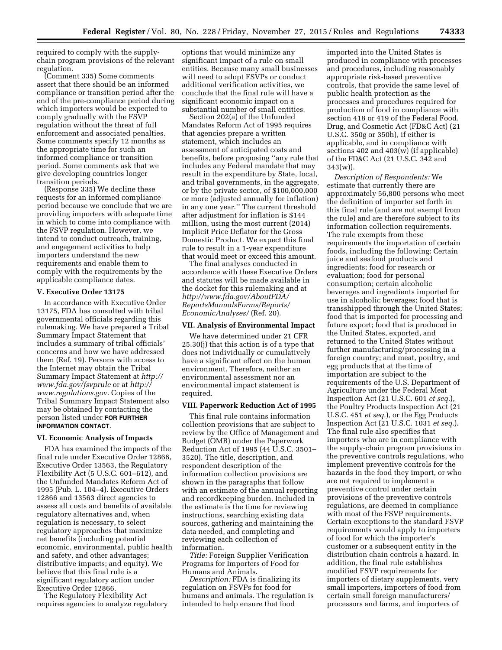required to comply with the supplychain program provisions of the relevant regulation.

(Comment 335) Some comments assert that there should be an informed compliance or transition period after the end of the pre-compliance period during which importers would be expected to comply gradually with the FSVP regulation without the threat of full enforcement and associated penalties. Some comments specify 12 months as the appropriate time for such an informed compliance or transition period. Some comments ask that we give developing countries longer transition periods.

(Response 335) We decline these requests for an informed compliance period because we conclude that we are providing importers with adequate time in which to come into compliance with the FSVP regulation. However, we intend to conduct outreach, training, and engagement activities to help importers understand the new requirements and enable them to comply with the requirements by the applicable compliance dates.

### **V. Executive Order 13175**

In accordance with Executive Order 13175, FDA has consulted with tribal governmental officials regarding this rulemaking. We have prepared a Tribal Summary Impact Statement that includes a summary of tribal officials' concerns and how we have addressed them (Ref. 19). Persons with access to the Internet may obtain the Tribal Summary Impact Statement at *[http://](http://www.fda.gov/fsvprule) [www.fda.gov/fsvprule](http://www.fda.gov/fsvprule)* or at *[http://](http://www.regulations.gov) [www.regulations.gov](http://www.regulations.gov)*. Copies of the Tribal Summary Impact Statement also may be obtained by contacting the person listed under **FOR FURTHER INFORMATION CONTACT**.

### **VI. Economic Analysis of Impacts**

FDA has examined the impacts of the final rule under Executive Order 12866, Executive Order 13563, the Regulatory Flexibility Act (5 U.S.C. 601–612), and the Unfunded Mandates Reform Act of 1995 (Pub. L. 104–4). Executive Orders 12866 and 13563 direct agencies to assess all costs and benefits of available regulatory alternatives and, when regulation is necessary, to select regulatory approaches that maximize net benefits (including potential economic, environmental, public health and safety, and other advantages; distributive impacts; and equity). We believe that this final rule is a significant regulatory action under Executive Order 12866.

The Regulatory Flexibility Act requires agencies to analyze regulatory

options that would minimize any significant impact of a rule on small entities. Because many small businesses will need to adopt FSVPs or conduct additional verification activities, we conclude that the final rule will have a significant economic impact on a substantial number of small entities.

Section 202(a) of the Unfunded Mandates Reform Act of 1995 requires that agencies prepare a written statement, which includes an assessment of anticipated costs and benefits, before proposing ''any rule that includes any Federal mandate that may result in the expenditure by State, local, and tribal governments, in the aggregate, or by the private sector, of \$100,000,000 or more (adjusted annually for inflation) in any one year.'' The current threshold after adjustment for inflation is \$144 million, using the most current (2014) Implicit Price Deflator for the Gross Domestic Product. We expect this final rule to result in a 1-year expenditure that would meet or exceed this amount.

The final analyses conducted in accordance with these Executive Orders and statutes will be made available in the docket for this rulemaking and at *[http://www.fda.gov/AboutFDA/](http://www.fda.gov/AboutFDA/ReportsManualsForms/Reports/EconomicAnalyses/) [ReportsManualsForms/Reports/](http://www.fda.gov/AboutFDA/ReportsManualsForms/Reports/EconomicAnalyses/) [EconomicAnalyses/](http://www.fda.gov/AboutFDA/ReportsManualsForms/Reports/EconomicAnalyses/)* (Ref. 20).

# **VII. Analysis of Environmental Impact**

We have determined under 21 CFR 25.30(j) that this action is of a type that does not individually or cumulatively have a significant effect on the human environment. Therefore, neither an environmental assessment nor an environmental impact statement is required.

# **VIII. Paperwork Reduction Act of 1995**

This final rule contains information collection provisions that are subject to review by the Office of Management and Budget (OMB) under the Paperwork Reduction Act of 1995 (44 U.S.C. 3501– 3520). The title, description, and respondent description of the information collection provisions are shown in the paragraphs that follow with an estimate of the annual reporting and recordkeeping burden. Included in the estimate is the time for reviewing instructions, searching existing data sources, gathering and maintaining the data needed, and completing and reviewing each collection of information.

*Title:* Foreign Supplier Verification Programs for Importers of Food for Humans and Animals.

*Description:* FDA is finalizing its regulation on FSVPs for food for humans and animals. The regulation is intended to help ensure that food

imported into the United States is produced in compliance with processes and procedures, including reasonably appropriate risk-based preventive controls, that provide the same level of public health protection as the processes and procedures required for production of food in compliance with section 418 or 419 of the Federal Food, Drug, and Cosmetic Act (FD&C Act) (21 U.S.C. 350g or 350h), if either is applicable, and in compliance with sections 402 and 403(w) (if applicable) of the FD&C Act (21 U.S.C. 342 and 343(w)).

*Description of Respondents:* We estimate that currently there are approximately 56,800 persons who meet the definition of importer set forth in this final rule (and are not exempt from the rule) and are therefore subject to its information collection requirements. The rule exempts from these requirements the importation of certain foods, including the following: Certain juice and seafood products and ingredients; food for research or evaluation; food for personal consumption; certain alcoholic beverages and ingredients imported for use in alcoholic beverages; food that is transshipped through the United States; food that is imported for processing and future export; food that is produced in the United States, exported, and returned to the United States without further manufacturing/processing in a foreign country; and meat, poultry, and egg products that at the time of importation are subject to the requirements of the U.S. Department of Agriculture under the Federal Meat Inspection Act (21 U.S.C. 601 *et seq.*), the Poultry Products Inspection Act (21 U.S.C. 451 *et seq.*), or the Egg Products Inspection Act (21 U.S.C. 1031 *et seq.*). The final rule also specifies that importers who are in compliance with the supply-chain program provisions in the preventive controls regulations, who implement preventive controls for the hazards in the food they import, or who are not required to implement a preventive control under certain provisions of the preventive controls regulations, are deemed in compliance with most of the FSVP requirements. Certain exceptions to the standard FSVP requirements would apply to importers of food for which the importer's customer or a subsequent entity in the distribution chain controls a hazard. In addition, the final rule establishes modified FSVP requirements for importers of dietary supplements, very small importers, importers of food from certain small foreign manufacturers/ processors and farms, and importers of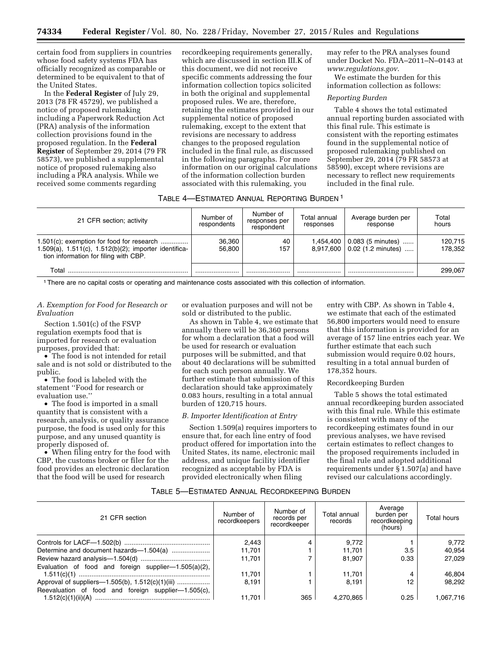certain food from suppliers in countries whose food safety systems FDA has officially recognized as comparable or determined to be equivalent to that of the United States.

In the **Federal Register** of July 29, 2013 (78 FR 45729), we published a notice of proposed rulemaking including a Paperwork Reduction Act (PRA) analysis of the information collection provisions found in the proposed regulation. In the **Federal Register** of September 29, 2014 (79 FR 58573), we published a supplemental notice of proposed rulemaking also including a PRA analysis. While we received some comments regarding

recordkeeping requirements generally, which are discussed in section III.K of this document, we did not receive specific comments addressing the four information collection topics solicited in both the original and supplemental proposed rules. We are, therefore, retaining the estimates provided in our supplemental notice of proposed rulemaking, except to the extent that revisions are necessary to address changes to the proposed regulation included in the final rule, as discussed in the following paragraphs. For more information on our original calculations of the information collection burden associated with this rulemaking, you

may refer to the PRA analyses found under Docket No. FDA–2011–N–0143 at *[www.regulations.gov](http://www.regulations.gov)*.

We estimate the burden for this information collection as follows:

### *Reporting Burden*

Table 4 shows the total estimated annual reporting burden associated with this final rule. This estimate is consistent with the reporting estimates found in the supplemental notice of proposed rulemaking published on September 29, 2014 (79 FR 58573 at 58590), except where revisions are necessary to reflect new requirements included in the final rule.

### TABLE 4—ESTIMATED ANNUAL REPORTING BURDEN 1

| 21 CFR section; activity                                                                                                                       | Number of<br>respondents | Number of<br>responses per<br>respondent | Total annual<br>responses | Average burden per<br>response                           | Total<br>hours     |
|------------------------------------------------------------------------------------------------------------------------------------------------|--------------------------|------------------------------------------|---------------------------|----------------------------------------------------------|--------------------|
| $1.501(c)$ ; exemption for food for research<br>1.509(a), 1.511(c), 1.512(b)(2); importer identifica-<br>tion information for filing with CBP. | 36.360<br>56.800         | 40<br>157                                | 1.454.400                 | 0.083 (5 minutes)<br>$8.917.600 \mid 0.02$ (1.2 minutes) | 120.715<br>178.352 |
| Total                                                                                                                                          |                          |                                          |                           |                                                          | 299.067            |

1There are no capital costs or operating and maintenance costs associated with this collection of information.

# *A. Exemption for Food for Research or Evaluation*

Section 1.501(c) of the FSVP regulation exempts food that is imported for research or evaluation purposes, provided that:

• The food is not intended for retail sale and is not sold or distributed to the public.

• The food is labeled with the statement ''Food for research or evaluation use.''

• The food is imported in a small quantity that is consistent with a research, analysis, or quality assurance purpose, the food is used only for this purpose, and any unused quantity is properly disposed of.

• When filing entry for the food with CBP, the customs broker or filer for the food provides an electronic declaration that the food will be used for research

or evaluation purposes and will not be sold or distributed to the public.

As shown in Table 4, we estimate that annually there will be 36,360 persons for whom a declaration that a food will be used for research or evaluation purposes will be submitted, and that about 40 declarations will be submitted for each such person annually. We further estimate that submission of this declaration should take approximately 0.083 hours, resulting in a total annual burden of 120,715 hours.

### *B. Importer Identification at Entry*

Section 1.509(a) requires importers to ensure that, for each line entry of food product offered for importation into the United States, its name, electronic mail address, and unique facility identifier recognized as acceptable by FDA is provided electronically when filing

entry with CBP. As shown in Table 4, we estimate that each of the estimated 56,800 importers would need to ensure that this information is provided for an average of 157 line entries each year. We further estimate that each such submission would require 0.02 hours, resulting in a total annual burden of 178,352 hours.

#### Recordkeeping Burden

Table 5 shows the total estimated annual recordkeeping burden associated with this final rule. While this estimate is consistent with many of the recordkeeping estimates found in our previous analyses, we have revised certain estimates to reflect changes to the proposed requirements included in the final rule and adopted additional requirements under § 1.507(a) and have revised our calculations accordingly.

### TABLE 5—ESTIMATED ANNUAL RECORDKEEPING BURDEN

| 21 CFR section                                           | Number of<br>recordkeepers | Number of<br>records per<br>recordkeeper | Total annual<br>records | Average<br>burden per<br>recordkeeping<br>(hours) | Total hours |
|----------------------------------------------------------|----------------------------|------------------------------------------|-------------------------|---------------------------------------------------|-------------|
|                                                          | 2.443                      |                                          | 9,772                   |                                                   | 9,772       |
|                                                          | 11.701                     |                                          | 11,701                  | 3.5                                               | 40,954      |
|                                                          | 11.701                     |                                          | 81.907                  | 0.33                                              | 27.029      |
| Evaluation of food and foreign supplier- $1.505(a)(2)$ , |                            |                                          |                         |                                                   |             |
|                                                          | 11.701                     |                                          | 11,701                  |                                                   | 46,804      |
| Approval of suppliers-1.505(b), 1.512(c)(1)(iii)         | 8.191                      |                                          | 8.191                   | 12                                                | 98.292      |
| Reevaluation of food and foreign supplier-1.505(c),      |                            |                                          |                         |                                                   |             |
|                                                          | 11.701                     | 365                                      | 4.270.865               | 0.25                                              | 1,067,716   |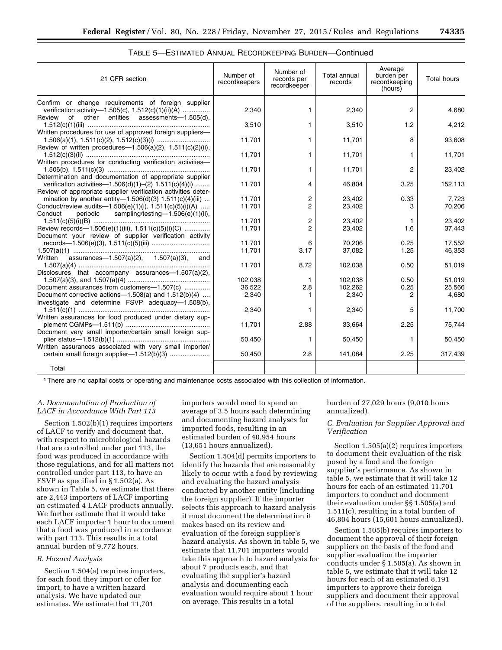| 21 CFR section                                                                                                                                                   | Number of<br>recordkeepers | Number of<br>records per<br>recordkeeper | <b>Total annual</b><br>records | Average<br>burden per<br>recordkeeping<br>(hours) | <b>Total hours</b> |
|------------------------------------------------------------------------------------------------------------------------------------------------------------------|----------------------------|------------------------------------------|--------------------------------|---------------------------------------------------|--------------------|
| Confirm or change requirements of foreign supplier<br>verification activity-1.505(c), 1.512(c)(1)(ii)(A)<br>other entities assessments-1.505(d),<br>Review<br>of | 2,340                      | 1.                                       | 2,340                          | $\overline{2}$                                    | 4.680              |
|                                                                                                                                                                  | 3.510                      | 1.                                       | 3,510                          | 1.2                                               | 4.212              |
| Written procedures for use of approved foreign suppliers-<br>Review of written procedures-1.506(a)(2), 1.511(c)(2)(ii),                                          | 11,701                     | 1.                                       | 11,701                         | 8                                                 | 93,608             |
| Written procedures for conducting verification activities-                                                                                                       | 11,701                     | 1.                                       | 11,701                         | 1                                                 | 11,701             |
| Determination and documentation of appropriate supplier                                                                                                          | 11,701                     | 1.                                       | 11,701                         | $\overline{2}$                                    | 23,402             |
| verification activities—1.506(d)(1)-(2) $1.511(c)(4)(i)$<br>Review of appropriate supplier verification activities deter-                                        | 11.701                     | 4                                        | 46,804                         | 3.25                                              | 152,113            |
| mination by another entity-1.506(d)(3) $1.511(c)(4)(iii)$                                                                                                        | 11,701                     | 2                                        | 23,402                         | 0.33                                              | 7,723              |
| Conduct/review audits-1.506(e)(1)(i), $1.511(c)(5)(i)(A)$<br>Conduct<br>periodic sampling/testing-1.506(e)(1)(ii),                                               | 11,701                     | $\overline{c}$                           | 23,402                         | 3                                                 | 70,206             |
|                                                                                                                                                                  | 11,701                     | 2                                        | 23,402                         | 1                                                 | 23,402             |
| Review records-1.506(e)(1)(iii), 1.511(c)(5)(i)(C)                                                                                                               | 11,701                     | $\overline{c}$                           | 23,402                         | 1.6                                               | 37,443             |
| Document your review of supplier verification activity                                                                                                           |                            |                                          |                                |                                                   |                    |
|                                                                                                                                                                  | 11.701                     | 6                                        | 70.206                         | 0.25                                              | 17.552             |
|                                                                                                                                                                  | 11,701                     | 3.17                                     | 37,082                         | 1.25                                              | 46,353             |
| assurances- $-1.507(a)(2)$ , 1.507(a)(3), and<br>Written                                                                                                         | 11.701                     | 8.72                                     | 102,038                        | 0.50                                              | 51,019             |
| Disclosures that accompany assurances-1.507(a)(2),                                                                                                               |                            |                                          |                                |                                                   |                    |
|                                                                                                                                                                  | 102,038                    | $\mathbf{1}$                             | 102,038                        | 0.50                                              | 51,019             |
| Document assurances from customers-1.507(c)                                                                                                                      | 36.522                     | 2.8                                      | 102.262                        | 0.25                                              | 25,566             |
| Document corrective actions- $-1.508(a)$ and $1.512(b)(4)$<br>Investigate and determine FSVP adequacy-1.508(b),                                                  | 2,340                      |                                          | 2,340                          | 2                                                 | 4,680              |
|                                                                                                                                                                  | 2,340                      | 1.                                       | 2,340                          | 5                                                 | 11,700             |
| Written assurances for food produced under dietary sup-                                                                                                          | 11.701                     | 2.88                                     | 33,664                         | 2.25                                              | 75,744             |
| Document very small importer/certain small foreign sup-                                                                                                          | 50,450                     | 1.                                       | 50,450                         | 1                                                 | 50,450             |
| Written assurances associated with very small importer/                                                                                                          | 50,450                     | 2.8                                      | 141,084                        | 2.25                                              | 317,439            |
| Total                                                                                                                                                            |                            |                                          |                                |                                                   |                    |

### TABLE 5—ESTIMATED ANNUAL RECORDKEEPING BURDEN—Continued

1There are no capital costs or operating and maintenance costs associated with this collection of information.

# *A. Documentation of Production of LACF in Accordance With Part 113*

Section 1.502(b)(1) requires importers of LACF to verify and document that, with respect to microbiological hazards that are controlled under part 113, the food was produced in accordance with those regulations, and for all matters not controlled under part 113, to have an FSVP as specified in § 1.502(a). As shown in Table 5, we estimate that there are 2,443 importers of LACF importing an estimated 4 LACF products annually. We further estimate that it would take each LACF importer 1 hour to document that a food was produced in accordance with part 113. This results in a total annual burden of 9,772 hours.

# *B. Hazard Analysis*

Section 1.504(a) requires importers, for each food they import or offer for import, to have a written hazard analysis. We have updated our estimates. We estimate that 11,701

importers would need to spend an average of 3.5 hours each determining and documenting hazard analyses for imported foods, resulting in an estimated burden of 40,954 hours (13,651 hours annualized).

Section 1.504(d) permits importers to identify the hazards that are reasonably likely to occur with a food by reviewing and evaluating the hazard analysis conducted by another entity (including the foreign supplier). If the importer selects this approach to hazard analysis it must document the determination it makes based on its review and evaluation of the foreign supplier's hazard analysis. As shown in table 5, we estimate that 11,701 importers would take this approach to hazard analysis for about 7 products each, and that evaluating the supplier's hazard analysis and documenting each evaluation would require about 1 hour on average. This results in a total

burden of 27,029 hours (9,010 hours annualized).

### *C. Evaluation for Supplier Approval and Verification*

Section 1.505(a)(2) requires importers to document their evaluation of the risk posed by a food and the foreign supplier's performance. As shown in table 5, we estimate that it will take 12 hours for each of an estimated 11,701 importers to conduct and document their evaluation under §§ 1.505(a) and 1.511(c), resulting in a total burden of 46,804 hours (15,601 hours annualized).

Section 1.505(b) requires importers to document the approval of their foreign suppliers on the basis of the food and supplier evaluation the importer conducts under § 1.505(a). As shown in table 5, we estimate that it will take 12 hours for each of an estimated 8,191 importers to approve their foreign suppliers and document their approval of the suppliers, resulting in a total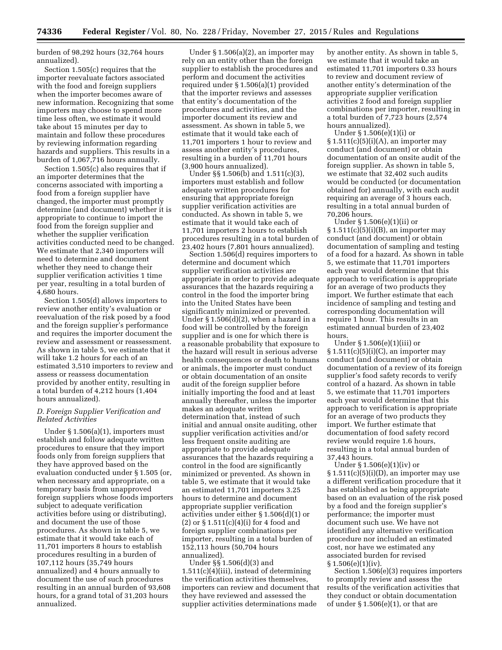burden of 98,292 hours (32,764 hours annualized).

Section 1.505(c) requires that the importer reevaluate factors associated with the food and foreign suppliers when the importer becomes aware of new information. Recognizing that some importers may choose to spend more time less often, we estimate it would take about 15 minutes per day to maintain and follow these procedures by reviewing information regarding hazards and suppliers. This results in a burden of 1,067,716 hours annually.

Section 1.505(c) also requires that if an importer determines that the concerns associated with importing a food from a foreign supplier have changed, the importer must promptly determine (and document) whether it is appropriate to continue to import the food from the foreign supplier and whether the supplier verification activities conducted need to be changed. We estimate that 2,340 importers will need to determine and document whether they need to change their supplier verification activities 1 time per year, resulting in a total burden of 4,680 hours.

Section 1.505(d) allows importers to review another entity's evaluation or reevaluation of the risk posed by a food and the foreign supplier's performance and requires the importer document the review and assessment or reassessment. As shown in table 5, we estimate that it will take 1.2 hours for each of an estimated 3,510 importers to review and assess or reassess documentation provided by another entity, resulting in a total burden of 4,212 hours (1,404 hours annualized).

# *D. Foreign Supplier Verification and Related Activities*

Under § 1.506(a)(1), importers must establish and follow adequate written procedures to ensure that they import foods only from foreign suppliers that they have approved based on the evaluation conducted under § 1.505 (or, when necessary and appropriate, on a temporary basis from unapproved foreign suppliers whose foods importers subject to adequate verification activities before using or distributing), and document the use of those procedures. As shown in table 5, we estimate that it would take each of 11,701 importers 8 hours to establish procedures resulting in a burden of 107,112 hours (35,749 hours annualized) and 4 hours annually to document the use of such procedures resulting in an annual burden of 93,608 hours, for a grand total of 31,203 hours annualized.

Under § 1.506(a)(2), an importer may rely on an entity other than the foreign supplier to establish the procedures and perform and document the activities required under § 1.506(a)(1) provided that the importer reviews and assesses that entity's documentation of the procedures and activities, and the importer document its review and assessment. As shown in table 5, we estimate that it would take each of 11,701 importers 1 hour to review and assess another entity's procedures, resulting in a burden of 11,701 hours (3,900 hours annualized).

Under §§ 1.506(b) and 1.511(c)(3), importers must establish and follow adequate written procedures for ensuring that appropriate foreign supplier verification activities are conducted. As shown in table 5, we estimate that it would take each of 11,701 importers 2 hours to establish procedures resulting in a total burden of 23,402 hours (7,801 hours annualized).

Section 1.506(d) requires importers to determine and document which supplier verification activities are appropriate in order to provide adequate assurances that the hazards requiring a control in the food the importer bring into the United States have been significantly minimized or prevented. Under  $\S 1.506(d)(2)$ , when a hazard in a food will be controlled by the foreign supplier and is one for which there is a reasonable probability that exposure to the hazard will result in serious adverse health consequences or death to humans or animals, the importer must conduct or obtain documentation of an onsite audit of the foreign supplier before initially importing the food and at least annually thereafter, unless the importer makes an adequate written determination that, instead of such initial and annual onsite auditing, other supplier verification activities and/or less frequent onsite auditing are appropriate to provide adequate assurances that the hazards requiring a control in the food are significantly minimized or prevented. As shown in table 5, we estimate that it would take an estimated 11,701 importers 3.25 hours to determine and document appropriate supplier verification activities under either § 1.506(d)(1) or (2) or  $\S 1.511(c)(4)(i)$  for 4 food and foreign supplier combinations per importer, resulting in a total burden of 152,113 hours (50,704 hours annualized).

Under §§ 1.506(d)(3) and 1.511(c)(4)(iii), instead of determining the verification activities themselves, importers can review and document that they have reviewed and assessed the supplier activities determinations made

by another entity. As shown in table 5, we estimate that it would take an estimated 11,701 importers 0.33 hours to review and document review of another entity's determination of the appropriate supplier verification activities 2 food and foreign supplier combinations per importer, resulting in a total burden of 7,723 hours (2,574 hours annualized).

Under § 1.506(e)(1)(i) or  $§ 1.511(c)(5)(i)(A)$ , an importer may conduct (and document) or obtain documentation of an onsite audit of the foreign supplier. As shown in table 5, we estimate that 32,402 such audits would be conducted (or documentation obtained for) annually, with each audit requiring an average of 3 hours each, resulting in a total annual burden of 70,206 hours.

Under § 1.506(e)(1)(ii) or  $§ 1.511(c)(5)(i)(B)$ , an importer may conduct (and document) or obtain documentation of sampling and testing of a food for a hazard. As shown in table 5, we estimate that 11,701 importers each year would determine that this approach to verification is appropriate for an average of two products they import. We further estimate that each incidence of sampling and testing and corresponding documentation will require 1 hour. This results in an estimated annual burden of 23,402 hours.

Under § 1.506(e)(1)(iii) or  $§ 1.511(c)(5)(i)(C)$ , an importer may conduct (and document) or obtain documentation of a review of its foreign supplier's food safety records to verify control of a hazard. As shown in table 5, we estimate that 11,701 importers each year would determine that this approach to verification is appropriate for an average of two products they import. We further estimate that documentation of food safety record review would require 1.6 hours, resulting in a total annual burden of 37,443 hours.

Under § 1.506(e)(1)(iv) or  $\S 1.511(c)(5)(i)(D)$ , an importer may use a different verification procedure that it has established as being appropriate based on an evaluation of the risk posed by a food and the foreign supplier's performance; the importer must document such use. We have not identified any alternative verification procedure nor included an estimated cost, nor have we estimated any associated burden for revised § 1.506(e)(1)(iv).

Section 1.506(e)(3) requires importers to promptly review and assess the results of the verification activities that they conduct or obtain documentation of under  $\S 1.506(e)(1)$ , or that are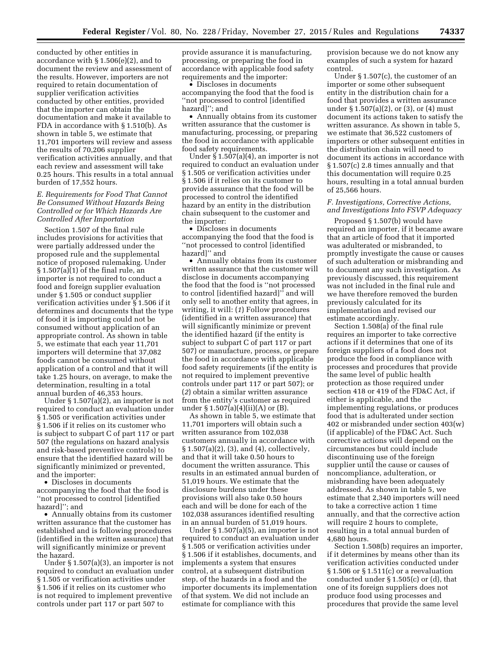conducted by other entities in accordance with § 1.506(e)(2), and to document the review and assessment of the results. However, importers are not required to retain documentation of supplier verification activities conducted by other entities, provided that the importer can obtain the documentation and make it available to FDA in accordance with § 1.510(b). As shown in table 5, we estimate that 11,701 importers will review and assess the results of 70,206 supplier verification activities annually, and that each review and assessment will take 0.25 hours. This results in a total annual burden of 17,552 hours.

# *E. Requirements for Food That Cannot Be Consumed Without Hazards Being Controlled or for Which Hazards Are Controlled After Importation*

Section 1.507 of the final rule includes provisions for activities that were partially addressed under the proposed rule and the supplemental notice of proposed rulemaking. Under  $§ 1.507(a)(1)$  of the final rule, an importer is not required to conduct a food and foreign supplier evaluation under § 1.505 or conduct supplier verification activities under § 1.506 if it determines and documents that the type of food it is importing could not be consumed without application of an appropriate control. As shown in table 5, we estimate that each year 11,701 importers will determine that 37,082 foods cannot be consumed without application of a control and that it will take 1.25 hours, on average, to make the determination, resulting in a total annual burden of 46,353 hours.

Under § 1.507(a)(2), an importer is not required to conduct an evaluation under § 1.505 or verification activities under § 1.506 if it relies on its customer who is subject to subpart C of part 117 or part 507 (the regulations on hazard analysis and risk-based preventive controls) to ensure that the identified hazard will be significantly minimized or prevented, and the importer:

• Discloses in documents accompanying the food that the food is ''not processed to control [identified hazard]''; and

• Annually obtains from its customer written assurance that the customer has established and is following procedures (identified in the written assurance) that will significantly minimize or prevent the hazard.

Under § 1.507(a)(3), an importer is not required to conduct an evaluation under § 1.505 or verification activities under § 1.506 if it relies on its customer who is not required to implement preventive controls under part 117 or part 507 to

provide assurance it is manufacturing, processing, or preparing the food in accordance with applicable food safety requirements and the importer:

• Discloses in documents accompanying the food that the food is ''not processed to control [identified hazard]''; and

• Annually obtains from its customer written assurance that the customer is manufacturing, processing, or preparing the food in accordance with applicable food safety requirements.

Under  $\frac{5}{9}$  1.507(a)(4), an importer is not required to conduct an evaluation under § 1.505 or verification activities under § 1.506 if it relies on its customer to provide assurance that the food will be processed to control the identified hazard by an entity in the distribution chain subsequent to the customer and the importer:

• Discloses in documents accompanying the food that the food is ''not processed to control [identified hazard]'' and

• Annually obtains from its customer written assurance that the customer will disclose in documents accompanying the food that the food is ''not processed to control [identified hazard]'' and will only sell to another entity that agrees, in writing, it will: (*1*) Follow procedures (identified in a written assurance) that will significantly minimize or prevent the identified hazard (if the entity is subject to subpart C of part 117 or part 507) or manufacture, process, or prepare the food in accordance with applicable food safety requirements (if the entity is not required to implement preventive controls under part 117 or part 507); or (*2*) obtain a similar written assurance from the entity's customer as required under  $\S 1.507(a)(4)(ii)(A)$  or  $(B)$ .

As shown in table 5, we estimate that 11,701 importers will obtain such a written assurance from 102,038 customers annually in accordance with  $§ 1.507(a)(2), (3), and (4), collectively,$ and that it will take 0.50 hours to document the written assurance. This results in an estimated annual burden of 51,019 hours. We estimate that the disclosure burdens under these provisions will also take 0.50 hours each and will be done for each of the 102,038 assurances identified resulting in an annual burden of 51,019 hours.

Under § 1.507(a)(5), an importer is not required to conduct an evaluation under § 1.505 or verification activities under § 1.506 if it establishes, documents, and implements a system that ensures control, at a subsequent distribution step, of the hazards in a food and the importer documents its implementation of that system. We did not include an estimate for compliance with this

provision because we do not know any examples of such a system for hazard control.

Under § 1.507(c), the customer of an importer or some other subsequent entity in the distribution chain for a food that provides a written assurance under § 1.507(a)(2), or (3), or (4) must document its actions taken to satisfy the written assurance. As shown in table 5, we estimate that 36,522 customers of importers or other subsequent entities in the distribution chain will need to document its actions in accordance with § 1.507(c) 2.8 times annually and that this documentation will require 0.25 hours, resulting in a total annual burden of 25,566 hours.

# *F. Investigations, Corrective Actions, and Investigations Into FSVP Adequacy*

Proposed § 1.507(b) would have required an importer, if it became aware that an article of food that it imported was adulterated or misbranded, to promptly investigate the cause or causes of such adulteration or misbranding and to document any such investigation. As previously discussed, this requirement was not included in the final rule and we have therefore removed the burden previously calculated for its implementation and revised our estimate accordingly.

Section 1.508(a) of the final rule requires an importer to take corrective actions if it determines that one of its foreign suppliers of a food does not produce the food in compliance with processes and procedures that provide the same level of public health protection as those required under section 418 or 419 of the FD&C Act, if either is applicable, and the implementing regulations, or produces food that is adulterated under section 402 or misbranded under section 403(w) (if applicable) of the FD&C Act. Such corrective actions will depend on the circumstances but could include discontinuing use of the foreign supplier until the cause or causes of noncompliance, adulteration, or misbranding have been adequately addressed. As shown in table 5, we estimate that 2,340 importers will need to take a corrective action 1 time annually, and that the corrective action will require 2 hours to complete, resulting in a total annual burden of 4,680 hours.

Section 1.508(b) requires an importer, if it determines by means other than its verification activities conducted under § 1.506 or § 1.511(c) or a reevaluation conducted under § 1.505(c) or (d), that one of its foreign suppliers does not produce food using processes and procedures that provide the same level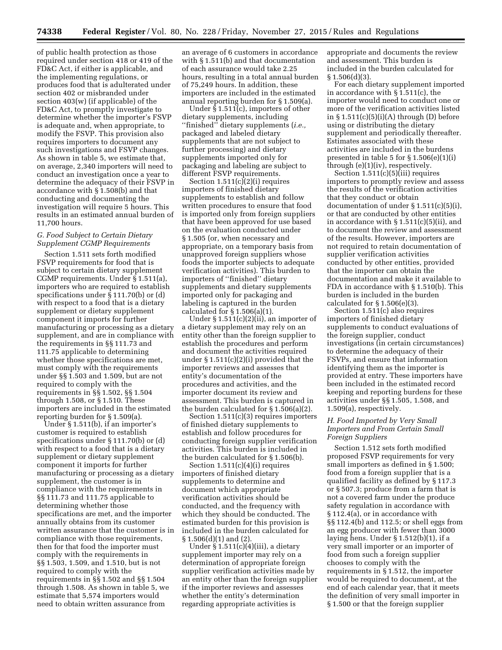of public health protection as those required under section 418 or 419 of the FD&C Act, if either is applicable, and the implementing regulations, or produces food that is adulterated under section 402 or misbranded under section 403(w) (if applicable) of the FD&C Act, to promptly investigate to determine whether the importer's FSVP is adequate and, when appropriate, to modify the FSVP. This provision also requires importers to document any such investigations and FSVP changes. As shown in table 5, we estimate that, on average, 2,340 importers will need to conduct an investigation once a year to determine the adequacy of their FSVP in accordance with § 1.508(b) and that conducting and documenting the investigation will require 5 hours. This results in an estimated annual burden of 11,700 hours.

### *G. Food Subject to Certain Dietary Supplement CGMP Requirements*

Section 1.511 sets forth modified FSVP requirements for food that is subject to certain dietary supplement CGMP requirements. Under § 1.511(a), importers who are required to establish specifications under § 111.70(b) or (d) with respect to a food that is a dietary supplement or dietary supplement component it imports for further manufacturing or processing as a dietary supplement, and are in compliance with the requirements in §§ 111.73 and 111.75 applicable to determining whether those specifications are met, must comply with the requirements under §§ 1.503 and 1.509, but are not required to comply with the requirements in §§ 1.502, §§ 1.504 through 1.508, or § 1.510. These importers are included in the estimated reporting burden for § 1.509(a).

Under § 1.511(b), if an importer's customer is required to establish specifications under § 111.70(b) or (d) with respect to a food that is a dietary supplement or dietary supplement component it imports for further manufacturing or processing as a dietary supplement, the customer is in compliance with the requirements in §§ 111.73 and 111.75 applicable to determining whether those specifications are met, and the importer annually obtains from its customer written assurance that the customer is in compliance with those requirements, then for that food the importer must comply with the requirements in §§ 1.503, 1.509, and 1.510, but is not required to comply with the requirements in §§ 1.502 and §§ 1.504 through 1.508. As shown in table 5, we estimate that 5,574 importers would need to obtain written assurance from

an average of 6 customers in accordance with § 1.511(b) and that documentation of each assurance would take 2.25 hours, resulting in a total annual burden of 75,249 hours. In addition, these importers are included in the estimated annual reporting burden for § 1.509(a).

Under § 1.511(c), importers of other dietary supplements, including ''finished'' dietary supplements (*i.e.,*  packaged and labeled dietary supplements that are not subject to further processing) and dietary supplements imported only for packaging and labeling are subject to different FSVP requirements.

Section  $1.511(c)(2)(i)$  requires importers of finished dietary supplements to establish and follow written procedures to ensure that food is imported only from foreign suppliers that have been approved for use based on the evaluation conducted under § 1.505 (or, when necessary and appropriate, on a temporary basis from unapproved foreign suppliers whose foods the importer subjects to adequate verification activities). This burden to importers of ''finished'' dietary supplements and dietary supplements imported only for packaging and labeling is captured in the burden calculated for  $\S 1.506(a)(1)$ .

Under  $\S 1.511(c)(2)(ii)$ , an importer of a dietary supplement may rely on an entity other than the foreign supplier to establish the procedures and perform and document the activities required under § 1.511(c)(2)(i) provided that the importer reviews and assesses that entity's documentation of the procedures and activities, and the importer document its review and assessment. This burden is captured in the burden calculated for § 1.506(a)(2).

Section 1.511(c)(3) requires importers of finished dietary supplements to establish and follow procedures for conducting foreign supplier verification activities. This burden is included in the burden calculated for § 1.506(b).

Section 1.511(c)(4)(i) requires importers of finished dietary supplements to determine and document which appropriate verification activities should be conducted, and the frequency with which they should be conducted. The estimated burden for this provision is included in the burden calculated for § 1.506(d)(1) and (2).

Under § 1.511(c)(4)(iii), a dietary supplement importer may rely on a determination of appropriate foreign supplier verification activities made by an entity other than the foreign supplier if the importer reviews and assesses whether the entity's determination regarding appropriate activities is

appropriate and documents the review and assessment. This burden is included in the burden calculated for  $§ 1.506(d)(3).$ 

For each dietary supplement imported in accordance with § 1.511(c), the importer would need to conduct one or more of the verification activities listed in  $\S 1.511(c)(5)(i)(A)$  through (D) before using or distributing the dietary supplement and periodically thereafter. Estimates associated with these activities are included in the burdens presented in table 5 for § 1.506(e)(1)(i) through (e)(1)(iv), respectively.

Section  $1.511(c)(5)(iii)$  requires importers to promptly review and assess the results of the verification activities that they conduct or obtain documentation of under § 1.511(c)(5)(i), or that are conducted by other entities in accordance with § 1.511(c)(5)(ii), and to document the review and assessment of the results. However, importers are not required to retain documentation of supplier verification activities conducted by other entities, provided that the importer can obtain the documentation and make it available to FDA in accordance with § 1.510(b). This burden is included in the burden calculated for  $\S 1.506(e)(3)$ .

Section 1.511(c) also requires importers of finished dietary supplements to conduct evaluations of the foreign supplier, conduct investigations (in certain circumstances) to determine the adequacy of their FSVPs, and ensure that information identifying them as the importer is provided at entry. These importers have been included in the estimated record keeping and reporting burdens for these activities under §§ 1.505, 1.508, and 1.509(a), respectively.

### *H. Food Imported by Very Small Importers and From Certain Small Foreign Suppliers*

Section 1.512 sets forth modified proposed FSVP requirements for very small importers as defined in § 1.500; food from a foreign supplier that is a qualified facility as defined by § 117.3 or § 507.3; produce from a farm that is not a covered farm under the produce safety regulation in accordance with § 112.4(a), or in accordance with §§ 112.4(b) and 112.5; or shell eggs from an egg producer with fewer than 3000 laying hens. Under § 1.512(b)(1), if a very small importer or an importer of food from such a foreign supplier chooses to comply with the requirements in § 1.512, the importer would be required to document, at the end of each calendar year, that it meets the definition of very small importer in § 1.500 or that the foreign supplier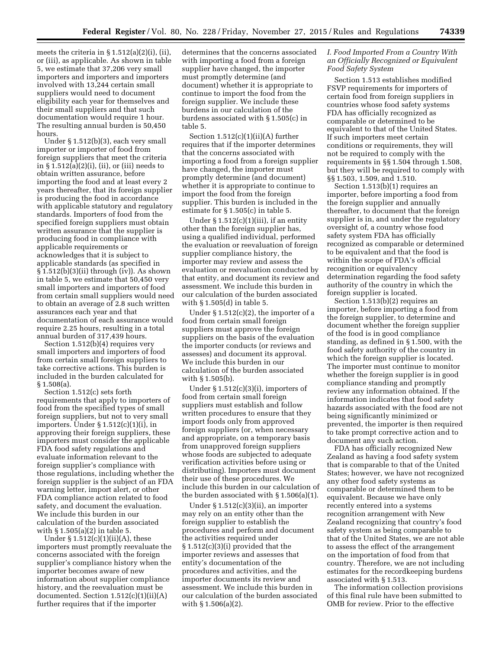meets the criteria in  $\S 1.512(a)(2)(i)$ , (ii), or (iii), as applicable. As shown in table 5, we estimate that 37,206 very small importers and importers and importers involved with 13,244 certain small suppliers would need to document eligibility each year for themselves and their small suppliers and that such documentation would require 1 hour. The resulting annual burden is 50,450 hours.

Under § 1.512(b)(3), each very small importer or importer of food from foreign suppliers that meet the criteria in § 1.512(a)(2)(i), (ii), or (iii) needs to obtain written assurance, before importing the food and at least every 2 years thereafter, that its foreign supplier is producing the food in accordance with applicable statutory and regulatory standards. Importers of food from the specified foreign suppliers must obtain written assurance that the supplier is producing food in compliance with applicable requirements or acknowledges that it is subject to applicable standards (as specified in § 1.512(b)(3)(ii) through (iv)). As shown in table 5, we estimate that 50,450 very small importers and importers of food from certain small suppliers would need to obtain an average of 2.8 such written assurances each year and that documentation of each assurance would require 2.25 hours, resulting in a total annual burden of 317,439 hours.

Section 1.512(b)(4) requires very small importers and importers of food from certain small foreign suppliers to take corrective actions. This burden is included in the burden calculated for § 1.508(a).

Section 1.512(c) sets forth requirements that apply to importers of food from the specified types of small foreign suppliers, but not to very small importers. Under § 1.512(c)(1)(i), in approving their foreign suppliers, these importers must consider the applicable FDA food safety regulations and evaluate information relevant to the foreign supplier's compliance with those regulations, including whether the foreign supplier is the subject of an FDA warning letter, import alert, or other FDA compliance action related to food safety, and document the evaluation. We include this burden in our calculation of the burden associated with § 1.505(a)(2) in table 5.

Under  $\S 1.512(c)(1)(ii)(A)$ , these importers must promptly reevaluate the concerns associated with the foreign supplier's compliance history when the importer becomes aware of new information about supplier compliance history, and the reevaluation must be documented. Section  $1.512(c)(1)(ii)(A)$ further requires that if the importer

determines that the concerns associated with importing a food from a foreign supplier have changed, the importer must promptly determine (and document) whether it is appropriate to continue to import the food from the foreign supplier. We include these burdens in our calculation of the burdens associated with § 1.505(c) in table 5.

Section  $1.512(c)(1)(ii)(A)$  further requires that if the importer determines that the concerns associated with importing a food from a foreign supplier have changed, the importer must promptly determine (and document) whether it is appropriate to continue to import the food from the foreign supplier. This burden is included in the estimate for § 1.505(c) in table 5.

Under  $\S 1.512(c)(1)(iii)$ , if an entity other than the foreign supplier has, using a qualified individual, performed the evaluation or reevaluation of foreign supplier compliance history, the importer may review and assess the evaluation or reevaluation conducted by that entity, and document its review and assessment. We include this burden in our calculation of the burden associated with § 1.505(d) in table 5.

Under  $\S 1.512(c)(2)$ , the importer of a food from certain small foreign suppliers must approve the foreign suppliers on the basis of the evaluation the importer conducts (or reviews and assesses) and document its approval. We include this burden in our calculation of the burden associated with § 1.505(b).

Under  $\S 1.512(c)(3)(i)$ , importers of food from certain small foreign suppliers must establish and follow written procedures to ensure that they import foods only from approved foreign suppliers (or, when necessary and appropriate, on a temporary basis from unapproved foreign suppliers whose foods are subjected to adequate verification activities before using or distributing). Importers must document their use of these procedures. We include this burden in our calculation of the burden associated with § 1.506(a)(1).

Under § 1.512(c)(3)(ii), an importer may rely on an entity other than the foreign supplier to establish the procedures and perform and document the activities required under § 1.512(c)(3)(i) provided that the importer reviews and assesses that entity's documentation of the procedures and activities, and the importer documents its review and assessment. We include this burden in our calculation of the burden associated with § 1.506(a)(2).

### *I. Food Imported From a Country With an Officially Recognized or Equivalent Food Safety System*

Section 1.513 establishes modified FSVP requirements for importers of certain food from foreign suppliers in countries whose food safety systems FDA has officially recognized as comparable or determined to be equivalent to that of the United States. If such importers meet certain conditions or requirements, they will not be required to comply with the requirements in §§ 1.504 through 1.508, but they will be required to comply with §§ 1.503, 1.509, and 1.510.

Section 1.513(b)(1) requires an importer, before importing a food from the foreign supplier and annually thereafter, to document that the foreign supplier is in, and under the regulatory oversight of, a country whose food safety system FDA has officially recognized as comparable or determined to be equivalent and that the food is within the scope of FDA's official recognition or equivalency determination regarding the food safety authority of the country in which the foreign supplier is located.

Section 1.513(b)(2) requires an importer, before importing a food from the foreign supplier, to determine and document whether the foreign supplier of the food is in good compliance standing, as defined in § 1.500, with the food safety authority of the country in which the foreign supplier is located. The importer must continue to monitor whether the foreign supplier is in good compliance standing and promptly review any information obtained. If the information indicates that food safety hazards associated with the food are not being significantly minimized or prevented, the importer is then required to take prompt corrective action and to document any such action.

FDA has officially recognized New Zealand as having a food safety system that is comparable to that of the United States; however, we have not recognized any other food safety systems as comparable or determined them to be equivalent. Because we have only recently entered into a systems recognition arrangement with New Zealand recognizing that country's food safety system as being comparable to that of the United States, we are not able to assess the effect of the arrangement on the importation of food from that country. Therefore, we are not including estimates for the recordkeeping burdens associated with § 1.513.

The information collection provisions of this final rule have been submitted to OMB for review. Prior to the effective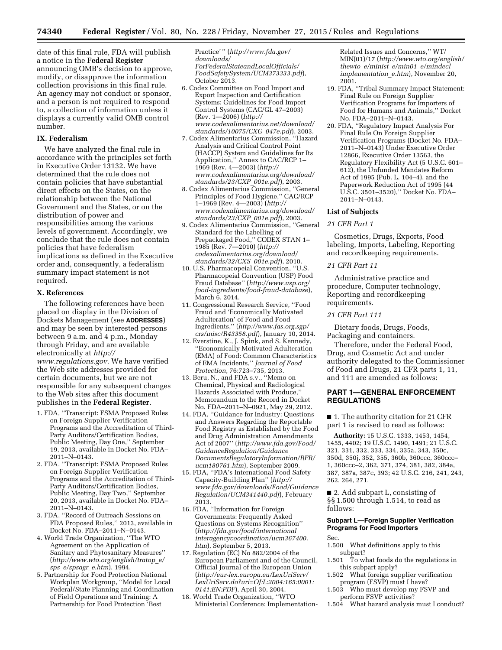date of this final rule, FDA will publish a notice in the **Federal Register**  announcing OMB's decision to approve, modify, or disapprove the information collection provisions in this final rule. An agency may not conduct or sponsor, and a person is not required to respond to, a collection of information unless it displays a currently valid OMB control number.

### **IX. Federalism**

We have analyzed the final rule in accordance with the principles set forth in Executive Order 13132. We have determined that the rule does not contain policies that have substantial direct effects on the States, on the relationship between the National Government and the States, or on the distribution of power and responsibilities among the various levels of government. Accordingly, we conclude that the rule does not contain policies that have federalism implications as defined in the Executive order and, consequently, a federalism summary impact statement is not required.

### **X. References**

The following references have been placed on display in the Division of Dockets Management (see **ADDRESSES**) and may be seen by interested persons between 9 a.m. and 4 p.m., Monday through Friday, and are available electronically at *[http://](http://www.regulations.gov) [www.regulations.gov](http://www.regulations.gov)*. We have verified the Web site addresses provided for certain documents, but we are not responsible for any subsequent changes to the Web sites after this document publishes in the **Federal Register**.

- 1. FDA, ''Transcript: FSMA Proposed Rules on Foreign Supplier Verification Programs and the Accreditation of Third-Party Auditors/Certification Bodies, Public Meeting, Day One,'' September 19, 2013, available in Docket No. FDA– 2011–N–0143.
- 2. FDA, ''Transcript: FSMA Proposed Rules on Foreign Supplier Verification Programs and the Accreditation of Third-Party Auditors/Certification Bodies, Public Meeting, Day Two,'' September 20, 2013, available in Docket No. FDA– 2011–N–0143.
- 3. FDA, ''Record of Outreach Sessions on FDA Proposed Rules,'' 2013, available in Docket No. FDA–2011–N–0143.
- 4. World Trade Organization, ''The WTO Agreement on the Application of Sanitary and Phytosanitary Measures'' (*[http://www.wto.org/english/tratop](http://www.wto.org/english/tratop_e/sps_e/spsagr_e.htm)*\_*e/ sps*\_*[e/spsagr](http://www.wto.org/english/tratop_e/sps_e/spsagr_e.htm)*\_*e.htm*), 1994.
- 5. Partnership for Food Protection National Workplan Workgroup, ''Model for Local Federal/State Planning and Coordination of Field Operations and Training: A Partnership for Food Protection 'Best

Practice' '' (*[http://www.fda.gov/](http://www.fda.gov/downloads/ForFederalStateandLocalOfficials/FoodSafetySystem/UCM373333.pdf) [downloads/](http://www.fda.gov/downloads/ForFederalStateandLocalOfficials/FoodSafetySystem/UCM373333.pdf) [ForFederalStateandLocalOfficials/](http://www.fda.gov/downloads/ForFederalStateandLocalOfficials/FoodSafetySystem/UCM373333.pdf) [FoodSafetySystem/UCM373333.pdf](http://www.fda.gov/downloads/ForFederalStateandLocalOfficials/FoodSafetySystem/UCM373333.pdf)*), October 2013.

- 6. Codex Committee on Food Import and Export Inspection and Certification Systems: Guidelines for Food Import Control Systems (CAC/GL 47–2003) (Rev. 1—2006) (*[http://](http://www.codexalimentarius.net/download/standards/10075/CXG_047e.pdf) [www.codexalimentarius.net/download/](http://www.codexalimentarius.net/download/standards/10075/CXG_047e.pdf) [standards/10075/CXG](http://www.codexalimentarius.net/download/standards/10075/CXG_047e.pdf)*\_*047e.pdf*), 2003.
- 7. Codex Alimentarius Commission, ''Hazard Analysis and Critical Control Point (HACCP) System and Guidelines for Its Application,'' Annex to CAC/RCP 1– 1969 (Rev. 4—2003) (*[http://](http://www.codexalimentarius.org/download/standards/23/CXP_001e.pdf) [www.codexalimentarius.org/download/](http://www.codexalimentarius.org/download/standards/23/CXP_001e.pdf) [standards/23/CXP](http://www.codexalimentarius.org/download/standards/23/CXP_001e.pdf)*\_*001e.pdf*), 2003.
- 8. Codex Alimentarius Commission, ''General Principles of Food Hygiene,'' CAC/RCP 1–1969 (Rev. 4—2003) (*[http://](http://www.codexalimentarius.org/download/standards/23/CXP_001e.pdf) [www.codexalimentarius.org/download/](http://www.codexalimentarius.org/download/standards/23/CXP_001e.pdf) [standards/23/CXP](http://www.codexalimentarius.org/download/standards/23/CXP_001e.pdf)*\_*001e.pdf*), 2003.
- 9. Codex Alimentarius Commission, ''General Standard for the Labelling of Prepackaged Food,'' CODEX STAN 1– 1985 (Rev. 7—2010) (*[http://](http://codexalimentarius.org/download/standards/32/CXS_001e.pdf) [codexalimentarius.org/download/](http://codexalimentarius.org/download/standards/32/CXS_001e.pdf) [standards/32/CXS](http://codexalimentarius.org/download/standards/32/CXS_001e.pdf)*\_*001e.pdf*), 2010.
- 10. U.S. Pharmacopeial Convention, ''U.S. Pharmacopeial Convention (USP) Food Fraud Database'' (*[http://www.usp.org/](http://www.usp.org/food-ingredients/food-fraud-database) [food-ingredients/food-fraud-database](http://www.usp.org/food-ingredients/food-fraud-database)*), March 6, 2014.
- 11. Congressional Research Service, ''Food Fraud and 'Economically Motivated Adulteration' of Food and Food Ingredients,'' (*[http://www.fas.org.sgp/](http://www.fas.org.sgp/crs/misc/R43358.pdf) [crs/misc/R43358.pdf](http://www.fas.org.sgp/crs/misc/R43358.pdf)*), January 10, 2014.
- 12. Everstine, K., J. Spink, and S. Kennedy, ''Economically Motivated Adulteration (EMA) of Food: Common Characteristics of EMA Incidents,'' *Journal of Food Protection,* 76:723–735, 2013.
- 13. Beru, N., and FDA s.v., ''Memo on Chemical, Physical and Radiological Hazards Associated with Produce,'' Memorandum to the Record in Docket No. FDA–2011–N–0921, May 29, 2012.
- 14. FDA, ''Guidance for Industry: Questions and Answers Regarding the Reportable Food Registry as Established by the Food and Drug Administration Amendments Act of 2007'' (*[http://www.fda.gov/Food/](http://www.fda.gov/Food/GuidanceRegulation/GuidanceDocumentsRegulatoryInformation/RFR/ucm180761.htm) [GuidanceRegulation/Guidance](http://www.fda.gov/Food/GuidanceRegulation/GuidanceDocumentsRegulatoryInformation/RFR/ucm180761.htm) [DocumentsRegulatoryInformation/RFR/](http://www.fda.gov/Food/GuidanceRegulation/GuidanceDocumentsRegulatoryInformation/RFR/ucm180761.htm) [ucm180761.htm](http://www.fda.gov/Food/GuidanceRegulation/GuidanceDocumentsRegulatoryInformation/RFR/ucm180761.htm)*), September 2009.
- 15. FDA, ''FDA's International Food Safety Capacity-Building Plan'' (*[http://](http://www.fda.gov/downloads/Food/GuidanceRegulation/UCM341440.pdf) [www.fda.gov/downloads/Food/Guidance](http://www.fda.gov/downloads/Food/GuidanceRegulation/UCM341440.pdf) [Regulation/UCM341440.pdf](http://www.fda.gov/downloads/Food/GuidanceRegulation/UCM341440.pdf)*), February 2013.
- 16. FDA, ''Information for Foreign Governments: Frequently Asked Questions on Systems Recognition'' (*[http://fda.gov/food/international](http://fda.gov/food/internationalinteragencycoordination/ucm367400.htm) [interagencycoordination/ucm367400.](http://fda.gov/food/internationalinteragencycoordination/ucm367400.htm) [htm](http://fda.gov/food/internationalinteragencycoordination/ucm367400.htm)*), September 5, 2013.
- 17. Regulation (EC) No 882/2004 of the European Parliament and of the Council, Official Journal of the European Union (*http://eur-lex.europa.eu/LexUriServ/ [LexUriServ.do?uri=OJ:L:2004:165:0001:](http://eur-lex.europa.eu/LexUriServ/LexUriServ.do?uri=OJ:L:2004:165:0001:0141:EN:PDF) [0141:EN:PDF](http://eur-lex.europa.eu/LexUriServ/LexUriServ.do?uri=OJ:L:2004:165:0001:0141:EN:PDF)*), April 30, 2004.
- 18. World Trade Organization, ''WTO Ministerial Conference: Implementation-

Related Issues and Concerns,'' WT/ MIN(01)/17 (*[http://www.wto.org/english/](http://www.wto.org/english/thewto_e/minist_e/min01_e/mindecl_implementation_e.htm) thewto*\_*e/minist*\_*e/min01*\_*[e/mindecl](http://www.wto.org/english/thewto_e/minist_e/min01_e/mindecl_implementation_e.htm)*\_ *[implementation](http://www.wto.org/english/thewto_e/minist_e/min01_e/mindecl_implementation_e.htm)*\_*e.htm*), November 20, 2001.

- 19. FDA, ''Tribal Summary Impact Statement: Final Rule on Foreign Supplier Verification Programs for Importers of Food for Humans and Animals,'' Docket No. FDA–2011–N–0143.
- 20. FDA, ''Regulatory Impact Analysis For Final Rule On Foreign Supplier Verification Programs (Docket No. FDA– 2011–N–0143) Under Executive Order 12866, Executive Order 13563, the Regulatory Flexibility Act (5 U.S.C. 601– 612), the Unfunded Mandates Reform Act of 1995 (Pub. L. 104–4), and the Paperwork Reduction Act of 1995 (44 U.S.C. 3501–3520),'' Docket No. FDA– 2011–N–0143.

### **List of Subjects**

### *21 CFR Part 1*

Cosmetics, Drugs, Exports, Food labeling, Imports, Labeling, Reporting and recordkeeping requirements.

### *21 CFR Part 11*

Administrative practice and procedure, Computer technology, Reporting and recordkeeping requirements.

#### *21 CFR Part 111*

Dietary foods, Drugs, Foods, Packaging and containers.

Therefore, under the Federal Food, Drug, and Cosmetic Act and under authority delegated to the Commissioner of Food and Drugs, 21 CFR parts 1, 11, and 111 are amended as follows:

### **PART 1—GENERAL ENFORCEMENT REGULATIONS**

■ 1. The authority citation for 21 CFR part 1 is revised to read as follows:

**Authority:** 15 U.S.C. 1333, 1453, 1454, 1455, 4402; 19 U.S.C. 1490, 1491; 21 U.S.C. 321, 331, 332, 333, 334, 335a, 343, 350c, 350d, 350j, 352, 355, 360b, 360ccc, 360ccc– 1, 360ccc–2, 362, 371, 374, 381, 382, 384a, 387, 387a, 387c, 393; 42 U.S.C. 216, 241, 243, 262, 264, 271.

■ 2. Add subpart L, consisting of §§ 1.500 through 1.514, to read as follows:

# **Subpart L—Foreign Supplier Verification Programs for Food Importers**

Sec.

1.500 What definitions apply to this subpart?

- 1.501 To what foods do the regulations in this subpart apply?
- 1.502 What foreign supplier verification program (FSVP) must I have?
- 1.503 Who must develop my FSVP and perform FSVP activities?
- 1.504 What hazard analysis must I conduct?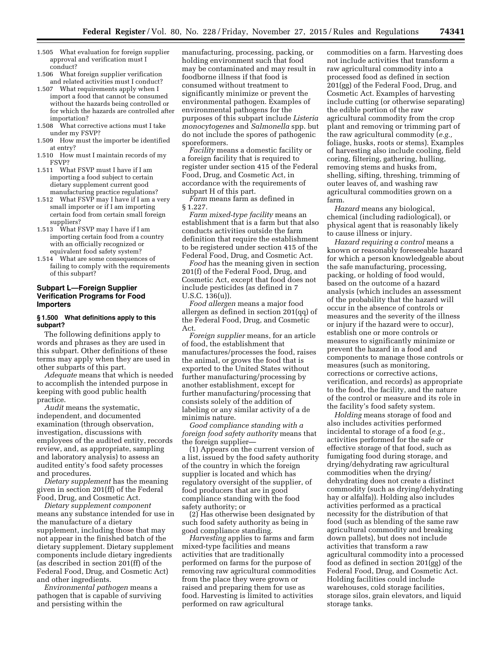- 1.505 What evaluation for foreign supplier approval and verification must I conduct?
- 1.506 What foreign supplier verification and related activities must I conduct?
- 1.507 What requirements apply when I import a food that cannot be consumed without the hazards being controlled or for which the hazards are controlled after importation?
- 1.508 What corrective actions must I take under my FSVP?
- 1.509 How must the importer be identified at entry?
- 1.510 How must I maintain records of my FSVP?
- 1.511 What FSVP must I have if I am importing a food subject to certain dietary supplement current good manufacturing practice regulations?
- 1.512 What FSVP may I have if I am a very small importer or if I am importing certain food from certain small foreign suppliers?
- 1.513 What FSVP may I have if I am importing certain food from a country with an officially recognized or equivalent food safety system?
- 1.514 What are some consequences of failing to comply with the requirements of this subpart?

# **Subpart L—Foreign Supplier Verification Programs for Food Importers**

#### **§ 1.500 What definitions apply to this subpart?**

The following definitions apply to words and phrases as they are used in this subpart. Other definitions of these terms may apply when they are used in other subparts of this part.

*Adequate* means that which is needed to accomplish the intended purpose in keeping with good public health practice.

*Audit* means the systematic, independent, and documented examination (through observation, investigation, discussions with employees of the audited entity, records review, and, as appropriate, sampling and laboratory analysis) to assess an audited entity's food safety processes and procedures.

*Dietary supplement* has the meaning given in section 201(ff) of the Federal Food, Drug, and Cosmetic Act.

*Dietary supplement component*  means any substance intended for use in the manufacture of a dietary supplement, including those that may not appear in the finished batch of the dietary supplement. Dietary supplement components include dietary ingredients (as described in section 201(ff) of the Federal Food, Drug, and Cosmetic Act) and other ingredients.

*Environmental pathogen* means a pathogen that is capable of surviving and persisting within the

manufacturing, processing, packing, or holding environment such that food may be contaminated and may result in foodborne illness if that food is consumed without treatment to significantly minimize or prevent the environmental pathogen. Examples of environmental pathogens for the purposes of this subpart include *Listeria monocytogenes* and *Salmonella* spp. but do not include the spores of pathogenic sporeformers.

*Facility* means a domestic facility or a foreign facility that is required to register under section 415 of the Federal Food, Drug, and Cosmetic Act, in accordance with the requirements of subpart H of this part.

*Farm* means farm as defined in § 1.227.

*Farm mixed-type facility* means an establishment that is a farm but that also conducts activities outside the farm definition that require the establishment to be registered under section 415 of the Federal Food, Drug, and Cosmetic Act.

*Food* has the meaning given in section 201(f) of the Federal Food, Drug, and Cosmetic Act, except that food does not include pesticides (as defined in 7 U.S.C. 136(u)).

*Food allergen* means a major food allergen as defined in section 201(qq) of the Federal Food, Drug, and Cosmetic Act.

*Foreign supplier* means, for an article of food, the establishment that manufactures/processes the food, raises the animal, or grows the food that is exported to the United States without further manufacturing/processing by another establishment, except for further manufacturing/processing that consists solely of the addition of labeling or any similar activity of a de minimis nature.

*Good compliance standing with a foreign food safety authority* means that the foreign supplier—

(1) Appears on the current version of a list, issued by the food safety authority of the country in which the foreign supplier is located and which has regulatory oversight of the supplier, of food producers that are in good compliance standing with the food safety authority; or

(2) Has otherwise been designated by such food safety authority as being in good compliance standing.

*Harvesting* applies to farms and farm mixed-type facilities and means activities that are traditionally performed on farms for the purpose of removing raw agricultural commodities from the place they were grown or raised and preparing them for use as food. Harvesting is limited to activities performed on raw agricultural

commodities on a farm. Harvesting does not include activities that transform a raw agricultural commodity into a processed food as defined in section 201(gg) of the Federal Food, Drug, and Cosmetic Act. Examples of harvesting include cutting (or otherwise separating) the edible portion of the raw agricultural commodity from the crop plant and removing or trimming part of the raw agricultural commodity (*e.g.,*  foliage, husks, roots or stems). Examples of harvesting also include cooling, field coring, filtering, gathering, hulling, removing stems and husks from, shelling, sifting, threshing, trimming of outer leaves of, and washing raw agricultural commodities grown on a farm.

*Hazard* means any biological, chemical (including radiological), or physical agent that is reasonably likely to cause illness or injury.

*Hazard requiring a control* means a known or reasonably foreseeable hazard for which a person knowledgeable about the safe manufacturing, processing, packing, or holding of food would, based on the outcome of a hazard analysis (which includes an assessment of the probability that the hazard will occur in the absence of controls or measures and the severity of the illness or injury if the hazard were to occur), establish one or more controls or measures to significantly minimize or prevent the hazard in a food and components to manage those controls or measures (such as monitoring, corrections or corrective actions, verification, and records) as appropriate to the food, the facility, and the nature of the control or measure and its role in the facility's food safety system.

*Holding* means storage of food and also includes activities performed incidental to storage of a food (*e.g.,*  activities performed for the safe or effective storage of that food, such as fumigating food during storage, and drying/dehydrating raw agricultural commodities when the drying/ dehydrating does not create a distinct commodity (such as drying/dehydrating hay or alfalfa)). Holding also includes activities performed as a practical necessity for the distribution of that food (such as blending of the same raw agricultural commodity and breaking down pallets), but does not include activities that transform a raw agricultural commodity into a processed food as defined in section 201(gg) of the Federal Food, Drug, and Cosmetic Act. Holding facilities could include warehouses, cold storage facilities, storage silos, grain elevators, and liquid storage tanks.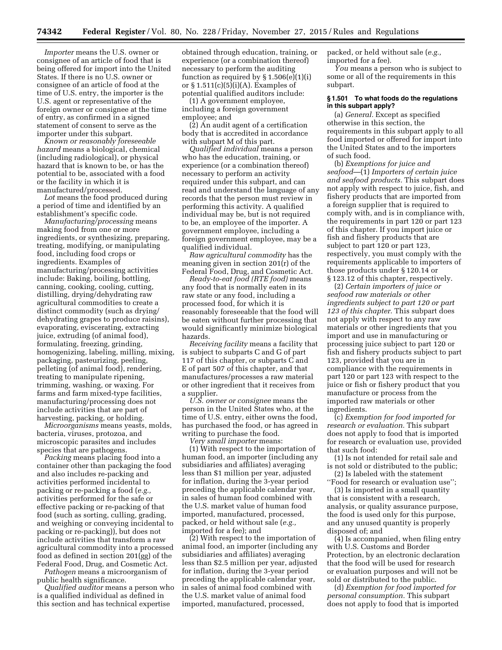*Importer* means the U.S. owner or consignee of an article of food that is being offered for import into the United States. If there is no U.S. owner or consignee of an article of food at the time of U.S. entry, the importer is the U.S. agent or representative of the foreign owner or consignee at the time of entry, as confirmed in a signed statement of consent to serve as the importer under this subpart.

*Known or reasonably foreseeable hazard* means a biological, chemical (including radiological), or physical hazard that is known to be, or has the potential to be, associated with a food or the facility in which it is manufactured/processed.

Lot means the food produced during a period of time and identified by an establishment's specific code.

*Manufacturing/processing* means making food from one or more ingredients, or synthesizing, preparing, treating, modifying, or manipulating food, including food crops or ingredients. Examples of manufacturing/processing activities include: Baking, boiling, bottling, canning, cooking, cooling, cutting, distilling, drying/dehydrating raw agricultural commodities to create a distinct commodity (such as drying/ dehydrating grapes to produce raisins), evaporating, eviscerating, extracting juice, extruding (of animal food), formulating, freezing, grinding, homogenizing, labeling, milling, mixing, packaging, pasteurizing, peeling, pelleting (of animal food), rendering, treating to manipulate ripening, trimming, washing, or waxing. For farms and farm mixed-type facilities, manufacturing/processing does not include activities that are part of harvesting, packing, or holding.

*Microorganisms* means yeasts, molds, bacteria, viruses, protozoa, and microscopic parasites and includes species that are pathogens.

*Packing* means placing food into a container other than packaging the food and also includes re-packing and activities performed incidental to packing or re-packing a food (*e.g.,*  activities performed for the safe or effective packing or re-packing of that food (such as sorting, culling, grading, and weighing or conveying incidental to packing or re-packing)), but does not include activities that transform a raw agricultural commodity into a processed food as defined in section 201(gg) of the Federal Food, Drug, and Cosmetic Act.

*Pathogen* means a microorganism of public health significance.

*Qualified auditor* means a person who is a qualified individual as defined in this section and has technical expertise

obtained through education, training, or experience (or a combination thereof) necessary to perform the auditing function as required by  $\S 1.506(e)(1)(i)$ or  $\S 1.511(c)(5)(i)(A)$ . Examples of potential qualified auditors include:

(1) A government employee, including a foreign government employee; and

(2) An audit agent of a certification body that is accredited in accordance with subpart M of this part.

*Qualified individual* means a person who has the education, training, or experience (or a combination thereof) necessary to perform an activity required under this subpart, and can read and understand the language of any records that the person must review in performing this activity. A qualified individual may be, but is not required to be, an employee of the importer. A government employee, including a foreign government employee, may be a qualified individual.

*Raw agricultural commodity* has the meaning given in section 201(r) of the Federal Food, Drug, and Cosmetic Act.

*Ready-to-eat food (RTE food)* means any food that is normally eaten in its raw state or any food, including a processed food, for which it is reasonably foreseeable that the food will be eaten without further processing that would significantly minimize biological hazards.

*Receiving facility* means a facility that is subject to subparts C and G of part 117 of this chapter, or subparts C and E of part 507 of this chapter, and that manufactures/processes a raw material or other ingredient that it receives from a supplier.

*U.S. owner or consignee* means the person in the United States who, at the time of U.S. entry, either owns the food, has purchased the food, or has agreed in writing to purchase the food.

*Very small importer* means: (1) With respect to the importation of human food, an importer (including any subsidiaries and affiliates) averaging less than \$1 million per year, adjusted for inflation, during the 3-year period preceding the applicable calendar year, in sales of human food combined with the U.S. market value of human food imported, manufactured, processed, packed, or held without sale (*e.g.,*  imported for a fee); and

(2) With respect to the importation of animal food, an importer (including any subsidiaries and affiliates) averaging less than \$2.5 million per year, adjusted for inflation, during the 3-year period preceding the applicable calendar year, in sales of animal food combined with the U.S. market value of animal food imported, manufactured, processed,

packed, or held without sale (*e.g.,*  imported for a fee).

*You* means a person who is subject to some or all of the requirements in this subpart.

### **§ 1.501 To what foods do the regulations in this subpart apply?**

(a) *General.* Except as specified otherwise in this section, the requirements in this subpart apply to all food imported or offered for import into the United States and to the importers of such food.

(b) *Exemptions for juice and seafood*—(1) *Importers of certain juice and seafood products.* This subpart does not apply with respect to juice, fish, and fishery products that are imported from a foreign supplier that is required to comply with, and is in compliance with, the requirements in part 120 or part 123 of this chapter. If you import juice or fish and fishery products that are subject to part 120 or part 123, respectively, you must comply with the requirements applicable to importers of those products under § 120.14 or § 123.12 of this chapter, respectively.

(2) *Certain importers of juice or seafood raw materials or other ingredients subject to part 120 or part 123 of this chapter.* This subpart does not apply with respect to any raw materials or other ingredients that you import and use in manufacturing or processing juice subject to part 120 or fish and fishery products subject to part 123, provided that you are in compliance with the requirements in part 120 or part 123 with respect to the juice or fish or fishery product that you manufacture or process from the imported raw materials or other ingredients.

(c) *Exemption for food imported for research or evaluation.* This subpart does not apply to food that is imported for research or evaluation use, provided that such food:

(1) Is not intended for retail sale and is not sold or distributed to the public;

(2) Is labeled with the statement ''Food for research or evaluation use'';

(3) Is imported in a small quantity that is consistent with a research, analysis, or quality assurance purpose, the food is used only for this purpose, and any unused quantity is properly disposed of; and

(4) Is accompanied, when filing entry with U.S. Customs and Border Protection, by an electronic declaration that the food will be used for research or evaluation purposes and will not be sold or distributed to the public.

(d) *Exemption for food imported for personal consumption.* This subpart does not apply to food that is imported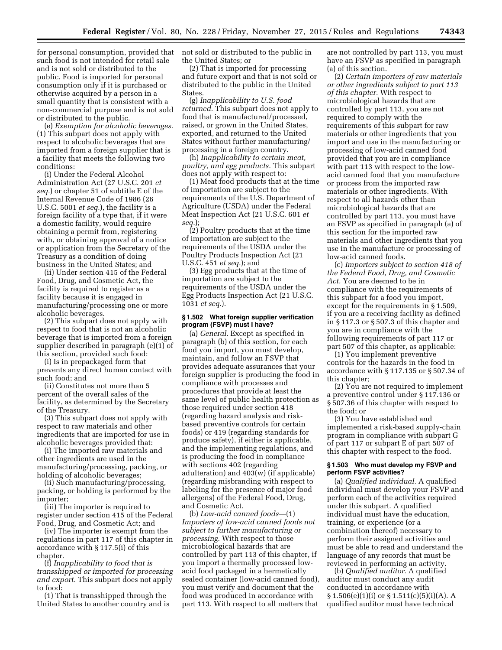for personal consumption, provided that such food is not intended for retail sale and is not sold or distributed to the public. Food is imported for personal consumption only if it is purchased or otherwise acquired by a person in a small quantity that is consistent with a non-commercial purpose and is not sold or distributed to the public.

(e) *Exemption for alcoholic beverages.*  (1) This subpart does not apply with respect to alcoholic beverages that are imported from a foreign supplier that is a facility that meets the following two conditions:

(i) Under the Federal Alcohol Administration Act (27 U.S.C. 201 *et seq.*) or chapter 51 of subtitle E of the Internal Revenue Code of 1986 (26 U.S.C. 5001 *et seq.*), the facility is a foreign facility of a type that, if it were a domestic facility, would require obtaining a permit from, registering with, or obtaining approval of a notice or application from the Secretary of the Treasury as a condition of doing business in the United States; and

(ii) Under section 415 of the Federal Food, Drug, and Cosmetic Act, the facility is required to register as a facility because it is engaged in manufacturing/processing one or more alcoholic beverages.

(2) This subpart does not apply with respect to food that is not an alcoholic beverage that is imported from a foreign supplier described in paragraph (e)(1) of this section, provided such food:

(i) Is in prepackaged form that prevents any direct human contact with such food; and

(ii) Constitutes not more than 5 percent of the overall sales of the facility, as determined by the Secretary of the Treasury.

(3) This subpart does not apply with respect to raw materials and other ingredients that are imported for use in alcoholic beverages provided that:

(i) The imported raw materials and other ingredients are used in the manufacturing/processing, packing, or holding of alcoholic beverages;

(ii) Such manufacturing/processing, packing, or holding is performed by the importer;

(iii) The importer is required to register under section 415 of the Federal Food, Drug, and Cosmetic Act; and

(iv) The importer is exempt from the regulations in part 117 of this chapter in accordance with § 117.5(i) of this chapter.

(f) *Inapplicability to food that is transshipped or imported for processing and export.* This subpart does not apply to food:

(1) That is transshipped through the United States to another country and is not sold or distributed to the public in the United States; or

(2) That is imported for processing and future export and that is not sold or distributed to the public in the United States.

(g) *Inapplicability to U.S. food returned.* This subpart does not apply to food that is manufactured/processed, raised, or grown in the United States, exported, and returned to the United States without further manufacturing/ processing in a foreign country.

(h) *Inapplicability to certain meat, poultry, and egg products.* This subpart does not apply with respect to:

(1) Meat food products that at the time of importation are subject to the requirements of the U.S. Department of Agriculture (USDA) under the Federal Meat Inspection Act (21 U.S.C. 601 *et seq.*);

(2) Poultry products that at the time of importation are subject to the requirements of the USDA under the Poultry Products Inspection Act (21 U.S.C. 451 *et seq.*); and

(3) Egg products that at the time of importation are subject to the requirements of the USDA under the Egg Products Inspection Act (21 U.S.C. 1031 *et seq.*).

#### **§ 1.502 What foreign supplier verification program (FSVP) must I have?**

(a) *General.* Except as specified in paragraph (b) of this section, for each food you import, you must develop, maintain, and follow an FSVP that provides adequate assurances that your foreign supplier is producing the food in compliance with processes and procedures that provide at least the same level of public health protection as those required under section 418 (regarding hazard analysis and riskbased preventive controls for certain foods) or 419 (regarding standards for produce safety), if either is applicable, and the implementing regulations, and is producing the food in compliance with sections 402 (regarding adulteration) and 403(w) (if applicable) (regarding misbranding with respect to labeling for the presence of major food allergens) of the Federal Food, Drug, and Cosmetic Act.

(b) *Low-acid canned foods*—(1) *Importers of low-acid canned foods not subject to further manufacturing or processing.* With respect to those microbiological hazards that are controlled by part 113 of this chapter, if you import a thermally processed lowacid food packaged in a hermetically sealed container (low-acid canned food), you must verify and document that the food was produced in accordance with part 113. With respect to all matters that

are not controlled by part 113, you must have an FSVP as specified in paragraph (a) of this section.

(2) *Certain importers of raw materials or other ingredients subject to part 113 of this chapter.* With respect to microbiological hazards that are controlled by part 113, you are not required to comply with the requirements of this subpart for raw materials or other ingredients that you import and use in the manufacturing or processing of low-acid canned food provided that you are in compliance with part 113 with respect to the lowacid canned food that you manufacture or process from the imported raw materials or other ingredients. With respect to all hazards other than microbiological hazards that are controlled by part 113, you must have an FSVP as specified in paragraph (a) of this section for the imported raw materials and other ingredients that you use in the manufacture or processing of low-acid canned foods.

(c) *Importers subject to section 418 of the Federal Food, Drug, and Cosmetic Act.* You are deemed to be in compliance with the requirements of this subpart for a food you import, except for the requirements in § 1.509, if you are a receiving facility as defined in § 117.3 or § 507.3 of this chapter and you are in compliance with the following requirements of part 117 or part 507 of this chapter, as applicable:

(1) You implement preventive controls for the hazards in the food in accordance with § 117.135 or § 507.34 of this chapter;

(2) You are not required to implement a preventive control under § 117.136 or § 507.36 of this chapter with respect to the food; or

(3) You have established and implemented a risk-based supply-chain program in compliance with subpart G of part 117 or subpart E of part 507 of this chapter with respect to the food.

### **§ 1.503 Who must develop my FSVP and perform FSVP activities?**

(a) *Qualified individual.* A qualified individual must develop your FSVP and perform each of the activities required under this subpart. A qualified individual must have the education, training, or experience (or a combination thereof) necessary to perform their assigned activities and must be able to read and understand the language of any records that must be reviewed in performing an activity.

(b) *Qualified auditor.* A qualified auditor must conduct any audit conducted in accordance with  $\S 1.506(e)(1)(i)$  or  $\S 1.511(c)(5)(i)(A)$ . A qualified auditor must have technical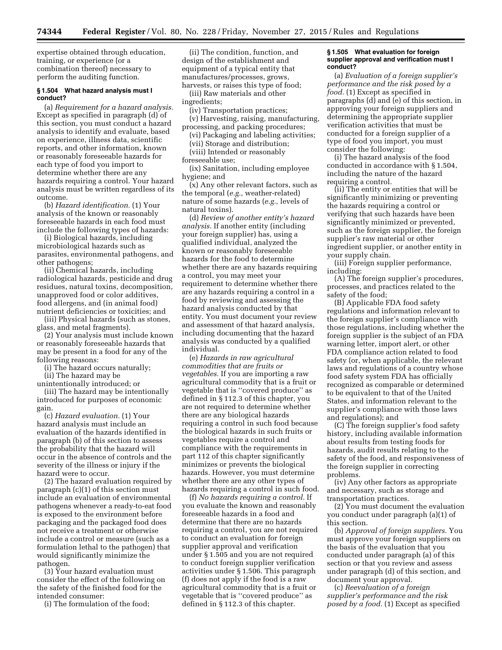expertise obtained through education, training, or experience (or a combination thereof) necessary to perform the auditing function.

### **§ 1.504 What hazard analysis must I conduct?**

(a) *Requirement for a hazard analysis.*  Except as specified in paragraph (d) of this section, you must conduct a hazard analysis to identify and evaluate, based on experience, illness data, scientific reports, and other information, known or reasonably foreseeable hazards for each type of food you import to determine whether there are any hazards requiring a control. Your hazard analysis must be written regardless of its outcome.

(b) *Hazard identification.* (1) Your analysis of the known or reasonably foreseeable hazards in each food must include the following types of hazards:

(i) Biological hazards, including microbiological hazards such as parasites, environmental pathogens, and other pathogens;

(ii) Chemical hazards, including radiological hazards, pesticide and drug residues, natural toxins, decomposition, unapproved food or color additives, food allergens, and (in animal food) nutrient deficiencies or toxicities; and

(iii) Physical hazards (such as stones, glass, and metal fragments).

(2) Your analysis must include known or reasonably foreseeable hazards that may be present in a food for any of the following reasons:

(i) The hazard occurs naturally;

(ii) The hazard may be unintentionally introduced; or

(iii) The hazard may be intentionally introduced for purposes of economic gain.

(c) *Hazard evaluation.* (1) Your hazard analysis must include an evaluation of the hazards identified in paragraph (b) of this section to assess the probability that the hazard will occur in the absence of controls and the severity of the illness or injury if the hazard were to occur.

(2) The hazard evaluation required by paragraph (c)(1) of this section must include an evaluation of environmental pathogens whenever a ready-to-eat food is exposed to the environment before packaging and the packaged food does not receive a treatment or otherwise include a control or measure (such as a formulation lethal to the pathogen) that would significantly minimize the pathogen.

(3) Your hazard evaluation must consider the effect of the following on the safety of the finished food for the intended consumer:

(i) The formulation of the food;

(ii) The condition, function, and design of the establishment and equipment of a typical entity that manufactures/processes, grows, harvests, or raises this type of food;

(iii) Raw materials and other ingredients;

(iv) Transportation practices;

(v) Harvesting, raising, manufacturing, processing, and packing procedures;

(vi) Packaging and labeling activities;

(vii) Storage and distribution;

(viii) Intended or reasonably

foreseeable use;

(ix) Sanitation, including employee hygiene; and

(x) Any other relevant factors, such as the temporal (*e.g.,* weather-related) nature of some hazards (*e.g.,* levels of natural toxins).

(d) *Review of another entity's hazard analysis.* If another entity (including your foreign supplier) has, using a qualified individual, analyzed the known or reasonably foreseeable hazards for the food to determine whether there are any hazards requiring a control, you may meet your requirement to determine whether there are any hazards requiring a control in a food by reviewing and assessing the hazard analysis conducted by that entity. You must document your review and assessment of that hazard analysis, including documenting that the hazard analysis was conducted by a qualified individual.

(e) *Hazards in raw agricultural commodities that are fruits or vegetables.* If you are importing a raw agricultural commodity that is a fruit or vegetable that is ''covered produce'' as defined in § 112.3 of this chapter, you are not required to determine whether there are any biological hazards requiring a control in such food because the biological hazards in such fruits or vegetables require a control and compliance with the requirements in part 112 of this chapter significantly minimizes or prevents the biological hazards. However, you must determine whether there are any other types of hazards requiring a control in such food.

(f) *No hazards requiring a control.* If you evaluate the known and reasonably foreseeable hazards in a food and determine that there are no hazards requiring a control, you are not required to conduct an evaluation for foreign supplier approval and verification under § 1.505 and you are not required to conduct foreign supplier verification activities under § 1.506. This paragraph (f) does not apply if the food is a raw agricultural commodity that is a fruit or vegetable that is ''covered produce'' as defined in § 112.3 of this chapter.

#### **§ 1.505 What evaluation for foreign supplier approval and verification must I conduct?**

(a) *Evaluation of a foreign supplier's performance and the risk posed by a food.* (1) Except as specified in paragraphs (d) and (e) of this section, in approving your foreign suppliers and determining the appropriate supplier verification activities that must be conducted for a foreign supplier of a type of food you import, you must consider the following:

(i) The hazard analysis of the food conducted in accordance with § 1.504, including the nature of the hazard requiring a control.

(ii) The entity or entities that will be significantly minimizing or preventing the hazards requiring a control or verifying that such hazards have been significantly minimized or prevented, such as the foreign supplier, the foreign supplier's raw material or other ingredient supplier, or another entity in your supply chain.

(iii) Foreign supplier performance, including:

(A) The foreign supplier's procedures, processes, and practices related to the safety of the food;

(B) Applicable FDA food safety regulations and information relevant to the foreign supplier's compliance with those regulations, including whether the foreign supplier is the subject of an FDA warning letter, import alert, or other FDA compliance action related to food safety (or, when applicable, the relevant laws and regulations of a country whose food safety system FDA has officially recognized as comparable or determined to be equivalent to that of the United States, and information relevant to the supplier's compliance with those laws and regulations); and

(C) The foreign supplier's food safety history, including available information about results from testing foods for hazards, audit results relating to the safety of the food, and responsiveness of the foreign supplier in correcting problems.

(iv) Any other factors as appropriate and necessary, such as storage and transportation practices.

(2) You must document the evaluation you conduct under paragraph (a)(1) of this section.

(b) *Approval of foreign suppliers.* You must approve your foreign suppliers on the basis of the evaluation that you conducted under paragraph (a) of this section or that you review and assess under paragraph (d) of this section, and document your approval.

(c) *Reevaluation of a foreign supplier's performance and the risk posed by a food.* (1) Except as specified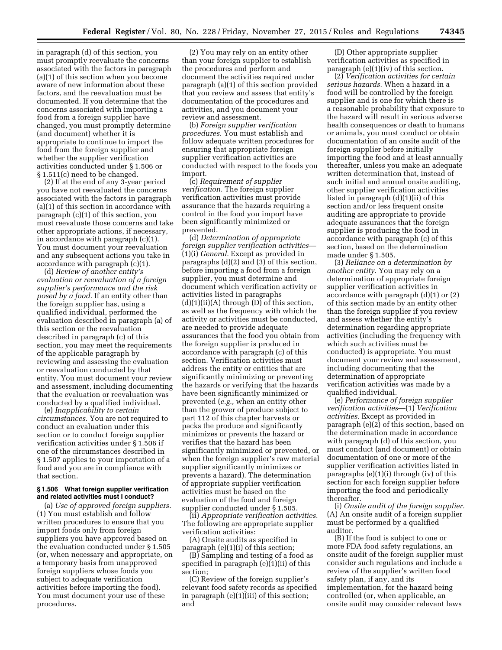in paragraph (d) of this section, you must promptly reevaluate the concerns associated with the factors in paragraph (a)(1) of this section when you become aware of new information about these factors, and the reevaluation must be documented. If you determine that the concerns associated with importing a food from a foreign supplier have changed, you must promptly determine (and document) whether it is appropriate to continue to import the food from the foreign supplier and whether the supplier verification activities conducted under § 1.506 or § 1.511(c) need to be changed.

(2) If at the end of any 3-year period you have not reevaluated the concerns associated with the factors in paragraph (a)(1) of this section in accordance with paragraph (c)(1) of this section, you must reevaluate those concerns and take other appropriate actions, if necessary, in accordance with paragraph (c)(1). You must document your reevaluation and any subsequent actions you take in accordance with paragraph (c)(1).

(d) *Review of another entity's evaluation or reevaluation of a foreign supplier's performance and the risk posed by a food.* If an entity other than the foreign supplier has, using a qualified individual, performed the evaluation described in paragraph (a) of this section or the reevaluation described in paragraph (c) of this section, you may meet the requirements of the applicable paragraph by reviewing and assessing the evaluation or reevaluation conducted by that entity. You must document your review and assessment, including documenting that the evaluation or reevaluation was conducted by a qualified individual.

(e) *Inapplicability to certain circumstances.* You are not required to conduct an evaluation under this section or to conduct foreign supplier verification activities under § 1.506 if one of the circumstances described in § 1.507 applies to your importation of a food and you are in compliance with that section.

### **§ 1.506 What foreign supplier verification and related activities must I conduct?**

(a) *Use of approved foreign suppliers.*  (1) You must establish and follow written procedures to ensure that you import foods only from foreign suppliers you have approved based on the evaluation conducted under § 1.505 (or, when necessary and appropriate, on a temporary basis from unapproved foreign suppliers whose foods you subject to adequate verification activities before importing the food). You must document your use of these procedures.

(2) You may rely on an entity other than your foreign supplier to establish the procedures and perform and document the activities required under paragraph (a)(1) of this section provided that you review and assess that entity's documentation of the procedures and activities, and you document your review and assessment.

(b) *Foreign supplier verification procedures.* You must establish and follow adequate written procedures for ensuring that appropriate foreign supplier verification activities are conducted with respect to the foods you import.

(c) *Requirement of supplier verification.* The foreign supplier verification activities must provide assurance that the hazards requiring a control in the food you import have been significantly minimized or prevented.

(d) *Determination of appropriate foreign supplier verification activities*— (1)(i) *General.* Except as provided in paragraphs (d)(2) and (3) of this section, before importing a food from a foreign supplier, you must determine and document which verification activity or activities listed in paragraphs  $(d)(1)(ii)(A)$  through  $(D)$  of this section, as well as the frequency with which the activity or activities must be conducted, are needed to provide adequate assurances that the food you obtain from the foreign supplier is produced in accordance with paragraph (c) of this section. Verification activities must address the entity or entities that are significantly minimizing or preventing the hazards or verifying that the hazards have been significantly minimized or prevented (*e.g.,* when an entity other than the grower of produce subject to part 112 of this chapter harvests or packs the produce and significantly minimizes or prevents the hazard or verifies that the hazard has been significantly minimized or prevented, or when the foreign supplier's raw material supplier significantly minimizes or prevents a hazard). The determination of appropriate supplier verification activities must be based on the evaluation of the food and foreign supplier conducted under § 1.505.

(ii) *Appropriate verification activities.*  The following are appropriate supplier verification activities:

(A) Onsite audits as specified in paragraph (e)(1)(i) of this section;

(B) Sampling and testing of a food as specified in paragraph (e)(1)(ii) of this section;

(C) Review of the foreign supplier's relevant food safety records as specified in paragraph (e)(1)(iii) of this section; and

(D) Other appropriate supplier verification activities as specified in paragraph (e)(1)(iv) of this section.

(2) *Verification activities for certain serious hazards.* When a hazard in a food will be controlled by the foreign supplier and is one for which there is a reasonable probability that exposure to the hazard will result in serious adverse health consequences or death to humans or animals, you must conduct or obtain documentation of an onsite audit of the foreign supplier before initially importing the food and at least annually thereafter, unless you make an adequate written determination that, instead of such initial and annual onsite auditing, other supplier verification activities listed in paragraph (d)(1)(ii) of this section and/or less frequent onsite auditing are appropriate to provide adequate assurances that the foreign supplier is producing the food in accordance with paragraph (c) of this section, based on the determination made under § 1.505.

(3) *Reliance on a determination by another entity.* You may rely on a determination of appropriate foreign supplier verification activities in accordance with paragraph (d)(1) or (2) of this section made by an entity other than the foreign supplier if you review and assess whether the entity's determination regarding appropriate activities (including the frequency with which such activities must be conducted) is appropriate. You must document your review and assessment, including documenting that the determination of appropriate verification activities was made by a qualified individual.

(e) *Performance of foreign supplier verification activities*—(1) *Verification activities.* Except as provided in paragraph (e)(2) of this section, based on the determination made in accordance with paragraph (d) of this section, you must conduct (and document) or obtain documentation of one or more of the supplier verification activities listed in paragraphs (e)(1)(i) through (iv) of this section for each foreign supplier before importing the food and periodically thereafter.

(i) *Onsite audit of the foreign supplier.*  (A) An onsite audit of a foreign supplier must be performed by a qualified auditor.

(B) If the food is subject to one or more FDA food safety regulations, an onsite audit of the foreign supplier must consider such regulations and include a review of the supplier's written food safety plan, if any, and its implementation, for the hazard being controlled (or, when applicable, an onsite audit may consider relevant laws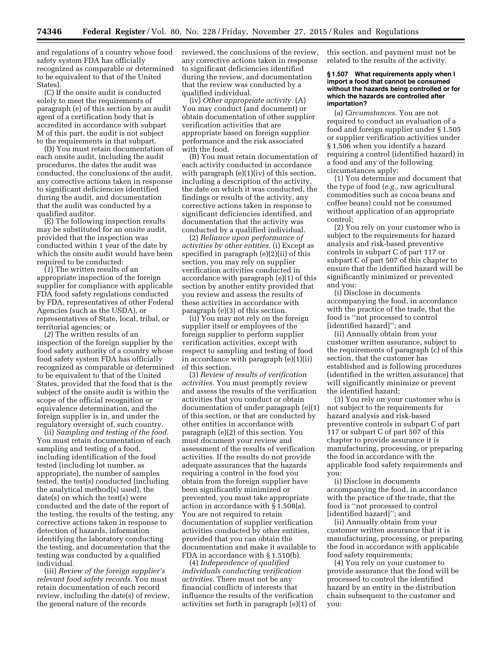and regulations of a country whose food safety system FDA has officially recognized as comparable or determined to be equivalent to that of the United States).

(C) If the onsite audit is conducted solely to meet the requirements of paragraph (e) of this section by an audit agent of a certification body that is accredited in accordance with subpart M of this part, the audit is not subject to the requirements in that subpart.

(D) You must retain documentation of each onsite audit, including the audit procedures, the dates the audit was conducted, the conclusions of the audit, any corrective actions taken in response to significant deficiencies identified during the audit, and documentation that the audit was conducted by a qualified auditor.

(E) The following inspection results may be substituted for an onsite audit, provided that the inspection was conducted within 1 year of the date by which the onsite audit would have been required to be conducted:

(*1*) The written results of an appropriate inspection of the foreign supplier for compliance with applicable FDA food safety regulations conducted by FDA, representatives of other Federal Agencies (such as the USDA), or representatives of State, local, tribal, or territorial agencies; or

(*2*) The written results of an inspection of the foreign supplier by the food safety authority of a country whose food safety system FDA has officially recognized as comparable or determined to be equivalent to that of the United States, provided that the food that is the subject of the onsite audit is within the scope of the official recognition or equivalence determination, and the foreign supplier is in, and under the regulatory oversight of, such country.

(ii) *Sampling and testing of the food.*  You must retain documentation of each sampling and testing of a food, including identification of the food tested (including lot number, as appropriate), the number of samples tested, the test(s) conducted (including the analytical method(s) used), the date(s) on which the test(s) were conducted and the date of the report of the testing, the results of the testing, any corrective actions taken in response to detection of hazards, information identifying the laboratory conducting the testing, and documentation that the testing was conducted by a qualified individual.

(iii) *Review of the foreign supplier's relevant food safety records.* You must retain documentation of each record review, including the date(s) of review, the general nature of the records

reviewed, the conclusions of the review, any corrective actions taken in response to significant deficiencies identified during the review, and documentation that the review was conducted by a qualified individual.

(iv) *Other appropriate activity.* (A) You may conduct (and document) or obtain documentation of other supplier verification activities that are appropriate based on foreign supplier performance and the risk associated with the food.

(B) You must retain documentation of each activity conducted in accordance with paragraph (e)(1)(iv) of this section, including a description of the activity, the date on which it was conducted, the findings or results of the activity, any corrective actions taken in response to significant deficiencies identified, and documentation that the activity was conducted by a qualified individual.

(2) *Reliance upon performance of activities by other entities.* (i) Except as specified in paragraph (e)(2)(ii) of this section, you may rely on supplier verification activities conducted in accordance with paragraph (e)(1) of this section by another entity provided that you review and assess the results of these activities in accordance with paragraph (e)(3) of this section.

(ii) You may not rely on the foreign supplier itself or employees of the foreign supplier to perform supplier verification activities, except with respect to sampling and testing of food in accordance with paragraph (e)(1)(ii) of this section.

(3) *Review of results of verification activities.* You must promptly review and assess the results of the verification activities that you conduct or obtain documentation of under paragraph (e)(1) of this section, or that are conducted by other entities in accordance with paragraph (e)(2) of this section. You must document your review and assessment of the results of verification activities. If the results do not provide adequate assurances that the hazards requiring a control in the food you obtain from the foreign supplier have been significantly minimized or prevented, you must take appropriate action in accordance with § 1.508(a). You are not required to retain documentation of supplier verification activities conducted by other entities, provided that you can obtain the documentation and make it available to FDA in accordance with § 1.510(b).

(4) *Independence of qualified individuals conducting verification activities.* There must not be any financial conflicts of interests that influence the results of the verification activities set forth in paragraph (e)(1) of this section, and payment must not be related to the results of the activity.

#### **§ 1.507 What requirements apply when I import a food that cannot be consumed without the hazards being controlled or for which the hazards are controlled after importation?**

(a) *Circumstances.* You are not required to conduct an evaluation of a food and foreign supplier under § 1.505 or supplier verification activities under § 1.506 when you identify a hazard requiring a control (identified hazard) in a food and any of the following circumstances apply:

(1) You determine and document that the type of food (*e.g.,* raw agricultural commodities such as cocoa beans and coffee beans) could not be consumed without application of an appropriate control;

(2) You rely on your customer who is subject to the requirements for hazard analysis and risk-based preventive controls in subpart C of part 117 or subpart C of part 507 of this chapter to ensure that the identified hazard will be significantly minimized or prevented and you:

(i) Disclose in documents accompanying the food, in accordance with the practice of the trade, that the food is ''not processed to control [identified hazard]''; and

(ii) Annually obtain from your customer written assurance, subject to the requirements of paragraph (c) of this section, that the customer has established and is following procedures (identified in the written assurance) that will significantly minimize or prevent the identified hazard;

(3) You rely on your customer who is not subject to the requirements for hazard analysis and risk-based preventive controls in subpart C of part 117 or subpart C of part 507 of this chapter to provide assurance it is manufacturing, processing, or preparing the food in accordance with the applicable food safety requirements and you:

(i) Disclose in documents accompanying the food, in accordance with the practice of the trade, that the food is ''not processed to control [identified hazard]''; and

(ii) Annually obtain from your customer written assurance that it is manufacturing, processing, or preparing the food in accordance with applicable food safety requirements;

(4) You rely on your customer to provide assurance that the food will be processed to control the identified hazard by an entity in the distribution chain subsequent to the customer and you: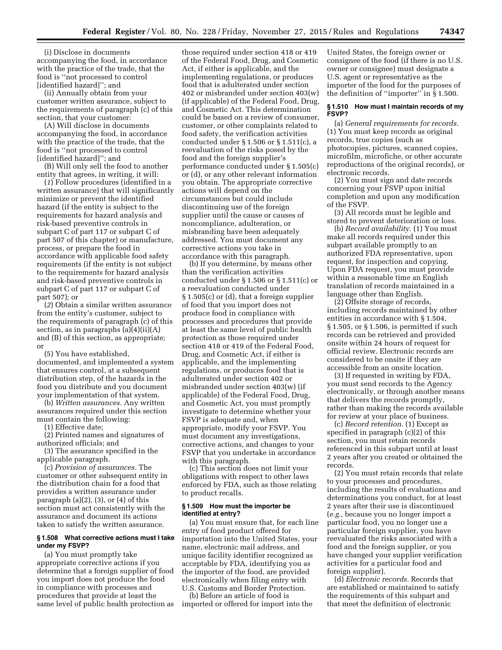(i) Disclose in documents accompanying the food, in accordance with the practice of the trade, that the food is ''not processed to control [identified hazard]''; and

(ii) Annually obtain from your customer written assurance, subject to the requirements of paragraph (c) of this section, that your customer:

(A) Will disclose in documents accompanying the food, in accordance with the practice of the trade, that the food is ''not processed to control [identified hazard]''; and

(B) Will only sell the food to another entity that agrees, in writing, it will:

(*1*) Follow procedures (identified in a written assurance) that will significantly minimize or prevent the identified hazard (if the entity is subject to the requirements for hazard analysis and risk-based preventive controls in subpart C of part 117 or subpart C of part 507 of this chapter) or manufacture, process, or prepare the food in accordance with applicable food safety requirements (if the entity is not subject to the requirements for hazard analysis and risk-based preventive controls in subpart C of part 117 or subpart C of part 507); or

(*2*) Obtain a similar written assurance from the entity's customer, subject to the requirements of paragraph (c) of this section, as in paragraphs (a)(4)(ii)(A) and (B) of this section, as appropriate; or

(5) You have established, documented, and implemented a system that ensures control, at a subsequent distribution step, of the hazards in the food you distribute and you document your implementation of that system.

(b) *Written assurances.* Any written assurances required under this section must contain the following:

(1) Effective date;

(2) Printed names and signatures of authorized officials; and

(3) The assurance specified in the applicable paragraph.

(c) *Provision of assurances.* The customer or other subsequent entity in the distribution chain for a food that provides a written assurance under paragraph  $(a)(2)$ ,  $(3)$ , or  $(4)$  of this section must act consistently with the assurance and document its actions taken to satisfy the written assurance.

### **§ 1.508 What corrective actions must I take under my FSVP?**

(a) You must promptly take appropriate corrective actions if you determine that a foreign supplier of food you import does not produce the food in compliance with processes and procedures that provide at least the same level of public health protection as

those required under section 418 or 419 of the Federal Food, Drug, and Cosmetic Act, if either is applicable, and the implementing regulations, or produces food that is adulterated under section 402 or misbranded under section 403(w) (if applicable) of the Federal Food, Drug, and Cosmetic Act. This determination could be based on a review of consumer, customer, or other complaints related to food safety, the verification activities conducted under § 1.506 or § 1.511(c), a reevaluation of the risks posed by the food and the foreign supplier's performance conducted under § 1.505(c) or (d), or any other relevant information you obtain. The appropriate corrective actions will depend on the circumstances but could include discontinuing use of the foreign supplier until the cause or causes of noncompliance, adulteration, or misbranding have been adequately addressed. You must document any corrective actions you take in accordance with this paragraph.

(b) If you determine, by means other than the verification activities conducted under § 1.506 or § 1.511(c) or a reevaluation conducted under § 1.505(c) or (d), that a foreign supplier of food that you import does not produce food in compliance with processes and procedures that provide at least the same level of public health protection as those required under section 418 or 419 of the Federal Food, Drug, and Cosmetic Act, if either is applicable, and the implementing regulations, or produces food that is adulterated under section 402 or misbranded under section 403(w) (if applicable) of the Federal Food, Drug, and Cosmetic Act, you must promptly investigate to determine whether your FSVP is adequate and, when appropriate, modify your FSVP. You must document any investigations, corrective actions, and changes to your FSVP that you undertake in accordance with this paragraph.

(c) This section does not limit your obligations with respect to other laws enforced by FDA, such as those relating to product recalls.

#### **§ 1.509 How must the importer be identified at entry?**

(a) You must ensure that, for each line entry of food product offered for importation into the United States, your name, electronic mail address, and unique facility identifier recognized as acceptable by FDA, identifying you as the importer of the food, are provided electronically when filing entry with U.S. Customs and Border Protection.

(b) Before an article of food is imported or offered for import into the United States, the foreign owner or consignee of the food (if there is no U.S. owner or consignee) must designate a U.S. agent or representative as the importer of the food for the purposes of the definition of ''importer'' in § 1.500.

### **§ 1.510 How must I maintain records of my FSVP?**

(a) *General requirements for records.*  (1) You must keep records as original records, true copies (such as photocopies, pictures, scanned copies, microfilm, microfiche, or other accurate reproductions of the original records), or electronic records.

(2) You must sign and date records concerning your FSVP upon initial completion and upon any modification of the FSVP.

(3) All records must be legible and stored to prevent deterioration or loss.

(b) *Record availability.* (1) You must make all records required under this subpart available promptly to an authorized FDA representative, upon request, for inspection and copying. Upon FDA request, you must provide within a reasonable time an English translation of records maintained in a language other than English.

(2) Offsite storage of records, including records maintained by other entities in accordance with § 1.504, § 1.505, or § 1.506, is permitted if such records can be retrieved and provided onsite within 24 hours of request for official review. Electronic records are considered to be onsite if they are accessible from an onsite location.

(3) If requested in writing by FDA, you must send records to the Agency electronically, or through another means that delivers the records promptly, rather than making the records available for review at your place of business.

(c) *Record retention.* (1) Except as specified in paragraph (c)(2) of this section, you must retain records referenced in this subpart until at least 2 years after you created or obtained the records.

(2) You must retain records that relate to your processes and procedures, including the results of evaluations and determinations you conduct, for at least 2 years after their use is discontinued (*e.g.,* because you no longer import a particular food, you no longer use a particular foreign supplier, you have reevaluated the risks associated with a food and the foreign supplier, or you have changed your supplier verification activities for a particular food and foreign supplier).

(d) *Electronic records.* Records that are established or maintained to satisfy the requirements of this subpart and that meet the definition of electronic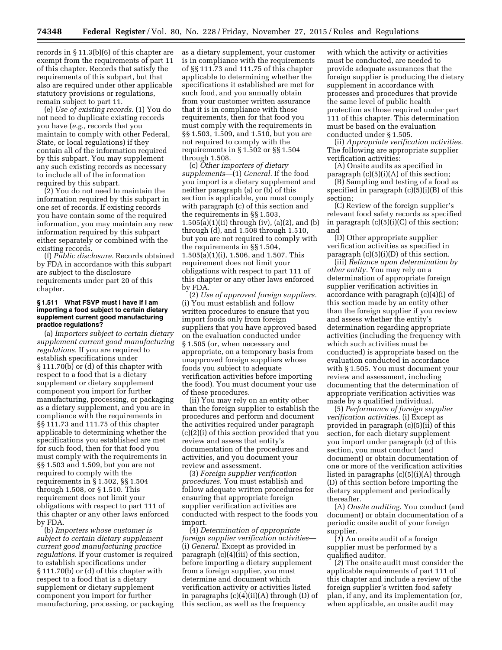records in § 11.3(b)(6) of this chapter are exempt from the requirements of part 11 of this chapter. Records that satisfy the requirements of this subpart, but that also are required under other applicable statutory provisions or regulations, remain subject to part 11.

(e) *Use of existing records.* (1) You do not need to duplicate existing records you have (*e.g.,* records that you maintain to comply with other Federal, State, or local regulations) if they contain all of the information required by this subpart. You may supplement any such existing records as necessary to include all of the information required by this subpart.

(2) You do not need to maintain the information required by this subpart in one set of records. If existing records you have contain some of the required information, you may maintain any new information required by this subpart either separately or combined with the existing records.

(f) *Public disclosure.* Records obtained by FDA in accordance with this subpart are subject to the disclosure requirements under part 20 of this chapter.

#### **§ 1.511 What FSVP must I have if I am importing a food subject to certain dietary supplement current good manufacturing practice regulations?**

(a) *Importers subject to certain dietary supplement current good manufacturing regulations.* If you are required to establish specifications under § 111.70(b) or (d) of this chapter with respect to a food that is a dietary supplement or dietary supplement component you import for further manufacturing, processing, or packaging as a dietary supplement, and you are in compliance with the requirements in §§ 111.73 and 111.75 of this chapter applicable to determining whether the specifications you established are met for such food, then for that food you must comply with the requirements in §§ 1.503 and 1.509, but you are not required to comply with the requirements in § 1.502, §§ 1.504 through 1.508, or § 1.510. This requirement does not limit your obligations with respect to part 111 of this chapter or any other laws enforced by FDA.

(b) *Importers whose customer is subject to certain dietary supplement current good manufacturing practice regulations.* If your customer is required to establish specifications under § 111.70(b) or (d) of this chapter with respect to a food that is a dietary supplement or dietary supplement component you import for further manufacturing, processing, or packaging as a dietary supplement, your customer is in compliance with the requirements of §§ 111.73 and 111.75 of this chapter applicable to determining whether the specifications it established are met for such food, and you annually obtain from your customer written assurance that it is in compliance with those requirements, then for that food you must comply with the requirements in §§ 1.503, 1.509, and 1.510, but you are not required to comply with the requirements in § 1.502 or §§ 1.504 through 1.508.

(c) *Other importers of dietary supplements*—(1) *General.* If the food you import is a dietary supplement and neither paragraph (a) or (b) of this section is applicable, you must comply with paragraph (c) of this section and the requirements in §§ 1.503, 1.505(a)(1)(ii) through (iv), (a)(2), and (b) through (d), and 1.508 through 1.510, but you are not required to comply with the requirements in §§ 1.504, 1.505(a)(1)(i), 1.506, and 1.507. This requirement does not limit your obligations with respect to part 111 of this chapter or any other laws enforced by FDA.

(2) *Use of approved foreign suppliers.*  (i) You must establish and follow written procedures to ensure that you import foods only from foreign suppliers that you have approved based on the evaluation conducted under § 1.505 (or, when necessary and appropriate, on a temporary basis from unapproved foreign suppliers whose foods you subject to adequate verification activities before importing the food). You must document your use of these procedures.

(ii) You may rely on an entity other than the foreign supplier to establish the procedures and perform and document the activities required under paragraph (c)(2)(i) of this section provided that you review and assess that entity's documentation of the procedures and activities, and you document your review and assessment.

(3) *Foreign supplier verification procedures.* You must establish and follow adequate written procedures for ensuring that appropriate foreign supplier verification activities are conducted with respect to the foods you import.

(4) *Determination of appropriate foreign supplier verification activities*— (i) *General.* Except as provided in paragraph (c)(4)(iii) of this section, before importing a dietary supplement from a foreign supplier, you must determine and document which verification activity or activities listed in paragraphs (c)(4)(ii)(A) through (D) of this section, as well as the frequency

with which the activity or activities must be conducted, are needed to provide adequate assurances that the foreign supplier is producing the dietary supplement in accordance with processes and procedures that provide the same level of public health protection as those required under part 111 of this chapter. This determination must be based on the evaluation conducted under § 1.505.

(ii) *Appropriate verification activities.*  The following are appropriate supplier verification activities:

(A) Onsite audits as specified in paragraph  $(c)(5)(i)(A)$  of this section;

(B) Sampling and testing of a food as specified in paragraph (c)(5)(i)(B) of this section;

(C) Review of the foreign supplier's relevant food safety records as specified in paragraph (c)(5)(i)(C) of this section; and

(D) Other appropriate supplier verification activities as specified in paragraph  $(c)(5)(i)(D)$  of this section.

(iii) *Reliance upon determination by other entity.* You may rely on a determination of appropriate foreign supplier verification activities in accordance with paragraph (c)(4)(i) of this section made by an entity other than the foreign supplier if you review and assess whether the entity's determination regarding appropriate activities (including the frequency with which such activities must be conducted) is appropriate based on the evaluation conducted in accordance with § 1.505. You must document your review and assessment, including documenting that the determination of appropriate verification activities was made by a qualified individual.

(5) *Performance of foreign supplier verification activities.* (i) Except as provided in paragraph (c)(5)(ii) of this section, for each dietary supplement you import under paragraph (c) of this section, you must conduct (and document) or obtain documentation of one or more of the verification activities listed in paragraphs (c)(5)(i)(A) through (D) of this section before importing the dietary supplement and periodically thereafter.

(A) *Onsite auditing.* You conduct (and document) or obtain documentation of a periodic onsite audit of your foreign supplier.

(*1*) An onsite audit of a foreign supplier must be performed by a qualified auditor.

(*2*) The onsite audit must consider the applicable requirements of part 111 of this chapter and include a review of the foreign supplier's written food safety plan, if any, and its implementation (or, when applicable, an onsite audit may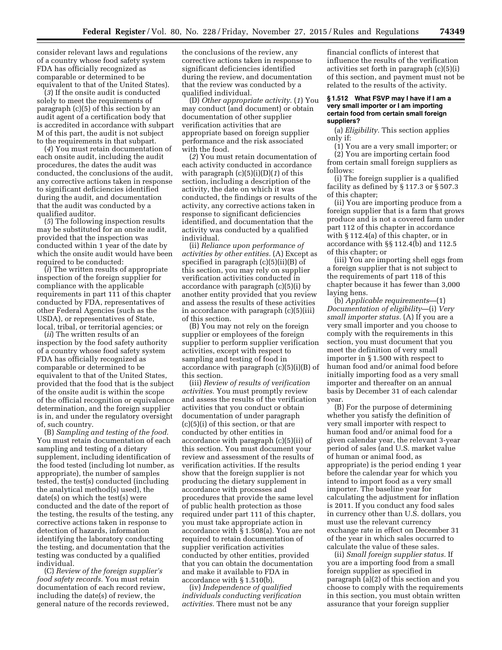consider relevant laws and regulations of a country whose food safety system FDA has officially recognized as comparable or determined to be equivalent to that of the United States).

(*3*) If the onsite audit is conducted solely to meet the requirements of paragraph (c)(5) of this section by an audit agent of a certification body that is accredited in accordance with subpart M of this part, the audit is not subject to the requirements in that subpart.

(*4*) You must retain documentation of each onsite audit, including the audit procedures, the dates the audit was conducted, the conclusions of the audit, any corrective actions taken in response to significant deficiencies identified during the audit, and documentation that the audit was conducted by a qualified auditor.

(*5*) The following inspection results may be substituted for an onsite audit, provided that the inspection was conducted within 1 year of the date by which the onsite audit would have been required to be conducted:

(*i*) The written results of appropriate inspection of the foreign supplier for compliance with the applicable requirements in part 111 of this chapter conducted by FDA, representatives of other Federal Agencies (such as the USDA), or representatives of State, local, tribal, or territorial agencies; or

(*ii*) The written results of an inspection by the food safety authority of a country whose food safety system FDA has officially recognized as comparable or determined to be equivalent to that of the United States, provided that the food that is the subject of the onsite audit is within the scope of the official recognition or equivalence determination, and the foreign supplier is in, and under the regulatory oversight of, such country.

(B) *Sampling and testing of the food.*  You must retain documentation of each sampling and testing of a dietary supplement, including identification of the food tested (including lot number, as appropriate), the number of samples tested, the test(s) conducted (including the analytical method(s) used), the date(s) on which the test(s) were conducted and the date of the report of the testing, the results of the testing, any corrective actions taken in response to detection of hazards, information identifying the laboratory conducting the testing, and documentation that the testing was conducted by a qualified individual.

(C) *Review of the foreign supplier's food safety records.* You must retain documentation of each record review, including the date(s) of review, the general nature of the records reviewed, the conclusions of the review, any corrective actions taken in response to significant deficiencies identified during the review, and documentation that the review was conducted by a qualified individual.

(D) *Other appropriate activity.* (*1*) You may conduct (and document) or obtain documentation of other supplier verification activities that are appropriate based on foreign supplier performance and the risk associated with the food.

(*2*) You must retain documentation of each activity conducted in accordance with paragraph (c)(5)(i)(D)(*1*) of this section, including a description of the activity, the date on which it was conducted, the findings or results of the activity, any corrective actions taken in response to significant deficiencies identified, and documentation that the activity was conducted by a qualified individual.

(ii) *Reliance upon performance of activities by other entities.* (A) Except as specified in paragraph (c)(5)(ii)(B) of this section, you may rely on supplier verification activities conducted in accordance with paragraph (c)(5)(i) by another entity provided that you review and assess the results of these activities in accordance with paragraph (c)(5)(iii) of this section.

(B) You may not rely on the foreign supplier or employees of the foreign supplier to perform supplier verification activities, except with respect to sampling and testing of food in accordance with paragraph (c)(5)(i)(B) of this section.

(iii) *Review of results of verification activities.* You must promptly review and assess the results of the verification activities that you conduct or obtain documentation of under paragraph (c)(5)(i) of this section, or that are conducted by other entities in accordance with paragraph (c)(5)(ii) of this section. You must document your review and assessment of the results of verification activities. If the results show that the foreign supplier is not producing the dietary supplement in accordance with processes and procedures that provide the same level of public health protection as those required under part 111 of this chapter, you must take appropriate action in accordance with § 1.508(a). You are not required to retain documentation of supplier verification activities conducted by other entities, provided that you can obtain the documentation and make it available to FDA in accordance with § 1.510(b).

(iv) *Independence of qualified individuals conducting verification activities.* There must not be any

financial conflicts of interest that influence the results of the verification activities set forth in paragraph (c)(5)(i) of this section, and payment must not be related to the results of the activity.

#### **§ 1.512 What FSVP may I have if I am a very small importer or I am importing certain food from certain small foreign suppliers?**

(a) *Eligibility.* This section applies only if:

(1) You are a very small importer; or (2) You are importing certain food from certain small foreign suppliers as follows:

(i) The foreign supplier is a qualified facility as defined by § 117.3 or § 507.3 of this chapter;

(ii) You are importing produce from a foreign supplier that is a farm that grows produce and is not a covered farm under part 112 of this chapter in accordance with § 112.4(a) of this chapter, or in accordance with §§ 112.4(b) and 112.5 of this chapter; or

(iii) You are importing shell eggs from a foreign supplier that is not subject to the requirements of part 118 of this chapter because it has fewer than 3,000 laying hens.

(b) *Applicable requirements*—(1) *Documentation of eligibility*—(i) *Very small importer status.* (A) If you are a very small importer and you choose to comply with the requirements in this section, you must document that you meet the definition of very small importer in § 1.500 with respect to human food and/or animal food before initially importing food as a very small importer and thereafter on an annual basis by December 31 of each calendar year.

(B) For the purpose of determining whether you satisfy the definition of very small importer with respect to human food and/or animal food for a given calendar year, the relevant 3-year period of sales (and U.S. market value of human or animal food, as appropriate) is the period ending 1 year before the calendar year for which you intend to import food as a very small importer. The baseline year for calculating the adjustment for inflation is 2011. If you conduct any food sales in currency other than U.S. dollars, you must use the relevant currency exchange rate in effect on December 31 of the year in which sales occurred to calculate the value of these sales.

(ii) *Small foreign supplier status.* If you are a importing food from a small foreign supplier as specified in paragraph (a)(2) of this section and you choose to comply with the requirements in this section, you must obtain written assurance that your foreign supplier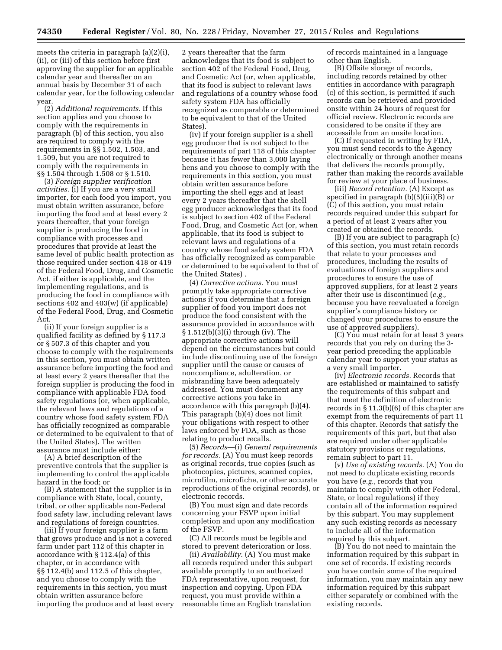meets the criteria in paragraph (a)(2)(i), (ii), or (iii) of this section before first approving the supplier for an applicable calendar year and thereafter on an annual basis by December 31 of each calendar year, for the following calendar year.

(2) *Additional requirements.* If this section applies and you choose to comply with the requirements in paragraph (b) of this section, you also are required to comply with the requirements in §§ 1.502, 1.503, and 1.509, but you are not required to comply with the requirements in §§ 1.504 through 1.508 or § 1.510.

(3) *Foreign supplier verification activities.* (i) If you are a very small importer, for each food you import, you must obtain written assurance, before importing the food and at least every 2 years thereafter, that your foreign supplier is producing the food in compliance with processes and procedures that provide at least the same level of public health protection as those required under section 418 or 419 of the Federal Food, Drug, and Cosmetic Act, if either is applicable, and the implementing regulations, and is producing the food in compliance with sections 402 and 403(w) (if applicable) of the Federal Food, Drug, and Cosmetic Act.

(ii) If your foreign supplier is a qualified facility as defined by § 117.3 or § 507.3 of this chapter and you choose to comply with the requirements in this section, you must obtain written assurance before importing the food and at least every 2 years thereafter that the foreign supplier is producing the food in compliance with applicable FDA food safety regulations (or, when applicable, the relevant laws and regulations of a country whose food safety system FDA has officially recognized as comparable or determined to be equivalent to that of the United States). The written assurance must include either:

(A) A brief description of the preventive controls that the supplier is implementing to control the applicable hazard in the food; or

(B) A statement that the supplier is in compliance with State, local, county, tribal, or other applicable non-Federal food safety law, including relevant laws and regulations of foreign countries.

(iii) If your foreign supplier is a farm that grows produce and is not a covered farm under part 112 of this chapter in accordance with § 112.4(a) of this chapter, or in accordance with §§ 112.4(b) and 112.5 of this chapter, and you choose to comply with the requirements in this section, you must obtain written assurance before importing the produce and at least every

2 years thereafter that the farm acknowledges that its food is subject to section 402 of the Federal Food, Drug, and Cosmetic Act (or, when applicable, that its food is subject to relevant laws and regulations of a country whose food safety system FDA has officially recognized as comparable or determined to be equivalent to that of the United States).

(iv) If your foreign supplier is a shell egg producer that is not subject to the requirements of part 118 of this chapter because it has fewer than 3,000 laying hens and you choose to comply with the requirements in this section, you must obtain written assurance before importing the shell eggs and at least every 2 years thereafter that the shell egg producer acknowledges that its food is subject to section 402 of the Federal Food, Drug, and Cosmetic Act (or, when applicable, that its food is subject to relevant laws and regulations of a country whose food safety system FDA has officially recognized as comparable or determined to be equivalent to that of the United States) .

(4) *Corrective actions.* You must promptly take appropriate corrective actions if you determine that a foreign supplier of food you import does not produce the food consistent with the assurance provided in accordance with § 1.512(b)(3)(i) through (iv). The appropriate corrective actions will depend on the circumstances but could include discontinuing use of the foreign supplier until the cause or causes of noncompliance, adulteration, or misbranding have been adequately addressed. You must document any corrective actions you take in accordance with this paragraph (b)(4). This paragraph (b)(4) does not limit your obligations with respect to other laws enforced by FDA, such as those relating to product recalls.

(5) *Records*—(i) *General requirements for records.* (A) You must keep records as original records, true copies (such as photocopies, pictures, scanned copies, microfilm, microfiche, or other accurate reproductions of the original records), or electronic records.

(B) You must sign and date records concerning your FSVP upon initial completion and upon any modification of the FSVP.

(C) All records must be legible and stored to prevent deterioration or loss.

(ii) *Availability.* (A) You must make all records required under this subpart available promptly to an authorized FDA representative, upon request, for inspection and copying. Upon FDA request, you must provide within a reasonable time an English translation

of records maintained in a language other than English.

(B) Offsite storage of records, including records retained by other entities in accordance with paragraph (c) of this section, is permitted if such records can be retrieved and provided onsite within 24 hours of request for official review. Electronic records are considered to be onsite if they are accessible from an onsite location.

(C) If requested in writing by FDA, you must send records to the Agency electronically or through another means that delivers the records promptly, rather than making the records available for review at your place of business.

(iii) *Record retention.* (A) Except as specified in paragraph (b)(5)(iii)(B) or (C) of this section, you must retain records required under this subpart for a period of at least 2 years after you created or obtained the records.

(B) If you are subject to paragraph (c) of this section, you must retain records that relate to your processes and procedures, including the results of evaluations of foreign suppliers and procedures to ensure the use of approved suppliers, for at least 2 years after their use is discontinued (*e.g.,*  because you have reevaluated a foreign supplier's compliance history or changed your procedures to ensure the use of approved suppliers).

(C) You must retain for at least 3 years records that you rely on during the 3 year period preceding the applicable calendar year to support your status as a very small importer.

(iv) *Electronic records.* Records that are established or maintained to satisfy the requirements of this subpart and that meet the definition of electronic records in § 11.3(b)(6) of this chapter are exempt from the requirements of part 11 of this chapter. Records that satisfy the requirements of this part, but that also are required under other applicable statutory provisions or regulations, remain subject to part 11.

(v) *Use of existing records.* (A) You do not need to duplicate existing records you have (*e.g.,* records that you maintain to comply with other Federal, State, or local regulations) if they contain all of the information required by this subpart. You may supplement any such existing records as necessary to include all of the information required by this subpart.

(B) You do not need to maintain the information required by this subpart in one set of records. If existing records you have contain some of the required information, you may maintain any new information required by this subpart either separately or combined with the existing records.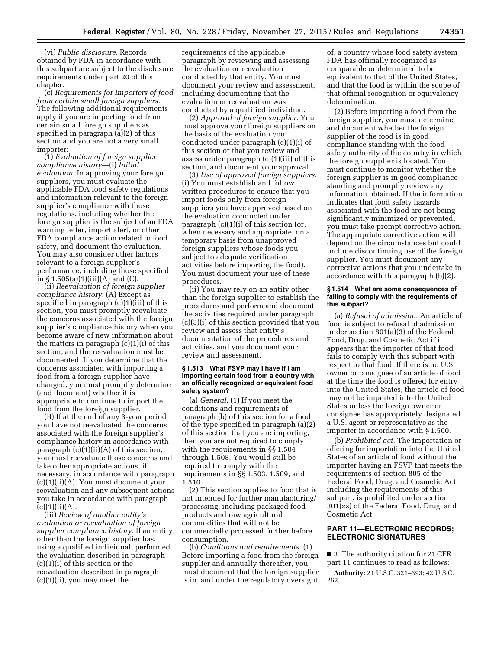(vi) *Public disclosure.* Records obtained by FDA in accordance with this subpart are subject to the disclosure requirements under part 20 of this chapter.

(c) *Requirements for importers of food from certain small foreign suppliers.*  The following additional requirements apply if you are importing food from certain small foreign suppliers as specified in paragraph (a)(2) of this section and you are not a very small importer:

(1) *Evaluation of foreign supplier compliance history*—(i) *Initial evaluation.* In approving your foreign suppliers, you must evaluate the applicable FDA food safety regulations and information relevant to the foreign supplier's compliance with those regulations, including whether the foreign supplier is the subject of an FDA warning letter, import alert, or other FDA compliance action related to food safety, and document the evaluation. You may also consider other factors relevant to a foreign supplier's performance, including those specified in  $\S 1.505(a)(1)(iii)(A)$  and (C).

(ii) *Reevaluation of foreign supplier compliance history.* (A) Except as specified in paragraph (c)(1)(iii) of this section, you must promptly reevaluate the concerns associated with the foreign supplier's compliance history when you become aware of new information about the matters in paragraph (c)(1)(i) of this section, and the reevaluation must be documented. If you determine that the concerns associated with importing a food from a foreign supplier have changed, you must promptly determine (and document) whether it is appropriate to continue to import the food from the foreign supplier.

(B) If at the end of any 3-year period you have not reevaluated the concerns associated with the foreign supplier's compliance history in accordance with paragraph  $(c)(1)(ii)(A)$  of this section, you must reevaluate those concerns and take other appropriate actions, if necessary, in accordance with paragraph (c)(1)(ii)(A). You must document your reevaluation and any subsequent actions you take in accordance with paragraph  $(c)(1)(ii)(A).$ 

(iii) *Review of another entity's evaluation or reevaluation of foreign supplier compliance history.* If an entity other than the foreign supplier has, using a qualified individual, performed the evaluation described in paragraph (c)(1)(i) of this section or the reevaluation described in paragraph (c)(1)(ii), you may meet the

requirements of the applicable paragraph by reviewing and assessing the evaluation or reevaluation conducted by that entity. You must document your review and assessment, including documenting that the evaluation or reevaluation was conducted by a qualified individual.

(2) *Approval of foreign supplier.* You must approve your foreign suppliers on the basis of the evaluation you conducted under paragraph (c)(1)(i) of this section or that you review and assess under paragraph (c)(1)(iii) of this section, and document your approval.

(3) *Use of approved foreign suppliers.*  (i) You must establish and follow written procedures to ensure that you import foods only from foreign suppliers you have approved based on the evaluation conducted under paragraph (c)(1)(i) of this section (or, when necessary and appropriate, on a temporary basis from unapproved foreign suppliers whose foods you subject to adequate verification activities before importing the food). You must document your use of these procedures.

(ii) You may rely on an entity other than the foreign supplier to establish the procedures and perform and document the activities required under paragraph (c)(3)(i) of this section provided that you review and assess that entity's documentation of the procedures and activities, and you document your review and assessment.

### **§ 1.513 What FSVP may I have if I am importing certain food from a country with an officially recognized or equivalent food safety system?**

(a) *General.* (1) If you meet the conditions and requirements of paragraph (b) of this section for a food of the type specified in paragraph (a)(2) of this section that you are importing, then you are not required to comply with the requirements in §§ 1.504 through 1.508. You would still be required to comply with the requirements in §§ 1.503, 1.509, and 1.510.

(2) This section applies to food that is not intended for further manufacturing/ processing, including packaged food products and raw agricultural commodities that will not be commercially processed further before consumption.

(b) *Conditions and requirements.* (1) Before importing a food from the foreign supplier and annually thereafter, you must document that the foreign supplier is in, and under the regulatory oversight

of, a country whose food safety system FDA has officially recognized as comparable or determined to be equivalent to that of the United States, and that the food is within the scope of that official recognition or equivalency determination.

(2) Before importing a food from the foreign supplier, you must determine and document whether the foreign supplier of the food is in good compliance standing with the food safety authority of the country in which the foreign supplier is located. You must continue to monitor whether the foreign supplier is in good compliance standing and promptly review any information obtained. If the information indicates that food safety hazards associated with the food are not being significantly minimized or prevented, you must take prompt corrective action. The appropriate corrective action will depend on the circumstances but could include discontinuing use of the foreign supplier. You must document any corrective actions that you undertake in accordance with this paragraph (b)(2).

#### **§ 1.514 What are some consequences of failing to comply with the requirements of this subpart?**

(a) *Refusal of admission.* An article of food is subject to refusal of admission under section 801(a)(3) of the Federal Food, Drug, and Cosmetic Act if it appears that the importer of that food fails to comply with this subpart with respect to that food. If there is no U.S. owner or consignee of an article of food at the time the food is offered for entry into the United States, the article of food may not be imported into the United States unless the foreign owner or consignee has appropriately designated a U.S. agent or representative as the importer in accordance with § 1.500.

(b) *Prohibited act.* The importation or offering for importation into the United States of an article of food without the importer having an FSVP that meets the requirements of section 805 of the Federal Food, Drug, and Cosmetic Act, including the requirements of this subpart, is prohibited under section 301(zz) of the Federal Food, Drug, and Cosmetic Act.

# **PART 11—ELECTRONIC RECORDS; ELECTRONIC SIGNATURES**

■ 3. The authority citation for 21 CFR part 11 continues to read as follows:

**Authority:** 21 U.S.C. 321–393; 42 U.S.C. 262.